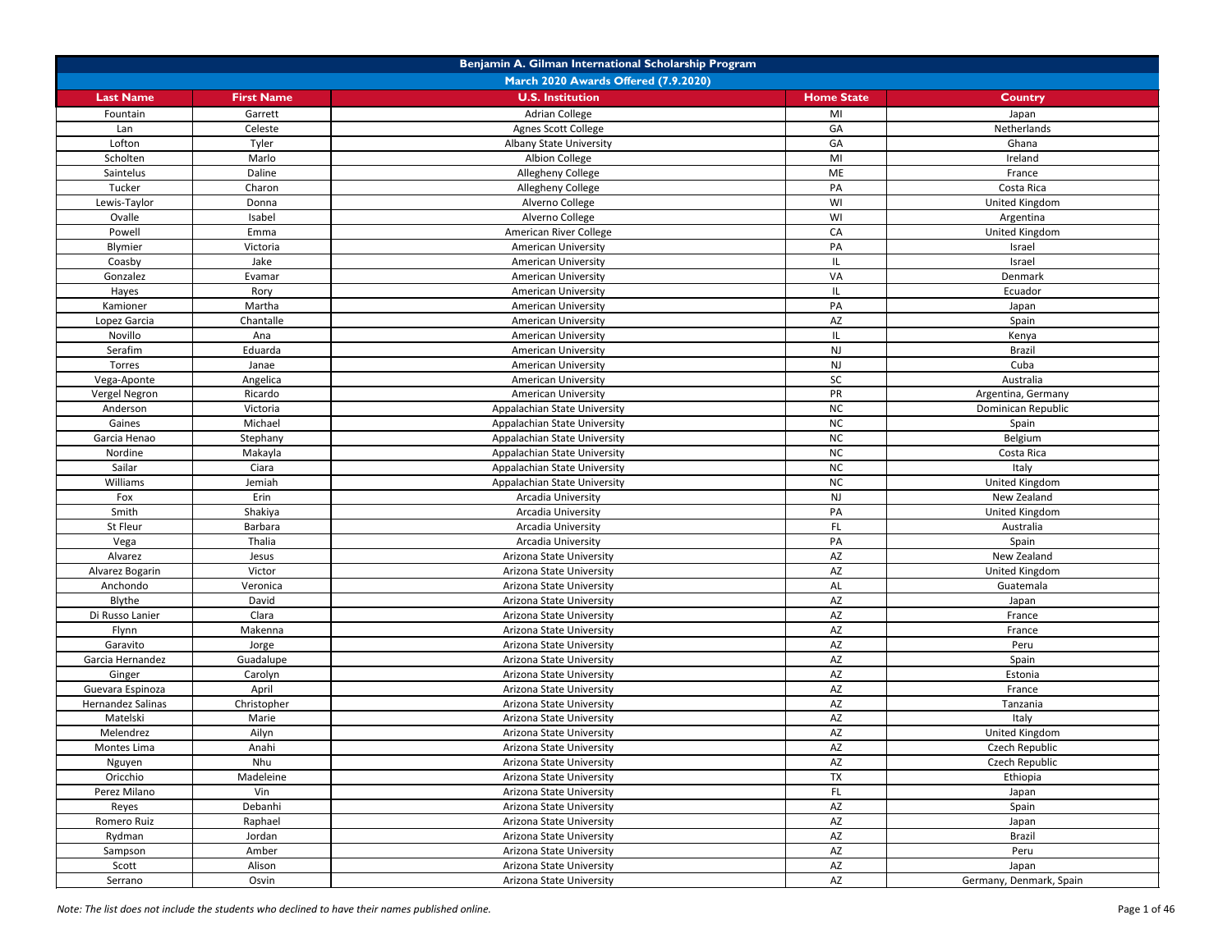|                   | Benjamin A. Gilman International Scholarship Program |                                             |                        |                         |  |
|-------------------|------------------------------------------------------|---------------------------------------------|------------------------|-------------------------|--|
|                   |                                                      | <b>March 2020 Awards Offered (7.9.2020)</b> |                        |                         |  |
| <b>Last Name</b>  | <b>First Name</b>                                    | <b>U.S. Institution</b>                     | <b>Home State</b>      | <b>Country</b>          |  |
| Fountain          | Garrett                                              | <b>Adrian College</b>                       | MI                     | Japan                   |  |
| Lan               | Celeste                                              | Agnes Scott College                         | GA                     | Netherlands             |  |
| Lofton            | Tyler                                                | <b>Albany State University</b>              | GA                     | Ghana                   |  |
| Scholten          | Marlo                                                | Albion College                              | MI                     | Ireland                 |  |
| Saintelus         | Daline                                               | Allegheny College                           | ME                     | France                  |  |
| Tucker            | Charon                                               | Allegheny College                           | PA                     | Costa Rica              |  |
| Lewis-Taylor      | Donna                                                | Alverno College                             | WI                     | United Kingdom          |  |
| Ovalle            | Isabel                                               | Alverno College                             | WI                     | Argentina               |  |
| Powell            | Emma                                                 | American River College                      | CA                     | <b>United Kingdom</b>   |  |
| Blymier           | Victoria                                             | <b>American University</b>                  | PA                     | Israel                  |  |
| Coasby            | Jake                                                 | <b>American University</b>                  | IL.                    | Israel                  |  |
| Gonzalez          | Evamar                                               | American University                         | VA                     | Denmark                 |  |
| Hayes             | Rory                                                 | <b>American University</b>                  | IL.                    | Ecuador                 |  |
| Kamioner          | Martha                                               | <b>American University</b>                  | PA                     | Japan                   |  |
| Lopez Garcia      | Chantalle                                            | <b>American University</b>                  | <b>AZ</b>              | Spain                   |  |
| Novillo           | Ana                                                  | <b>American University</b>                  | IL                     | Kenya                   |  |
| Serafim           | Eduarda                                              | <b>American University</b>                  | <b>NJ</b>              | <b>Brazil</b>           |  |
| Torres            | Janae                                                | American University                         | <b>NJ</b>              | Cuba                    |  |
| Vega-Aponte       | Angelica                                             | <b>American University</b>                  | <b>SC</b>              | Australia               |  |
| Vergel Negron     | Ricardo                                              | <b>American University</b>                  | PR                     | Argentina, Germany      |  |
| Anderson          | Victoria                                             | Appalachian State University                | NC                     | Dominican Republic      |  |
| Gaines            | Michael                                              | Appalachian State University                | <b>NC</b>              | Spain                   |  |
| Garcia Henao      | Stephany                                             | Appalachian State University                | <b>NC</b>              | Belgium                 |  |
| Nordine           | Makayla                                              | Appalachian State University                | NC                     | Costa Rica              |  |
| Sailar            | Ciara                                                | Appalachian State University                | NC                     | Italy                   |  |
| Williams          | Jemiah                                               | Appalachian State University                | NC                     | United Kingdom          |  |
| Fox               | Erin                                                 | Arcadia University                          | <b>NJ</b>              | New Zealand             |  |
| Smith             | Shakiya                                              | Arcadia University                          | PA                     | United Kingdom          |  |
| St Fleur          | Barbara                                              | Arcadia University                          | FL                     | Australia               |  |
| Vega              | Thalia                                               | Arcadia University                          | PA                     | Spain                   |  |
| Alvarez           | Jesus                                                | Arizona State University                    | AZ                     | New Zealand             |  |
| Alvarez Bogarin   | Victor                                               | Arizona State University                    | AZ                     | United Kingdom          |  |
| Anchondo          | Veronica                                             | Arizona State University                    | <b>AL</b>              | Guatemala               |  |
| Blythe            | David                                                | Arizona State University                    | AZ                     | Japan                   |  |
| Di Russo Lanier   | Clara                                                | Arizona State University                    | AZ                     | France                  |  |
| Flynn             | Makenna                                              | Arizona State University                    | AZ                     | France                  |  |
| Garavito          | Jorge                                                | Arizona State University                    | AZ                     | Peru                    |  |
| Garcia Hernandez  | Guadalupe                                            | Arizona State University                    | AZ                     | Spain                   |  |
| Ginger            | Carolyn                                              | Arizona State University                    | AZ                     | Estonia                 |  |
| Guevara Espinoza  | April                                                | Arizona State University                    | AZ                     | France                  |  |
| Hernandez Salinas |                                                      |                                             | $\mathsf{A}\mathsf{Z}$ |                         |  |
| Matelski          | Christopher                                          | Arizona State University                    | AZ                     | Tanzania                |  |
| Melendrez         | Marie                                                | Arizona State University                    | AZ                     | Italy                   |  |
|                   | Ailyn                                                | Arizona State University                    |                        | United Kingdom          |  |
| Montes Lima       | Anahi                                                | Arizona State University                    | AZ                     | Czech Republic          |  |
| Nguyen            | Nhu                                                  | Arizona State University                    | AZ                     | Czech Republic          |  |
| Oricchio          | Madeleine                                            | Arizona State University                    | <b>TX</b>              | Ethiopia                |  |
| Perez Milano      | Vin                                                  | Arizona State University                    | FL                     | Japan                   |  |
| Reyes             | Debanhi                                              | Arizona State University                    | $\mathsf{A}\mathsf{Z}$ | Spain                   |  |
| Romero Ruiz       | Raphael                                              | Arizona State University                    | AZ                     | Japan                   |  |
| Rydman            | Jordan                                               | Arizona State University                    | AZ                     | <b>Brazil</b>           |  |
| Sampson           | Amber                                                | Arizona State University                    | AZ                     | Peru                    |  |
| Scott             | Alison                                               | Arizona State University                    | <b>AZ</b>              | Japan                   |  |
| Serrano           | Osvin                                                | Arizona State University                    | <b>AZ</b>              | Germany, Denmark, Spain |  |

*Note: The list does not include the students who declined to have their names published online.* Page 1 of 46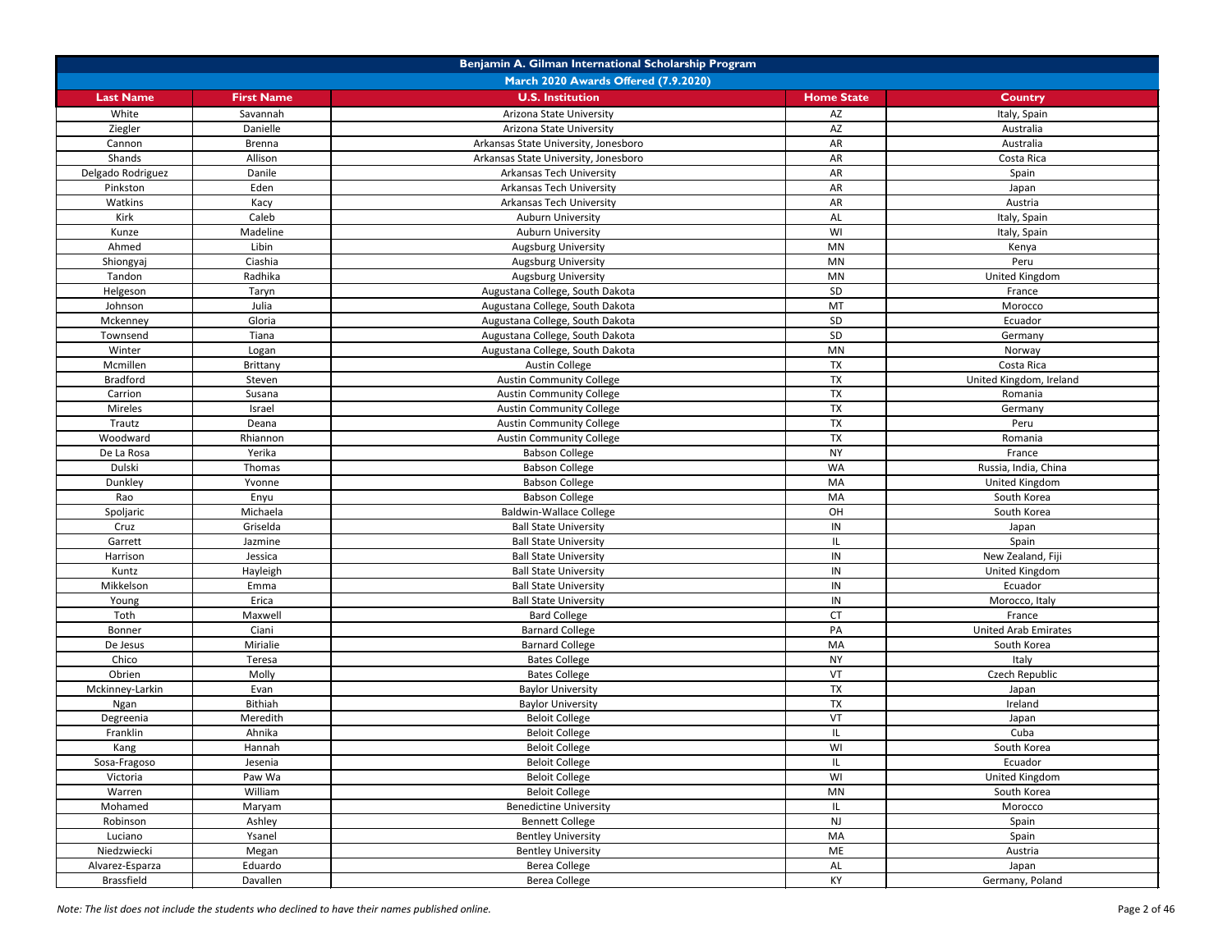| Benjamin A. Gilman International Scholarship Program |                   |                                      |                   |                             |
|------------------------------------------------------|-------------------|--------------------------------------|-------------------|-----------------------------|
|                                                      |                   | March 2020 Awards Offered (7.9.2020) |                   |                             |
| <b>Last Name</b>                                     | <b>First Name</b> | <b>U.S. Institution</b>              | <b>Home State</b> | <b>Country</b>              |
| White                                                | Savannah          | Arizona State University             | AZ                | Italy, Spain                |
| Ziegler                                              | Danielle          | Arizona State University             | AZ                | Australia                   |
| Cannon                                               | <b>Brenna</b>     | Arkansas State University, Jonesboro | AR                | Australia                   |
| Shands                                               | Allison           | Arkansas State University, Jonesboro | AR                | Costa Rica                  |
| Delgado Rodriguez                                    | Danile            | Arkansas Tech University             | AR                | Spain                       |
| Pinkston                                             | Eden              | <b>Arkansas Tech University</b>      | AR                | Japan                       |
| Watkins                                              | Kacy              | <b>Arkansas Tech University</b>      | <b>AR</b>         | Austria                     |
| Kirk                                                 | Caleb             | Auburn University                    | AL                | Italy, Spain                |
| Kunze                                                | Madeline          | <b>Auburn University</b>             | WI                | Italy, Spain                |
| Ahmed                                                | Libin             | Augsburg University                  | MN                | Kenya                       |
| Shiongyaj                                            | Ciashia           | Augsburg University                  | MN                | Peru                        |
| Tandon                                               | Radhika           | Augsburg University                  | <b>MN</b>         | United Kingdom              |
| Helgeson                                             | Taryn             | Augustana College, South Dakota      | SD                | France                      |
| Johnson                                              | Julia             | Augustana College, South Dakota      | MT                | Morocco                     |
| Mckenney                                             | Gloria            | Augustana College, South Dakota      | SD                | Ecuador                     |
| Townsend                                             | Tiana             | Augustana College, South Dakota      | SD                | Germany                     |
| Winter                                               | Logan             | Augustana College, South Dakota      | <b>MN</b>         | Norway                      |
| Mcmillen                                             | Brittany          | <b>Austin College</b>                | TX                | Costa Rica                  |
| <b>Bradford</b>                                      | Steven            | <b>Austin Community College</b>      | <b>TX</b>         | United Kingdom, Ireland     |
| Carrion                                              | Susana            | <b>Austin Community College</b>      | <b>TX</b>         | Romania                     |
| Mireles                                              | Israel            | <b>Austin Community College</b>      | <b>TX</b>         | Germany                     |
| Trautz                                               | Deana             | <b>Austin Community College</b>      | <b>TX</b>         | Peru                        |
| Woodward                                             | Rhiannon          | <b>Austin Community College</b>      | <b>TX</b>         | Romania                     |
| De La Rosa                                           | Yerika            | <b>Babson College</b>                | <b>NY</b>         | France                      |
| Dulski                                               | Thomas            | <b>Babson College</b>                | WA                | Russia, India, China        |
| Dunkley                                              | Yvonne            | <b>Babson College</b>                | MA                | United Kingdom              |
| Rao                                                  | Enyu              | <b>Babson College</b>                | MA                | South Korea                 |
| Spoljaric                                            | Michaela          | <b>Baldwin-Wallace College</b>       | OH                | South Korea                 |
| Cruz                                                 | Griselda          | <b>Ball State University</b>         | IN                | Japan                       |
| Garrett                                              | Jazmine           | <b>Ball State University</b>         |                   | Spain                       |
| Harrison                                             | Jessica           | <b>Ball State University</b>         | IN                | New Zealand, Fiji           |
| Kuntz                                                | Hayleigh          | <b>Ball State University</b>         | ${\sf IN}$        | United Kingdom              |
| Mikkelson                                            | Emma              | <b>Ball State University</b>         | IN                | Ecuador                     |
| Young                                                | Erica             | <b>Ball State University</b>         | IN                | Morocco, Italy              |
| Toth                                                 | Maxwell           | <b>Bard College</b>                  | <b>CT</b>         | France                      |
| Bonner                                               | Ciani             | <b>Barnard College</b>               | PA                | <b>United Arab Emirates</b> |
| De Jesus                                             | Mirialie          | <b>Barnard College</b>               | MA                | South Korea                 |
| Chico                                                | Teresa            | <b>Bates College</b>                 | <b>NY</b>         | Italy                       |
| Obrien                                               | Molly             | <b>Bates College</b>                 | VT                | Czech Republic              |
| Mckinney-Larkin                                      | Evan              | <b>Baylor University</b>             | <b>TX</b>         | Japan                       |
| Ngan                                                 | Bithiah           | <b>Baylor University</b>             | <b>TX</b>         | Ireland                     |
| Degreenia                                            | Meredith          | <b>Beloit College</b>                | VT                | Japan                       |
| Franklin                                             | Ahnika            | <b>Beloit College</b>                | IL.               | Cuba                        |
| Kang                                                 | Hannah            | <b>Beloit College</b>                | WI                | South Korea                 |
| Sosa-Fragoso                                         | Jesenia           | <b>Beloit College</b>                | IL                | Ecuador                     |
| Victoria                                             | Paw Wa            | <b>Beloit College</b>                | WI                | United Kingdom              |
| Warren                                               | William           | <b>Beloit College</b>                | MN                | South Korea                 |
| Mohamed                                              | Maryam            | <b>Benedictine University</b>        | IL.               | Morocco                     |
| Robinson                                             | Ashley            | <b>Bennett College</b>               | NJ                | Spain                       |
| Luciano                                              | Ysanel            | <b>Bentley University</b>            | MA                | Spain                       |
| Niedzwiecki                                          | Megan             | <b>Bentley University</b>            | ME                | Austria                     |
| Alvarez-Esparza                                      | Eduardo           | <b>Berea College</b>                 | AL                | Japan                       |
| Brassfield                                           | Davallen          | <b>Berea College</b>                 | KY                | Germany, Poland             |

*Note: The list does not include the students who declined to have their names published online.* Page 2 of 46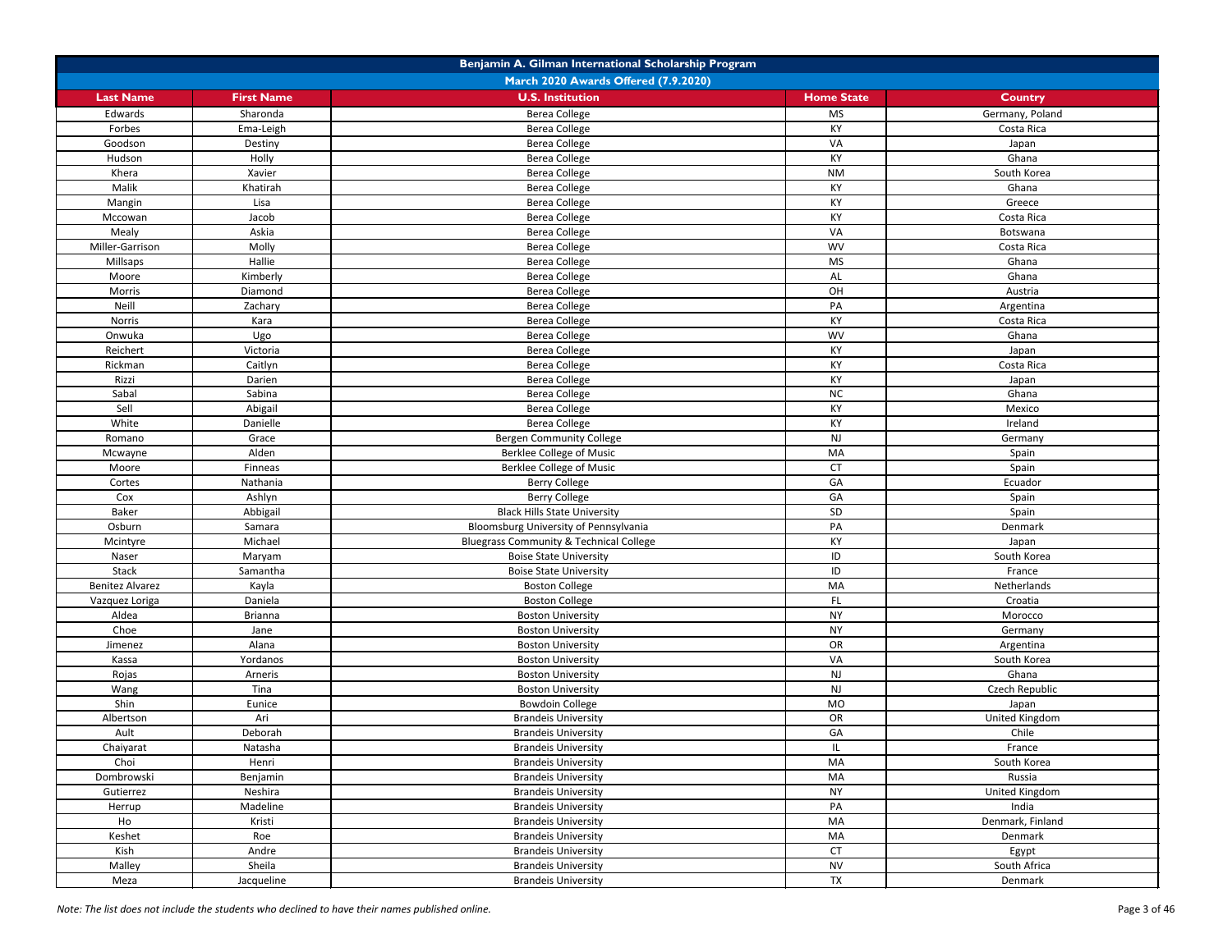| Benjamin A. Gilman International Scholarship Program |                   |                                                    |                   |                  |
|------------------------------------------------------|-------------------|----------------------------------------------------|-------------------|------------------|
|                                                      |                   | March 2020 Awards Offered (7.9.2020)               |                   |                  |
| <b>Last Name</b>                                     | <b>First Name</b> | <b>U.S. Institution</b>                            | <b>Home State</b> | <b>Country</b>   |
| Edwards                                              | Sharonda          | <b>Berea College</b>                               | <b>MS</b>         | Germany, Poland  |
| Forbes                                               | Ema-Leigh         | <b>Berea College</b>                               | KY                | Costa Rica       |
| Goodson                                              | Destiny           | Berea College                                      | VA                | Japan            |
| Hudson                                               | Holly             | <b>Berea College</b>                               | KY                | Ghana            |
| Khera                                                | Xavier            | Berea College                                      | <b>NM</b>         | South Korea      |
| Malik                                                | Khatirah          | <b>Berea College</b>                               | KY                | Ghana            |
| Mangin                                               | Lisa              | <b>Berea College</b>                               | KY                | Greece           |
| Mccowan                                              | Jacob             | <b>Berea College</b>                               | KY                | Costa Rica       |
| Mealy                                                | Askia             | <b>Berea College</b>                               | VA                | Botswana         |
| Miller-Garrison                                      | Molly             | <b>Berea College</b>                               | <b>WV</b>         | Costa Rica       |
| Millsaps                                             | Hallie            | <b>Berea College</b>                               | <b>MS</b>         | Ghana            |
| Moore                                                | Kimberly          | <b>Berea College</b>                               | AL                | Ghana            |
| Morris                                               | Diamond           | Berea College                                      | OH                | Austria          |
| Neill                                                | Zachary           | Berea College                                      | PA                | Argentina        |
| Norris                                               | Kara              | <b>Berea College</b>                               | KY                | Costa Rica       |
| Onwuka                                               | Ugo               | Berea College                                      | <b>WV</b>         | Ghana            |
| Reichert                                             | Victoria          | Berea College                                      | KY                | Japan            |
| Rickman                                              | Caitlyn           | <b>Berea College</b>                               | KY                | Costa Rica       |
| Rizzi                                                | Darien            | Berea College                                      | KY                | Japan            |
| Sabal                                                | Sabina            | <b>Berea College</b>                               | NC                | Ghana            |
| Sell                                                 | Abigail           | <b>Berea College</b>                               | KY                | Mexico           |
| White                                                | Danielle          | <b>Berea College</b>                               | KY                | Ireland          |
| Romano                                               | Grace             | <b>Bergen Community College</b>                    | <b>NJ</b>         | Germany          |
| Mcwayne                                              | Alden             | <b>Berklee College of Music</b>                    | MA                | Spain            |
| Moore                                                | Finneas           | <b>Berklee College of Music</b>                    | <b>CT</b>         | Spain            |
| Cortes                                               | Nathania          | <b>Berry College</b>                               | GA                | Ecuador          |
| Cox                                                  | Ashlyn            | <b>Berry College</b>                               | GA                | Spain            |
| Baker                                                | Abbigail          | <b>Black Hills State University</b>                | SD                | Spain            |
| Osburn                                               | Samara            | Bloomsburg University of Pennsylvania              | PA                | Denmark          |
| Mcintyre                                             | Michael           | <b>Bluegrass Community &amp; Technical College</b> | KY                | Japan            |
| Naser                                                | Maryam            | <b>Boise State University</b>                      | ID                | South Korea      |
| Stack                                                | Samantha          | <b>Boise State University</b>                      | ID                | France           |
| <b>Benitez Alvarez</b>                               | Kayla             | <b>Boston College</b>                              | MA                | Netherlands      |
| Vazquez Loriga                                       | Daniela           | <b>Boston College</b>                              | FL                | Croatia          |
| Aldea                                                | <b>Brianna</b>    | <b>Boston University</b>                           | <b>NY</b>         | Morocco          |
| Choe                                                 | Jane              | <b>Boston University</b>                           | <b>NY</b>         | Germany          |
| Jimenez                                              | Alana             | <b>Boston University</b>                           | OR                | Argentina        |
| Kassa                                                | Yordanos          | <b>Boston University</b>                           | VA                | South Korea      |
| Rojas                                                | Arneris           | <b>Boston University</b>                           | <b>NJ</b>         | Ghana            |
| Wang                                                 | Tina              | <b>Boston University</b>                           | <b>NJ</b>         | Czech Republic   |
| Shin                                                 | Eunice            | <b>Bowdoin College</b>                             | <b>MO</b>         | Japan            |
| Albertson                                            | Ari               | <b>Brandeis University</b>                         | OR                | United Kingdom   |
| Ault                                                 | Deborah           | <b>Brandeis University</b>                         | GA                | Chile            |
| Chaiyarat                                            | Natasha           | <b>Brandeis University</b>                         | IL.               | France           |
| Choi                                                 | Henri             | <b>Brandeis University</b>                         | MA                | South Korea      |
| Dombrowski                                           | Benjamin          | <b>Brandeis University</b>                         | MA                | Russia           |
| Gutierrez                                            | Neshira           | <b>Brandeis University</b>                         | <b>NY</b>         | United Kingdom   |
| Herrup                                               | Madeline          | <b>Brandeis University</b>                         | PA                | India            |
| Ho                                                   | Kristi            | <b>Brandeis University</b>                         | MA                | Denmark, Finland |
| Keshet                                               | Roe               | <b>Brandeis University</b>                         | MA                | Denmark          |
| Kish                                                 | Andre             | <b>Brandeis University</b>                         | <b>CT</b>         | Egypt            |
| Malley                                               | Sheila            | <b>Brandeis University</b>                         | <b>NV</b>         | South Africa     |
| Meza                                                 | Jacqueline        | <b>Brandeis University</b>                         | <b>TX</b>         | Denmark          |

*Note: The list does not include the students who declined to have their names published online.* Page 3 of 46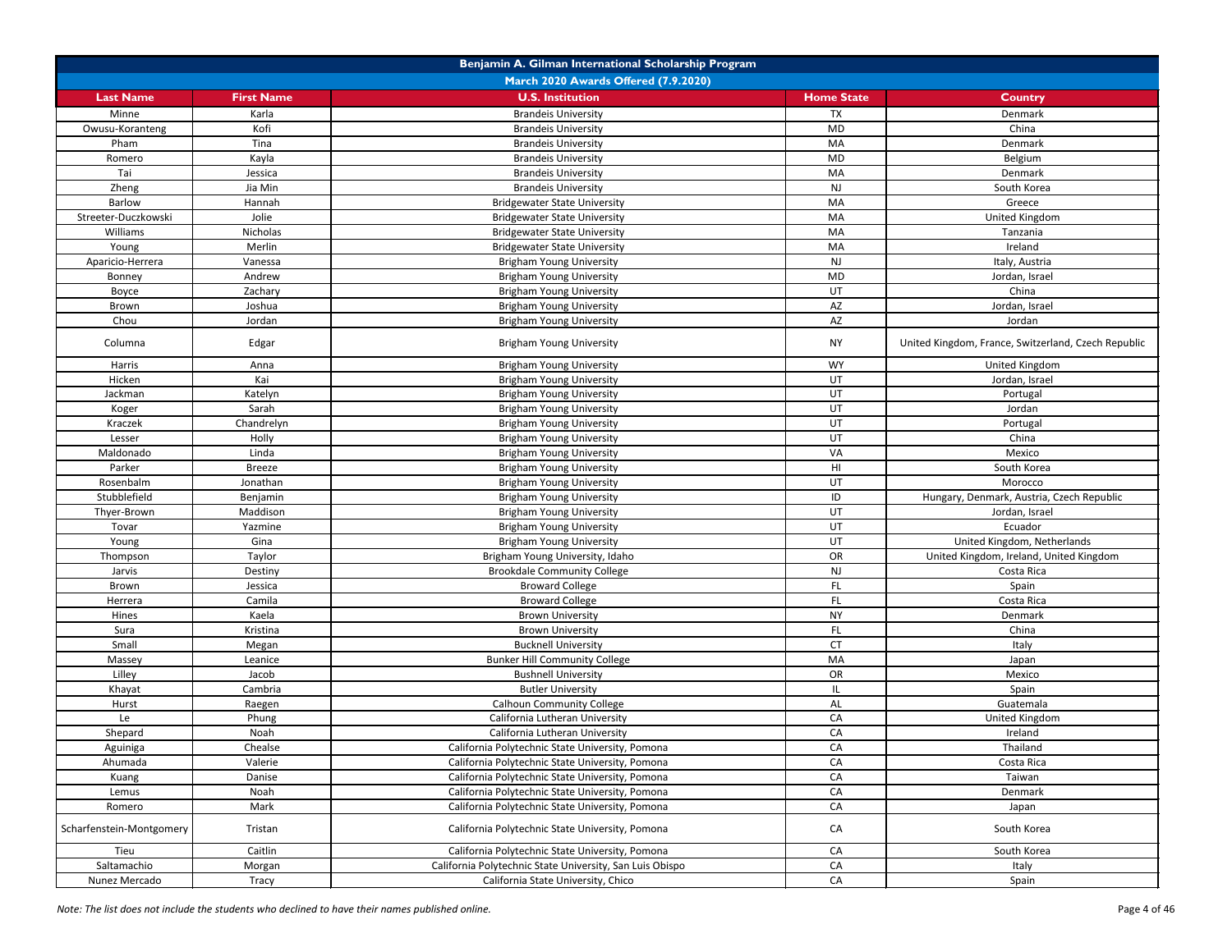|                          | Benjamin A. Gilman International Scholarship Program |                                                          |                        |                                                     |  |
|--------------------------|------------------------------------------------------|----------------------------------------------------------|------------------------|-----------------------------------------------------|--|
|                          | March 2020 Awards Offered (7.9.2020)                 |                                                          |                        |                                                     |  |
| <b>Last Name</b>         | <b>First Name</b>                                    | <b>U.S. Institution</b>                                  | <b>Home State</b>      | <b>Country</b>                                      |  |
| Minne                    | Karla                                                | <b>Brandeis University</b>                               | <b>TX</b>              | Denmark                                             |  |
| Owusu-Koranteng          | Kofi                                                 | <b>Brandeis University</b>                               | <b>MD</b>              | China                                               |  |
| Pham                     | Tina                                                 | <b>Brandeis University</b>                               | MA                     | Denmark                                             |  |
| Romero                   | Kayla                                                | <b>Brandeis University</b>                               | <b>MD</b>              | Belgium                                             |  |
| Tai                      | Jessica                                              | <b>Brandeis University</b>                               | MA                     | Denmark                                             |  |
| Zheng                    | Jia Min                                              | <b>Brandeis University</b>                               | <b>NJ</b>              | South Korea                                         |  |
| Barlow                   | Hannah                                               | <b>Bridgewater State University</b>                      | MA                     | Greece                                              |  |
| Streeter-Duczkowski      | Jolie                                                | <b>Bridgewater State University</b>                      | MA                     | United Kingdom                                      |  |
| Williams                 | Nicholas                                             | <b>Bridgewater State University</b>                      | MA                     | Tanzania                                            |  |
| Young                    | Merlin                                               | <b>Bridgewater State University</b>                      | MA                     | Ireland                                             |  |
| Aparicio-Herrera         | Vanessa                                              | <b>Brigham Young University</b>                          | <b>NJ</b>              | Italy, Austria                                      |  |
| Bonney                   | Andrew                                               | <b>Brigham Young University</b>                          | <b>MD</b>              | Jordan, Israel                                      |  |
| Boyce                    | Zachary                                              | <b>Brigham Young University</b>                          | UT                     | China                                               |  |
| Brown                    | Joshua                                               | <b>Brigham Young University</b>                          | $\mathsf{A}\mathsf{Z}$ | Jordan, Israel                                      |  |
| Chou                     | Jordan                                               | <b>Brigham Young University</b>                          | AZ                     | Jordan                                              |  |
| Columna                  | Edgar                                                | <b>Brigham Young University</b>                          | <b>NY</b>              | United Kingdom, France, Switzerland, Czech Republic |  |
| Harris                   | Anna                                                 | <b>Brigham Young University</b>                          | <b>WY</b>              | United Kingdom                                      |  |
| Hicken                   | Kai                                                  | <b>Brigham Young University</b>                          | UT                     | Jordan, Israel                                      |  |
| Jackman                  | Katelyn                                              | <b>Brigham Young University</b>                          | UT                     | Portugal                                            |  |
| Koger                    | Sarah                                                | <b>Brigham Young University</b>                          | UT                     | Jordan                                              |  |
| Kraczek                  | Chandrelyn                                           | <b>Brigham Young University</b>                          | UT                     | Portugal                                            |  |
| Lesser                   | Holly                                                | <b>Brigham Young University</b>                          | UT                     | China                                               |  |
| Maldonado                | Linda                                                | <b>Brigham Young University</b>                          | VA                     | Mexico                                              |  |
| Parker                   | <b>Breeze</b>                                        | <b>Brigham Young University</b>                          | HI                     | South Korea                                         |  |
| Rosenbalm                | Jonathan                                             | <b>Brigham Young University</b>                          | UT                     | Morocco                                             |  |
| Stubblefield             | Benjamin                                             | <b>Brigham Young University</b>                          | ID                     | Hungary, Denmark, Austria, Czech Republic           |  |
| Thyer-Brown              | Maddison                                             | <b>Brigham Young University</b>                          | UT                     | Jordan, Israel                                      |  |
| Tovar                    | Yazmine                                              | <b>Brigham Young University</b>                          | UT                     | Ecuador                                             |  |
| Young                    | Gina                                                 | <b>Brigham Young University</b>                          | UT                     | United Kingdom, Netherlands                         |  |
| Thompson                 | Taylor                                               | Brigham Young University, Idaho                          | OR                     | United Kingdom, Ireland, United Kingdom             |  |
| Jarvis                   | Destiny                                              | <b>Brookdale Community College</b>                       | NJ                     | Costa Rica                                          |  |
| Brown                    | Jessica                                              | <b>Broward College</b>                                   | FL.                    | Spain                                               |  |
| Herrera                  | Camila                                               | <b>Broward College</b>                                   | FL.                    | Costa Rica                                          |  |
| Hines                    | Kaela                                                | <b>Brown University</b>                                  | <b>NY</b>              | Denmark                                             |  |
| Sura                     | Kristina                                             | <b>Brown University</b>                                  | FL.                    | China                                               |  |
| Small                    | Megan                                                | <b>Bucknell University</b>                               | <b>CT</b>              | Italy                                               |  |
| Massey                   | Leanice                                              | <b>Bunker Hill Community College</b>                     | MA                     | Japan                                               |  |
| Lilley                   | Jacob                                                | <b>Bushnell University</b>                               | OR                     | Mexico                                              |  |
| Khayat                   | Cambria                                              | <b>Butler University</b>                                 | IL.                    | Spain                                               |  |
| Hurst                    | Raegen                                               | <b>Calhoun Community College</b>                         | AL                     | Guatemala                                           |  |
| Le                       | Phung                                                | California Lutheran University                           | CA                     | United Kingdom                                      |  |
| Shepard                  | Noah                                                 | California Lutheran University                           | CA                     | Ireland                                             |  |
| Aguiniga                 | Chealse                                              | California Polytechnic State University, Pomona          | CA                     | Thailand                                            |  |
| Ahumada                  | Valerie                                              | California Polytechnic State University, Pomona          | CA                     | Costa Rica                                          |  |
| Kuang                    | Danise                                               | California Polytechnic State University, Pomona          | CA                     | Taiwan                                              |  |
| Lemus                    | Noah                                                 | California Polytechnic State University, Pomona          | CA                     | Denmark                                             |  |
| Romero                   | Mark                                                 | California Polytechnic State University, Pomona          | CA                     | Japan                                               |  |
| Scharfenstein-Montgomery | Tristan                                              | California Polytechnic State University, Pomona          | CA                     | South Korea                                         |  |
| Tieu                     | Caitlin                                              | California Polytechnic State University, Pomona          | CA                     | South Korea                                         |  |
| Saltamachio              | Morgan                                               | California Polytechnic State University, San Luis Obispo | CA                     | Italy                                               |  |
| Nunez Mercado            | <b>Tracy</b>                                         | California State University, Chico                       | CA                     | Spain                                               |  |

*Note: The list does not include the students who declined to have their names published online.* Page 4 of 46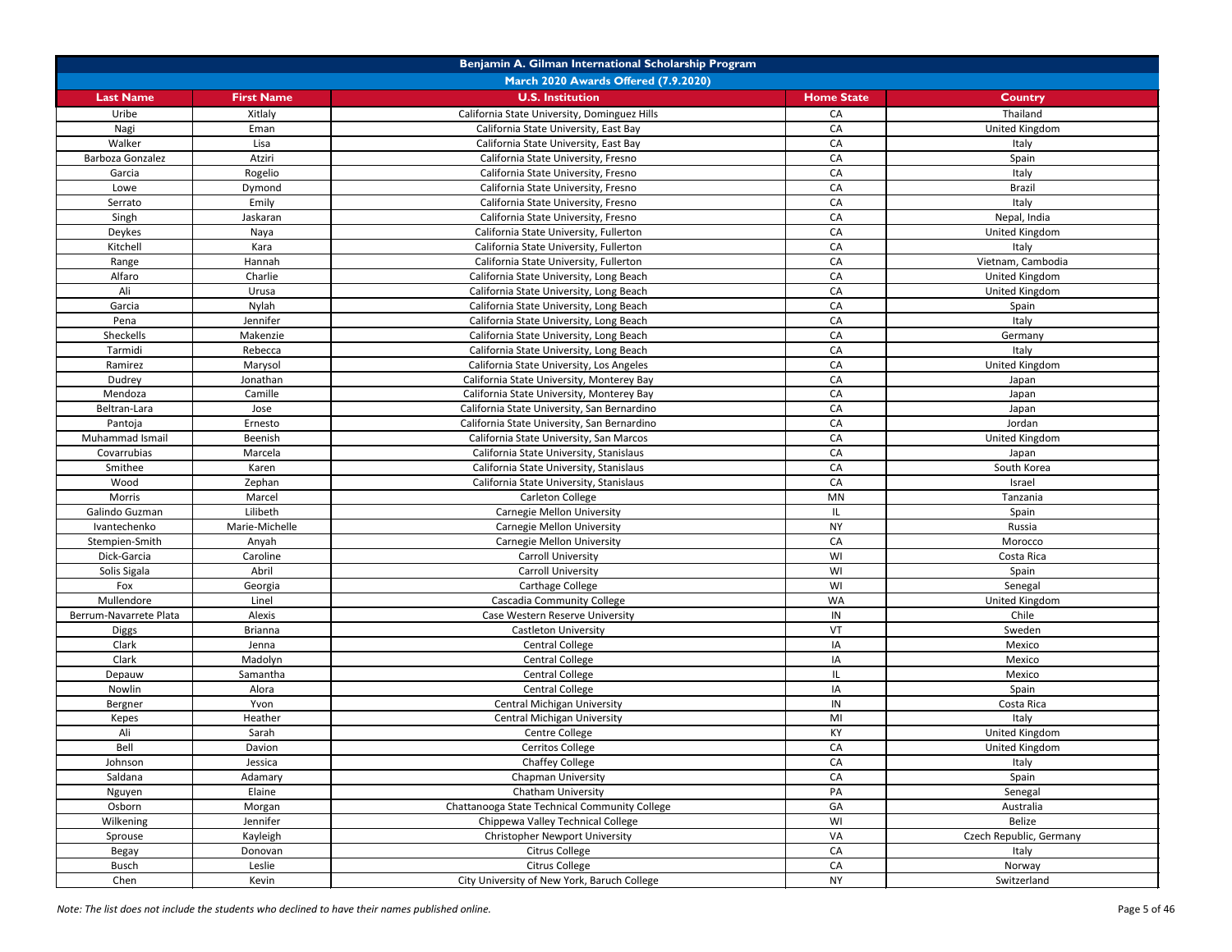|                        | Benjamin A. Gilman International Scholarship Program |                                               |                   |                         |  |
|------------------------|------------------------------------------------------|-----------------------------------------------|-------------------|-------------------------|--|
|                        |                                                      | March 2020 Awards Offered (7.9.2020)          |                   |                         |  |
| <b>Last Name</b>       | <b>First Name</b>                                    | <b>U.S. Institution</b>                       | <b>Home State</b> | <b>Country</b>          |  |
| Uribe                  | Xitlaly                                              | California State University, Dominguez Hills  | CA                | Thailand                |  |
| Nagi                   | Eman                                                 | California State University, East Bay         | CA                | <b>United Kingdom</b>   |  |
| Walker                 | Lisa                                                 | California State University, East Bay         | CA                | Italy                   |  |
| Barboza Gonzalez       | Atziri                                               | California State University, Fresno           | CA                | Spain                   |  |
| Garcia                 | Rogelio                                              | California State University, Fresno           | CA                | Italy                   |  |
| Lowe                   | Dymond                                               | California State University, Fresno           | CA                | <b>Brazil</b>           |  |
| Serrato                | Emily                                                | California State University, Fresno           | CA                | Italy                   |  |
| Singh                  | Jaskaran                                             | California State University, Fresno           | CA                | Nepal, India            |  |
| Deykes                 | Naya                                                 | California State University, Fullerton        | CA                | United Kingdom          |  |
| Kitchell               | Kara                                                 | California State University, Fullerton        | CA                | Italy                   |  |
| Range                  | Hannah                                               | California State University, Fullerton        | CA                | Vietnam, Cambodia       |  |
| Alfaro                 | Charlie                                              | California State University, Long Beach       | CA                | <b>United Kingdom</b>   |  |
| Ali                    | Urusa                                                | California State University, Long Beach       | CA                | United Kingdom          |  |
| Garcia                 | Nylah                                                | California State University, Long Beach       | CA                | Spain                   |  |
| Pena                   | Jennifer                                             | California State University, Long Beach       | CA                | Italy                   |  |
| Sheckells              | Makenzie                                             | California State University, Long Beach       | CA                | Germany                 |  |
| Tarmidi                | Rebecca                                              | California State University, Long Beach       | CA                | Italy                   |  |
| Ramirez                | Marysol                                              | California State University, Los Angeles      | CA                | United Kingdom          |  |
|                        | Jonathan                                             | California State University, Monterey Bay     | CA                |                         |  |
| Dudrey<br>Mendoza      | Camille                                              |                                               | CA                | Japan                   |  |
|                        |                                                      | California State University, Monterey Bay     |                   | Japan                   |  |
| Beltran-Lara           | Jose                                                 | California State University, San Bernardino   | CA                | Japan                   |  |
| Pantoja                | Ernesto                                              | California State University, San Bernardino   | CA                | Jordan                  |  |
| Muhammad Ismail        | Beenish                                              | California State University, San Marcos       | CA                | United Kingdom          |  |
| Covarrubias            | Marcela                                              | California State University, Stanislaus       | CA                | Japan                   |  |
| Smithee                | Karen                                                | California State University, Stanislaus       | CA                | South Korea             |  |
| Wood                   | Zephan                                               | California State University, Stanislaus       | CA                | Israel                  |  |
| Morris                 | Marcel                                               | Carleton College                              | MN                | Tanzania                |  |
| Galindo Guzman         | Lilibeth                                             | <b>Carnegie Mellon University</b>             | IL.               | Spain                   |  |
| Ivantechenko           | Marie-Michelle                                       | <b>Carnegie Mellon University</b>             | <b>NY</b>         | Russia                  |  |
| Stempien-Smith         | Anyah                                                | <b>Carnegie Mellon University</b>             | CA                | Morocco                 |  |
| Dick-Garcia            | Caroline                                             | <b>Carroll University</b>                     | WI                | Costa Rica              |  |
| Solis Sigala           | Abril                                                | <b>Carroll University</b>                     | WI                | Spain                   |  |
| Fox                    | Georgia                                              | Carthage College                              | WI                | Senegal                 |  |
| Mullendore             | Linel                                                | <b>Cascadia Community College</b>             | <b>WA</b>         | United Kingdom          |  |
| Berrum-Navarrete Plata | Alexis                                               | Case Western Reserve University               | IN                | Chile                   |  |
| <b>Diggs</b>           | <b>Brianna</b>                                       | <b>Castleton University</b>                   | VT                | Sweden                  |  |
| Clark                  | Jenna                                                | <b>Central College</b>                        | IA                | Mexico                  |  |
| Clark                  | Madolyn                                              | Central College                               | IA                | Mexico                  |  |
| Depauw                 | Samantha                                             | <b>Central College</b>                        | IL.               | Mexico                  |  |
| Nowlin                 | Alora                                                | <b>Central College</b>                        | IA                | Spain                   |  |
| Bergner                | Yvon                                                 | <b>Central Michigan University</b>            | IN                | Costa Rica              |  |
| Kepes                  | Heather                                              | <b>Central Michigan University</b>            | MI                | Italy                   |  |
| Ali                    | Sarah                                                | Centre College                                | KY                | United Kingdom          |  |
| Bell                   | Davion                                               | Cerritos College                              | CA                | United Kingdom          |  |
| Johnson                | Jessica                                              | <b>Chaffey College</b>                        | CA                | Italy                   |  |
| Saldana                | Adamary                                              | Chapman University                            | CA                | Spain                   |  |
| Nguyen                 | Elaine                                               | <b>Chatham University</b>                     | PA                | Senegal                 |  |
| Osborn                 | Morgan                                               | Chattanooga State Technical Community College | GA                | Australia               |  |
| Wilkening              | Jennifer                                             | Chippewa Valley Technical College             | WI                | Belize                  |  |
| Sprouse                | Kayleigh                                             | <b>Christopher Newport University</b>         | VA                | Czech Republic, Germany |  |
| Begay                  | Donovan                                              | Citrus College                                | CA                | Italy                   |  |
| <b>Busch</b>           | Leslie                                               | Citrus College                                | CA                | Norway                  |  |
| Chen                   | Kevin                                                | City University of New York, Baruch College   | <b>NY</b>         | Switzerland             |  |
|                        |                                                      |                                               |                   |                         |  |

*Note: The list does not include the students who declined to have their names published online.* Page 5 of 46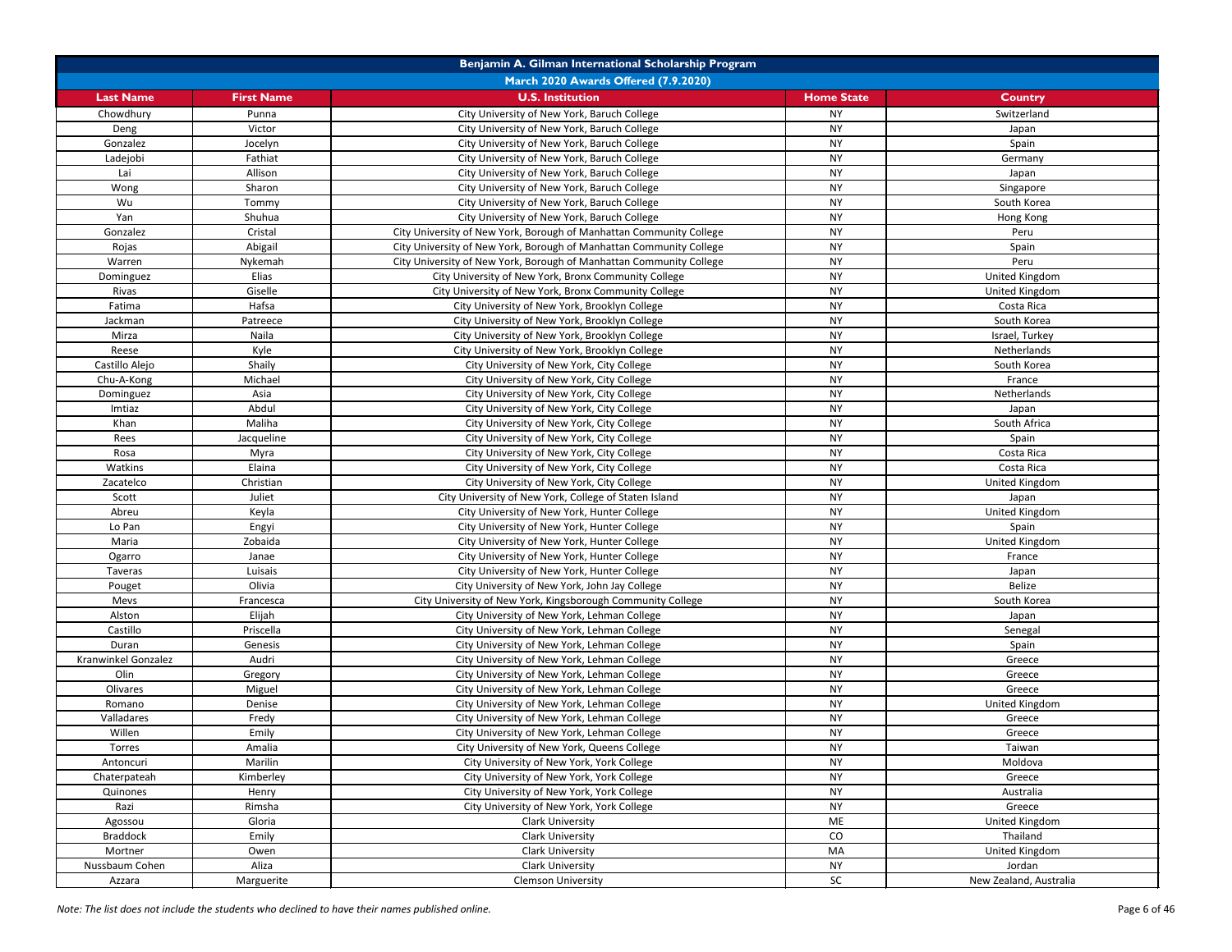| Benjamin A. Gilman International Scholarship Program |                   |                                                                     |                   |                        |
|------------------------------------------------------|-------------------|---------------------------------------------------------------------|-------------------|------------------------|
|                                                      |                   | March 2020 Awards Offered (7.9.2020)                                |                   |                        |
| <b>Last Name</b>                                     | <b>First Name</b> | <b>U.S. Institution</b>                                             | <b>Home State</b> | <b>Country</b>         |
| Chowdhury                                            | Punna             | City University of New York, Baruch College                         | <b>NY</b>         | Switzerland            |
| Deng                                                 | Victor            | City University of New York, Baruch College                         | <b>NY</b>         | Japan                  |
| Gonzalez                                             | Jocelyn           | City University of New York, Baruch College                         | <b>NY</b>         | Spain                  |
| Ladejobi                                             | Fathiat           | City University of New York, Baruch College                         | <b>NY</b>         | Germany                |
| Lai                                                  | Allison           | City University of New York, Baruch College                         | <b>NY</b>         | Japan                  |
| Wong                                                 | Sharon            | City University of New York, Baruch College                         | <b>NY</b>         | Singapore              |
| Wu                                                   | Tommy             | City University of New York, Baruch College                         | <b>NY</b>         | South Korea            |
| Yan                                                  | Shuhua            | City University of New York, Baruch College                         | <b>NY</b>         | Hong Kong              |
| Gonzalez                                             | Cristal           | City University of New York, Borough of Manhattan Community College | <b>NY</b>         | Peru                   |
| Rojas                                                | Abigail           | City University of New York, Borough of Manhattan Community College | <b>NY</b>         | Spain                  |
| Warren                                               | Nykemah           | City University of New York, Borough of Manhattan Community College | <b>NY</b>         | Peru                   |
| Dominguez                                            | Elias             | City University of New York, Bronx Community College                | <b>NY</b>         | United Kingdom         |
| Rivas                                                | Giselle           | City University of New York, Bronx Community College                | <b>NY</b>         | United Kingdom         |
| Fatima                                               | Hafsa             | City University of New York, Brooklyn College                       | <b>NY</b>         | Costa Rica             |
| Jackman                                              | Patreece          | City University of New York, Brooklyn College                       | <b>NY</b>         | South Korea            |
| Mirza                                                | Naila             | City University of New York, Brooklyn College                       | <b>NY</b>         | Israel, Turkey         |
| Reese                                                | Kyle              | City University of New York, Brooklyn College                       | <b>NY</b>         | Netherlands            |
| Castillo Alejo                                       | Shaily            | City University of New York, City College                           | <b>NY</b>         | South Korea            |
| Chu-A-Kong                                           | Michael           | City University of New York, City College                           | <b>NY</b>         | France                 |
| Dominguez                                            | Asia              | City University of New York, City College                           | <b>NY</b>         | Netherlands            |
| Imtiaz                                               | Abdul             | City University of New York, City College                           | <b>NY</b>         | Japan                  |
| Khan                                                 | Maliha            | City University of New York, City College                           | <b>NY</b>         | South Africa           |
| Rees                                                 | Jacqueline        | City University of New York, City College                           | <b>NY</b>         | Spain                  |
| Rosa                                                 | Myra              | City University of New York, City College                           | <b>NY</b>         | Costa Rica             |
| Watkins                                              | Elaina            | City University of New York, City College                           | <b>NY</b>         | Costa Rica             |
| Zacatelco                                            | Christian         | City University of New York, City College                           | <b>NY</b>         | United Kingdom         |
| Scott                                                | Juliet            | City University of New York, College of Staten Island               | <b>NY</b>         | Japan                  |
| Abreu                                                | Keyla             | City University of New York, Hunter College                         | <b>NY</b>         | United Kingdom         |
| Lo Pan                                               | Engyi             | City University of New York, Hunter College                         | <b>NY</b>         | Spain                  |
| Maria                                                | Zobaida           | City University of New York, Hunter College                         | <b>NY</b>         | United Kingdom         |
| Ogarro                                               | Janae             | City University of New York, Hunter College                         | <b>NY</b>         | France                 |
| Taveras                                              | Luisais           | City University of New York, Hunter College                         | <b>NY</b>         | Japan                  |
| Pouget                                               | Olivia            | City University of New York, John Jay College                       | <b>NY</b>         | Belize                 |
| Mevs                                                 | Francesca         | City University of New York, Kingsborough Community College         | <b>NY</b>         | South Korea            |
| Alston                                               | Elijah            | City University of New York, Lehman College                         | <b>NY</b>         | Japan                  |
| Castillo                                             | Priscella         | City University of New York, Lehman College                         | <b>NY</b>         | Senegal                |
| Duran                                                | Genesis           | City University of New York, Lehman College                         | <b>NY</b>         | Spain                  |
| Kranwinkel Gonzalez                                  | Audri             | City University of New York, Lehman College                         | <b>NY</b>         | Greece                 |
| Olin                                                 | Gregory           | City University of New York, Lehman College                         | <b>NY</b>         | Greece                 |
| Olivares                                             | Miguel            | City University of New York, Lehman College                         | <b>NY</b>         | Greece                 |
| Romano                                               | Denise            | City University of New York, Lehman College                         | <b>NY</b>         | United Kingdom         |
| Valladares                                           | Fredy             | City University of New York, Lehman College                         | <b>NY</b>         | Greece                 |
| Willen                                               | Emily             | City University of New York, Lehman College                         | <b>NY</b>         | Greece                 |
| Torres                                               | Amalia            | City University of New York, Queens College                         | <b>NY</b>         | Taiwan                 |
| Antoncuri                                            | Marilin           | City University of New York, York College                           | <b>NY</b>         | Moldova                |
| Chaterpateah                                         | Kimberley         | City University of New York, York College                           | <b>NY</b>         | Greece                 |
| Quinones                                             | Henry             | City University of New York, York College                           | <b>NY</b>         | Australia              |
| Razi                                                 | Rimsha            | City University of New York, York College                           | <b>NY</b>         | Greece                 |
| Agossou                                              | Gloria            | <b>Clark University</b>                                             | ME                | United Kingdom         |
| <b>Braddock</b>                                      | Emily             | <b>Clark University</b>                                             | CO                | Thailand               |
| Mortner                                              | Owen              | <b>Clark University</b>                                             | MA                | United Kingdom         |
| Nussbaum Cohen                                       | Aliza             | Clark University                                                    | <b>NY</b>         | Jordan                 |
| Azzara                                               | Marguerite        | <b>Clemson University</b>                                           | SC                | New Zealand, Australia |

*Note: The list does not include the students who declined to have their names published online.* Page 6 of 46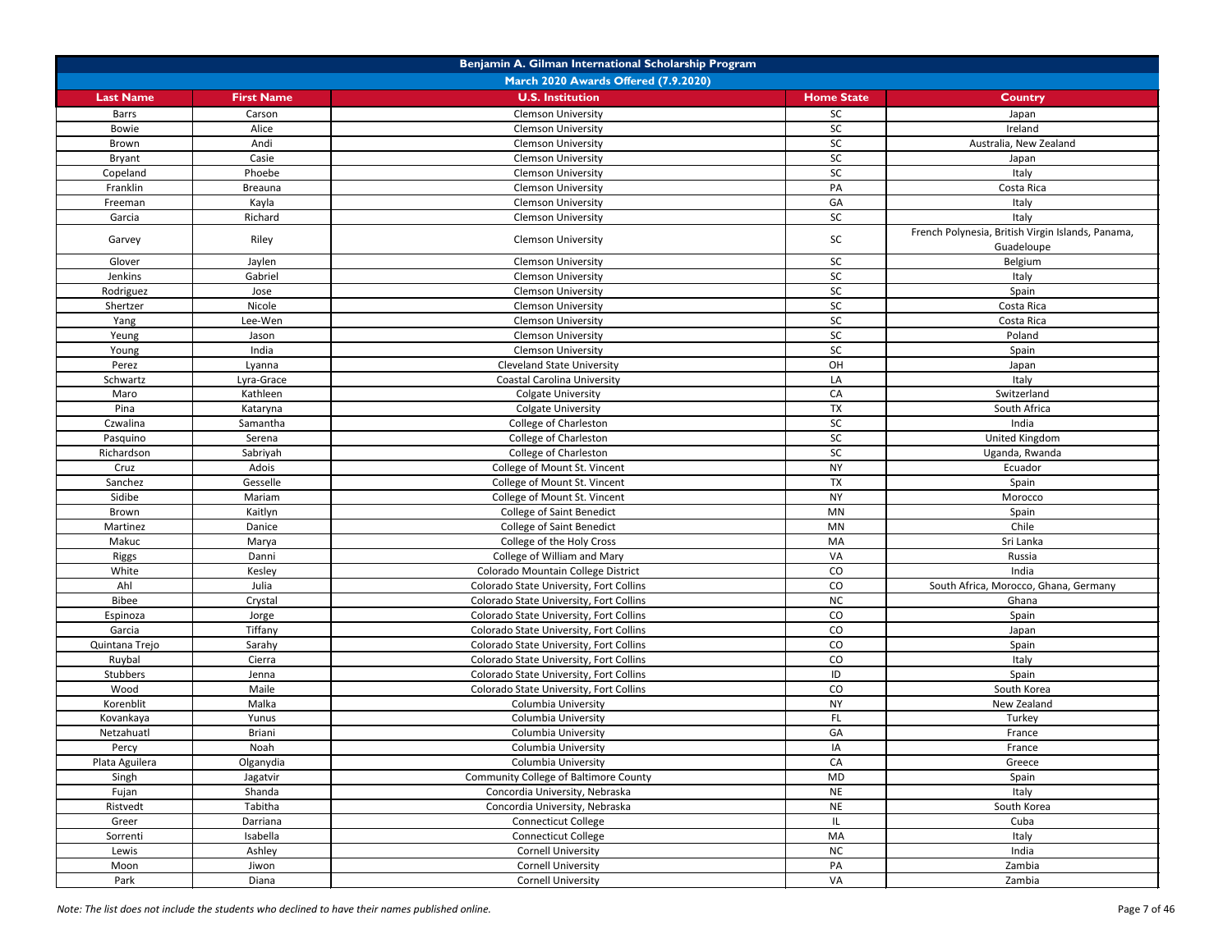| Benjamin A. Gilman International Scholarship Program |                   |                                              |                   |                                                                 |
|------------------------------------------------------|-------------------|----------------------------------------------|-------------------|-----------------------------------------------------------------|
|                                                      |                   | March 2020 Awards Offered (7.9.2020)         |                   |                                                                 |
| <b>Last Name</b>                                     | <b>First Name</b> | <b>U.S. Institution</b>                      | <b>Home State</b> | <b>Country</b>                                                  |
| <b>Barrs</b>                                         | Carson            | <b>Clemson University</b>                    | <b>SC</b>         | Japan                                                           |
| Bowie                                                | Alice             | <b>Clemson University</b>                    | SC                | Ireland                                                         |
| Brown                                                | Andi              | <b>Clemson University</b>                    | SC                | Australia, New Zealand                                          |
| Bryant                                               | Casie             | <b>Clemson University</b>                    | SC                | Japan                                                           |
| Copeland                                             | Phoebe            | <b>Clemson University</b>                    | SC                | Italy                                                           |
| Franklin                                             | <b>Breauna</b>    | <b>Clemson University</b>                    | PA                | Costa Rica                                                      |
| Freeman                                              | Kayla             | <b>Clemson University</b>                    | GA                | Italy                                                           |
| Garcia                                               | Richard           | <b>Clemson University</b>                    | SC                | Italy                                                           |
| Garvey                                               | Riley             | <b>Clemson University</b>                    | SC                | French Polynesia, British Virgin Islands, Panama,<br>Guadeloupe |
| Glover                                               | Jaylen            | <b>Clemson University</b>                    | <b>SC</b>         | Belgium                                                         |
| Jenkins                                              | Gabriel           | <b>Clemson University</b>                    | SC                | Italy                                                           |
| Rodriguez                                            | Jose              | <b>Clemson University</b>                    | ${\sf SC}$        | Spain                                                           |
| Shertzer                                             | Nicole            | <b>Clemson University</b>                    | SC                | Costa Rica                                                      |
| Yang                                                 | Lee-Wen           | <b>Clemson University</b>                    | SC                | Costa Rica                                                      |
| Yeung                                                | Jason             | <b>Clemson University</b>                    | SC                | Poland                                                          |
| Young                                                | India             | <b>Clemson University</b>                    | SC                | Spain                                                           |
| Perez                                                | Lyanna            | <b>Cleveland State University</b>            | OH                | Japan                                                           |
| Schwartz                                             | Lyra-Grace        | <b>Coastal Carolina University</b>           | LA                | Italy                                                           |
| Maro                                                 | Kathleen          | <b>Colgate University</b>                    | CA                | Switzerland                                                     |
| Pina                                                 | Kataryna          | <b>Colgate University</b>                    | <b>TX</b>         | South Africa                                                    |
| Czwalina                                             | Samantha          | College of Charleston                        | SC                | India                                                           |
| Pasquino                                             | Serena            | College of Charleston                        | SC                | United Kingdom                                                  |
| Richardson                                           | Sabriyah          | College of Charleston                        | SC                | Uganda, Rwanda                                                  |
| Cruz                                                 | Adois             | College of Mount St. Vincent                 | <b>NY</b>         | Ecuador                                                         |
| Sanchez                                              | Gesselle          | College of Mount St. Vincent                 | <b>TX</b>         | Spain                                                           |
| Sidibe                                               | Mariam            | College of Mount St. Vincent                 | <b>NY</b>         | Morocco                                                         |
| Brown                                                | Kaitlyn           | <b>College of Saint Benedict</b>             | MN                | Spain                                                           |
| Martinez                                             | Danice            | <b>College of Saint Benedict</b>             | <b>MN</b>         | Chile                                                           |
| Makuc                                                | Marya             | College of the Holy Cross                    | MA                | Sri Lanka                                                       |
| Riggs                                                | Danni             | College of William and Mary                  | VA                | Russia                                                          |
| White                                                | Kesley            | Colorado Mountain College District           | CO                | India                                                           |
| Ahl                                                  | Julia             | Colorado State University, Fort Collins      | CO                | South Africa, Morocco, Ghana, Germany                           |
| Bibee                                                | Crystal           | Colorado State University, Fort Collins      | NC                | Ghana                                                           |
| Espinoza                                             | Jorge             | Colorado State University, Fort Collins      | CO                | Spain                                                           |
| Garcia                                               | Tiffany           | Colorado State University, Fort Collins      | CO                | Japan                                                           |
| Quintana Trejo                                       | Sarahy            | Colorado State University, Fort Collins      | CO                | Spain                                                           |
| Ruybal                                               | Cierra            | Colorado State University, Fort Collins      | CO                | Italy                                                           |
| Stubbers                                             | Jenna             | Colorado State University, Fort Collins      | ID                | Spain                                                           |
| Wood                                                 | Maile             | Colorado State University, Fort Collins      | CO                | South Korea                                                     |
| Korenblit                                            | Malka             | Columbia University                          | <b>NY</b>         | New Zealand                                                     |
| Kovankaya                                            | Yunus             | Columbia University                          | FL.               | Turkey                                                          |
| Netzahuatl                                           | <b>Briani</b>     | Columbia University                          | GA                | France                                                          |
| Percy                                                | Noah              | Columbia University                          | IA                | France                                                          |
| Plata Aguilera                                       | Olganydia         | Columbia University                          | CA                | Greece                                                          |
| Singh                                                | Jagatvir          | <b>Community College of Baltimore County</b> | <b>MD</b>         | Spain                                                           |
| Fujan                                                | Shanda            | Concordia University, Nebraska               | <b>NE</b>         | Italy                                                           |
| Ristvedt                                             | Tabitha           | Concordia University, Nebraska               | <b>NE</b>         | South Korea                                                     |
| Greer                                                | Darriana          | <b>Connecticut College</b>                   | IL.               | Cuba                                                            |
| Sorrenti                                             | Isabella          | <b>Connecticut College</b>                   | MA                | Italy                                                           |
| Lewis                                                | Ashley            | <b>Cornell University</b>                    | NC                | India                                                           |
| Moon                                                 | Jiwon             | <b>Cornell University</b>                    | PA                | Zambia                                                          |
| Park                                                 | Diana             | <b>Cornell University</b>                    | VA                | Zambia                                                          |

*Note: The list does not include the students who declined to have their names published online.* Page 7 of 46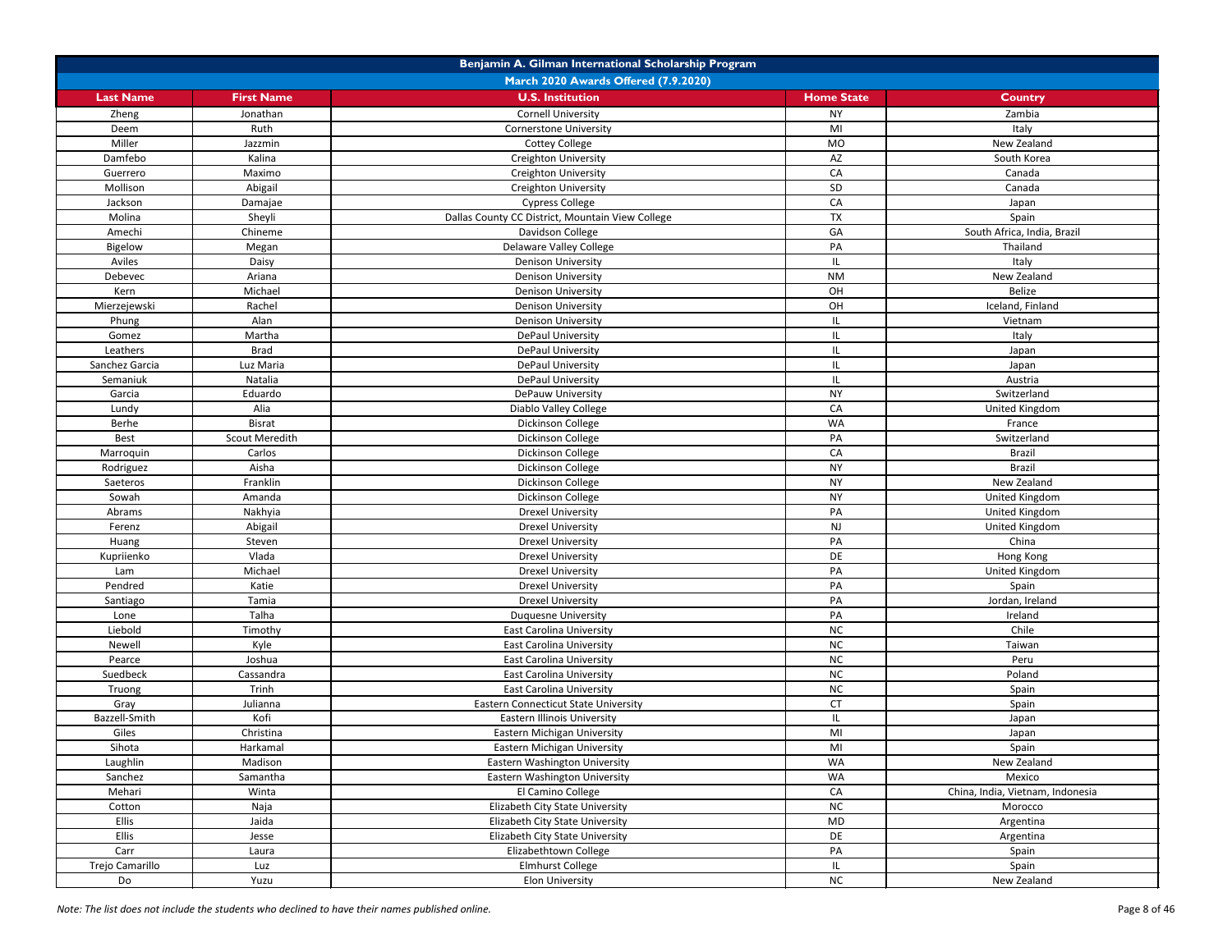| March 2020 Awards Offered (7.9.2020)<br><b>First Name</b><br><b>U.S. Institution</b><br><b>Home State</b><br><b>Last Name</b><br><b>Country</b><br>Jonathan<br><b>Cornell University</b><br><b>NY</b><br>Zambia<br>Zheng<br>Ruth<br>MI<br>Italy<br>Deem<br><b>Cornerstone University</b><br>Miller<br>New Zealand<br><b>Cottey College</b><br><b>MO</b><br>Jazzmin<br>Damfebo<br>Kalina<br>AZ<br>Creighton University<br>South Korea<br>CA<br>Maximo<br>Guerrero<br><b>Creighton University</b><br>Canada<br>SD<br>Mollison<br>Abigail<br>Creighton University<br>Canada<br>CA<br><b>Cypress College</b><br>Jackson<br>Damajae<br>Japan<br><b>TX</b><br>Sheyli<br>Dallas County CC District, Mountain View College<br>Molina<br>Spain<br>South Africa, India, Brazil<br>Amechi<br>Chineme<br>Davidson College<br>GA<br>Delaware Valley College<br>Thailand<br><b>Bigelow</b><br>PA<br>Megan<br>Aviles<br>Daisy<br><b>Denison University</b><br>Italy<br><b>NM</b><br>New Zealand<br>Ariana<br><b>Denison University</b><br>Debevec<br>Michael<br>OH<br>Belize<br>Kern<br><b>Denison University</b><br>OH<br>Iceland, Finland<br>Mierzejewski<br>Rachel<br><b>Denison University</b><br>Alan<br><b>Denison University</b><br>Phung<br>Vietnam<br>IL<br>Martha<br><b>DePaul University</b><br>Gomez<br>Italy<br>IL<br><b>DePaul University</b><br>Leathers<br><b>Brad</b><br>IL<br>Japan<br>Sanchez Garcia<br>Luz Maria<br><b>DePaul University</b><br>Japan<br>Semaniuk<br>Natalia<br>DePaul University<br>Austria<br> L <br>Eduardo<br>DePauw University<br><b>NY</b><br>Switzerland<br>Garcia<br>Diablo Valley College<br>CA<br>Lundy<br>Alia<br>United Kingdom<br>Dickinson College<br>WA<br>Berhe<br><b>Bisrat</b><br>France<br>Scout Meredith<br>Dickinson College<br>Switzerland<br>Best<br>PA<br>Carlos<br>Dickinson College<br>CA<br><b>Brazil</b><br>Marroquin<br>Dickinson College<br>Aisha<br><b>NY</b><br><b>Brazil</b><br>Rodriguez<br>Franklin<br>Dickinson College<br><b>NY</b><br>New Zealand<br>Saeteros<br>Dickinson College<br><b>NY</b><br>United Kingdom<br>Sowah<br>Amanda<br><b>Drexel University</b><br>Nakhyia<br>PA<br>United Kingdom<br>Abrams<br>Abigail<br><b>Drexel University</b><br><b>NJ</b><br>United Kingdom<br>Ferenz<br>PA<br>Steven<br><b>Drexel University</b><br>China<br>Huang<br>Kupriienko<br>Vlada<br><b>Drexel University</b><br>Hong Kong<br>DE<br>Michael<br><b>Drexel University</b><br>PA<br>United Kingdom<br>Lam<br>Pendred<br>PA<br>Katie<br><b>Drexel University</b><br>Spain<br>Tamia<br><b>Drexel University</b><br>PA<br>Jordan, Ireland<br>Santiago<br>Talha<br>PA<br>Ireland<br>Lone<br><b>Duquesne University</b><br><b>NC</b><br>Chile<br>Liebold<br>Timothy<br><b>East Carolina University</b><br><b>NC</b><br>Kyle<br>Taiwan<br>Newell<br><b>East Carolina University</b><br>Joshua<br><b>NC</b><br><b>East Carolina University</b><br>Peru<br>Pearce<br>Suedbeck<br>Cassandra<br><b>East Carolina University</b><br><b>NC</b><br>Poland<br>NC<br>Trinh<br><b>East Carolina University</b><br>Spain<br>Truong<br>CT<br>Gray<br>Julianna<br><b>Eastern Connecticut State University</b><br>Spain<br>Bazzell-Smith<br>Kofi<br><b>Eastern Illinois University</b><br>Japan<br>IL<br>Christina<br>Eastern Michigan University<br>MI<br>Giles<br>Japan<br>Sihota<br>Harkamal<br>Eastern Michigan University<br>MI<br>Spain<br>Laughlin<br>Madison<br>Eastern Washington University<br>WA<br>New Zealand<br>WA<br>Sanchez<br>Samantha<br>Eastern Washington University<br>Mexico<br>Mehari<br>Winta<br>El Camino College<br>CA<br>China, India, Vietnam, Indonesia<br>Elizabeth City State University<br><b>NC</b><br>Naja<br>Cotton<br>Morocco<br><b>Ellis</b><br>Jaida<br><b>MD</b><br>Elizabeth City State University<br>Argentina<br><b>Ellis</b><br>Elizabeth City State University<br>DE<br>Jesse<br>Argentina<br>Elizabethtown College<br>PA<br>Carr<br>Spain<br>Laura<br>Trejo Camarillo<br>Spain<br>Luz<br><b>Elmhurst College</b><br>IL.<br><b>Elon University</b><br><b>NC</b><br>New Zealand<br>Do<br>Yuzu | Benjamin A. Gilman International Scholarship Program |  |  |  |  |
|-------------------------------------------------------------------------------------------------------------------------------------------------------------------------------------------------------------------------------------------------------------------------------------------------------------------------------------------------------------------------------------------------------------------------------------------------------------------------------------------------------------------------------------------------------------------------------------------------------------------------------------------------------------------------------------------------------------------------------------------------------------------------------------------------------------------------------------------------------------------------------------------------------------------------------------------------------------------------------------------------------------------------------------------------------------------------------------------------------------------------------------------------------------------------------------------------------------------------------------------------------------------------------------------------------------------------------------------------------------------------------------------------------------------------------------------------------------------------------------------------------------------------------------------------------------------------------------------------------------------------------------------------------------------------------------------------------------------------------------------------------------------------------------------------------------------------------------------------------------------------------------------------------------------------------------------------------------------------------------------------------------------------------------------------------------------------------------------------------------------------------------------------------------------------------------------------------------------------------------------------------------------------------------------------------------------------------------------------------------------------------------------------------------------------------------------------------------------------------------------------------------------------------------------------------------------------------------------------------------------------------------------------------------------------------------------------------------------------------------------------------------------------------------------------------------------------------------------------------------------------------------------------------------------------------------------------------------------------------------------------------------------------------------------------------------------------------------------------------------------------------------------------------------------------------------------------------------------------------------------------------------------------------------------------------------------------------------------------------------------------------------------------------------------------------------------------------------------------------------------------------------------------------------------------------------------------------------------------------------------------------------------------------------------------------------------------------------------------------------------------------------------------------------------------------------------------------------------------------------------------------------------------------------------------------------------------------------------------------------------------------------------------------------------------------------------------------|------------------------------------------------------|--|--|--|--|
|                                                                                                                                                                                                                                                                                                                                                                                                                                                                                                                                                                                                                                                                                                                                                                                                                                                                                                                                                                                                                                                                                                                                                                                                                                                                                                                                                                                                                                                                                                                                                                                                                                                                                                                                                                                                                                                                                                                                                                                                                                                                                                                                                                                                                                                                                                                                                                                                                                                                                                                                                                                                                                                                                                                                                                                                                                                                                                                                                                                                                                                                                                                                                                                                                                                                                                                                                                                                                                                                                                                                                                                                                                                                                                                                                                                                                                                                                                                                                                                                                                                                               |                                                      |  |  |  |  |
|                                                                                                                                                                                                                                                                                                                                                                                                                                                                                                                                                                                                                                                                                                                                                                                                                                                                                                                                                                                                                                                                                                                                                                                                                                                                                                                                                                                                                                                                                                                                                                                                                                                                                                                                                                                                                                                                                                                                                                                                                                                                                                                                                                                                                                                                                                                                                                                                                                                                                                                                                                                                                                                                                                                                                                                                                                                                                                                                                                                                                                                                                                                                                                                                                                                                                                                                                                                                                                                                                                                                                                                                                                                                                                                                                                                                                                                                                                                                                                                                                                                                               |                                                      |  |  |  |  |
|                                                                                                                                                                                                                                                                                                                                                                                                                                                                                                                                                                                                                                                                                                                                                                                                                                                                                                                                                                                                                                                                                                                                                                                                                                                                                                                                                                                                                                                                                                                                                                                                                                                                                                                                                                                                                                                                                                                                                                                                                                                                                                                                                                                                                                                                                                                                                                                                                                                                                                                                                                                                                                                                                                                                                                                                                                                                                                                                                                                                                                                                                                                                                                                                                                                                                                                                                                                                                                                                                                                                                                                                                                                                                                                                                                                                                                                                                                                                                                                                                                                                               |                                                      |  |  |  |  |
|                                                                                                                                                                                                                                                                                                                                                                                                                                                                                                                                                                                                                                                                                                                                                                                                                                                                                                                                                                                                                                                                                                                                                                                                                                                                                                                                                                                                                                                                                                                                                                                                                                                                                                                                                                                                                                                                                                                                                                                                                                                                                                                                                                                                                                                                                                                                                                                                                                                                                                                                                                                                                                                                                                                                                                                                                                                                                                                                                                                                                                                                                                                                                                                                                                                                                                                                                                                                                                                                                                                                                                                                                                                                                                                                                                                                                                                                                                                                                                                                                                                                               |                                                      |  |  |  |  |
|                                                                                                                                                                                                                                                                                                                                                                                                                                                                                                                                                                                                                                                                                                                                                                                                                                                                                                                                                                                                                                                                                                                                                                                                                                                                                                                                                                                                                                                                                                                                                                                                                                                                                                                                                                                                                                                                                                                                                                                                                                                                                                                                                                                                                                                                                                                                                                                                                                                                                                                                                                                                                                                                                                                                                                                                                                                                                                                                                                                                                                                                                                                                                                                                                                                                                                                                                                                                                                                                                                                                                                                                                                                                                                                                                                                                                                                                                                                                                                                                                                                                               |                                                      |  |  |  |  |
|                                                                                                                                                                                                                                                                                                                                                                                                                                                                                                                                                                                                                                                                                                                                                                                                                                                                                                                                                                                                                                                                                                                                                                                                                                                                                                                                                                                                                                                                                                                                                                                                                                                                                                                                                                                                                                                                                                                                                                                                                                                                                                                                                                                                                                                                                                                                                                                                                                                                                                                                                                                                                                                                                                                                                                                                                                                                                                                                                                                                                                                                                                                                                                                                                                                                                                                                                                                                                                                                                                                                                                                                                                                                                                                                                                                                                                                                                                                                                                                                                                                                               |                                                      |  |  |  |  |
|                                                                                                                                                                                                                                                                                                                                                                                                                                                                                                                                                                                                                                                                                                                                                                                                                                                                                                                                                                                                                                                                                                                                                                                                                                                                                                                                                                                                                                                                                                                                                                                                                                                                                                                                                                                                                                                                                                                                                                                                                                                                                                                                                                                                                                                                                                                                                                                                                                                                                                                                                                                                                                                                                                                                                                                                                                                                                                                                                                                                                                                                                                                                                                                                                                                                                                                                                                                                                                                                                                                                                                                                                                                                                                                                                                                                                                                                                                                                                                                                                                                                               |                                                      |  |  |  |  |
|                                                                                                                                                                                                                                                                                                                                                                                                                                                                                                                                                                                                                                                                                                                                                                                                                                                                                                                                                                                                                                                                                                                                                                                                                                                                                                                                                                                                                                                                                                                                                                                                                                                                                                                                                                                                                                                                                                                                                                                                                                                                                                                                                                                                                                                                                                                                                                                                                                                                                                                                                                                                                                                                                                                                                                                                                                                                                                                                                                                                                                                                                                                                                                                                                                                                                                                                                                                                                                                                                                                                                                                                                                                                                                                                                                                                                                                                                                                                                                                                                                                                               |                                                      |  |  |  |  |
|                                                                                                                                                                                                                                                                                                                                                                                                                                                                                                                                                                                                                                                                                                                                                                                                                                                                                                                                                                                                                                                                                                                                                                                                                                                                                                                                                                                                                                                                                                                                                                                                                                                                                                                                                                                                                                                                                                                                                                                                                                                                                                                                                                                                                                                                                                                                                                                                                                                                                                                                                                                                                                                                                                                                                                                                                                                                                                                                                                                                                                                                                                                                                                                                                                                                                                                                                                                                                                                                                                                                                                                                                                                                                                                                                                                                                                                                                                                                                                                                                                                                               |                                                      |  |  |  |  |
|                                                                                                                                                                                                                                                                                                                                                                                                                                                                                                                                                                                                                                                                                                                                                                                                                                                                                                                                                                                                                                                                                                                                                                                                                                                                                                                                                                                                                                                                                                                                                                                                                                                                                                                                                                                                                                                                                                                                                                                                                                                                                                                                                                                                                                                                                                                                                                                                                                                                                                                                                                                                                                                                                                                                                                                                                                                                                                                                                                                                                                                                                                                                                                                                                                                                                                                                                                                                                                                                                                                                                                                                                                                                                                                                                                                                                                                                                                                                                                                                                                                                               |                                                      |  |  |  |  |
|                                                                                                                                                                                                                                                                                                                                                                                                                                                                                                                                                                                                                                                                                                                                                                                                                                                                                                                                                                                                                                                                                                                                                                                                                                                                                                                                                                                                                                                                                                                                                                                                                                                                                                                                                                                                                                                                                                                                                                                                                                                                                                                                                                                                                                                                                                                                                                                                                                                                                                                                                                                                                                                                                                                                                                                                                                                                                                                                                                                                                                                                                                                                                                                                                                                                                                                                                                                                                                                                                                                                                                                                                                                                                                                                                                                                                                                                                                                                                                                                                                                                               |                                                      |  |  |  |  |
|                                                                                                                                                                                                                                                                                                                                                                                                                                                                                                                                                                                                                                                                                                                                                                                                                                                                                                                                                                                                                                                                                                                                                                                                                                                                                                                                                                                                                                                                                                                                                                                                                                                                                                                                                                                                                                                                                                                                                                                                                                                                                                                                                                                                                                                                                                                                                                                                                                                                                                                                                                                                                                                                                                                                                                                                                                                                                                                                                                                                                                                                                                                                                                                                                                                                                                                                                                                                                                                                                                                                                                                                                                                                                                                                                                                                                                                                                                                                                                                                                                                                               |                                                      |  |  |  |  |
|                                                                                                                                                                                                                                                                                                                                                                                                                                                                                                                                                                                                                                                                                                                                                                                                                                                                                                                                                                                                                                                                                                                                                                                                                                                                                                                                                                                                                                                                                                                                                                                                                                                                                                                                                                                                                                                                                                                                                                                                                                                                                                                                                                                                                                                                                                                                                                                                                                                                                                                                                                                                                                                                                                                                                                                                                                                                                                                                                                                                                                                                                                                                                                                                                                                                                                                                                                                                                                                                                                                                                                                                                                                                                                                                                                                                                                                                                                                                                                                                                                                                               |                                                      |  |  |  |  |
|                                                                                                                                                                                                                                                                                                                                                                                                                                                                                                                                                                                                                                                                                                                                                                                                                                                                                                                                                                                                                                                                                                                                                                                                                                                                                                                                                                                                                                                                                                                                                                                                                                                                                                                                                                                                                                                                                                                                                                                                                                                                                                                                                                                                                                                                                                                                                                                                                                                                                                                                                                                                                                                                                                                                                                                                                                                                                                                                                                                                                                                                                                                                                                                                                                                                                                                                                                                                                                                                                                                                                                                                                                                                                                                                                                                                                                                                                                                                                                                                                                                                               |                                                      |  |  |  |  |
|                                                                                                                                                                                                                                                                                                                                                                                                                                                                                                                                                                                                                                                                                                                                                                                                                                                                                                                                                                                                                                                                                                                                                                                                                                                                                                                                                                                                                                                                                                                                                                                                                                                                                                                                                                                                                                                                                                                                                                                                                                                                                                                                                                                                                                                                                                                                                                                                                                                                                                                                                                                                                                                                                                                                                                                                                                                                                                                                                                                                                                                                                                                                                                                                                                                                                                                                                                                                                                                                                                                                                                                                                                                                                                                                                                                                                                                                                                                                                                                                                                                                               |                                                      |  |  |  |  |
|                                                                                                                                                                                                                                                                                                                                                                                                                                                                                                                                                                                                                                                                                                                                                                                                                                                                                                                                                                                                                                                                                                                                                                                                                                                                                                                                                                                                                                                                                                                                                                                                                                                                                                                                                                                                                                                                                                                                                                                                                                                                                                                                                                                                                                                                                                                                                                                                                                                                                                                                                                                                                                                                                                                                                                                                                                                                                                                                                                                                                                                                                                                                                                                                                                                                                                                                                                                                                                                                                                                                                                                                                                                                                                                                                                                                                                                                                                                                                                                                                                                                               |                                                      |  |  |  |  |
|                                                                                                                                                                                                                                                                                                                                                                                                                                                                                                                                                                                                                                                                                                                                                                                                                                                                                                                                                                                                                                                                                                                                                                                                                                                                                                                                                                                                                                                                                                                                                                                                                                                                                                                                                                                                                                                                                                                                                                                                                                                                                                                                                                                                                                                                                                                                                                                                                                                                                                                                                                                                                                                                                                                                                                                                                                                                                                                                                                                                                                                                                                                                                                                                                                                                                                                                                                                                                                                                                                                                                                                                                                                                                                                                                                                                                                                                                                                                                                                                                                                                               |                                                      |  |  |  |  |
|                                                                                                                                                                                                                                                                                                                                                                                                                                                                                                                                                                                                                                                                                                                                                                                                                                                                                                                                                                                                                                                                                                                                                                                                                                                                                                                                                                                                                                                                                                                                                                                                                                                                                                                                                                                                                                                                                                                                                                                                                                                                                                                                                                                                                                                                                                                                                                                                                                                                                                                                                                                                                                                                                                                                                                                                                                                                                                                                                                                                                                                                                                                                                                                                                                                                                                                                                                                                                                                                                                                                                                                                                                                                                                                                                                                                                                                                                                                                                                                                                                                                               |                                                      |  |  |  |  |
|                                                                                                                                                                                                                                                                                                                                                                                                                                                                                                                                                                                                                                                                                                                                                                                                                                                                                                                                                                                                                                                                                                                                                                                                                                                                                                                                                                                                                                                                                                                                                                                                                                                                                                                                                                                                                                                                                                                                                                                                                                                                                                                                                                                                                                                                                                                                                                                                                                                                                                                                                                                                                                                                                                                                                                                                                                                                                                                                                                                                                                                                                                                                                                                                                                                                                                                                                                                                                                                                                                                                                                                                                                                                                                                                                                                                                                                                                                                                                                                                                                                                               |                                                      |  |  |  |  |
|                                                                                                                                                                                                                                                                                                                                                                                                                                                                                                                                                                                                                                                                                                                                                                                                                                                                                                                                                                                                                                                                                                                                                                                                                                                                                                                                                                                                                                                                                                                                                                                                                                                                                                                                                                                                                                                                                                                                                                                                                                                                                                                                                                                                                                                                                                                                                                                                                                                                                                                                                                                                                                                                                                                                                                                                                                                                                                                                                                                                                                                                                                                                                                                                                                                                                                                                                                                                                                                                                                                                                                                                                                                                                                                                                                                                                                                                                                                                                                                                                                                                               |                                                      |  |  |  |  |
|                                                                                                                                                                                                                                                                                                                                                                                                                                                                                                                                                                                                                                                                                                                                                                                                                                                                                                                                                                                                                                                                                                                                                                                                                                                                                                                                                                                                                                                                                                                                                                                                                                                                                                                                                                                                                                                                                                                                                                                                                                                                                                                                                                                                                                                                                                                                                                                                                                                                                                                                                                                                                                                                                                                                                                                                                                                                                                                                                                                                                                                                                                                                                                                                                                                                                                                                                                                                                                                                                                                                                                                                                                                                                                                                                                                                                                                                                                                                                                                                                                                                               |                                                      |  |  |  |  |
|                                                                                                                                                                                                                                                                                                                                                                                                                                                                                                                                                                                                                                                                                                                                                                                                                                                                                                                                                                                                                                                                                                                                                                                                                                                                                                                                                                                                                                                                                                                                                                                                                                                                                                                                                                                                                                                                                                                                                                                                                                                                                                                                                                                                                                                                                                                                                                                                                                                                                                                                                                                                                                                                                                                                                                                                                                                                                                                                                                                                                                                                                                                                                                                                                                                                                                                                                                                                                                                                                                                                                                                                                                                                                                                                                                                                                                                                                                                                                                                                                                                                               |                                                      |  |  |  |  |
|                                                                                                                                                                                                                                                                                                                                                                                                                                                                                                                                                                                                                                                                                                                                                                                                                                                                                                                                                                                                                                                                                                                                                                                                                                                                                                                                                                                                                                                                                                                                                                                                                                                                                                                                                                                                                                                                                                                                                                                                                                                                                                                                                                                                                                                                                                                                                                                                                                                                                                                                                                                                                                                                                                                                                                                                                                                                                                                                                                                                                                                                                                                                                                                                                                                                                                                                                                                                                                                                                                                                                                                                                                                                                                                                                                                                                                                                                                                                                                                                                                                                               |                                                      |  |  |  |  |
|                                                                                                                                                                                                                                                                                                                                                                                                                                                                                                                                                                                                                                                                                                                                                                                                                                                                                                                                                                                                                                                                                                                                                                                                                                                                                                                                                                                                                                                                                                                                                                                                                                                                                                                                                                                                                                                                                                                                                                                                                                                                                                                                                                                                                                                                                                                                                                                                                                                                                                                                                                                                                                                                                                                                                                                                                                                                                                                                                                                                                                                                                                                                                                                                                                                                                                                                                                                                                                                                                                                                                                                                                                                                                                                                                                                                                                                                                                                                                                                                                                                                               |                                                      |  |  |  |  |
|                                                                                                                                                                                                                                                                                                                                                                                                                                                                                                                                                                                                                                                                                                                                                                                                                                                                                                                                                                                                                                                                                                                                                                                                                                                                                                                                                                                                                                                                                                                                                                                                                                                                                                                                                                                                                                                                                                                                                                                                                                                                                                                                                                                                                                                                                                                                                                                                                                                                                                                                                                                                                                                                                                                                                                                                                                                                                                                                                                                                                                                                                                                                                                                                                                                                                                                                                                                                                                                                                                                                                                                                                                                                                                                                                                                                                                                                                                                                                                                                                                                                               |                                                      |  |  |  |  |
|                                                                                                                                                                                                                                                                                                                                                                                                                                                                                                                                                                                                                                                                                                                                                                                                                                                                                                                                                                                                                                                                                                                                                                                                                                                                                                                                                                                                                                                                                                                                                                                                                                                                                                                                                                                                                                                                                                                                                                                                                                                                                                                                                                                                                                                                                                                                                                                                                                                                                                                                                                                                                                                                                                                                                                                                                                                                                                                                                                                                                                                                                                                                                                                                                                                                                                                                                                                                                                                                                                                                                                                                                                                                                                                                                                                                                                                                                                                                                                                                                                                                               |                                                      |  |  |  |  |
|                                                                                                                                                                                                                                                                                                                                                                                                                                                                                                                                                                                                                                                                                                                                                                                                                                                                                                                                                                                                                                                                                                                                                                                                                                                                                                                                                                                                                                                                                                                                                                                                                                                                                                                                                                                                                                                                                                                                                                                                                                                                                                                                                                                                                                                                                                                                                                                                                                                                                                                                                                                                                                                                                                                                                                                                                                                                                                                                                                                                                                                                                                                                                                                                                                                                                                                                                                                                                                                                                                                                                                                                                                                                                                                                                                                                                                                                                                                                                                                                                                                                               |                                                      |  |  |  |  |
|                                                                                                                                                                                                                                                                                                                                                                                                                                                                                                                                                                                                                                                                                                                                                                                                                                                                                                                                                                                                                                                                                                                                                                                                                                                                                                                                                                                                                                                                                                                                                                                                                                                                                                                                                                                                                                                                                                                                                                                                                                                                                                                                                                                                                                                                                                                                                                                                                                                                                                                                                                                                                                                                                                                                                                                                                                                                                                                                                                                                                                                                                                                                                                                                                                                                                                                                                                                                                                                                                                                                                                                                                                                                                                                                                                                                                                                                                                                                                                                                                                                                               |                                                      |  |  |  |  |
|                                                                                                                                                                                                                                                                                                                                                                                                                                                                                                                                                                                                                                                                                                                                                                                                                                                                                                                                                                                                                                                                                                                                                                                                                                                                                                                                                                                                                                                                                                                                                                                                                                                                                                                                                                                                                                                                                                                                                                                                                                                                                                                                                                                                                                                                                                                                                                                                                                                                                                                                                                                                                                                                                                                                                                                                                                                                                                                                                                                                                                                                                                                                                                                                                                                                                                                                                                                                                                                                                                                                                                                                                                                                                                                                                                                                                                                                                                                                                                                                                                                                               |                                                      |  |  |  |  |
|                                                                                                                                                                                                                                                                                                                                                                                                                                                                                                                                                                                                                                                                                                                                                                                                                                                                                                                                                                                                                                                                                                                                                                                                                                                                                                                                                                                                                                                                                                                                                                                                                                                                                                                                                                                                                                                                                                                                                                                                                                                                                                                                                                                                                                                                                                                                                                                                                                                                                                                                                                                                                                                                                                                                                                                                                                                                                                                                                                                                                                                                                                                                                                                                                                                                                                                                                                                                                                                                                                                                                                                                                                                                                                                                                                                                                                                                                                                                                                                                                                                                               |                                                      |  |  |  |  |
|                                                                                                                                                                                                                                                                                                                                                                                                                                                                                                                                                                                                                                                                                                                                                                                                                                                                                                                                                                                                                                                                                                                                                                                                                                                                                                                                                                                                                                                                                                                                                                                                                                                                                                                                                                                                                                                                                                                                                                                                                                                                                                                                                                                                                                                                                                                                                                                                                                                                                                                                                                                                                                                                                                                                                                                                                                                                                                                                                                                                                                                                                                                                                                                                                                                                                                                                                                                                                                                                                                                                                                                                                                                                                                                                                                                                                                                                                                                                                                                                                                                                               |                                                      |  |  |  |  |
|                                                                                                                                                                                                                                                                                                                                                                                                                                                                                                                                                                                                                                                                                                                                                                                                                                                                                                                                                                                                                                                                                                                                                                                                                                                                                                                                                                                                                                                                                                                                                                                                                                                                                                                                                                                                                                                                                                                                                                                                                                                                                                                                                                                                                                                                                                                                                                                                                                                                                                                                                                                                                                                                                                                                                                                                                                                                                                                                                                                                                                                                                                                                                                                                                                                                                                                                                                                                                                                                                                                                                                                                                                                                                                                                                                                                                                                                                                                                                                                                                                                                               |                                                      |  |  |  |  |
|                                                                                                                                                                                                                                                                                                                                                                                                                                                                                                                                                                                                                                                                                                                                                                                                                                                                                                                                                                                                                                                                                                                                                                                                                                                                                                                                                                                                                                                                                                                                                                                                                                                                                                                                                                                                                                                                                                                                                                                                                                                                                                                                                                                                                                                                                                                                                                                                                                                                                                                                                                                                                                                                                                                                                                                                                                                                                                                                                                                                                                                                                                                                                                                                                                                                                                                                                                                                                                                                                                                                                                                                                                                                                                                                                                                                                                                                                                                                                                                                                                                                               |                                                      |  |  |  |  |
|                                                                                                                                                                                                                                                                                                                                                                                                                                                                                                                                                                                                                                                                                                                                                                                                                                                                                                                                                                                                                                                                                                                                                                                                                                                                                                                                                                                                                                                                                                                                                                                                                                                                                                                                                                                                                                                                                                                                                                                                                                                                                                                                                                                                                                                                                                                                                                                                                                                                                                                                                                                                                                                                                                                                                                                                                                                                                                                                                                                                                                                                                                                                                                                                                                                                                                                                                                                                                                                                                                                                                                                                                                                                                                                                                                                                                                                                                                                                                                                                                                                                               |                                                      |  |  |  |  |
|                                                                                                                                                                                                                                                                                                                                                                                                                                                                                                                                                                                                                                                                                                                                                                                                                                                                                                                                                                                                                                                                                                                                                                                                                                                                                                                                                                                                                                                                                                                                                                                                                                                                                                                                                                                                                                                                                                                                                                                                                                                                                                                                                                                                                                                                                                                                                                                                                                                                                                                                                                                                                                                                                                                                                                                                                                                                                                                                                                                                                                                                                                                                                                                                                                                                                                                                                                                                                                                                                                                                                                                                                                                                                                                                                                                                                                                                                                                                                                                                                                                                               |                                                      |  |  |  |  |
|                                                                                                                                                                                                                                                                                                                                                                                                                                                                                                                                                                                                                                                                                                                                                                                                                                                                                                                                                                                                                                                                                                                                                                                                                                                                                                                                                                                                                                                                                                                                                                                                                                                                                                                                                                                                                                                                                                                                                                                                                                                                                                                                                                                                                                                                                                                                                                                                                                                                                                                                                                                                                                                                                                                                                                                                                                                                                                                                                                                                                                                                                                                                                                                                                                                                                                                                                                                                                                                                                                                                                                                                                                                                                                                                                                                                                                                                                                                                                                                                                                                                               |                                                      |  |  |  |  |
|                                                                                                                                                                                                                                                                                                                                                                                                                                                                                                                                                                                                                                                                                                                                                                                                                                                                                                                                                                                                                                                                                                                                                                                                                                                                                                                                                                                                                                                                                                                                                                                                                                                                                                                                                                                                                                                                                                                                                                                                                                                                                                                                                                                                                                                                                                                                                                                                                                                                                                                                                                                                                                                                                                                                                                                                                                                                                                                                                                                                                                                                                                                                                                                                                                                                                                                                                                                                                                                                                                                                                                                                                                                                                                                                                                                                                                                                                                                                                                                                                                                                               |                                                      |  |  |  |  |
|                                                                                                                                                                                                                                                                                                                                                                                                                                                                                                                                                                                                                                                                                                                                                                                                                                                                                                                                                                                                                                                                                                                                                                                                                                                                                                                                                                                                                                                                                                                                                                                                                                                                                                                                                                                                                                                                                                                                                                                                                                                                                                                                                                                                                                                                                                                                                                                                                                                                                                                                                                                                                                                                                                                                                                                                                                                                                                                                                                                                                                                                                                                                                                                                                                                                                                                                                                                                                                                                                                                                                                                                                                                                                                                                                                                                                                                                                                                                                                                                                                                                               |                                                      |  |  |  |  |
|                                                                                                                                                                                                                                                                                                                                                                                                                                                                                                                                                                                                                                                                                                                                                                                                                                                                                                                                                                                                                                                                                                                                                                                                                                                                                                                                                                                                                                                                                                                                                                                                                                                                                                                                                                                                                                                                                                                                                                                                                                                                                                                                                                                                                                                                                                                                                                                                                                                                                                                                                                                                                                                                                                                                                                                                                                                                                                                                                                                                                                                                                                                                                                                                                                                                                                                                                                                                                                                                                                                                                                                                                                                                                                                                                                                                                                                                                                                                                                                                                                                                               |                                                      |  |  |  |  |
|                                                                                                                                                                                                                                                                                                                                                                                                                                                                                                                                                                                                                                                                                                                                                                                                                                                                                                                                                                                                                                                                                                                                                                                                                                                                                                                                                                                                                                                                                                                                                                                                                                                                                                                                                                                                                                                                                                                                                                                                                                                                                                                                                                                                                                                                                                                                                                                                                                                                                                                                                                                                                                                                                                                                                                                                                                                                                                                                                                                                                                                                                                                                                                                                                                                                                                                                                                                                                                                                                                                                                                                                                                                                                                                                                                                                                                                                                                                                                                                                                                                                               |                                                      |  |  |  |  |
|                                                                                                                                                                                                                                                                                                                                                                                                                                                                                                                                                                                                                                                                                                                                                                                                                                                                                                                                                                                                                                                                                                                                                                                                                                                                                                                                                                                                                                                                                                                                                                                                                                                                                                                                                                                                                                                                                                                                                                                                                                                                                                                                                                                                                                                                                                                                                                                                                                                                                                                                                                                                                                                                                                                                                                                                                                                                                                                                                                                                                                                                                                                                                                                                                                                                                                                                                                                                                                                                                                                                                                                                                                                                                                                                                                                                                                                                                                                                                                                                                                                                               |                                                      |  |  |  |  |
|                                                                                                                                                                                                                                                                                                                                                                                                                                                                                                                                                                                                                                                                                                                                                                                                                                                                                                                                                                                                                                                                                                                                                                                                                                                                                                                                                                                                                                                                                                                                                                                                                                                                                                                                                                                                                                                                                                                                                                                                                                                                                                                                                                                                                                                                                                                                                                                                                                                                                                                                                                                                                                                                                                                                                                                                                                                                                                                                                                                                                                                                                                                                                                                                                                                                                                                                                                                                                                                                                                                                                                                                                                                                                                                                                                                                                                                                                                                                                                                                                                                                               |                                                      |  |  |  |  |
|                                                                                                                                                                                                                                                                                                                                                                                                                                                                                                                                                                                                                                                                                                                                                                                                                                                                                                                                                                                                                                                                                                                                                                                                                                                                                                                                                                                                                                                                                                                                                                                                                                                                                                                                                                                                                                                                                                                                                                                                                                                                                                                                                                                                                                                                                                                                                                                                                                                                                                                                                                                                                                                                                                                                                                                                                                                                                                                                                                                                                                                                                                                                                                                                                                                                                                                                                                                                                                                                                                                                                                                                                                                                                                                                                                                                                                                                                                                                                                                                                                                                               |                                                      |  |  |  |  |
|                                                                                                                                                                                                                                                                                                                                                                                                                                                                                                                                                                                                                                                                                                                                                                                                                                                                                                                                                                                                                                                                                                                                                                                                                                                                                                                                                                                                                                                                                                                                                                                                                                                                                                                                                                                                                                                                                                                                                                                                                                                                                                                                                                                                                                                                                                                                                                                                                                                                                                                                                                                                                                                                                                                                                                                                                                                                                                                                                                                                                                                                                                                                                                                                                                                                                                                                                                                                                                                                                                                                                                                                                                                                                                                                                                                                                                                                                                                                                                                                                                                                               |                                                      |  |  |  |  |
|                                                                                                                                                                                                                                                                                                                                                                                                                                                                                                                                                                                                                                                                                                                                                                                                                                                                                                                                                                                                                                                                                                                                                                                                                                                                                                                                                                                                                                                                                                                                                                                                                                                                                                                                                                                                                                                                                                                                                                                                                                                                                                                                                                                                                                                                                                                                                                                                                                                                                                                                                                                                                                                                                                                                                                                                                                                                                                                                                                                                                                                                                                                                                                                                                                                                                                                                                                                                                                                                                                                                                                                                                                                                                                                                                                                                                                                                                                                                                                                                                                                                               |                                                      |  |  |  |  |
|                                                                                                                                                                                                                                                                                                                                                                                                                                                                                                                                                                                                                                                                                                                                                                                                                                                                                                                                                                                                                                                                                                                                                                                                                                                                                                                                                                                                                                                                                                                                                                                                                                                                                                                                                                                                                                                                                                                                                                                                                                                                                                                                                                                                                                                                                                                                                                                                                                                                                                                                                                                                                                                                                                                                                                                                                                                                                                                                                                                                                                                                                                                                                                                                                                                                                                                                                                                                                                                                                                                                                                                                                                                                                                                                                                                                                                                                                                                                                                                                                                                                               |                                                      |  |  |  |  |
|                                                                                                                                                                                                                                                                                                                                                                                                                                                                                                                                                                                                                                                                                                                                                                                                                                                                                                                                                                                                                                                                                                                                                                                                                                                                                                                                                                                                                                                                                                                                                                                                                                                                                                                                                                                                                                                                                                                                                                                                                                                                                                                                                                                                                                                                                                                                                                                                                                                                                                                                                                                                                                                                                                                                                                                                                                                                                                                                                                                                                                                                                                                                                                                                                                                                                                                                                                                                                                                                                                                                                                                                                                                                                                                                                                                                                                                                                                                                                                                                                                                                               |                                                      |  |  |  |  |
|                                                                                                                                                                                                                                                                                                                                                                                                                                                                                                                                                                                                                                                                                                                                                                                                                                                                                                                                                                                                                                                                                                                                                                                                                                                                                                                                                                                                                                                                                                                                                                                                                                                                                                                                                                                                                                                                                                                                                                                                                                                                                                                                                                                                                                                                                                                                                                                                                                                                                                                                                                                                                                                                                                                                                                                                                                                                                                                                                                                                                                                                                                                                                                                                                                                                                                                                                                                                                                                                                                                                                                                                                                                                                                                                                                                                                                                                                                                                                                                                                                                                               |                                                      |  |  |  |  |
|                                                                                                                                                                                                                                                                                                                                                                                                                                                                                                                                                                                                                                                                                                                                                                                                                                                                                                                                                                                                                                                                                                                                                                                                                                                                                                                                                                                                                                                                                                                                                                                                                                                                                                                                                                                                                                                                                                                                                                                                                                                                                                                                                                                                                                                                                                                                                                                                                                                                                                                                                                                                                                                                                                                                                                                                                                                                                                                                                                                                                                                                                                                                                                                                                                                                                                                                                                                                                                                                                                                                                                                                                                                                                                                                                                                                                                                                                                                                                                                                                                                                               |                                                      |  |  |  |  |
|                                                                                                                                                                                                                                                                                                                                                                                                                                                                                                                                                                                                                                                                                                                                                                                                                                                                                                                                                                                                                                                                                                                                                                                                                                                                                                                                                                                                                                                                                                                                                                                                                                                                                                                                                                                                                                                                                                                                                                                                                                                                                                                                                                                                                                                                                                                                                                                                                                                                                                                                                                                                                                                                                                                                                                                                                                                                                                                                                                                                                                                                                                                                                                                                                                                                                                                                                                                                                                                                                                                                                                                                                                                                                                                                                                                                                                                                                                                                                                                                                                                                               |                                                      |  |  |  |  |
|                                                                                                                                                                                                                                                                                                                                                                                                                                                                                                                                                                                                                                                                                                                                                                                                                                                                                                                                                                                                                                                                                                                                                                                                                                                                                                                                                                                                                                                                                                                                                                                                                                                                                                                                                                                                                                                                                                                                                                                                                                                                                                                                                                                                                                                                                                                                                                                                                                                                                                                                                                                                                                                                                                                                                                                                                                                                                                                                                                                                                                                                                                                                                                                                                                                                                                                                                                                                                                                                                                                                                                                                                                                                                                                                                                                                                                                                                                                                                                                                                                                                               |                                                      |  |  |  |  |
|                                                                                                                                                                                                                                                                                                                                                                                                                                                                                                                                                                                                                                                                                                                                                                                                                                                                                                                                                                                                                                                                                                                                                                                                                                                                                                                                                                                                                                                                                                                                                                                                                                                                                                                                                                                                                                                                                                                                                                                                                                                                                                                                                                                                                                                                                                                                                                                                                                                                                                                                                                                                                                                                                                                                                                                                                                                                                                                                                                                                                                                                                                                                                                                                                                                                                                                                                                                                                                                                                                                                                                                                                                                                                                                                                                                                                                                                                                                                                                                                                                                                               |                                                      |  |  |  |  |
|                                                                                                                                                                                                                                                                                                                                                                                                                                                                                                                                                                                                                                                                                                                                                                                                                                                                                                                                                                                                                                                                                                                                                                                                                                                                                                                                                                                                                                                                                                                                                                                                                                                                                                                                                                                                                                                                                                                                                                                                                                                                                                                                                                                                                                                                                                                                                                                                                                                                                                                                                                                                                                                                                                                                                                                                                                                                                                                                                                                                                                                                                                                                                                                                                                                                                                                                                                                                                                                                                                                                                                                                                                                                                                                                                                                                                                                                                                                                                                                                                                                                               |                                                      |  |  |  |  |
|                                                                                                                                                                                                                                                                                                                                                                                                                                                                                                                                                                                                                                                                                                                                                                                                                                                                                                                                                                                                                                                                                                                                                                                                                                                                                                                                                                                                                                                                                                                                                                                                                                                                                                                                                                                                                                                                                                                                                                                                                                                                                                                                                                                                                                                                                                                                                                                                                                                                                                                                                                                                                                                                                                                                                                                                                                                                                                                                                                                                                                                                                                                                                                                                                                                                                                                                                                                                                                                                                                                                                                                                                                                                                                                                                                                                                                                                                                                                                                                                                                                                               |                                                      |  |  |  |  |
|                                                                                                                                                                                                                                                                                                                                                                                                                                                                                                                                                                                                                                                                                                                                                                                                                                                                                                                                                                                                                                                                                                                                                                                                                                                                                                                                                                                                                                                                                                                                                                                                                                                                                                                                                                                                                                                                                                                                                                                                                                                                                                                                                                                                                                                                                                                                                                                                                                                                                                                                                                                                                                                                                                                                                                                                                                                                                                                                                                                                                                                                                                                                                                                                                                                                                                                                                                                                                                                                                                                                                                                                                                                                                                                                                                                                                                                                                                                                                                                                                                                                               |                                                      |  |  |  |  |

*Note: The list does not include the students who declined to have their names published online.* Page 8 of 46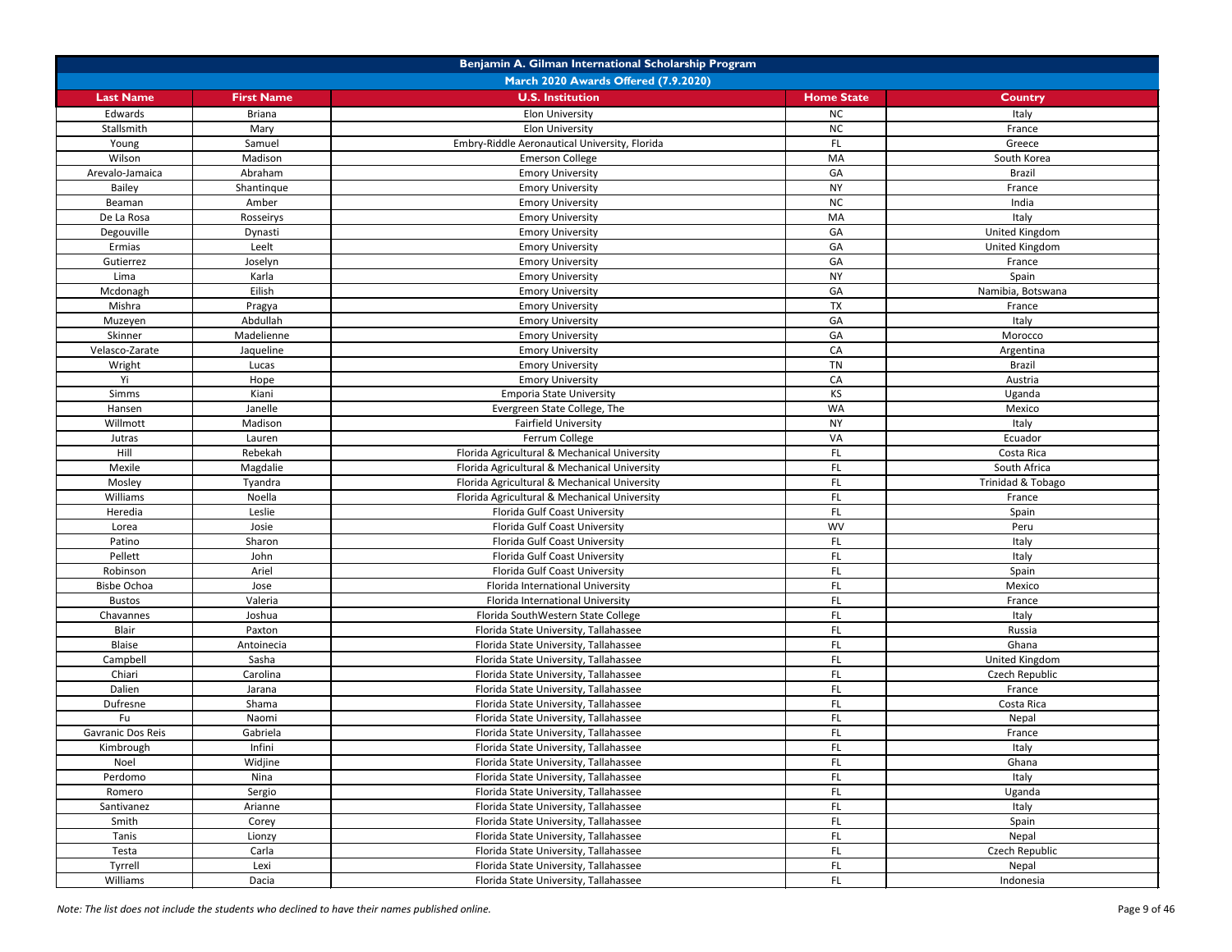|                    | Benjamin A. Gilman International Scholarship Program |                                               |                   |                   |  |
|--------------------|------------------------------------------------------|-----------------------------------------------|-------------------|-------------------|--|
|                    |                                                      | <b>March 2020 Awards Offered (7.9.2020)</b>   |                   |                   |  |
| <b>Last Name</b>   | <b>First Name</b>                                    | <b>U.S. Institution</b>                       | <b>Home State</b> | <b>Country</b>    |  |
| Edwards            | <b>Briana</b>                                        | <b>Elon University</b>                        | <b>NC</b>         | Italy             |  |
| Stallsmith         | Mary                                                 | <b>Elon University</b>                        | <b>NC</b>         | France            |  |
| Young              | Samuel                                               | Embry-Riddle Aeronautical University, Florida | FL                | Greece            |  |
| Wilson             | Madison                                              | <b>Emerson College</b>                        | MA                | South Korea       |  |
| Arevalo-Jamaica    | Abraham                                              | <b>Emory University</b>                       | GA                | <b>Brazil</b>     |  |
| Bailey             | Shantinque                                           | <b>Emory University</b>                       | <b>NY</b>         | France            |  |
| Beaman             | Amber                                                | <b>Emory University</b>                       | NC                | India             |  |
| De La Rosa         | Rosseirys                                            | <b>Emory University</b>                       | MA                | Italy             |  |
| Degouville         | Dynasti                                              | <b>Emory University</b>                       | GA                | United Kingdom    |  |
| Ermias             | Leelt                                                | <b>Emory University</b>                       | GA                | United Kingdom    |  |
| Gutierrez          | Joselyn                                              | <b>Emory University</b>                       | GA                | France            |  |
| Lima               | Karla                                                | <b>Emory University</b>                       | <b>NY</b>         | Spain             |  |
| Mcdonagh           | Eilish                                               | <b>Emory University</b>                       | GA                | Namibia, Botswana |  |
| Mishra             | Pragya                                               | <b>Emory University</b>                       | <b>TX</b>         | France            |  |
| Muzeyen            | Abdullah                                             | <b>Emory University</b>                       | GA                | Italy             |  |
| Skinner            | Madelienne                                           | <b>Emory University</b>                       | GA                | Morocco           |  |
| Velasco-Zarate     | Jaqueline                                            | <b>Emory University</b>                       | CA                | Argentina         |  |
| Wright             | Lucas                                                | <b>Emory University</b>                       | TN                | <b>Brazil</b>     |  |
| Yi                 | Hope                                                 | <b>Emory University</b>                       | CA                | Austria           |  |
| Simms              | Kiani                                                | <b>Emporia State University</b>               | <b>KS</b>         | Uganda            |  |
| Hansen             | Janelle                                              | Evergreen State College, The                  | <b>WA</b>         | Mexico            |  |
| Willmott           | Madison                                              | <b>Fairfield University</b>                   | <b>NY</b>         | Italy             |  |
| Jutras             | Lauren                                               | Ferrum College                                | VA                | Ecuador           |  |
| Hill               | Rebekah                                              | Florida Agricultural & Mechanical University  | FL.               | Costa Rica        |  |
| Mexile             | Magdalie                                             | Florida Agricultural & Mechanical University  | FL.               | South Africa      |  |
| Mosley             | Tyandra                                              | Florida Agricultural & Mechanical University  | FL                | Trinidad & Tobago |  |
| Williams           | Noella                                               | Florida Agricultural & Mechanical University  | FL.               | France            |  |
| Heredia            | Leslie                                               | Florida Gulf Coast University                 | FL.               | Spain             |  |
| Lorea              | Josie                                                | Florida Gulf Coast University                 | <b>WV</b>         | Peru              |  |
| Patino             | Sharon                                               | Florida Gulf Coast University                 | FL.               | Italy             |  |
| Pellett            | John                                                 | Florida Gulf Coast University                 | FL                | Italy             |  |
| Robinson           | Ariel                                                | Florida Gulf Coast University                 | FL.               | Spain             |  |
| <b>Bisbe Ochoa</b> | Jose                                                 | Florida International University              | FL                | Mexico            |  |
| <b>Bustos</b>      | Valeria                                              | Florida International University              | FL                | France            |  |
| Chavannes          | Joshua                                               | Florida SouthWestern State College            | FL.               | Italy             |  |
| Blair              | Paxton                                               | Florida State University, Tallahassee         | FL.               | Russia            |  |
| Blaise             | Antoinecia                                           | Florida State University, Tallahassee         | FL.               | Ghana             |  |
| Campbell           | Sasha                                                | Florida State University, Tallahassee         | FL.               | United Kingdom    |  |
| Chiari             | Carolina                                             | Florida State University, Tallahassee         | FL.               | Czech Republic    |  |
| Dalien             | Jarana                                               | Florida State University, Tallahassee         | FL                | France            |  |
| Dufresne           | Shama                                                | Florida State University, Tallahassee         | FL.               | Costa Rica        |  |
| Fu                 | Naomi                                                | Florida State University, Tallahassee         | FL.               | Nepal             |  |
| Gavranic Dos Reis  | Gabriela                                             | Florida State University, Tallahassee         | FL.               | France            |  |
| Kimbrough          | Infini                                               | Florida State University, Tallahassee         | FL                | Italy             |  |
| Noel               | Widjine                                              | Florida State University, Tallahassee         | FL                | Ghana             |  |
| Perdomo            | Nina                                                 | Florida State University, Tallahassee         | FL.               | Italy             |  |
| Romero             | Sergio                                               | Florida State University, Tallahassee         | FL                | Uganda            |  |
| Santivanez         | Arianne                                              | Florida State University, Tallahassee         | FL                | Italy             |  |
| Smith              | Corey                                                | Florida State University, Tallahassee         | FL.               | Spain             |  |
| Tanis              | Lionzy                                               | Florida State University, Tallahassee         | FL.               | Nepal             |  |
| Testa              | Carla                                                | Florida State University, Tallahassee         | FL                | Czech Republic    |  |
| Tyrrell            | Lexi                                                 | Florida State University, Tallahassee         | FL.               | Nepal             |  |
| Williams           | Dacia                                                | Florida State University, Tallahassee         | FL.               | Indonesia         |  |
|                    |                                                      |                                               |                   |                   |  |

*Note: The list does not include the students who declined to have their names published online.* Page 9 of 46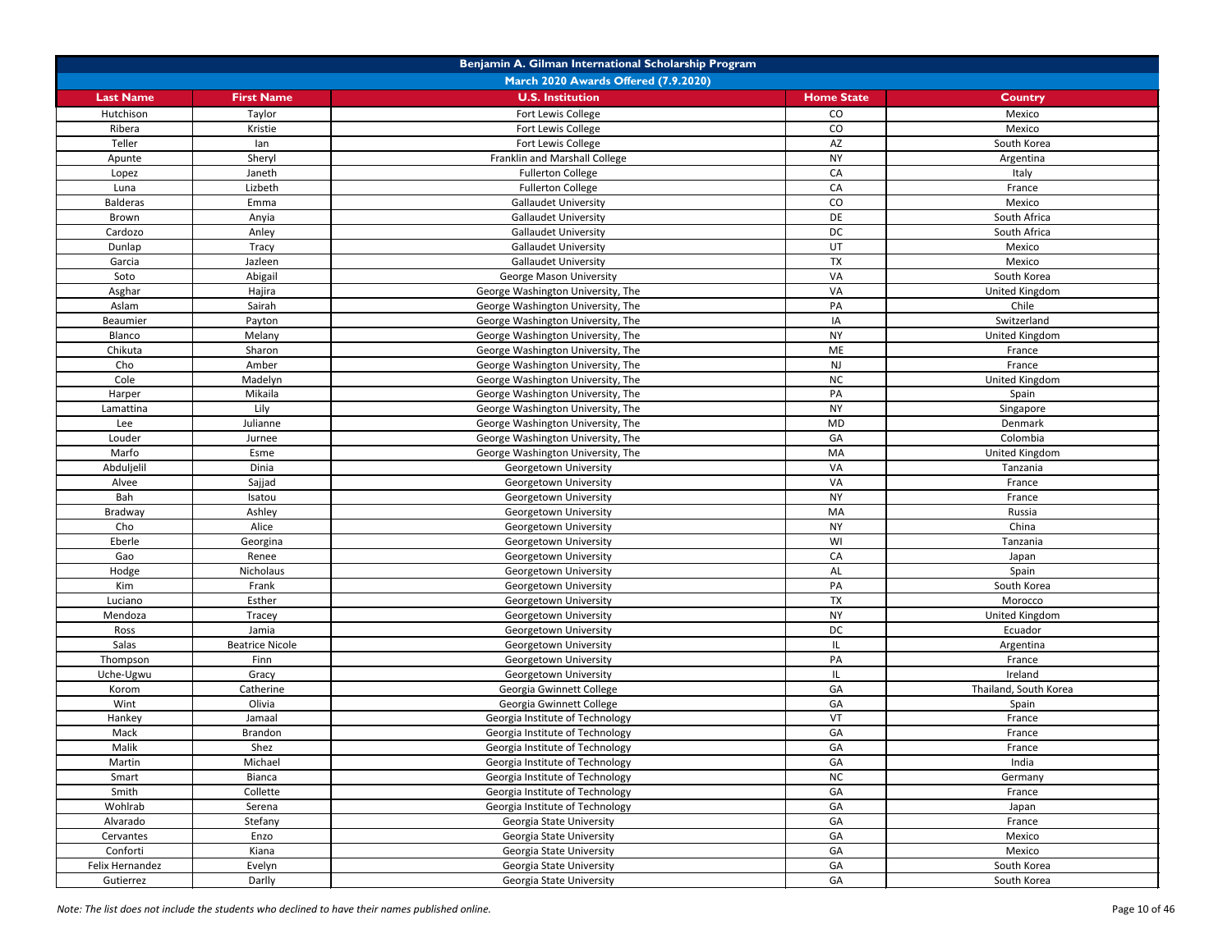|                  | Benjamin A. Gilman International Scholarship Program |                                                |                   |                       |  |
|------------------|------------------------------------------------------|------------------------------------------------|-------------------|-----------------------|--|
|                  |                                                      | March 2020 Awards Offered (7.9.2020)           |                   |                       |  |
| <b>Last Name</b> | <b>First Name</b>                                    | <b>U.S. Institution</b>                        | <b>Home State</b> | <b>Country</b>        |  |
| Hutchison        | Taylor                                               | Fort Lewis College                             | CO                | Mexico                |  |
| Ribera           | Kristie                                              | Fort Lewis College                             | CO                | Mexico                |  |
| Teller           | lan                                                  | Fort Lewis College                             | AZ                | South Korea           |  |
| Apunte           | Sheryl                                               | Franklin and Marshall College                  | <b>NY</b>         | Argentina             |  |
| Lopez            | Janeth                                               | <b>Fullerton College</b>                       | CA                | Italy                 |  |
| Luna             | Lizbeth                                              | <b>Fullerton College</b>                       | CA                | France                |  |
| <b>Balderas</b>  | Emma                                                 | <b>Gallaudet University</b>                    | CO                | Mexico                |  |
| Brown            | Anyia                                                | <b>Gallaudet University</b>                    | DE                | South Africa          |  |
| Cardozo          | Anley                                                | <b>Gallaudet University</b>                    | <b>DC</b>         | South Africa          |  |
| Dunlap           | Tracy                                                | <b>Gallaudet University</b>                    | UT                | Mexico                |  |
| Garcia           | Jazleen                                              | <b>Gallaudet University</b>                    | <b>TX</b>         | Mexico                |  |
| Soto             | Abigail                                              | <b>George Mason University</b>                 | VA                | South Korea           |  |
| Asghar           | Hajira                                               | George Washington University, The              | VA                | United Kingdom        |  |
| Aslam            | Sairah                                               | George Washington University, The              | PA                | Chile                 |  |
| Beaumier         | Payton                                               | George Washington University, The              | IA                | Switzerland           |  |
| Blanco           | Melany                                               | George Washington University, The              | <b>NY</b>         | United Kingdom        |  |
| Chikuta          | Sharon                                               | George Washington University, The              | ME                | France                |  |
| Cho              | Amber                                                | George Washington University, The              | <b>NJ</b>         | France                |  |
| Cole             | Madelyn                                              | George Washington University, The              | <b>NC</b>         | United Kingdom        |  |
| Harper           | Mikaila                                              | George Washington University, The              | PA                | Spain                 |  |
| Lamattina        | Lily                                                 | George Washington University, The              | <b>NY</b>         | Singapore             |  |
| Lee              | Julianne                                             | George Washington University, The              | <b>MD</b>         | Denmark               |  |
| Louder           | Jurnee                                               | George Washington University, The              | GA                | Colombia              |  |
| Marfo            | Esme                                                 | George Washington University, The              | MA                | United Kingdom        |  |
| Abduljelil       | Dinia                                                | Georgetown University                          | VA                | Tanzania              |  |
| Alvee            | Sajjad                                               | Georgetown University                          | VA                | France                |  |
| Bah              | Isatou                                               | Georgetown University                          | <b>NY</b>         | France                |  |
| Bradway          | Ashley                                               | Georgetown University                          | MA                | Russia                |  |
| Cho              | Alice                                                | Georgetown University                          | <b>NY</b>         | China                 |  |
| Eberle           | Georgina                                             | Georgetown University                          | WI                | Tanzania              |  |
| Gao              | Renee                                                | Georgetown University                          | CA                | Japan                 |  |
| Hodge            | Nicholaus                                            | Georgetown University                          | AL                | Spain                 |  |
| Kim              | Frank                                                | Georgetown University                          | PA                | South Korea           |  |
| Luciano          | Esther                                               | Georgetown University                          | <b>TX</b>         | Morocco               |  |
| Mendoza          | Tracey                                               | Georgetown University                          | <b>NY</b>         | United Kingdom        |  |
|                  | Jamia                                                |                                                | DC                |                       |  |
| Ross<br>Salas    | <b>Beatrice Nicole</b>                               | Georgetown University<br>Georgetown University | IL.               | Ecuador               |  |
|                  |                                                      |                                                | PA                | Argentina             |  |
| Thompson         | Finn                                                 | Georgetown University                          |                   | France<br>Ireland     |  |
| Uche-Ugwu        | Gracy                                                | Georgetown University                          | IL.               |                       |  |
| Korom            | Catherine                                            | Georgia Gwinnett College                       | GA                | Thailand, South Korea |  |
| Wint             | Olivia                                               | Georgia Gwinnett College                       | GA                | Spain                 |  |
| Hankey           | Jamaal                                               | Georgia Institute of Technology                | VT                | France                |  |
| Mack             | Brandon                                              | Georgia Institute of Technology                | GA                | France                |  |
| Malik            | Shez                                                 | Georgia Institute of Technology                | GA                | France                |  |
| Martin           | Michael                                              | Georgia Institute of Technology                | GA                | India                 |  |
| Smart            | Bianca                                               | Georgia Institute of Technology                | <b>NC</b>         | Germany               |  |
| Smith            | Collette                                             | Georgia Institute of Technology                | GA                | France                |  |
| Wohlrab          | Serena                                               | Georgia Institute of Technology                | GA                | Japan                 |  |
| Alvarado         | Stefany                                              | Georgia State University                       | GA                | France                |  |
| Cervantes        | Enzo                                                 | Georgia State University                       | GA                | Mexico                |  |
| Conforti         | Kiana                                                | Georgia State University                       | GA                | Mexico                |  |
| Felix Hernandez  | Evelyn                                               | Georgia State University                       | GA                | South Korea           |  |
| Gutierrez        | Darlly                                               | Georgia State University                       | GA                | South Korea           |  |

*Note: The list does not include the students who declined to have their names published online.* Page 10 of 46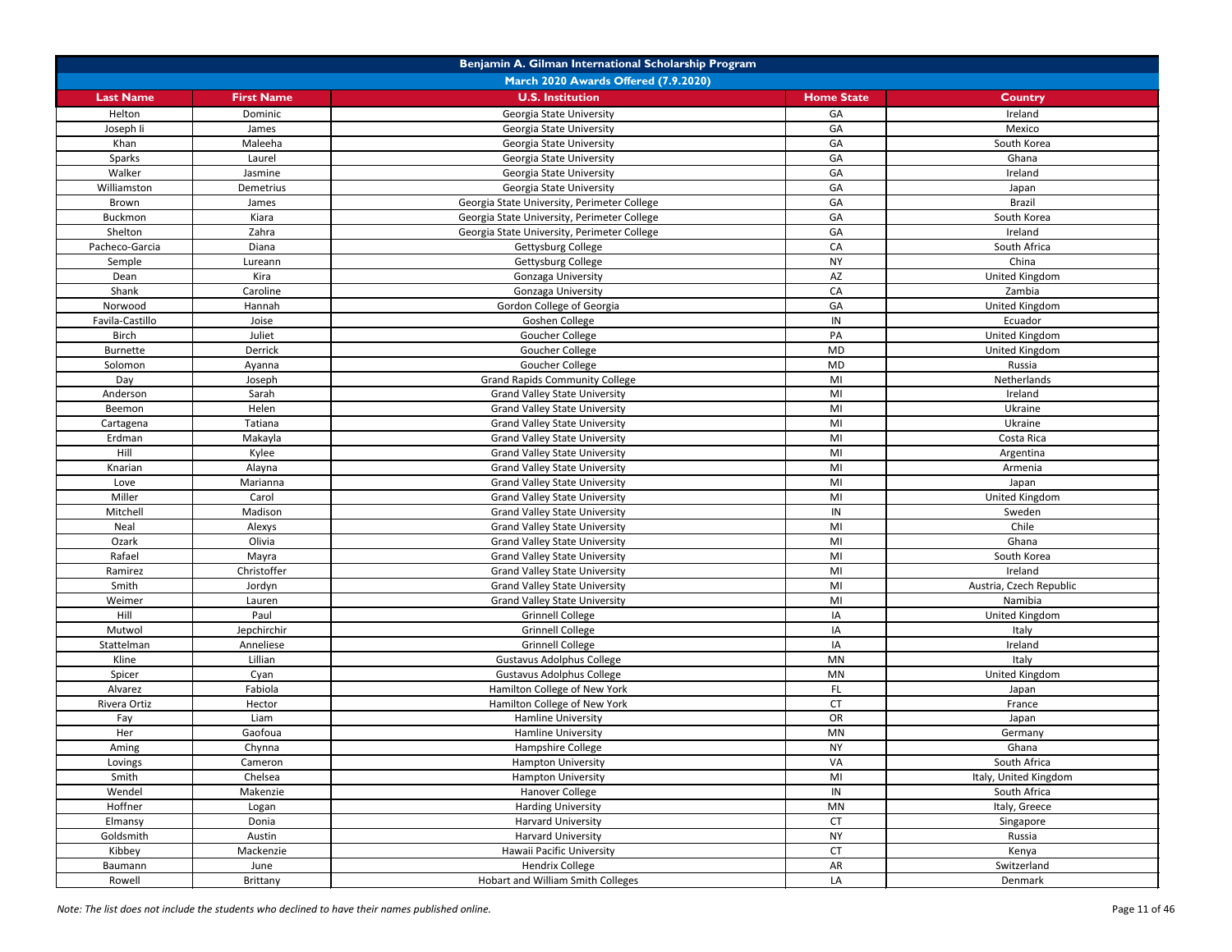| Benjamin A. Gilman International Scholarship Program |                   |                                             |                   |                         |
|------------------------------------------------------|-------------------|---------------------------------------------|-------------------|-------------------------|
|                                                      |                   | March 2020 Awards Offered (7.9.2020)        |                   |                         |
| <b>Last Name</b>                                     | <b>First Name</b> | <b>U.S. Institution</b>                     | <b>Home State</b> | <b>Country</b>          |
| Helton                                               | Dominic           | Georgia State University                    | GA                | Ireland                 |
| Joseph Ii                                            | James             | Georgia State University                    | GA                | Mexico                  |
| Khan                                                 | Maleeha           | Georgia State University                    | GA                | South Korea             |
| Sparks                                               | Laurel            | Georgia State University                    | GA                | Ghana                   |
| Walker                                               | Jasmine           | Georgia State University                    | GA                | Ireland                 |
| Williamston                                          | Demetrius         | Georgia State University                    | GA                | Japan                   |
| Brown                                                | James             | Georgia State University, Perimeter College | GA                | <b>Brazil</b>           |
| Buckmon                                              | Kiara             | Georgia State University, Perimeter College | GA                | South Korea             |
| Shelton                                              | Zahra             | Georgia State University, Perimeter College | GA                | Ireland                 |
| Pacheco-Garcia                                       | Diana             | Gettysburg College                          | CA                | South Africa            |
| Semple                                               | Lureann           | Gettysburg College                          | <b>NY</b>         | China                   |
| Dean                                                 | Kira              | Gonzaga University                          | AZ                | United Kingdom          |
| Shank                                                | Caroline          | Gonzaga University                          | CA                | Zambia                  |
| Norwood                                              | Hannah            | Gordon College of Georgia                   | GA                | United Kingdom          |
| Favila-Castillo                                      | Joise             | Goshen College                              | IN                | Ecuador                 |
| <b>Birch</b>                                         | Juliet            | Goucher College                             | PA                | <b>United Kingdom</b>   |
| Burnette                                             | Derrick           | Goucher College                             | <b>MD</b>         | United Kingdom          |
| Solomon                                              | Ayanna            | Goucher College                             | <b>MD</b>         | Russia                  |
| Day                                                  | Joseph            | <b>Grand Rapids Community College</b>       | MI                | Netherlands             |
| Anderson                                             | Sarah             | <b>Grand Valley State University</b>        | MI                | Ireland                 |
| Beemon                                               | Helen             | <b>Grand Valley State University</b>        | MI                | Ukraine                 |
| Cartagena                                            | Tatiana           | <b>Grand Valley State University</b>        | MI                | Ukraine                 |
| Erdman                                               | Makayla           | <b>Grand Valley State University</b>        | MI                | Costa Rica              |
| Hill                                                 | Kylee             | <b>Grand Valley State University</b>        | MI                | Argentina               |
| Knarian                                              | Alayna            | <b>Grand Valley State University</b>        | MI                | Armenia                 |
| Love                                                 | Marianna          | <b>Grand Valley State University</b>        | MI                | Japan                   |
| Miller                                               | Carol             | <b>Grand Valley State University</b>        | MI                | United Kingdom          |
| Mitchell                                             | Madison           | <b>Grand Valley State University</b>        | IN                | Sweden                  |
| Neal                                                 | Alexys            | <b>Grand Valley State University</b>        | MI                | Chile                   |
| Ozark                                                | Olivia            | <b>Grand Valley State University</b>        | MI                | Ghana                   |
| Rafael                                               | Mayra             | <b>Grand Valley State University</b>        | MI                | South Korea             |
| Ramirez                                              | Christoffer       | <b>Grand Valley State University</b>        | MI                | Ireland                 |
| Smith                                                | Jordyn            | <b>Grand Valley State University</b>        | MI                | Austria, Czech Republic |
| Weimer                                               | Lauren            | <b>Grand Valley State University</b>        | MI                | Namibia                 |
| Hill                                                 | Paul              | <b>Grinnell College</b>                     | IA                | United Kingdom          |
| Mutwol                                               | Jepchirchir       | <b>Grinnell College</b>                     | IA                | Italy                   |
| Stattelman                                           | Anneliese         | <b>Grinnell College</b>                     | ΙA                | Ireland                 |
| Kline                                                | Lillian           | <b>Gustavus Adolphus College</b>            | MN                | Italy                   |
| Spicer                                               | Cyan              | <b>Gustavus Adolphus College</b>            | MN                | United Kingdom          |
| Alvarez                                              | Fabiola           | Hamilton College of New York                | FL.               | Japan                   |
| Rivera Ortiz                                         | Hector            | Hamilton College of New York                | <b>CT</b>         | France                  |
| Fay                                                  | Liam              | Hamline University                          | OR                | Japan                   |
| Her                                                  | Gaofoua           | <b>Hamline University</b>                   | MN                | Germany                 |
| Aming                                                | Chynna            | Hampshire College                           | <b>NY</b>         | Ghana                   |
| Lovings                                              | Cameron           | <b>Hampton University</b>                   | VA                | South Africa            |
| Smith                                                | Chelsea           | Hampton University                          | MI                | Italy, United Kingdom   |
| Wendel                                               | Makenzie          | Hanover College                             | IN                | South Africa            |
| Hoffner                                              | Logan             | <b>Harding University</b>                   | MN                | Italy, Greece           |
| Elmansy                                              | Donia             | Harvard University                          | <b>CT</b>         | Singapore               |
| Goldsmith                                            | Austin            | Harvard University                          | <b>NY</b>         | Russia                  |
| Kibbey                                               | Mackenzie         | Hawaii Pacific University                   | <b>CT</b>         | Kenya                   |
| Baumann                                              | June              | <b>Hendrix College</b>                      | AR                | Switzerland             |
| Rowell                                               | Brittany          | Hobart and William Smith Colleges           | LA                | Denmark                 |

*Note: The list does not include the students who declined to have their names published online.* Page 11 of 46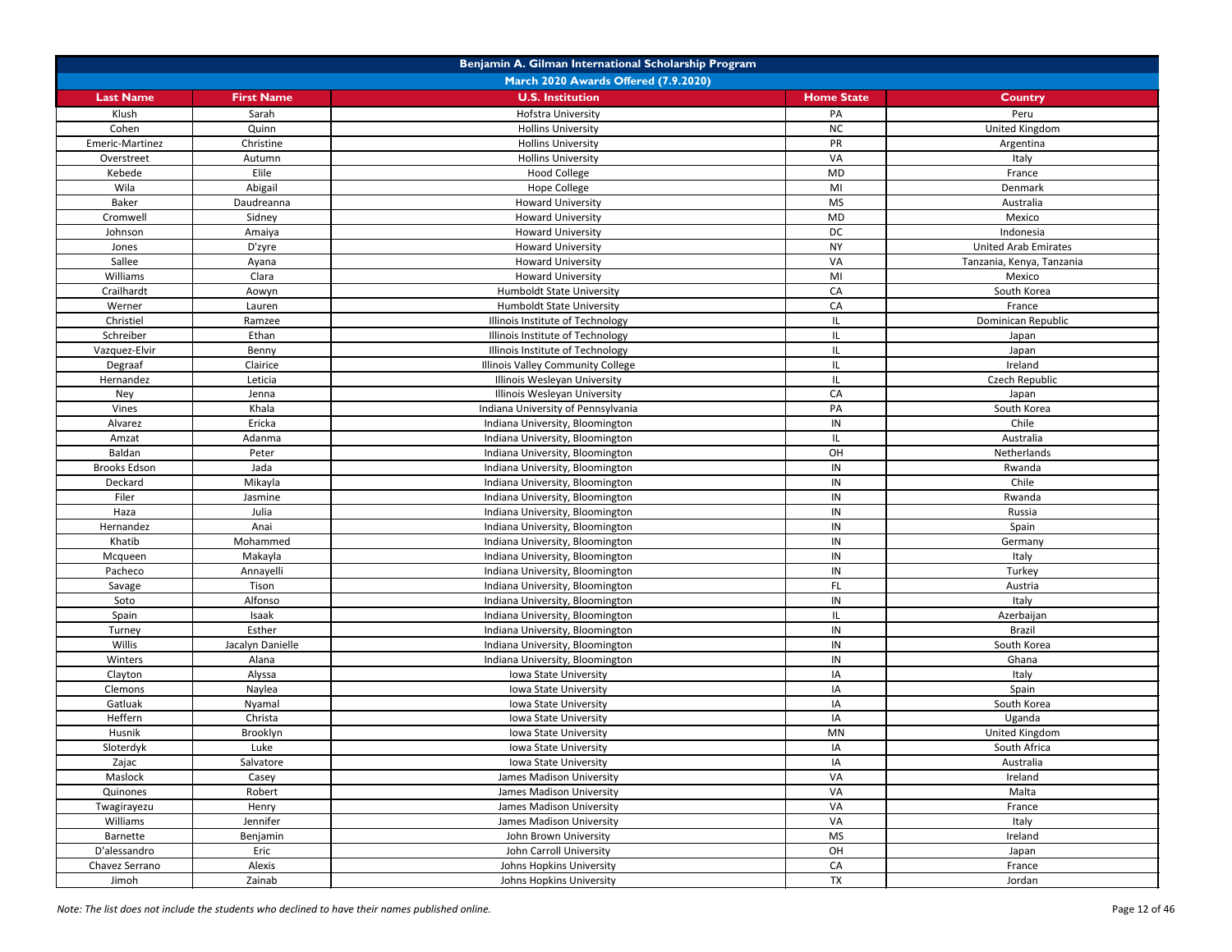| Benjamin A. Gilman International Scholarship Program |                   |                                             |                   |                             |
|------------------------------------------------------|-------------------|---------------------------------------------|-------------------|-----------------------------|
|                                                      |                   | <b>March 2020 Awards Offered (7.9.2020)</b> |                   |                             |
| <b>Last Name</b>                                     | <b>First Name</b> | <b>U.S. Institution</b>                     | <b>Home State</b> | <b>Country</b>              |
| Klush                                                | Sarah             | <b>Hofstra University</b>                   | PA                | Peru                        |
| Cohen                                                | Quinn             | <b>Hollins University</b>                   | NC                | United Kingdom              |
| Emeric-Martinez                                      | Christine         | <b>Hollins University</b>                   | PR                | Argentina                   |
| Overstreet                                           | Autumn            | <b>Hollins University</b>                   | VA                | Italy                       |
| Kebede                                               | Elile             | <b>Hood College</b>                         | <b>MD</b>         | France                      |
| Wila                                                 | Abigail           | <b>Hope College</b>                         | MI                | Denmark                     |
| Baker                                                | Daudreanna        | <b>Howard University</b>                    | <b>MS</b>         | Australia                   |
| Cromwell                                             | Sidney            | <b>Howard University</b>                    | <b>MD</b>         | Mexico                      |
| Johnson                                              | Amaiya            | <b>Howard University</b>                    | <b>DC</b>         | Indonesia                   |
| Jones                                                | D'zyre            | <b>Howard University</b>                    | <b>NY</b>         | <b>United Arab Emirates</b> |
| Sallee                                               | Ayana             | <b>Howard University</b>                    | VA                | Tanzania, Kenya, Tanzania   |
| Williams                                             | Clara             | <b>Howard University</b>                    | MI                | Mexico                      |
| Crailhardt                                           | Aowyn             | <b>Humboldt State University</b>            | CA                | South Korea                 |
| Werner                                               | Lauren            | <b>Humboldt State University</b>            | CA                | France                      |
| Christiel                                            | Ramzee            | Illinois Institute of Technology            | IL.               | Dominican Republic          |
| Schreiber                                            | Ethan             | Illinois Institute of Technology            | IL.               | Japan                       |
| Vazquez-Elvir                                        | Benny             | Illinois Institute of Technology            | IL                | Japan                       |
| Degraaf                                              | Clairice          | Illinois Valley Community College           | IL                | Ireland                     |
| Hernandez                                            | Leticia           | Illinois Wesleyan University                | IL                | Czech Republic              |
| Ney                                                  | Jenna             | Illinois Wesleyan University                | CA                | Japan                       |
| Vines                                                | Khala             | Indiana University of Pennsylvania          | PA                | South Korea                 |
| Alvarez                                              | Ericka            | Indiana University, Bloomington             | ${\sf IN}$        | Chile                       |
| Amzat                                                | Adanma            | Indiana University, Bloomington             | IL.               | Australia                   |
| Baldan                                               | Peter             | Indiana University, Bloomington             | OH                | Netherlands                 |
| <b>Brooks Edson</b>                                  | Jada              |                                             | IN                |                             |
| Deckard                                              |                   | Indiana University, Bloomington             | IN                | Rwanda<br>Chile             |
|                                                      | Mikayla           | Indiana University, Bloomington             |                   |                             |
| Filer                                                | Jasmine           | Indiana University, Bloomington             | $\sf IN$          | Rwanda                      |
| Haza                                                 | Julia             | Indiana University, Bloomington             | IN                | Russia                      |
| Hernandez                                            | Anai              | Indiana University, Bloomington             | IN                | Spain                       |
| Khatib                                               | Mohammed          | Indiana University, Bloomington             | IN                | Germany                     |
| Mcqueen                                              | Makayla           | Indiana University, Bloomington             | IN                | Italy                       |
| Pacheco                                              | Annayelli         | Indiana University, Bloomington             | IN                | Turkey                      |
| Savage                                               | Tison             | Indiana University, Bloomington             | FL.               | Austria                     |
| Soto                                                 | Alfonso           | Indiana University, Bloomington             | IN                | Italy                       |
| Spain                                                | Isaak             | Indiana University, Bloomington             | IL.               | Azerbaijan                  |
| Turney                                               | Esther            | Indiana University, Bloomington             | IN                | <b>Brazil</b>               |
| Willis                                               | Jacalyn Danielle  | Indiana University, Bloomington             | IN                | South Korea                 |
| Winters                                              | Alana             | Indiana University, Bloomington             | IN                | Ghana                       |
| Clayton                                              | Alyssa            | Iowa State University                       | IA                | Italy                       |
| Clemons                                              | Naylea            | Iowa State University                       | IA                | Spain                       |
| Gatluak                                              | Nyamal            | Iowa State University                       | IA                | South Korea                 |
| Heffern                                              | Christa           | Iowa State University                       | IA                | Uganda                      |
| Husnik                                               | Brooklyn          | Iowa State University                       | MN                | United Kingdom              |
| Sloterdyk                                            | Luke              | Iowa State University                       | IA                | South Africa                |
| Zajac                                                | Salvatore         | Iowa State University                       | IA                | Australia                   |
| Maslock                                              | Casey             | James Madison University                    | VA                | Ireland                     |
| Quinones                                             | Robert            | James Madison University                    | VA                | Malta                       |
| Twagirayezu                                          | Henry             | James Madison University                    | VA                | France                      |
| Williams                                             | Jennifer          | James Madison University                    | VA                | Italy                       |
| Barnette                                             | Benjamin          | John Brown University                       | <b>MS</b>         | Ireland                     |
| D'alessandro                                         | Eric              | John Carroll University                     | OH                | Japan                       |
| Chavez Serrano                                       | Alexis            | Johns Hopkins University                    | CA                | France                      |
| Jimoh                                                | Zainab            | Johns Hopkins University                    | <b>TX</b>         | Jordan                      |
|                                                      |                   |                                             |                   |                             |

*Note: The list does not include the students who declined to have their names published online.* Page 12 of 46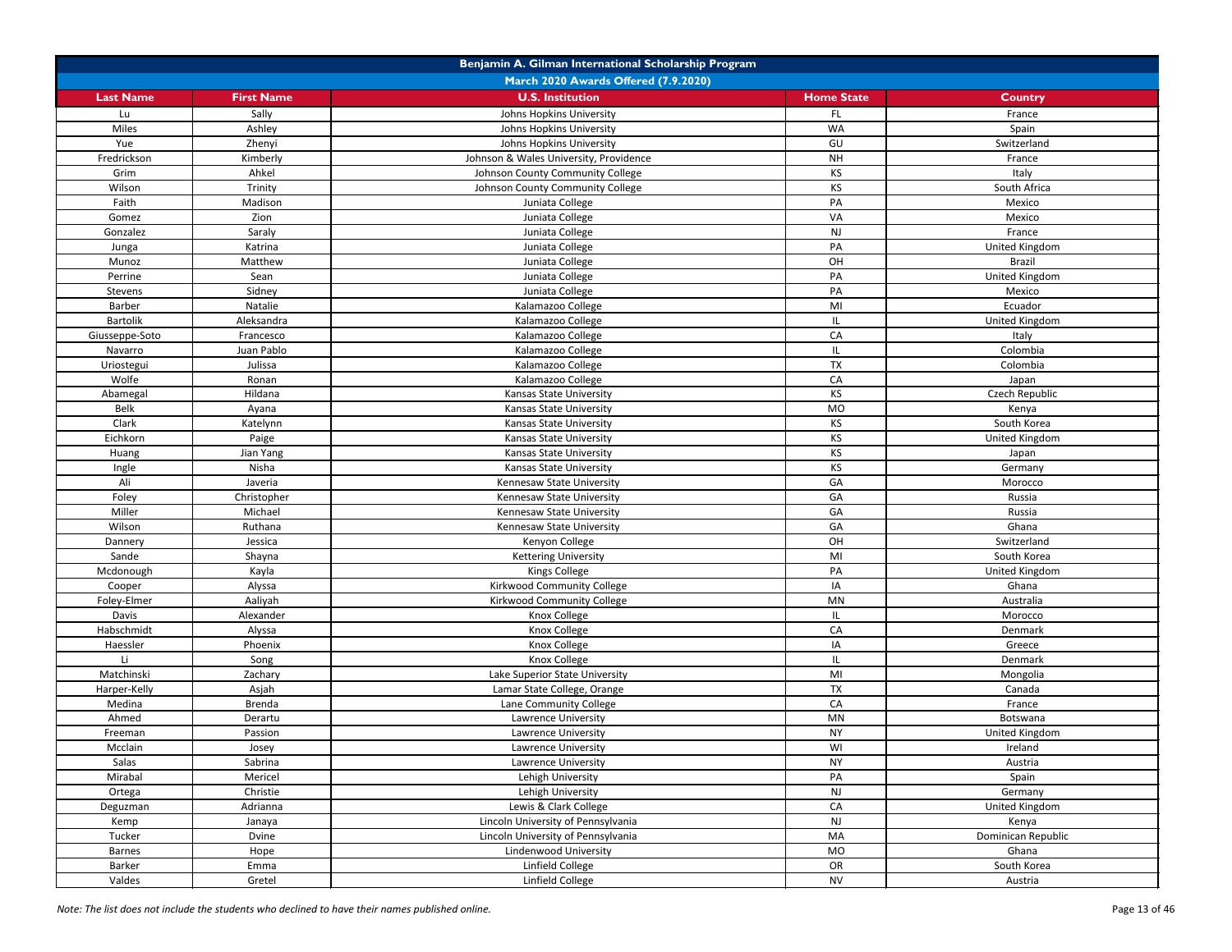| Benjamin A. Gilman International Scholarship Program |                                      |                                        |                   |                    |  |
|------------------------------------------------------|--------------------------------------|----------------------------------------|-------------------|--------------------|--|
|                                                      | March 2020 Awards Offered (7.9.2020) |                                        |                   |                    |  |
| <b>Last Name</b>                                     | <b>First Name</b>                    | <b>U.S. Institution</b>                | <b>Home State</b> | <b>Country</b>     |  |
| Lu                                                   | Sally                                | Johns Hopkins University               | FL.               | France             |  |
| Miles                                                | Ashley                               | Johns Hopkins University               | <b>WA</b>         | Spain              |  |
| Yue                                                  | Zhenyi                               | Johns Hopkins University               | GU                | Switzerland        |  |
| Fredrickson                                          | Kimberly                             | Johnson & Wales University, Providence | <b>NH</b>         | France             |  |
| Grim                                                 | Ahkel                                | Johnson County Community College       | KS                | Italy              |  |
| Wilson                                               | Trinity                              | Johnson County Community College       | <b>KS</b>         | South Africa       |  |
| Faith                                                | Madison                              | Juniata College                        | PA                | Mexico             |  |
| Gomez                                                | Zion                                 | Juniata College                        | VA                | Mexico             |  |
| Gonzalez                                             | Saraly                               | Juniata College                        | <b>NJ</b>         | France             |  |
| Junga                                                | Katrina                              | Juniata College                        | PA                | United Kingdom     |  |
| Munoz                                                | Matthew                              | Juniata College                        | OH                | <b>Brazil</b>      |  |
| Perrine                                              | Sean                                 | Juniata College                        | PA                | United Kingdom     |  |
| Stevens                                              | Sidney                               | Juniata College                        | PA                | Mexico             |  |
| <b>Barber</b>                                        | Natalie                              | Kalamazoo College                      | MI                | Ecuador            |  |
| Bartolik                                             | Aleksandra                           | Kalamazoo College                      | IL                | United Kingdom     |  |
| Giusseppe-Soto                                       | Francesco                            | Kalamazoo College                      | CA                | Italy              |  |
| Navarro                                              | Juan Pablo                           | Kalamazoo College                      | IL                | Colombia           |  |
| Uriostegui                                           | Julissa                              | Kalamazoo College                      | <b>TX</b>         | Colombia           |  |
| Wolfe                                                | Ronan                                | Kalamazoo College                      | CA                | Japan              |  |
| Abamegal                                             | Hildana                              | <b>Kansas State University</b>         | <b>KS</b>         | Czech Republic     |  |
| <b>Belk</b>                                          | Ayana                                | Kansas State University                | <b>MO</b>         | Kenya              |  |
| Clark                                                | Katelynn                             | Kansas State University                | KS                | South Korea        |  |
| Eichkorn                                             | Paige                                | Kansas State University                | KS                | United Kingdom     |  |
| Huang                                                | Jian Yang                            | <b>Kansas State University</b>         | <b>KS</b>         | Japan              |  |
| Ingle                                                | Nisha                                | Kansas State University                | <b>KS</b>         | Germany            |  |
| Ali                                                  | Javeria                              | Kennesaw State University              | GA                | Morocco            |  |
| Foley                                                | Christopher                          | Kennesaw State University              | GA                | Russia             |  |
| Miller                                               | Michael                              | Kennesaw State University              | GA                | Russia             |  |
| Wilson                                               | Ruthana                              | Kennesaw State University              | GA                | Ghana              |  |
| Dannery                                              | Jessica                              | Kenyon College                         | OH                | Switzerland        |  |
| Sande                                                | Shayna                               | <b>Kettering University</b>            | MI                | South Korea        |  |
| Mcdonough                                            | Kayla                                | <b>Kings College</b>                   | PA                | United Kingdom     |  |
| Cooper                                               | Alyssa                               | Kirkwood Community College             | IA                | Ghana              |  |
| Foley-Elmer                                          | Aaliyah                              | Kirkwood Community College             | MN                | Australia          |  |
| Davis                                                | Alexander                            | Knox College                           | IL.               | Morocco            |  |
| Habschmidt                                           | Alyssa                               | Knox College                           | CA                | Denmark            |  |
| Haessler                                             | Phoenix                              | Knox College                           | IA                | Greece             |  |
| Li.                                                  | Song                                 | Knox College                           | IL                | Denmark            |  |
| Matchinski                                           | Zachary                              | Lake Superior State University         | MI                | Mongolia           |  |
| Harper-Kelly                                         | Asjah                                | Lamar State College, Orange            | <b>TX</b>         | Canada             |  |
| Medina                                               | Brenda                               | Lane Community College                 | CA                | France             |  |
| Ahmed                                                | Derartu                              | Lawrence University                    | MN                | Botswana           |  |
| Freeman                                              | Passion                              | Lawrence University                    | <b>NY</b>         | United Kingdom     |  |
| Mcclain                                              | Josey                                | Lawrence University                    | WI                | Ireland            |  |
| Salas                                                | Sabrina                              | Lawrence University                    | <b>NY</b>         | Austria            |  |
| Mirabal                                              | Mericel                              | Lehigh University                      | PA                | Spain              |  |
| Ortega                                               | Christie                             | Lehigh University                      | NJ                | Germany            |  |
| Deguzman                                             | Adrianna                             | Lewis & Clark College                  | CA                | United Kingdom     |  |
| Kemp                                                 | Janaya                               | Lincoln University of Pennsylvania     | NJ                | Kenya              |  |
| Tucker                                               | Dvine                                | Lincoln University of Pennsylvania     | MA                | Dominican Republic |  |
| <b>Barnes</b>                                        | Hope                                 | Lindenwood University                  | MO                | Ghana              |  |
| Barker                                               | Emma                                 | Linfield College                       | OR                | South Korea        |  |
| Valdes                                               | Gretel                               | Linfield College                       | <b>NV</b>         | Austria            |  |
|                                                      |                                      |                                        |                   |                    |  |

*Note: The list does not include the students who declined to have their names published online.* Page 13 of 46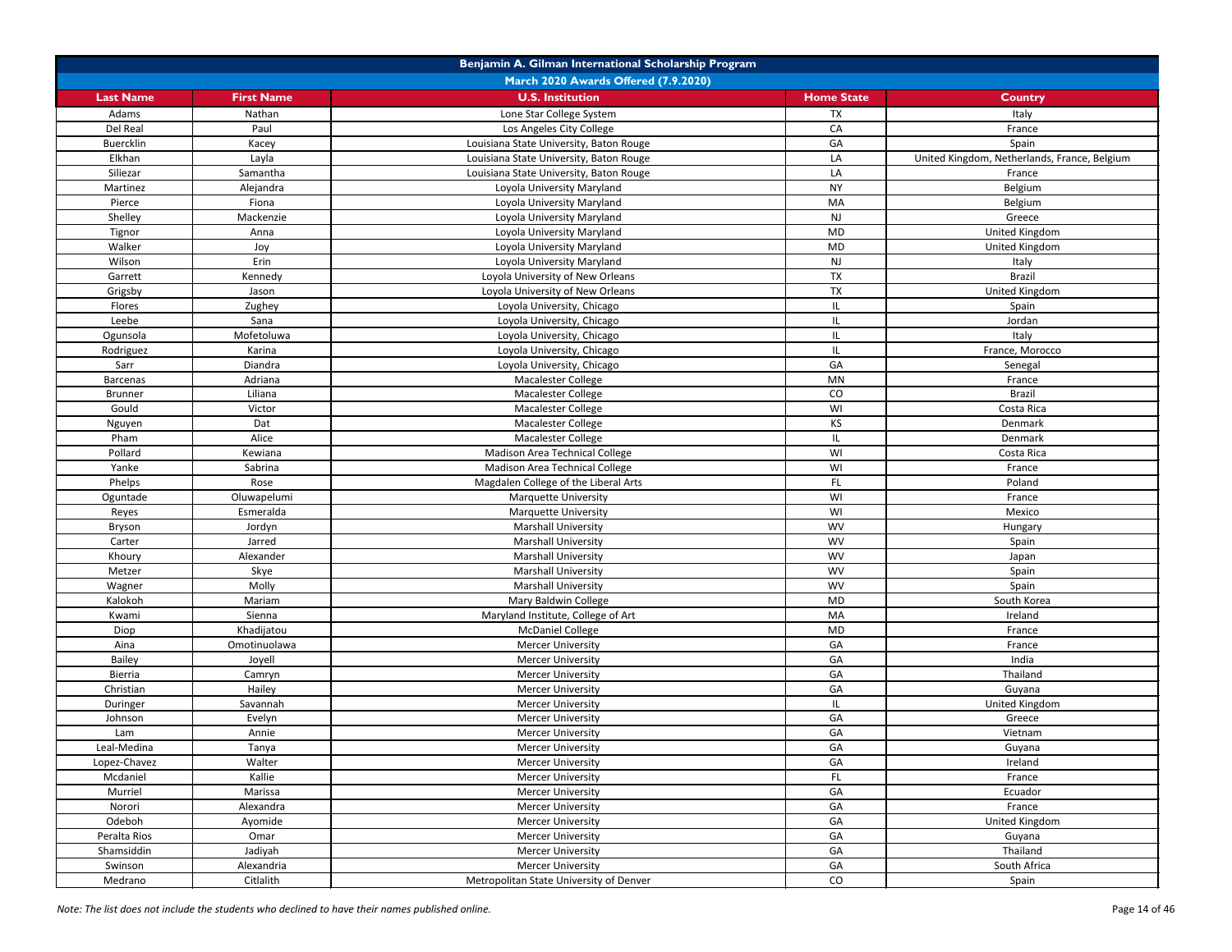| Benjamin A. Gilman International Scholarship Program |                   |                                             |                   |                                              |
|------------------------------------------------------|-------------------|---------------------------------------------|-------------------|----------------------------------------------|
|                                                      |                   | <b>March 2020 Awards Offered (7.9.2020)</b> |                   |                                              |
| <b>Last Name</b>                                     | <b>First Name</b> | <b>U.S. Institution</b>                     | <b>Home State</b> | <b>Country</b>                               |
| Adams                                                | Nathan            | Lone Star College System                    | TX                | Italy                                        |
| Del Real                                             | Paul              | Los Angeles City College                    | CA                | France                                       |
| Buercklin                                            | Kacey             | Louisiana State University, Baton Rouge     | GA                | Spain                                        |
| Elkhan                                               | Layla             | Louisiana State University, Baton Rouge     | LA                | United Kingdom, Netherlands, France, Belgium |
| Siliezar                                             | Samantha          | Louisiana State University, Baton Rouge     | LA                | France                                       |
| Martinez                                             | Alejandra         | Loyola University Maryland                  | <b>NY</b>         | Belgium                                      |
| Pierce                                               | Fiona             | Loyola University Maryland                  | MA                | Belgium                                      |
| Shelley                                              | Mackenzie         | Loyola University Maryland                  | $\mathsf{NJ}$     | Greece                                       |
| Tignor                                               | Anna              | Loyola University Maryland                  | <b>MD</b>         | United Kingdom                               |
| Walker                                               | Joy               | Loyola University Maryland                  | <b>MD</b>         | United Kingdom                               |
| Wilson                                               | Erin              | Loyola University Maryland                  | <b>NJ</b>         | Italy                                        |
| Garrett                                              | Kennedy           | Loyola University of New Orleans            | <b>TX</b>         | <b>Brazil</b>                                |
| Grigsby                                              | Jason             | Loyola University of New Orleans            | TX                | United Kingdom                               |
| Flores                                               | Zughey            | Loyola University, Chicago                  | IL                | Spain                                        |
| Leebe                                                | Sana              | Loyola University, Chicago                  |                   | Jordan                                       |
| Ogunsola                                             | Mofetoluwa        | Loyola University, Chicago                  |                   | Italy                                        |
| Rodriguez                                            | Karina            | Loyola University, Chicago                  |                   | France, Morocco                              |
| Sarr                                                 | Diandra           | Loyola University, Chicago                  | GA                | Senegal                                      |
| <b>Barcenas</b>                                      | Adriana           | Macalester College                          | MN                | France                                       |
| <b>Brunner</b>                                       | Liliana           | Macalester College                          | CO                | <b>Brazil</b>                                |
| Gould                                                | Victor            | Macalester College                          | WI                | Costa Rica                                   |
| Nguyen                                               | Dat               | Macalester College                          | KS                | Denmark                                      |
| Pham                                                 | Alice             | Macalester College                          |                   | Denmark                                      |
| Pollard                                              | Kewiana           | Madison Area Technical College              | WI                | Costa Rica                                   |
| Yanke                                                | Sabrina           | Madison Area Technical College              | WI                | France                                       |
| Phelps                                               | Rose              | Magdalen College of the Liberal Arts        | FL                | Poland                                       |
| Oguntade                                             | Oluwapelumi       | <b>Marquette University</b>                 | WI                | France                                       |
| Reyes                                                | Esmeralda         | <b>Marquette University</b>                 | WI                | Mexico                                       |
| Bryson                                               | Jordyn            | <b>Marshall University</b>                  | <b>WV</b>         | Hungary                                      |
| Carter                                               | Jarred            | <b>Marshall University</b>                  | <b>WV</b>         | Spain                                        |
| Khoury                                               | Alexander         | <b>Marshall University</b>                  | <b>WV</b>         | Japan                                        |
| Metzer                                               | Skye              | <b>Marshall University</b>                  | <b>WV</b>         | Spain                                        |
| Wagner                                               | Molly             | <b>Marshall University</b>                  | <b>WV</b>         | Spain                                        |
| Kalokoh                                              | Mariam            | Mary Baldwin College                        | <b>MD</b>         | South Korea                                  |
| Kwami                                                | Sienna            | Maryland Institute, College of Art          | MA                | Ireland                                      |
| Diop                                                 | Khadijatou        | <b>McDaniel College</b>                     | <b>MD</b>         | France                                       |
| Aina                                                 | Omotinuolawa      | <b>Mercer University</b>                    | GA                | France                                       |
| Bailey                                               | Joyell            | <b>Mercer University</b>                    | GA                | India                                        |
| Bierria                                              | Camryn            | <b>Mercer University</b>                    | GA                | Thailand                                     |
| Christian                                            | Hailey            | <b>Mercer University</b>                    | GA                | Guyana                                       |
| Duringer                                             | Savannah          | <b>Mercer University</b>                    |                   | United Kingdom                               |
| Johnson                                              | Evelyn            | <b>Mercer University</b>                    | GA                | Greece                                       |
| Lam                                                  | Annie             | <b>Mercer University</b>                    | GA                | Vietnam                                      |
| Leal-Medina                                          | Tanya             | <b>Mercer University</b>                    | GA                | Guyana                                       |
| Lopez-Chavez                                         | Walter            | <b>Mercer University</b>                    | GA                | Ireland                                      |
| Mcdaniel                                             | Kallie            | <b>Mercer University</b>                    | FL.               | France                                       |
| Murriel                                              | Marissa           | <b>Mercer University</b>                    | GA                | Ecuador                                      |
| Norori                                               | Alexandra         | <b>Mercer University</b>                    | GA                | France                                       |
| Odeboh                                               | Ayomide           | <b>Mercer University</b>                    | GA                | United Kingdom                               |
| Peralta Rios                                         | Omar              | <b>Mercer University</b>                    | GA                | Guyana                                       |
| Shamsiddin                                           | Jadiyah           | <b>Mercer University</b>                    | GA                | Thailand                                     |
| Swinson                                              | Alexandria        | <b>Mercer University</b>                    | GA                | South Africa                                 |
| Medrano                                              | Citlalith         | Metropolitan State University of Denver     | CO                | Spain                                        |

*Note: The list does not include the students who declined to have their names published online.* Page 14 of 46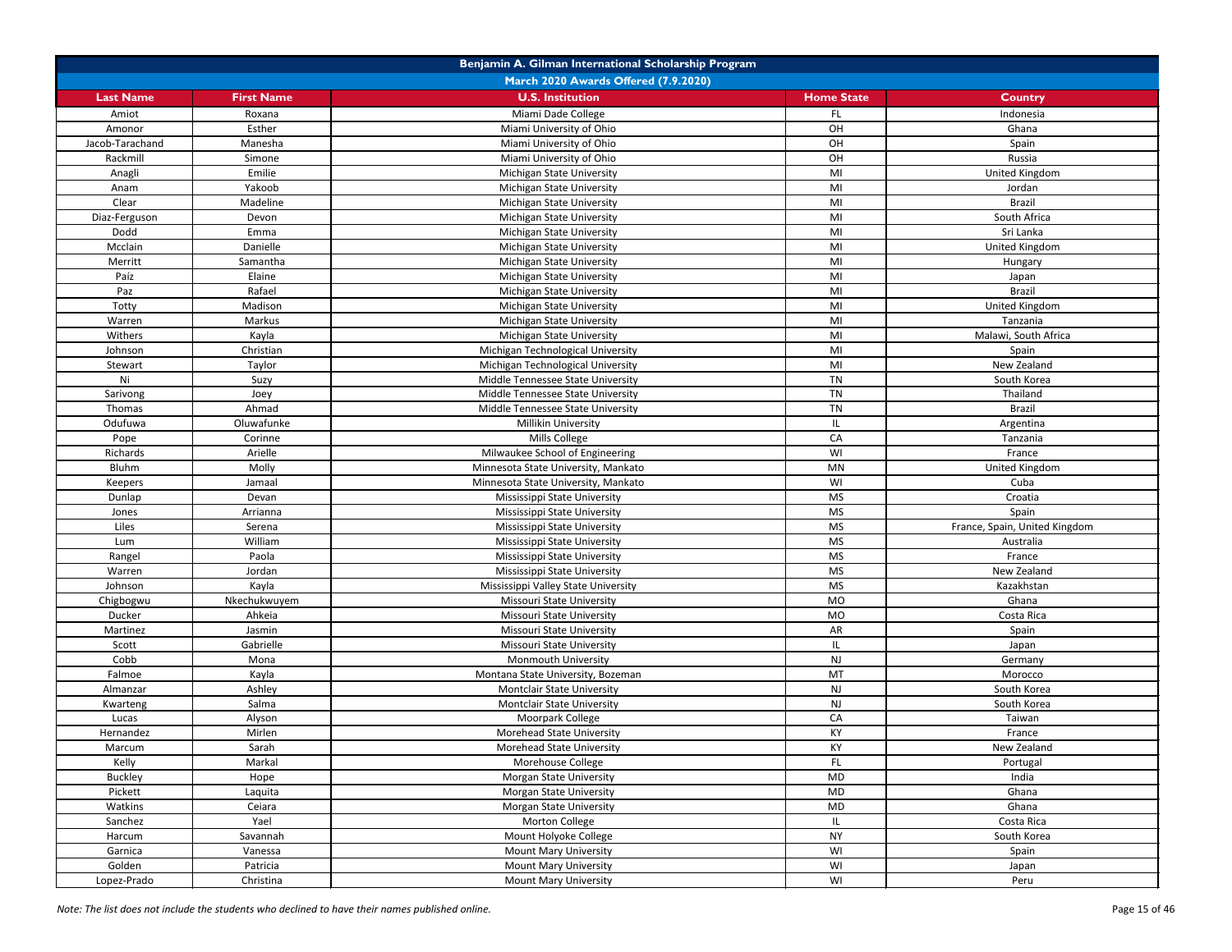| Benjamin A. Gilman International Scholarship Program |                   |                                             |                   |                               |
|------------------------------------------------------|-------------------|---------------------------------------------|-------------------|-------------------------------|
|                                                      |                   | <b>March 2020 Awards Offered (7.9.2020)</b> |                   |                               |
| <b>Last Name</b>                                     | <b>First Name</b> | <b>U.S. Institution</b>                     | <b>Home State</b> | <b>Country</b>                |
| Amiot                                                | Roxana            | Miami Dade College                          | FL.               | Indonesia                     |
| Amonor                                               | Esther            | Miami University of Ohio                    | OH                | Ghana                         |
| Jacob-Tarachand                                      | Manesha           | Miami University of Ohio                    | OH                | Spain                         |
| Rackmill                                             | Simone            | Miami University of Ohio                    | OH                | Russia                        |
| Anagli                                               | Emilie            | Michigan State University                   | MI                | United Kingdom                |
| Anam                                                 | Yakoob            | Michigan State University                   | MI                | Jordan                        |
| Clear                                                | Madeline          | Michigan State University                   | MI                | <b>Brazil</b>                 |
| Diaz-Ferguson                                        | Devon             | <b>Michigan State University</b>            | MI                | South Africa                  |
| Dodd                                                 | Emma              | Michigan State University                   | MI                | Sri Lanka                     |
| Mcclain                                              | Danielle          | <b>Michigan State University</b>            | MI                | <b>United Kingdom</b>         |
| Merritt                                              | Samantha          | <b>Michigan State University</b>            | MI                | Hungary                       |
| Paíz                                                 | Elaine            | Michigan State University                   | MI                | Japan                         |
| Paz                                                  | Rafael            | Michigan State University                   | MI                | <b>Brazil</b>                 |
| Totty                                                | Madison           | Michigan State University                   | MI                | United Kingdom                |
| Warren                                               | Markus            | Michigan State University                   | MI                | Tanzania                      |
| Withers                                              | Kayla             | Michigan State University                   | MI                | Malawi, South Africa          |
| Johnson                                              | Christian         | Michigan Technological University           | MI                | Spain                         |
| Stewart                                              | Taylor            | Michigan Technological University           | MI                | New Zealand                   |
| Ni                                                   | Suzy              | Middle Tennessee State University           | TN                | South Korea                   |
| Sarivong                                             | Joey              | Middle Tennessee State University           | TN                | Thailand                      |
| Thomas                                               | Ahmad             | Middle Tennessee State University           | TN                | <b>Brazil</b>                 |
| Odufuwa                                              | Oluwafunke        | Millikin University                         |                   |                               |
|                                                      |                   |                                             | IL.               | Argentina                     |
| Pope                                                 | Corinne           | Mills College                               | CA                | Tanzania                      |
| Richards                                             | Arielle           | Milwaukee School of Engineering             | WI                | France                        |
| <b>Bluhm</b>                                         | Molly             | Minnesota State University, Mankato         | MN                | United Kingdom                |
| Keepers                                              | Jamaal            | Minnesota State University, Mankato         | WI                | Cuba                          |
| Dunlap                                               | Devan             | Mississippi State University                | <b>MS</b>         | Croatia                       |
| Jones                                                | Arrianna          | Mississippi State University                | <b>MS</b>         | Spain                         |
| Liles                                                | Serena            | Mississippi State University                | <b>MS</b>         | France, Spain, United Kingdom |
| Lum                                                  | William           | Mississippi State University                | <b>MS</b>         | Australia                     |
| Rangel                                               | Paola             | Mississippi State University                | <b>MS</b>         | France                        |
| Warren                                               | Jordan            | Mississippi State University                | <b>MS</b>         | New Zealand                   |
| Johnson                                              | Kayla             | Mississippi Valley State University         | <b>MS</b>         | Kazakhstan                    |
| Chigbogwu                                            | Nkechukwuyem      | <b>Missouri State University</b>            | MO                | Ghana                         |
| Ducker                                               | Ahkeia            | Missouri State University                   | MO                | Costa Rica                    |
| Martinez                                             | Jasmin            | Missouri State University                   | AR                | Spain                         |
| Scott                                                | Gabrielle         | Missouri State University                   | IL.               | Japan                         |
| Cobb                                                 | Mona              | Monmouth University                         | <b>NJ</b>         | Germany                       |
| Falmoe                                               | Kayla             | Montana State University, Bozeman           | MT                | Morocco                       |
| Almanzar                                             | Ashley            | <b>Montclair State University</b>           | <b>NJ</b>         | South Korea                   |
| Kwarteng                                             | Salma             | <b>Montclair State University</b>           | <b>NJ</b>         | South Korea                   |
| Lucas                                                | Alyson            | Moorpark College                            | CA                | Taiwan                        |
| Hernandez                                            | Mirlen            | Morehead State University                   | <b>KY</b>         | France                        |
| Marcum                                               | Sarah             | Morehead State University                   | KY                | New Zealand                   |
| Kelly                                                | Markal            | Morehouse College                           | FL                | Portugal                      |
| <b>Buckley</b>                                       | Hope              | <b>Morgan State University</b>              | <b>MD</b>         | India                         |
| Pickett                                              | Laquita           | Morgan State University                     | <b>MD</b>         | Ghana                         |
| Watkins                                              | Ceiara            | <b>Morgan State University</b>              | <b>MD</b>         | Ghana                         |
| Sanchez                                              | Yael              | Morton College                              | IL.               | Costa Rica                    |
| Harcum                                               | Savannah          | Mount Holyoke College                       | <b>NY</b>         | South Korea                   |
| Garnica                                              | Vanessa           | <b>Mount Mary University</b>                | WI                | Spain                         |
| Golden                                               | Patricia          | <b>Mount Mary University</b>                | WI                | Japan                         |
| Lopez-Prado                                          | Christina         | <b>Mount Mary University</b>                | WI                | Peru                          |

*Note: The list does not include the students who declined to have their names published online.* Page 15 of 46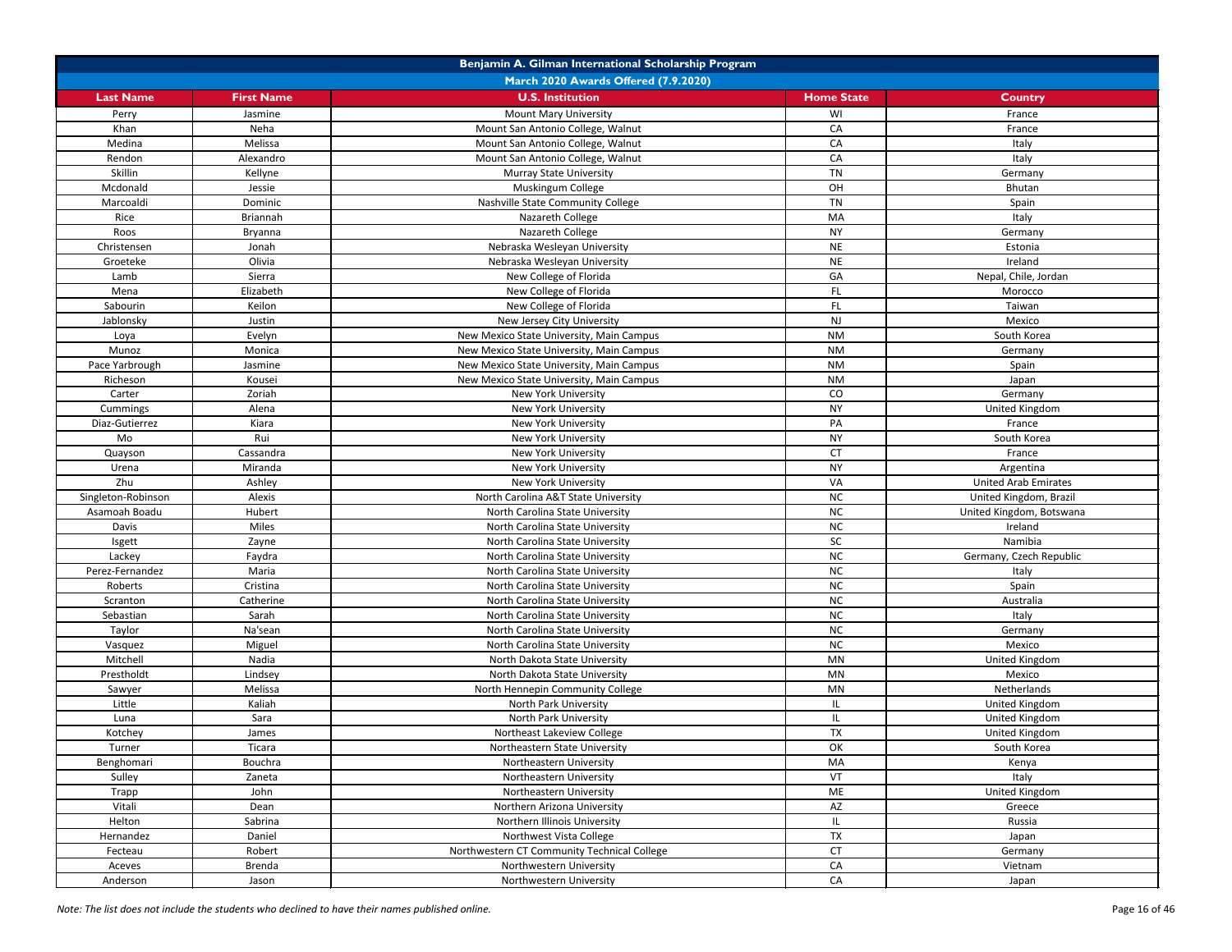| Benjamin A. Gilman International Scholarship Program |                                      |                                             |                   |                             |  |
|------------------------------------------------------|--------------------------------------|---------------------------------------------|-------------------|-----------------------------|--|
|                                                      | March 2020 Awards Offered (7.9.2020) |                                             |                   |                             |  |
| <b>Last Name</b>                                     | <b>First Name</b>                    | <b>U.S. Institution</b>                     | <b>Home State</b> | <b>Country</b>              |  |
| Perry                                                | Jasmine                              | <b>Mount Mary University</b>                | WI                | France                      |  |
| Khan                                                 | Neha                                 | Mount San Antonio College, Walnut           | CA                | France                      |  |
| Medina                                               | Melissa                              | Mount San Antonio College, Walnut           | ${\sf CA}$        | Italy                       |  |
| Rendon                                               | Alexandro                            | Mount San Antonio College, Walnut           | CA                | Italy                       |  |
| Skillin                                              | Kellyne                              | <b>Murray State University</b>              | TN                | Germany                     |  |
| Mcdonald                                             | Jessie                               | Muskingum College                           | OH                | Bhutan                      |  |
| Marcoaldi                                            | Dominic                              | Nashville State Community College           | <b>TN</b>         | Spain                       |  |
| Rice                                                 | Briannah                             | Nazareth College                            | MA                | Italy                       |  |
| Roos                                                 | Bryanna                              | Nazareth College                            | <b>NY</b>         | Germany                     |  |
| Christensen                                          | Jonah                                | Nebraska Wesleyan University                | <b>NE</b>         | Estonia                     |  |
| Groeteke                                             | Olivia                               | Nebraska Wesleyan University                | <b>NE</b>         | Ireland                     |  |
| Lamb                                                 | Sierra                               | New College of Florida                      | GA                | Nepal, Chile, Jordan        |  |
| Mena                                                 | Elizabeth                            | New College of Florida                      | <b>FL</b>         | Morocco                     |  |
| Sabourin                                             | Keilon                               | New College of Florida                      | <b>FL</b>         | Taiwan                      |  |
| Jablonsky                                            | Justin                               | New Jersey City University                  | NJ                | Mexico                      |  |
| Loya                                                 | Evelyn                               | New Mexico State University, Main Campus    | <b>NM</b>         | South Korea                 |  |
| Munoz                                                | Monica                               | New Mexico State University, Main Campus    | <b>NM</b>         | Germany                     |  |
| Pace Yarbrough                                       | Jasmine                              | New Mexico State University, Main Campus    | <b>NM</b>         | Spain                       |  |
| Richeson                                             | Kousei                               | New Mexico State University, Main Campus    | <b>NM</b>         | Japan                       |  |
| Carter                                               | Zoriah                               | New York University                         | CO                | Germany                     |  |
| Cummings                                             | Alena                                | New York University                         | <b>NY</b>         | United Kingdom              |  |
| Diaz-Gutierrez                                       | Kiara                                | New York University                         | PA                | France                      |  |
| Mo                                                   | Rui                                  | New York University                         | <b>NY</b>         | South Korea                 |  |
| Quayson                                              | Cassandra                            | New York University                         | <b>CT</b>         | France                      |  |
| Urena                                                | Miranda                              | New York University                         | <b>NY</b>         | Argentina                   |  |
| Zhu                                                  | Ashley                               | New York University                         | VA                | <b>United Arab Emirates</b> |  |
| Singleton-Robinson                                   | Alexis                               | North Carolina A&T State University         | <b>NC</b>         | United Kingdom, Brazil      |  |
| Asamoah Boadu                                        | Hubert                               | North Carolina State University             | NC                | United Kingdom, Botswana    |  |
| Davis                                                | Miles                                | North Carolina State University             | <b>NC</b>         | Ireland                     |  |
| Isgett                                               | Zayne                                | North Carolina State University             | SC                | Namibia                     |  |
| Lackey                                               | Faydra                               | North Carolina State University             | NC                | Germany, Czech Republic     |  |
| Perez-Fernandez                                      | Maria                                | North Carolina State University             | NC                | Italy                       |  |
| Roberts                                              | Cristina                             | North Carolina State University             | NC                | Spain                       |  |
| Scranton                                             | Catherine                            | North Carolina State University             | NC                | Australia                   |  |
| Sebastian                                            | Sarah                                | North Carolina State University             | NC                | Italy                       |  |
| Taylor                                               | Na'sean                              | North Carolina State University             | NC                | Germany                     |  |
| Vasquez                                              | Miguel                               | North Carolina State University             | NC                | Mexico                      |  |
| Mitchell                                             | Nadia                                | North Dakota State University               | MN                | United Kingdom              |  |
| Prestholdt                                           | Lindsey                              | North Dakota State University               | MN                | Mexico                      |  |
| Sawyer                                               | Melissa                              | North Hennepin Community College            | MN                | Netherlands                 |  |
| Little                                               | Kaliah                               | North Park University                       | IL.               | United Kingdom              |  |
| Luna                                                 | Sara                                 | North Park University                       | IL.               | United Kingdom              |  |
| Kotchey                                              | James                                | Northeast Lakeview College                  | <b>TX</b>         | United Kingdom              |  |
| Turner                                               | Ticara                               | Northeastern State University               | OK                | South Korea                 |  |
| Benghomari                                           | Bouchra                              | Northeastern University                     | MA                | Kenya                       |  |
| Sulley                                               | Zaneta                               | Northeastern University                     | VT                | Italy                       |  |
| Trapp                                                | John                                 | Northeastern University                     | ME                | United Kingdom              |  |
| Vitali                                               | Dean                                 | Northern Arizona University                 | AZ                | Greece                      |  |
| Helton                                               | Sabrina                              | Northern Illinois University                |                   | Russia                      |  |
| Hernandez                                            | Daniel                               | Northwest Vista College                     | TX                | Japan                       |  |
| Fecteau                                              | Robert                               | Northwestern CT Community Technical College | <b>CT</b>         | Germany                     |  |
| Aceves                                               | <b>Brenda</b>                        | Northwestern University                     | ${\sf CA}$        | Vietnam                     |  |
| Anderson                                             | Jason                                | Northwestern University                     | CA                | Japan                       |  |

*Note: The list does not include the students who declined to have their names published online.* Page 16 of 46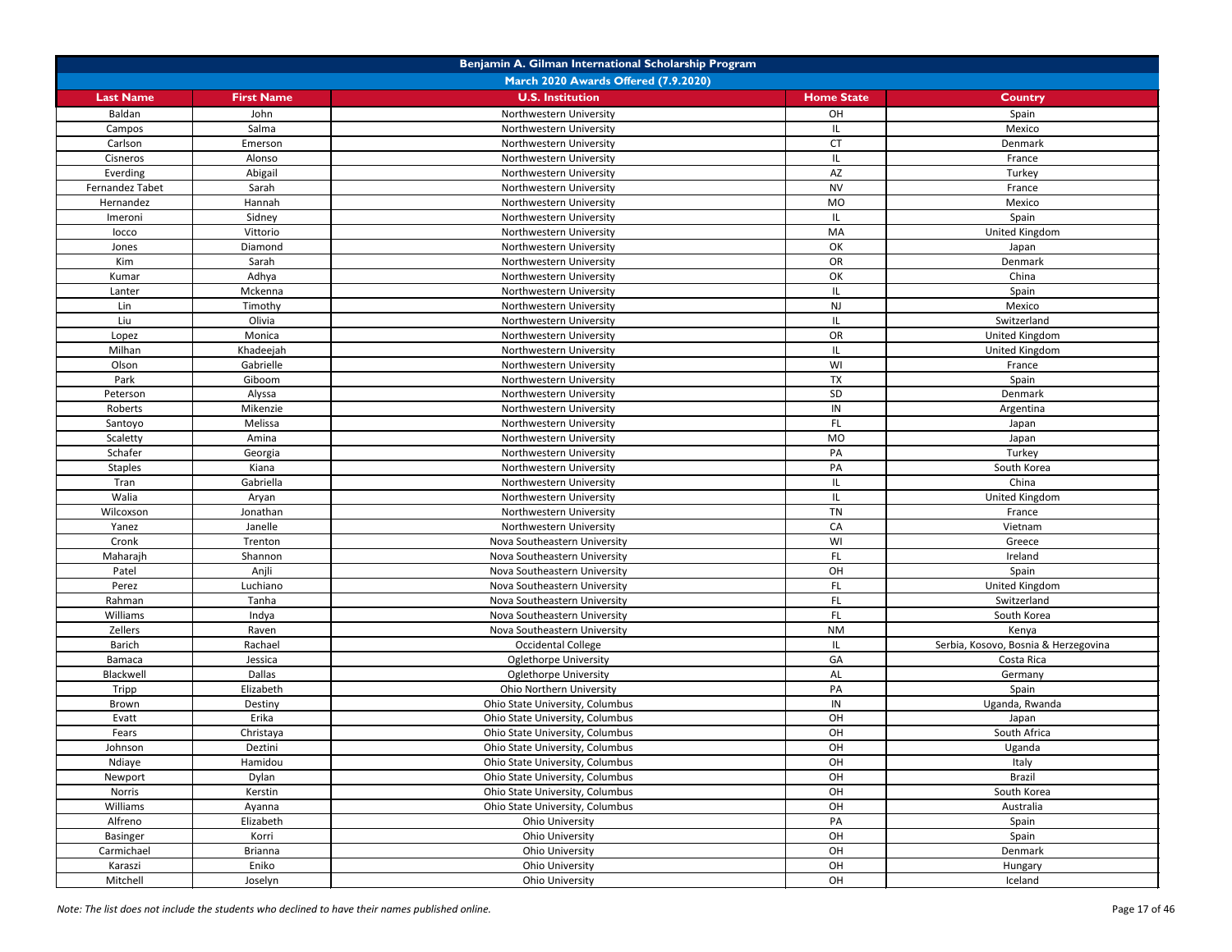|                  | Benjamin A. Gilman International Scholarship Program |                                      |                   |                                      |  |
|------------------|------------------------------------------------------|--------------------------------------|-------------------|--------------------------------------|--|
|                  |                                                      | March 2020 Awards Offered (7.9.2020) |                   |                                      |  |
| <b>Last Name</b> | <b>First Name</b>                                    | <b>U.S. Institution</b>              | <b>Home State</b> | <b>Country</b>                       |  |
| Baldan           | John                                                 | Northwestern University              | OH                | Spain                                |  |
| Campos           | Salma                                                | Northwestern University              |                   | Mexico                               |  |
| Carlson          | Emerson                                              | Northwestern University              | <b>CT</b>         | Denmark                              |  |
| Cisneros         | Alonso                                               | Northwestern University              |                   | France                               |  |
| Everding         | Abigail                                              | Northwestern University              | <b>AZ</b>         | Turkey                               |  |
| Fernandez Tabet  | Sarah                                                | Northwestern University              | <b>NV</b>         | France                               |  |
| Hernandez        | Hannah                                               | Northwestern University              | <b>MO</b>         | Mexico                               |  |
| Imeroni          | Sidney                                               | Northwestern University              |                   | Spain                                |  |
| locco            | Vittorio                                             | Northwestern University              | MA                | United Kingdom                       |  |
| Jones            | Diamond                                              | Northwestern University              | OK                | Japan                                |  |
| Kim              | Sarah                                                | Northwestern University              | OR                | Denmark                              |  |
| Kumar            | Adhya                                                | Northwestern University              | OK                | China                                |  |
| Lanter           | Mckenna                                              | Northwestern University              |                   | Spain                                |  |
| Lin              | Timothy                                              | Northwestern University              | <b>NJ</b>         | Mexico                               |  |
| Liu              | Olivia                                               | Northwestern University              |                   | Switzerland                          |  |
| Lopez            | Monica                                               | Northwestern University              | OR                | United Kingdom                       |  |
| Milhan           | Khadeejah                                            | Northwestern University              |                   | United Kingdom                       |  |
| Olson            | Gabrielle                                            | Northwestern University              | WI                | France                               |  |
| Park             | Giboom                                               | Northwestern University              | <b>TX</b>         | Spain                                |  |
| Peterson         | Alyssa                                               | Northwestern University              | SD                | Denmark                              |  |
| Roberts          | Mikenzie                                             | Northwestern University              | ${\sf IN}$        | Argentina                            |  |
| Santoyo          | Melissa                                              | Northwestern University              | FL.               | Japan                                |  |
| Scaletty         | Amina                                                | Northwestern University              | <b>MO</b>         | Japan                                |  |
| Schafer          | Georgia                                              | Northwestern University              | PA                | Turkey                               |  |
| <b>Staples</b>   | Kiana                                                | Northwestern University              | PA                | South Korea                          |  |
| Tran             | Gabriella                                            | Northwestern University              |                   | China                                |  |
| Walia            | Aryan                                                | Northwestern University              |                   | United Kingdom                       |  |
| Wilcoxson        | Jonathan                                             | Northwestern University              | <b>TN</b>         | France                               |  |
| Yanez            | Janelle                                              | Northwestern University              | CA                | Vietnam                              |  |
| Cronk            | Trenton                                              | Nova Southeastern University         | WI                | Greece                               |  |
| Maharajh         | Shannon                                              | Nova Southeastern University         | FL.               | Ireland                              |  |
| Patel            | Anjli                                                | Nova Southeastern University         | OH                | Spain                                |  |
| Perez            | Luchiano                                             | Nova Southeastern University         | FL.               | United Kingdom                       |  |
| Rahman           | Tanha                                                | Nova Southeastern University         | FL.               | Switzerland                          |  |
| Williams         | Indya                                                | Nova Southeastern University         | FL.               | South Korea                          |  |
| Zellers          | Raven                                                | Nova Southeastern University         | <b>NM</b>         | Kenya                                |  |
| <b>Barich</b>    | Rachael                                              | <b>Occidental College</b>            |                   | Serbia, Kosovo, Bosnia & Herzegovina |  |
| Bamaca           | Jessica                                              | <b>Oglethorpe University</b>         | GA                | Costa Rica                           |  |
| Blackwell        | <b>Dallas</b>                                        | <b>Oglethorpe University</b>         | AL                | Germany                              |  |
| Tripp            | Elizabeth                                            | Ohio Northern University             | PA                | Spain                                |  |
| Brown            | Destiny                                              | Ohio State University, Columbus      | IN                | Uganda, Rwanda                       |  |
| Evatt            | Erika                                                | Ohio State University, Columbus      | OH                | Japan                                |  |
| Fears            | Christaya                                            | Ohio State University, Columbus      | OH                | South Africa                         |  |
| Johnson          | Deztini                                              | Ohio State University, Columbus      | OH                | Uganda                               |  |
| Ndiaye           | Hamidou                                              | Ohio State University, Columbus      | OH                | Italy                                |  |
| Newport          | Dylan                                                | Ohio State University, Columbus      | OH                | <b>Brazil</b>                        |  |
| Norris           | Kerstin                                              | Ohio State University, Columbus      | OH                | South Korea                          |  |
| Williams         | Ayanna                                               | Ohio State University, Columbus      | OH                | Australia                            |  |
| Alfreno          | Elizabeth                                            | <b>Ohio University</b>               | PA                | Spain                                |  |
| <b>Basinger</b>  | Korri                                                | Ohio University                      | OH                | Spain                                |  |
| Carmichael       | <b>Brianna</b>                                       | <b>Ohio University</b>               | OH                | Denmark                              |  |
| Karaszi          | Eniko                                                | Ohio University                      | OH                | Hungary                              |  |
| Mitchell         | Joselyn                                              | <b>Ohio University</b>               | OH                | Iceland                              |  |
|                  |                                                      |                                      |                   |                                      |  |

*Note: The list does not include the students who declined to have their names published online.* Page 17 of 46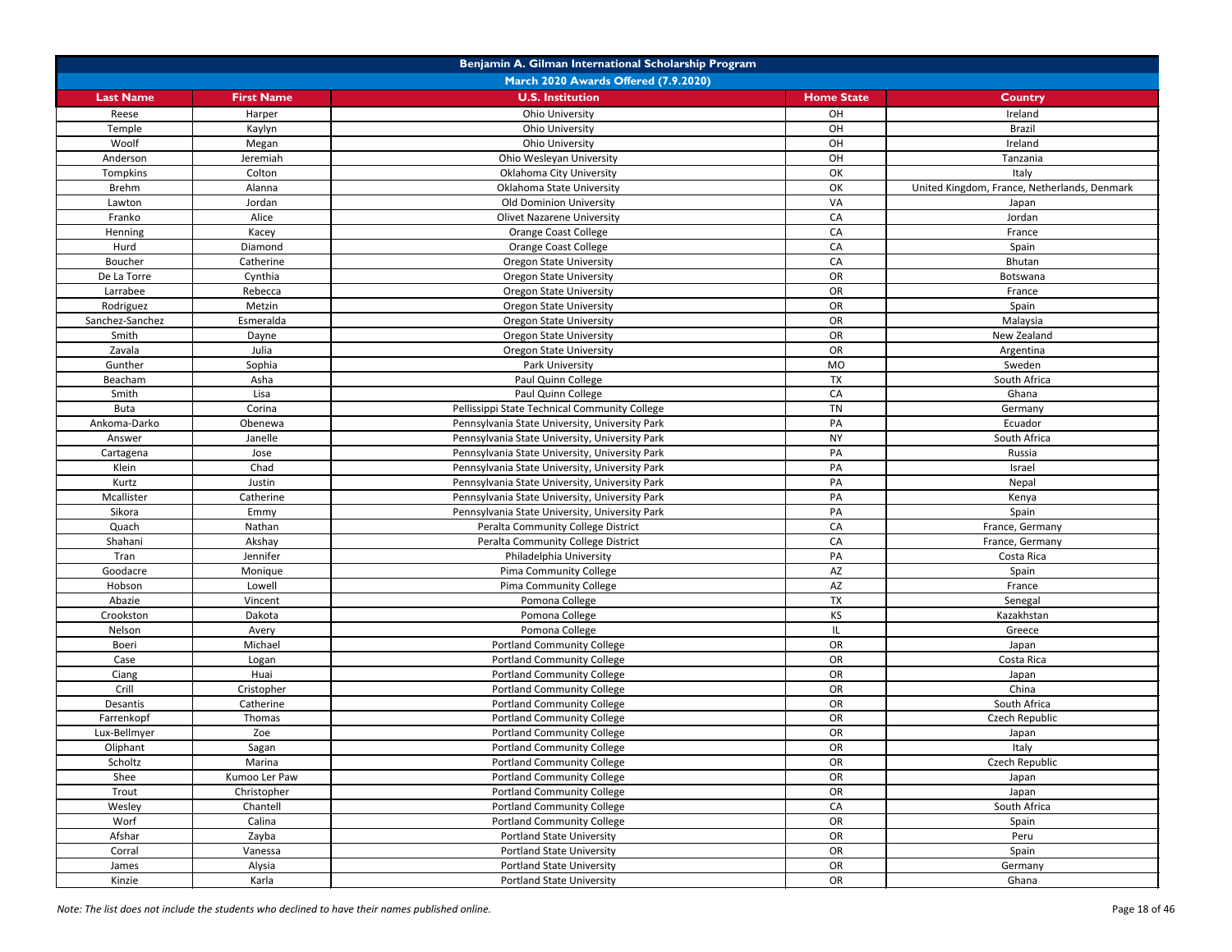|                  | Benjamin A. Gilman International Scholarship Program |                                                |                   |                                              |  |
|------------------|------------------------------------------------------|------------------------------------------------|-------------------|----------------------------------------------|--|
|                  |                                                      | March 2020 Awards Offered (7.9.2020)           |                   |                                              |  |
| <b>Last Name</b> | <b>First Name</b>                                    | <b>U.S. Institution</b>                        | <b>Home State</b> | <b>Country</b>                               |  |
| Reese            | Harper                                               | <b>Ohio University</b>                         | OH                | Ireland                                      |  |
| Temple           | Kaylyn                                               | <b>Ohio University</b>                         | OH                | <b>Brazil</b>                                |  |
| Woolf            | Megan                                                | <b>Ohio University</b>                         | OH                | Ireland                                      |  |
| Anderson         | Jeremiah                                             | Ohio Wesleyan University                       | OH                | Tanzania                                     |  |
| Tompkins         | Colton                                               | Oklahoma City University                       | OK                | Italy                                        |  |
| <b>Brehm</b>     | Alanna                                               | Oklahoma State University                      | OK                | United Kingdom, France, Netherlands, Denmark |  |
| Lawton           | Jordan                                               | <b>Old Dominion University</b>                 | VA                | Japan                                        |  |
| Franko           | Alice                                                | <b>Olivet Nazarene University</b>              | CA                | Jordan                                       |  |
| Henning          | Kacey                                                | <b>Orange Coast College</b>                    | CA                | France                                       |  |
| Hurd             | Diamond                                              | <b>Orange Coast College</b>                    | CA                | Spain                                        |  |
| Boucher          | Catherine                                            | <b>Oregon State University</b>                 | CA                | Bhutan                                       |  |
| De La Torre      | Cynthia                                              | <b>Oregon State University</b>                 | OR                | Botswana                                     |  |
| Larrabee         | Rebecca                                              | <b>Oregon State University</b>                 | OR                | France                                       |  |
| Rodriguez        | Metzin                                               | <b>Oregon State University</b>                 | OR                | Spain                                        |  |
| Sanchez-Sanchez  | Esmeralda                                            | <b>Oregon State University</b>                 | OR                | Malaysia                                     |  |
| Smith            | Dayne                                                | <b>Oregon State University</b>                 | OR                | New Zealand                                  |  |
| Zavala           | Julia                                                | <b>Oregon State University</b>                 | OR                | Argentina                                    |  |
| Gunther          | Sophia                                               | Park University                                | <b>MO</b>         | Sweden                                       |  |
| Beacham          | Asha                                                 | Paul Quinn College                             | <b>TX</b>         | South Africa                                 |  |
| Smith            | Lisa                                                 | Paul Quinn College                             | ${\sf CA}$        | Ghana                                        |  |
| <b>Buta</b>      | Corina                                               | Pellissippi State Technical Community College  | <b>TN</b>         | Germany                                      |  |
| Ankoma-Darko     | Obenewa                                              | Pennsylvania State University, University Park | PA                | Ecuador                                      |  |
| Answer           | Janelle                                              | Pennsylvania State University, University Park | <b>NY</b>         | South Africa                                 |  |
| Cartagena        | Jose                                                 | Pennsylvania State University, University Park | PA                | Russia                                       |  |
| Klein            | Chad                                                 | Pennsylvania State University, University Park | PA                | Israel                                       |  |
| Kurtz            | Justin                                               | Pennsylvania State University, University Park | PA                | Nepal                                        |  |
| Mcallister       | Catherine                                            | Pennsylvania State University, University Park | PA                | Kenya                                        |  |
| Sikora           | Emmy                                                 | Pennsylvania State University, University Park | PA                | Spain                                        |  |
| Quach            | Nathan                                               | Peralta Community College District             | CA                | France, Germany                              |  |
| Shahani          | Akshay                                               | Peralta Community College District             | ${\sf CA}$        | France, Germany                              |  |
| Tran             | Jennifer                                             | Philadelphia University                        | PA                | Costa Rica                                   |  |
| Goodacre         | Monique                                              | Pima Community College                         | AZ                | Spain                                        |  |
| Hobson           | Lowell                                               | <b>Pima Community College</b>                  | AZ                | France                                       |  |
| Abazie           | Vincent                                              | Pomona College                                 | <b>TX</b>         | Senegal                                      |  |
| Crookston        | Dakota                                               | Pomona College                                 | <b>KS</b>         | Kazakhstan                                   |  |
| Nelson           | Avery                                                | Pomona College                                 | IL.               | Greece                                       |  |
| Boeri            | Michael                                              | <b>Portland Community College</b>              | <b>OR</b>         | Japan                                        |  |
| Case             | Logan                                                | <b>Portland Community College</b>              | OR                | Costa Rica                                   |  |
| Ciang            | Huai                                                 | <b>Portland Community College</b>              | OR                | Japan                                        |  |
| Crill            | Cristopher                                           | <b>Portland Community College</b>              | <b>OR</b>         | China                                        |  |
| Desantis         | Catherine                                            | <b>Portland Community College</b>              | OR                | South Africa                                 |  |
| Farrenkopf       | Thomas                                               | <b>Portland Community College</b>              | OR                | Czech Republic                               |  |
| Lux-Bellmyer     | Zoe                                                  | <b>Portland Community College</b>              | OR                | Japan                                        |  |
| Oliphant         | Sagan                                                | <b>Portland Community College</b>              | OR                | Italy                                        |  |
| Scholtz          | Marina                                               | <b>Portland Community College</b>              | OR                | Czech Republic                               |  |
| Shee             | Kumoo Ler Paw                                        | <b>Portland Community College</b>              | OR                | Japan                                        |  |
| Trout            | Christopher                                          | <b>Portland Community College</b>              | OR                | Japan                                        |  |
| Wesley           | Chantell                                             | <b>Portland Community College</b>              | CA                | South Africa                                 |  |
| Worf             | Calina                                               | <b>Portland Community College</b>              | OR                | Spain                                        |  |
| Afshar           | Zayba                                                | <b>Portland State University</b>               | OR                | Peru                                         |  |
| Corral           | Vanessa                                              | <b>Portland State University</b>               | OR                | Spain                                        |  |
| James            | Alysia                                               | <b>Portland State University</b>               | OR                | Germany                                      |  |
| Kinzie           | Karla                                                | <b>Portland State University</b>               | OR                | Ghana                                        |  |

*Note: The list does not include the students who declined to have their names published online.* Page 18 of 46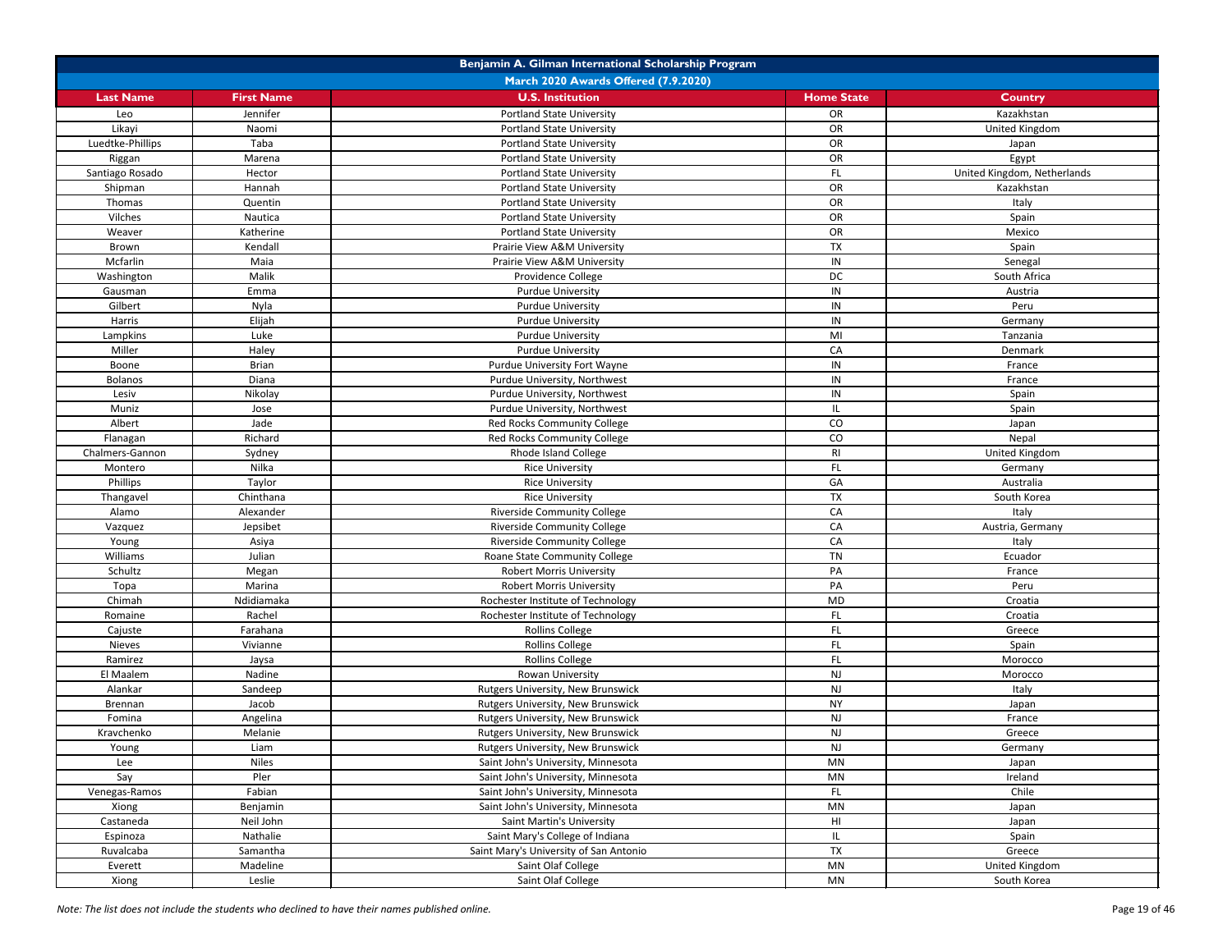| Benjamin A. Gilman International Scholarship Program |                   |                                        |                   |                             |
|------------------------------------------------------|-------------------|----------------------------------------|-------------------|-----------------------------|
|                                                      |                   | March 2020 Awards Offered (7.9.2020)   |                   |                             |
| <b>Last Name</b>                                     | <b>First Name</b> | <b>U.S. Institution</b>                | <b>Home State</b> | <b>Country</b>              |
| Leo                                                  | Jennifer          | <b>Portland State University</b>       | OR                | Kazakhstan                  |
| Likayi                                               | Naomi             | <b>Portland State University</b>       | OR                | United Kingdom              |
| Luedtke-Phillips                                     | Taba              | <b>Portland State University</b>       | OR                | Japan                       |
| Riggan                                               | Marena            | <b>Portland State University</b>       | OR                | Egypt                       |
| Santiago Rosado                                      | Hector            | <b>Portland State University</b>       | FL.               | United Kingdom, Netherlands |
| Shipman                                              | Hannah            | <b>Portland State University</b>       | OR                | Kazakhstan                  |
| Thomas                                               | Quentin           | <b>Portland State University</b>       | OR                | Italy                       |
| Vilches                                              | Nautica           | <b>Portland State University</b>       | OR                | Spain                       |
| Weaver                                               | Katherine         | <b>Portland State University</b>       | OR                | Mexico                      |
| Brown                                                | Kendall           | Prairie View A&M University            | <b>TX</b>         | Spain                       |
| Mcfarlin                                             | Maia              | Prairie View A&M University            | IN                | Senegal                     |
| Washington                                           | Malik             | Providence College                     | DC                | South Africa                |
| Gausman                                              | Emma              | <b>Purdue University</b>               | IN                | Austria                     |
| Gilbert                                              | Nyla              | <b>Purdue University</b>               | IN                | Peru                        |
| Harris                                               | Elijah            | <b>Purdue University</b>               | IN                | Germany                     |
| Lampkins                                             | Luke              | <b>Purdue University</b>               | MI                | Tanzania                    |
| Miller                                               | Haley             | <b>Purdue University</b>               | CA                | Denmark                     |
| Boone                                                | <b>Brian</b>      | Purdue University Fort Wayne           | IN                | France                      |
| Bolanos                                              | Diana             | Purdue University, Northwest           | IN                | France                      |
| Lesiv                                                | Nikolay           | Purdue University, Northwest           | IN                | Spain                       |
| Muniz                                                | Jose              | Purdue University, Northwest           | IL                | Spain                       |
| Albert                                               | Jade              | Red Rocks Community College            | CO                | Japan                       |
| Flanagan                                             | Richard           | Red Rocks Community College            | CO                | Nepal                       |
| Chalmers-Gannon                                      | Sydney            | Rhode Island College                   | R <sub>l</sub>    | United Kingdom              |
| Montero                                              | Nilka             | <b>Rice University</b>                 | FL.               | Germany                     |
| Phillips                                             | Taylor            | <b>Rice University</b>                 | GA                | Australia                   |
| Thangavel                                            | Chinthana         | <b>Rice University</b>                 | <b>TX</b>         | South Korea                 |
| Alamo                                                | Alexander         | <b>Riverside Community College</b>     | CA                | Italy                       |
| Vazquez                                              | Jepsibet          | <b>Riverside Community College</b>     | CA                | Austria, Germany            |
| Young                                                | Asiya             | <b>Riverside Community College</b>     | CA                | Italy                       |
| Williams                                             | Julian            | Roane State Community College          | TN                | Ecuador                     |
| Schultz                                              | Megan             | <b>Robert Morris University</b>        | PA                | France                      |
| Topa                                                 | Marina            | <b>Robert Morris University</b>        | PA                | Peru                        |
| Chimah                                               | Ndidiamaka        | Rochester Institute of Technology      | MD                | Croatia                     |
| Romaine                                              | Rachel            | Rochester Institute of Technology      | FL.               | Croatia                     |
| Cajuste                                              | Farahana          | <b>Rollins College</b>                 | FL.               | Greece                      |
| <b>Nieves</b>                                        | Vivianne          | <b>Rollins College</b>                 | FL                | Spain                       |
| Ramirez                                              | Jaysa             | <b>Rollins College</b>                 | FL.               | Morocco                     |
| El Maalem                                            | Nadine            | Rowan University                       | <b>NJ</b>         | Morocco                     |
| Alankar                                              | Sandeep           | Rutgers University, New Brunswick      | <b>NJ</b>         | Italy                       |
| Brennan                                              | Jacob             | Rutgers University, New Brunswick      | <b>NY</b>         | Japan                       |
| Fomina                                               | Angelina          | Rutgers University, New Brunswick      | NJ                | France                      |
| Kravchenko                                           | Melanie           | Rutgers University, New Brunswick      | NJ                | Greece                      |
| Young                                                | Liam              | Rutgers University, New Brunswick      | <b>NJ</b>         | Germany                     |
| Lee                                                  | <b>Niles</b>      | Saint John's University, Minnesota     | <b>MN</b>         | Japan                       |
| Say                                                  | Pler              | Saint John's University, Minnesota     | <b>MN</b>         | Ireland                     |
| Venegas-Ramos                                        | Fabian            | Saint John's University, Minnesota     | FL.               | Chile                       |
| Xiong                                                | Benjamin          | Saint John's University, Minnesota     | <b>MN</b>         | Japan                       |
| Castaneda                                            | Neil John         | <b>Saint Martin's University</b>       | H <sub>II</sub>   | Japan                       |
| Espinoza                                             | Nathalie          | Saint Mary's College of Indiana        | IL.               | Spain                       |
| Ruvalcaba                                            | Samantha          | Saint Mary's University of San Antonio | <b>TX</b>         | Greece                      |
| Everett                                              | Madeline          | Saint Olaf College                     | <b>MN</b>         | United Kingdom              |
| Xiong                                                | Leslie            | Saint Olaf College                     | MN                | South Korea                 |

*Note: The list does not include the students who declined to have their names published online.* Page 19 of 46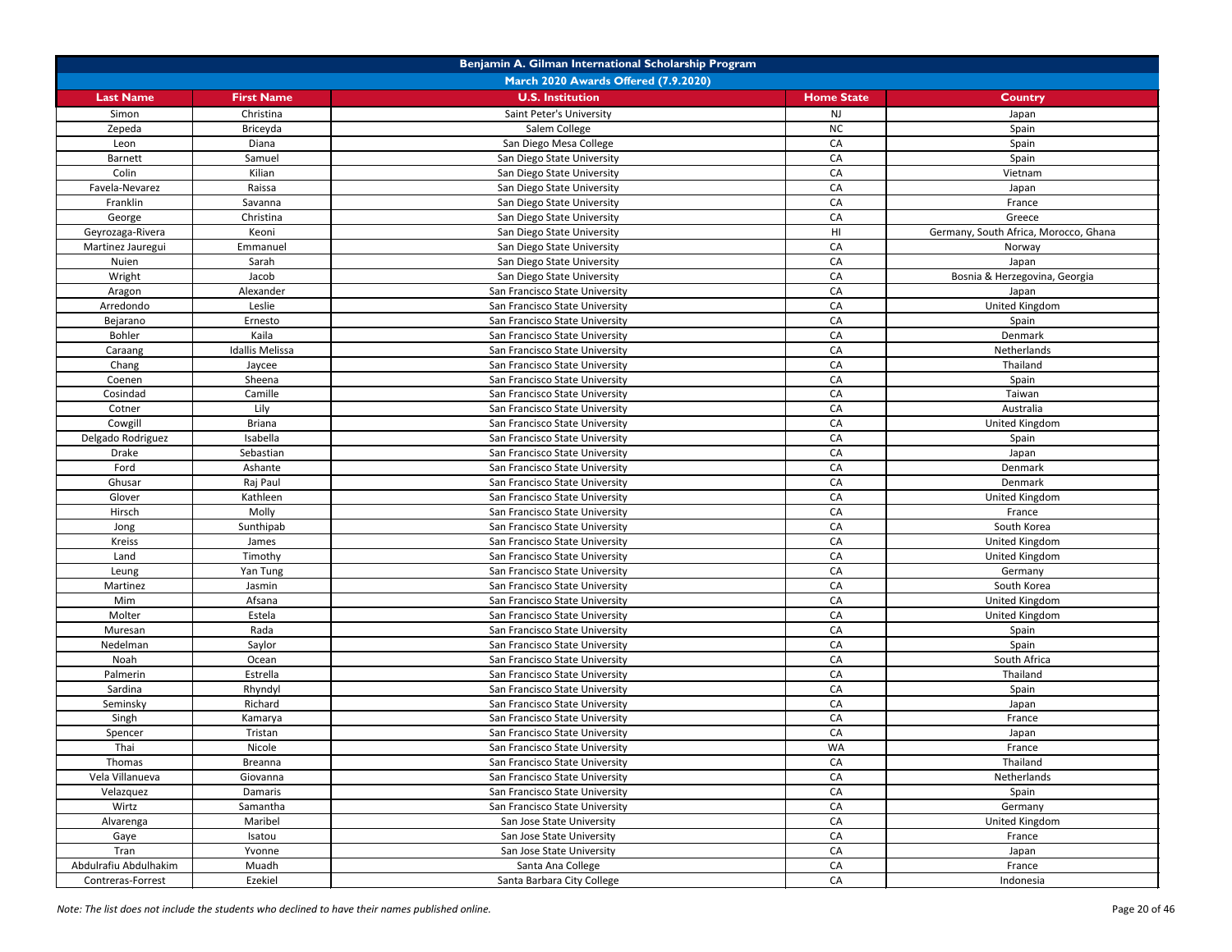| Benjamin A. Gilman International Scholarship Program |                        |                                      |                   |                                       |
|------------------------------------------------------|------------------------|--------------------------------------|-------------------|---------------------------------------|
|                                                      |                        | March 2020 Awards Offered (7.9.2020) |                   |                                       |
| <b>Last Name</b>                                     | <b>First Name</b>      | <b>U.S. Institution</b>              | <b>Home State</b> | <b>Country</b>                        |
| Simon                                                | Christina              | Saint Peter's University             | <b>NJ</b>         | Japan                                 |
| Zepeda                                               | Briceyda               | Salem College                        | NC                | Spain                                 |
| Leon                                                 | Diana                  | San Diego Mesa College               | CA                | Spain                                 |
| <b>Barnett</b>                                       | Samuel                 | San Diego State University           | CA                | Spain                                 |
| Colin                                                | Kilian                 | San Diego State University           | CA                | Vietnam                               |
| Favela-Nevarez                                       | Raissa                 | San Diego State University           | CA                | Japan                                 |
| Franklin                                             | Savanna                | San Diego State University           | CA                | France                                |
| George                                               | Christina              | San Diego State University           | CA                | Greece                                |
| Geyrozaga-Rivera                                     | Keoni                  | San Diego State University           | H <sub>l</sub>    | Germany, South Africa, Morocco, Ghana |
| Martinez Jauregui                                    | Emmanuel               | San Diego State University           | CA                | Norway                                |
| Nuien                                                | Sarah                  | San Diego State University           | CA                | Japan                                 |
| Wright                                               | Jacob                  | San Diego State University           | CA                | Bosnia & Herzegovina, Georgia         |
| Aragon                                               | Alexander              | San Francisco State University       | CA                | Japan                                 |
| Arredondo                                            | Leslie                 | San Francisco State University       | CA                | United Kingdom                        |
| Bejarano                                             | Ernesto                | San Francisco State University       | CA                | Spain                                 |
| Bohler                                               | Kaila                  | San Francisco State University       | CA                | Denmark                               |
| Caraang                                              | <b>Idallis Melissa</b> | San Francisco State University       | CA                | Netherlands                           |
| Chang                                                | Jaycee                 | San Francisco State University       | CA                | Thailand                              |
| Coenen                                               | Sheena                 | San Francisco State University       | CA                | Spain                                 |
| Cosindad                                             | Camille                | San Francisco State University       | CA                | Taiwan                                |
| Cotner                                               | Lily                   | San Francisco State University       | CA                | Australia                             |
| Cowgill                                              | <b>Briana</b>          | San Francisco State University       | CA                | United Kingdom                        |
| Delgado Rodriguez                                    | Isabella               | San Francisco State University       | CA                | Spain                                 |
| <b>Drake</b>                                         | Sebastian              | San Francisco State University       | CA                | Japan                                 |
| Ford                                                 | Ashante                | San Francisco State University       | CA                | Denmark                               |
| Ghusar                                               | Raj Paul               | San Francisco State University       | CA                | Denmark                               |
| Glover                                               | Kathleen               | San Francisco State University       | CA                | United Kingdom                        |
| Hirsch                                               | Molly                  | San Francisco State University       | CA                | France                                |
| Jong                                                 | Sunthipab              | San Francisco State University       | CA                | South Korea                           |
| <b>Kreiss</b>                                        | James                  | San Francisco State University       | CA                | United Kingdom                        |
| Land                                                 | Timothy                | San Francisco State University       | CA                | United Kingdom                        |
| Leung                                                | Yan Tung               | San Francisco State University       | CA                | Germany                               |
| Martinez                                             | Jasmin                 | San Francisco State University       | CA                | South Korea                           |
| Mim                                                  | Afsana                 | San Francisco State University       | CA                | United Kingdom                        |
| Molter                                               | Estela                 | San Francisco State University       | CA                | United Kingdom                        |
| Muresan                                              | Rada                   | San Francisco State University       | CA                | Spain                                 |
| Nedelman                                             | Saylor                 | San Francisco State University       | CA                | Spain                                 |
| Noah                                                 | Ocean                  | San Francisco State University       | CA                | South Africa                          |
| Palmerin                                             | Estrella               | San Francisco State University       | CA                | Thailand                              |
| Sardina                                              | Rhyndyl                | San Francisco State University       | CA                | Spain                                 |
| Seminsky                                             | Richard                | San Francisco State University       | CA                | Japan                                 |
| Singh                                                | Kamarya                | San Francisco State University       | CA                | France                                |
| Spencer                                              | Tristan                | San Francisco State University       | CA                | Japan                                 |
| Thai                                                 | Nicole                 | San Francisco State University       | WA                | France                                |
| Thomas                                               | Breanna                | San Francisco State University       | CA                | Thailand                              |
| Vela Villanueva                                      | Giovanna               | San Francisco State University       | CA                | Netherlands                           |
| Velazquez                                            | Damaris                | San Francisco State University       | CA                | Spain                                 |
| Wirtz                                                | Samantha               | San Francisco State University       | CA                | Germany                               |
| Alvarenga                                            | Maribel                | San Jose State University            | CA                | United Kingdom                        |
| Gaye                                                 | Isatou                 | San Jose State University            | CA                | France                                |
| Tran                                                 | Yvonne                 | San Jose State University            | CA                | Japan                                 |
| Abdulrafiu Abdulhakim                                | Muadh                  | Santa Ana College                    | CA                | France                                |
| Contreras-Forrest                                    | Ezekiel                | Santa Barbara City College           | CA                | Indonesia                             |

*Note: The list does not include the students who declined to have their names published online.* Page 20 of 46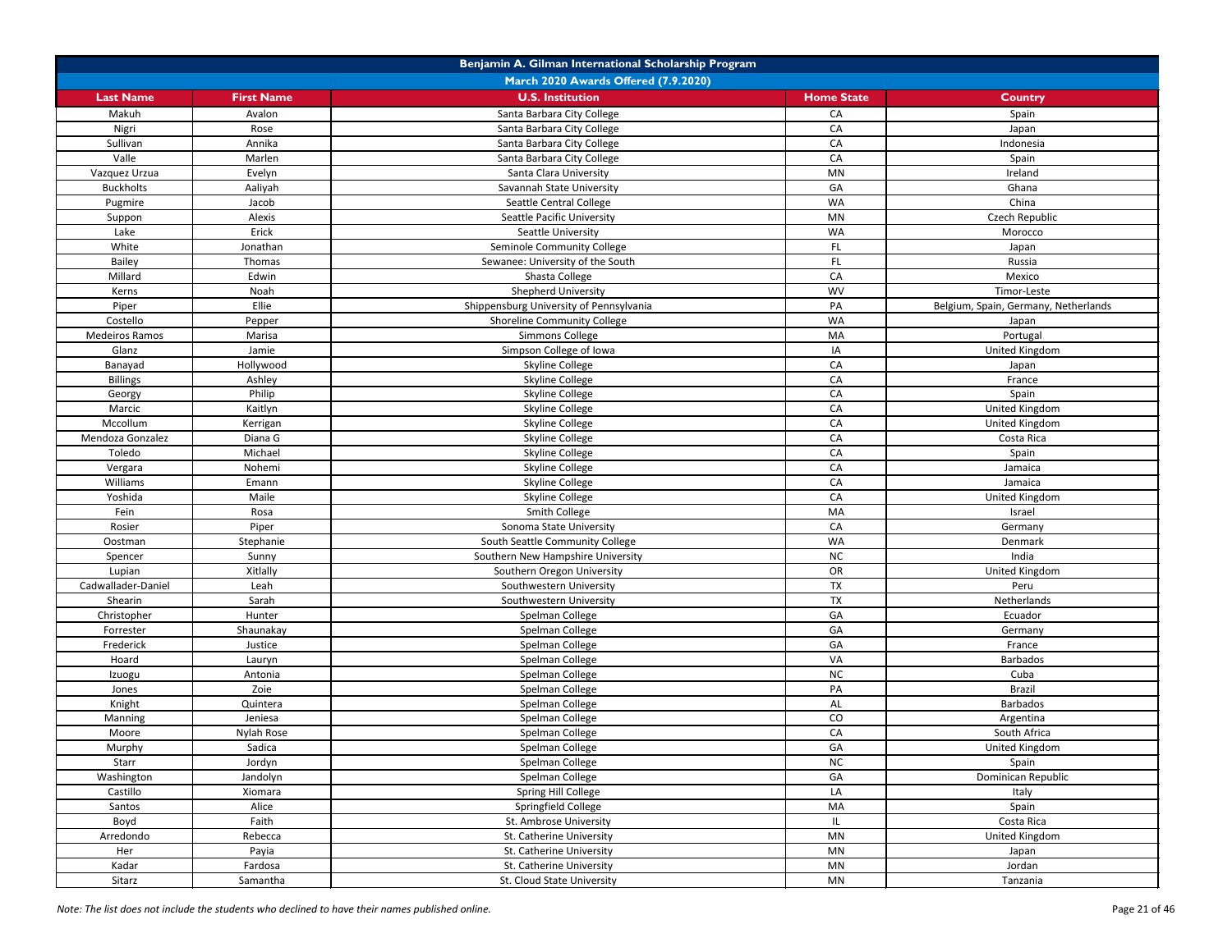| Benjamin A. Gilman International Scholarship Program |                   |                                         |                   |                                      |
|------------------------------------------------------|-------------------|-----------------------------------------|-------------------|--------------------------------------|
|                                                      |                   | March 2020 Awards Offered (7.9.2020)    |                   |                                      |
| <b>Last Name</b>                                     | <b>First Name</b> | <b>U.S. Institution</b>                 | <b>Home State</b> | <b>Country</b>                       |
| Makuh                                                | Avalon            | Santa Barbara City College              | CA                | Spain                                |
| Nigri                                                | Rose              | Santa Barbara City College              | CA                | Japan                                |
| Sullivan                                             | Annika            | Santa Barbara City College              | CA                | Indonesia                            |
| Valle                                                | Marlen            | Santa Barbara City College              | CA                | Spain                                |
| Vazquez Urzua                                        | Evelyn            | Santa Clara University                  | <b>MN</b>         | Ireland                              |
| <b>Buckholts</b>                                     | Aaliyah           | Savannah State University               | GA                | Ghana                                |
| Pugmire                                              | Jacob             | Seattle Central College                 | <b>WA</b>         | China                                |
| Suppon                                               | Alexis            | Seattle Pacific University              | MN                | Czech Republic                       |
| Lake                                                 | Erick             | Seattle University                      | <b>WA</b>         | Morocco                              |
| White                                                | Jonathan          | Seminole Community College              | FL.               | Japan                                |
| Bailey                                               | Thomas            | Sewanee: University of the South        | FL.               | Russia                               |
| Millard                                              | Edwin             | Shasta College                          | CA                | Mexico                               |
| Kerns                                                | Noah              | Shepherd University                     | <b>WV</b>         | Timor-Leste                          |
| Piper                                                | Ellie             | Shippensburg University of Pennsylvania | PA                | Belgium, Spain, Germany, Netherlands |
| Costello                                             | Pepper            | <b>Shoreline Community College</b>      | <b>WA</b>         | Japan                                |
| Medeiros Ramos                                       | Marisa            | <b>Simmons College</b>                  | MA                | Portugal                             |
| Glanz                                                | Jamie             | Simpson College of Iowa                 | IA                | United Kingdom                       |
| Banayad                                              | Hollywood         | Skyline College                         | CA                | Japan                                |
| <b>Billings</b>                                      | Ashley            | Skyline College                         | CA                | France                               |
| Georgy                                               | Philip            | Skyline College                         | CA                | Spain                                |
| Marcic                                               | Kaitlyn           | Skyline College                         | CA                | United Kingdom                       |
| Mccollum                                             | Kerrigan          | Skyline College                         | CA                | United Kingdom                       |
| Mendoza Gonzalez                                     | Diana G           | Skyline College                         | CA                | Costa Rica                           |
| Toledo                                               | Michael           | Skyline College                         | CA                | Spain                                |
| Vergara                                              | Nohemi            | Skyline College                         | CA                | Jamaica                              |
| Williams                                             | Emann             | Skyline College                         | CA                | Jamaica                              |
| Yoshida                                              | Maile             | Skyline College                         | CA                | United Kingdom                       |
| Fein                                                 | Rosa              | Smith College                           | MA                | Israel                               |
| Rosier                                               | Piper             | Sonoma State University                 | CA                | Germany                              |
| Oostman                                              | Stephanie         | South Seattle Community College         | WA                | Denmark                              |
| Spencer                                              | Sunny             | Southern New Hampshire University       | NC                | India                                |
| Lupian                                               | Xitlally          | Southern Oregon University              | OR                | United Kingdom                       |
| Cadwallader-Daniel                                   | Leah              | Southwestern University                 | <b>TX</b>         | Peru                                 |
| Shearin                                              | Sarah             | Southwestern University                 | <b>TX</b>         | Netherlands                          |
| Christopher                                          | Hunter            | Spelman College                         | GA                | Ecuador                              |
| Forrester                                            | Shaunakay         | Spelman College                         | GA                | Germany                              |
| Frederick                                            | Justice           | Spelman College                         | GA                | France                               |
| Hoard                                                | Lauryn            | Spelman College                         | VA                | <b>Barbados</b>                      |
| Izuogu                                               | Antonia           | Spelman College                         | NC                | Cuba                                 |
| Jones                                                | Zoie              | Spelman College                         | PA                | Brazil                               |
| Knight                                               | Quintera          | Spelman College                         | AL                | <b>Barbados</b>                      |
| <b>Manning</b>                                       | Jeniesa           | Spelman College                         | CO                | Argentina                            |
| Moore                                                | Nylah Rose        | Spelman College                         | CA                | South Africa                         |
| Murphy                                               | Sadica            | Spelman College                         | GA                | United Kingdom                       |
| Starr                                                | Jordyn            | Spelman College                         | NC                | Spain                                |
| Washington                                           | Jandolyn          | Spelman College                         | GA                | Dominican Republic                   |
| Castillo                                             | Xiomara           | Spring Hill College                     | LA                | Italy                                |
| Santos                                               | Alice             | Springfield College                     | MA                | Spain                                |
|                                                      | Faith             | St. Ambrose University                  |                   | Costa Rica                           |
| Boyd<br>Arredondo                                    |                   | St. Catherine University                | <b>MN</b>         |                                      |
|                                                      | Rebecca           |                                         | MN                | United Kingdom                       |
| Her                                                  | Payia             | St. Catherine University                |                   | Japan                                |
| Kadar                                                | Fardosa           | St. Catherine University                | MN                | Jordan                               |
| Sitarz                                               | Samantha          | St. Cloud State University              | MN                | Tanzania                             |

*Note: The list does not include the students who declined to have their names published online.* Page 21 of 46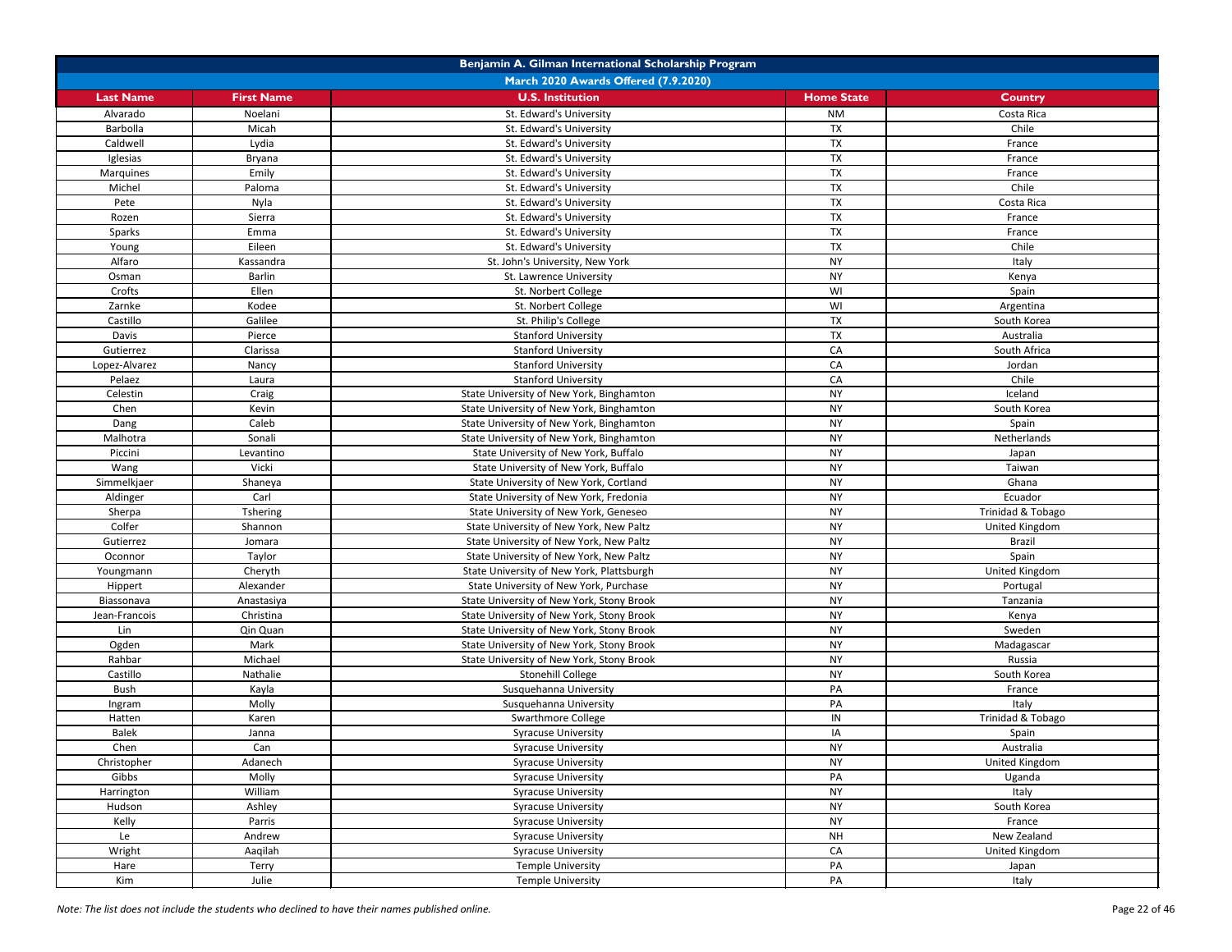| Benjamin A. Gilman International Scholarship Program |                   |                                           |                   |                       |
|------------------------------------------------------|-------------------|-------------------------------------------|-------------------|-----------------------|
|                                                      |                   | March 2020 Awards Offered (7.9.2020)      |                   |                       |
| <b>Last Name</b>                                     | <b>First Name</b> | <b>U.S. Institution</b>                   | <b>Home State</b> | <b>Country</b>        |
| Alvarado                                             | Noelani           | St. Edward's University                   | <b>NM</b>         | Costa Rica            |
| Barbolla                                             | Micah             | St. Edward's University                   | <b>TX</b>         | Chile                 |
| Caldwell                                             | Lydia             | St. Edward's University                   | <b>TX</b>         | France                |
| Iglesias                                             | Bryana            | St. Edward's University                   | <b>TX</b>         | France                |
| Marquines                                            | Emily             | St. Edward's University                   | <b>TX</b>         | France                |
| Michel                                               | Paloma            | St. Edward's University                   | <b>TX</b>         | Chile                 |
| Pete                                                 | Nyla              | St. Edward's University                   | <b>TX</b>         | Costa Rica            |
| Rozen                                                | Sierra            | St. Edward's University                   | <b>TX</b>         | France                |
| Sparks                                               | Emma              | St. Edward's University                   | <b>TX</b>         | France                |
| Young                                                | Eileen            | St. Edward's University                   | <b>TX</b>         | Chile                 |
| Alfaro                                               | Kassandra         | St. John's University, New York           | <b>NY</b>         | Italy                 |
| Osman                                                | <b>Barlin</b>     | St. Lawrence University                   | <b>NY</b>         | Kenya                 |
| Crofts                                               | Ellen             | St. Norbert College                       | WI                | Spain                 |
| Zarnke                                               | Kodee             | St. Norbert College                       | WI                | Argentina             |
| Castillo                                             | Galilee           | St. Philip's College                      | <b>TX</b>         | South Korea           |
| Davis                                                | Pierce            | <b>Stanford University</b>                | <b>TX</b>         | Australia             |
| Gutierrez                                            | Clarissa          | <b>Stanford University</b>                | CA                | South Africa          |
| Lopez-Alvarez                                        | Nancy             | <b>Stanford University</b>                | CA                | Jordan                |
| Pelaez                                               | Laura             | <b>Stanford University</b>                | CA                | Chile                 |
| Celestin                                             | Craig             | State University of New York, Binghamton  | <b>NY</b>         | Iceland               |
| Chen                                                 | Kevin             | State University of New York, Binghamton  | <b>NY</b>         | South Korea           |
| Dang                                                 | Caleb             | State University of New York, Binghamton  | <b>NY</b>         | Spain                 |
| Malhotra                                             | Sonali            | State University of New York, Binghamton  | <b>NY</b>         | Netherlands           |
| Piccini                                              | Levantino         | State University of New York, Buffalo     | <b>NY</b>         | Japan                 |
| Wang                                                 | Vicki             | State University of New York, Buffalo     | <b>NY</b>         | Taiwan                |
| Simmelkjaer                                          | Shaneya           | State University of New York, Cortland    | <b>NY</b>         | Ghana                 |
| Aldinger                                             | Carl              | State University of New York, Fredonia    | <b>NY</b>         | Ecuador               |
| Sherpa                                               | Tshering          | State University of New York, Geneseo     | <b>NY</b>         | Trinidad & Tobago     |
| Colfer                                               | Shannon           | State University of New York, New Paltz   | <b>NY</b>         | United Kingdom        |
| Gutierrez                                            | Jomara            | State University of New York, New Paltz   | <b>NY</b>         | <b>Brazil</b>         |
| Oconnor                                              | Taylor            | State University of New York, New Paltz   | <b>NY</b>         | Spain                 |
| Youngmann                                            | Cheryth           | State University of New York, Plattsburgh | <b>NY</b>         | <b>United Kingdom</b> |
| Hippert                                              | Alexander         | State University of New York, Purchase    | <b>NY</b>         | Portugal              |
| Biassonava                                           | Anastasiya        | State University of New York, Stony Brook | <b>NY</b>         | Tanzania              |
| Jean-Francois                                        | Christina         | State University of New York, Stony Brook | <b>NY</b>         | Kenya                 |
| Lin                                                  | Qin Quan          | State University of New York, Stony Brook | <b>NY</b>         | Sweden                |
| Ogden                                                | Mark              | State University of New York, Stony Brook | <b>NY</b>         | Madagascar            |
| Rahbar                                               | Michael           | State University of New York, Stony Brook | <b>NY</b>         | Russia                |
| Castillo                                             | Nathalie          | Stonehill College                         | <b>NY</b>         | South Korea           |
| Bush                                                 | Kayla             | Susquehanna University                    | PA                | France                |
| Ingram                                               | Molly             | Susquehanna University                    | PA                | Italy                 |
| Hatten                                               | Karen             | <b>Swarthmore College</b>                 | IN                | Trinidad & Tobago     |
| <b>Balek</b>                                         | Janna             | <b>Syracuse University</b>                | IA                | Spain                 |
| Chen                                                 | Can               | <b>Syracuse University</b>                | <b>NY</b>         | Australia             |
| Christopher                                          | Adanech           | <b>Syracuse University</b>                | <b>NY</b>         | United Kingdom        |
| Gibbs                                                | Molly             | <b>Syracuse University</b>                | PA                | Uganda                |
| Harrington                                           | William           | <b>Syracuse University</b>                | <b>NY</b>         | Italy                 |
| Hudson                                               | Ashley            | <b>Syracuse University</b>                | <b>NY</b>         | South Korea           |
| Kelly                                                | Parris            | <b>Syracuse University</b>                | <b>NY</b>         | France                |
| Le                                                   | Andrew            | <b>Syracuse University</b>                | <b>NH</b>         | New Zealand           |
| Wright                                               | Aaqilah           | <b>Syracuse University</b>                | CA                | United Kingdom        |
| Hare                                                 | Terry             | <b>Temple University</b>                  | PA                | Japan                 |
| Kim                                                  | Julie             | <b>Temple University</b>                  | PA                | Italy                 |

*Note: The list does not include the students who declined to have their names published online.* Page 22 of 46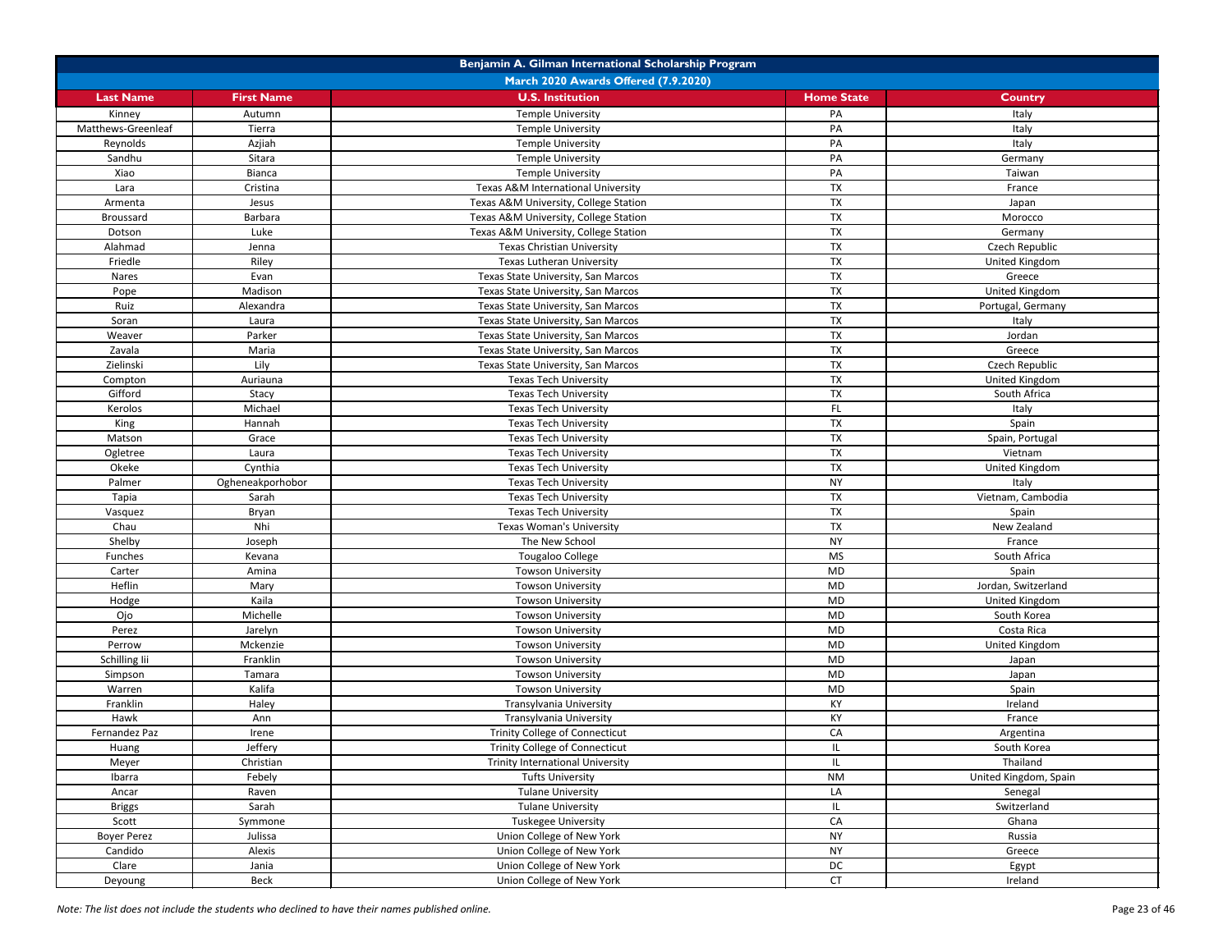| Benjamin A. Gilman International Scholarship Program |                                      |                                         |                   |                       |  |  |
|------------------------------------------------------|--------------------------------------|-----------------------------------------|-------------------|-----------------------|--|--|
|                                                      | March 2020 Awards Offered (7.9.2020) |                                         |                   |                       |  |  |
| <b>Last Name</b>                                     | <b>First Name</b>                    | <b>U.S. Institution</b>                 | <b>Home State</b> | <b>Country</b>        |  |  |
| Kinney                                               | Autumn                               | <b>Temple University</b>                | PA                | Italy                 |  |  |
| Matthews-Greenleaf                                   | Tierra                               | <b>Temple University</b>                | PA                | Italy                 |  |  |
| Reynolds                                             | Azjiah                               | <b>Temple University</b>                | PA                | Italy                 |  |  |
| Sandhu                                               | Sitara                               | <b>Temple University</b>                | PA                | Germany               |  |  |
| Xiao                                                 | Bianca                               | <b>Temple University</b>                | PA                | Taiwan                |  |  |
| Lara                                                 | Cristina                             | Texas A&M International University      | <b>TX</b>         | France                |  |  |
| Armenta                                              | Jesus                                | Texas A&M University, College Station   | TX                | Japan                 |  |  |
| Broussard                                            | Barbara                              | Texas A&M University, College Station   | <b>TX</b>         | Morocco               |  |  |
| Dotson                                               | Luke                                 | Texas A&M University, College Station   | <b>TX</b>         | Germany               |  |  |
| Alahmad                                              | Jenna                                | <b>Texas Christian University</b>       | <b>TX</b>         | Czech Republic        |  |  |
| Friedle                                              | Riley                                | Texas Lutheran University               | <b>TX</b>         | United Kingdom        |  |  |
| <b>Nares</b>                                         | Evan                                 | Texas State University, San Marcos      | <b>TX</b>         | Greece                |  |  |
| Pope                                                 | Madison                              | Texas State University, San Marcos      | <b>TX</b>         | United Kingdom        |  |  |
| Ruiz                                                 | Alexandra                            | Texas State University, San Marcos      | <b>TX</b>         | Portugal, Germany     |  |  |
| Soran                                                | Laura                                | Texas State University, San Marcos      | <b>TX</b>         | Italy                 |  |  |
| Weaver                                               | Parker                               | Texas State University, San Marcos      | <b>TX</b>         | Jordan                |  |  |
| Zavala                                               | Maria                                | Texas State University, San Marcos      | <b>TX</b>         | Greece                |  |  |
| Zielinski                                            | Lily                                 | Texas State University, San Marcos      | <b>TX</b>         | Czech Republic        |  |  |
| Compton                                              | Auriauna                             | <b>Texas Tech University</b>            | <b>TX</b>         | United Kingdom        |  |  |
| Gifford                                              | Stacy                                | <b>Texas Tech University</b>            | <b>TX</b>         | South Africa          |  |  |
| Kerolos                                              | Michael                              | <b>Texas Tech University</b>            | FL.               | Italy                 |  |  |
| King                                                 | Hannah                               | <b>Texas Tech University</b>            | <b>TX</b>         | Spain                 |  |  |
| Matson                                               | Grace                                | <b>Texas Tech University</b>            | <b>TX</b>         | Spain, Portugal       |  |  |
| Ogletree                                             | Laura                                | <b>Texas Tech University</b>            | <b>TX</b>         | Vietnam               |  |  |
| Okeke                                                | Cynthia                              | <b>Texas Tech University</b>            | TX                | United Kingdom        |  |  |
| Palmer                                               | Ogheneakporhobor                     | <b>Texas Tech University</b>            | <b>NY</b>         | Italy                 |  |  |
| Tapia                                                | Sarah                                | <b>Texas Tech University</b>            | <b>TX</b>         | Vietnam, Cambodia     |  |  |
| Vasquez                                              | Bryan                                | <b>Texas Tech University</b>            | <b>TX</b>         | Spain                 |  |  |
| Chau                                                 | Nhi                                  | <b>Texas Woman's University</b>         | <b>TX</b>         | New Zealand           |  |  |
| Shelby                                               | Joseph                               | The New School                          | <b>NY</b>         | France                |  |  |
| Funches                                              | Kevana                               | Tougaloo College                        | <b>MS</b>         | South Africa          |  |  |
| Carter                                               | Amina                                | <b>Towson University</b>                | <b>MD</b>         | Spain                 |  |  |
| Heflin                                               | Mary                                 | <b>Towson University</b>                | MD                | Jordan, Switzerland   |  |  |
| Hodge                                                | Kaila                                | <b>Towson University</b>                | <b>MD</b>         | United Kingdom        |  |  |
| Ojo                                                  | Michelle                             | <b>Towson University</b>                | <b>MD</b>         | South Korea           |  |  |
| Perez                                                | Jarelyn                              | <b>Towson University</b>                | <b>MD</b>         | Costa Rica            |  |  |
| Perrow                                               | Mckenzie                             | <b>Towson University</b>                | <b>MD</b>         | United Kingdom        |  |  |
| Schilling lii                                        | Franklin                             | <b>Towson University</b>                | <b>MD</b>         | Japan                 |  |  |
| Simpson                                              | Tamara                               | <b>Towson University</b>                | MD                | Japan                 |  |  |
| Warren                                               | Kalifa                               | <b>Towson University</b>                | <b>MD</b>         | Spain                 |  |  |
| Franklin                                             | Haley                                | Transylvania University                 | KY                | Ireland               |  |  |
| Hawk                                                 | Ann                                  | Transylvania University                 | KY                | France                |  |  |
| Fernandez Paz                                        | Irene                                | Trinity College of Connecticut          | CA                | Argentina             |  |  |
| Huang                                                | Jeffery                              | Trinity College of Connecticut          |                   | South Korea           |  |  |
| Meyer                                                | Christian                            | <b>Trinity International University</b> |                   | Thailand              |  |  |
| Ibarra                                               | Febely                               | <b>Tufts University</b>                 | <b>NM</b>         | United Kingdom, Spain |  |  |
| Ancar                                                | Raven                                | <b>Tulane University</b>                | LA                | Senegal               |  |  |
| <b>Briggs</b>                                        | Sarah                                | <b>Tulane University</b>                |                   | Switzerland           |  |  |
| Scott                                                | Symmone                              | <b>Tuskegee University</b>              | CA                | Ghana                 |  |  |
| <b>Boyer Perez</b>                                   | Julissa                              | Union College of New York               | <b>NY</b>         | Russia                |  |  |
| Candido                                              | Alexis                               | Union College of New York               | <b>NY</b>         | Greece                |  |  |
| Clare                                                | Jania                                | Union College of New York               | DC                | Egypt                 |  |  |
| Deyoung                                              | Beck                                 | Union College of New York               | <b>CT</b>         | Ireland               |  |  |

*Note: The list does not include the students who declined to have their names published online.* Page 23 of 46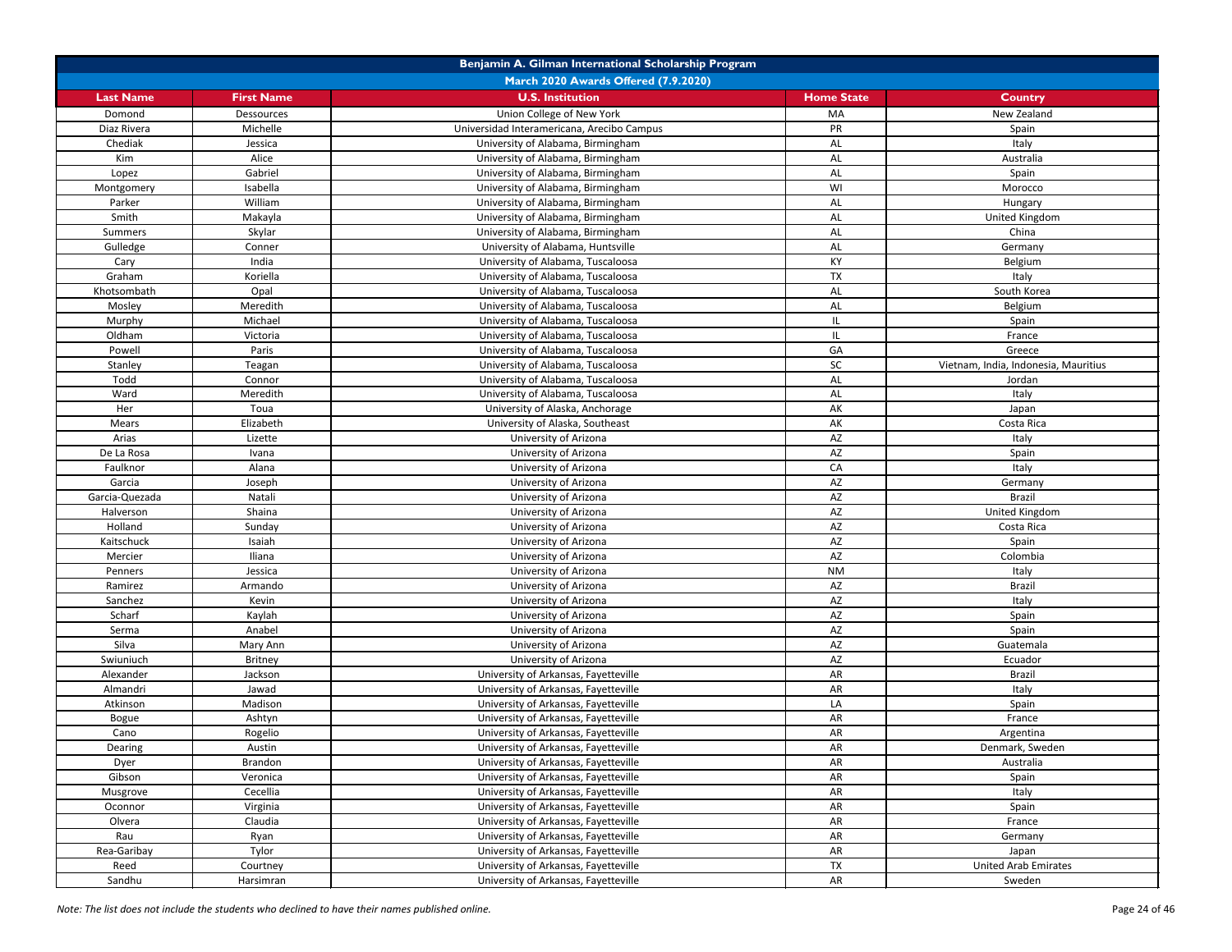| Benjamin A. Gilman International Scholarship Program |                   |                                            |                   |                                      |
|------------------------------------------------------|-------------------|--------------------------------------------|-------------------|--------------------------------------|
|                                                      |                   | March 2020 Awards Offered (7.9.2020)       |                   |                                      |
| <b>Last Name</b>                                     | <b>First Name</b> | <b>U.S. Institution</b>                    | <b>Home State</b> | <b>Country</b>                       |
| Domond                                               | Dessources        | Union College of New York                  | MA                | New Zealand                          |
| Diaz Rivera                                          | Michelle          | Universidad Interamericana, Arecibo Campus | <b>PR</b>         | Spain                                |
| Chediak                                              | Jessica           | University of Alabama, Birmingham          | AL                | Italy                                |
| Kim                                                  | Alice             | University of Alabama, Birmingham          | AL                | Australia                            |
| Lopez                                                | Gabriel           | University of Alabama, Birmingham          | AL                | Spain                                |
| Montgomery                                           | Isabella          | University of Alabama, Birmingham          | WI                | Morocco                              |
| Parker                                               | William           | University of Alabama, Birmingham          | AL                | Hungary                              |
| Smith                                                | Makayla           | University of Alabama, Birmingham          | AL                | United Kingdom                       |
| <b>Summers</b>                                       | Skylar            | University of Alabama, Birmingham          | AL                | China                                |
| Gulledge                                             | Conner            | University of Alabama, Huntsville          | <b>AL</b>         | Germany                              |
| Cary                                                 | India             | University of Alabama, Tuscaloosa          | KY                | Belgium                              |
| Graham                                               | Koriella          | University of Alabama, Tuscaloosa          | <b>TX</b>         | Italy                                |
| Khotsombath                                          | Opal              | University of Alabama, Tuscaloosa          | AL                | South Korea                          |
| Mosley                                               | Meredith          | University of Alabama, Tuscaloosa          | AL                | Belgium                              |
| Murphy                                               | Michael           | University of Alabama, Tuscaloosa          | IL                | Spain                                |
| Oldham                                               | Victoria          | University of Alabama, Tuscaloosa          | IL                | France                               |
| Powell                                               | Paris             | University of Alabama, Tuscaloosa          | GA                | Greece                               |
| Stanley                                              | Teagan            | University of Alabama, Tuscaloosa          | <b>SC</b>         | Vietnam, India, Indonesia, Mauritius |
| Todd                                                 | Connor            | University of Alabama, Tuscaloosa          | AL                | Jordan                               |
| Ward                                                 | Meredith          | University of Alabama, Tuscaloosa          | <b>AL</b>         | Italy                                |
| Her                                                  | Toua              | University of Alaska, Anchorage            | AK                | Japan                                |
| Mears                                                | Elizabeth         | University of Alaska, Southeast            | AK                | Costa Rica                           |
| Arias                                                | Lizette           | University of Arizona                      | AZ                | Italy                                |
| De La Rosa                                           | Ivana             | University of Arizona                      | AZ                | Spain                                |
| Faulknor                                             | Alana             | University of Arizona                      | CA                | Italy                                |
| Garcia                                               | Joseph            | University of Arizona                      | AZ                | Germany                              |
| Garcia-Quezada                                       | Natali            | University of Arizona                      | AZ                | <b>Brazil</b>                        |
| Halverson                                            | Shaina            | University of Arizona                      | AZ                | United Kingdom                       |
| Holland                                              | Sunday            | University of Arizona                      | $\mathsf{AZ}$     | Costa Rica                           |
| Kaitschuck                                           | Isaiah            | University of Arizona                      | AZ                | Spain                                |
| Mercier                                              | Iliana            | University of Arizona                      | AZ                | Colombia                             |
| Penners                                              | Jessica           | University of Arizona                      | <b>NM</b>         | Italy                                |
| Ramirez                                              | Armando           | University of Arizona                      | AZ                | <b>Brazil</b>                        |
| Sanchez                                              | Kevin             | University of Arizona                      | AZ                | Italy                                |
| Scharf                                               | Kaylah            | University of Arizona                      | AZ                | Spain                                |
| Serma                                                | Anabel            | University of Arizona                      | AZ                | Spain                                |
| Silva                                                | Mary Ann          | University of Arizona                      | AZ                | Guatemala                            |
| Swiuniuch                                            | <b>Britney</b>    | University of Arizona                      | <b>AZ</b>         | Ecuador                              |
| Alexander                                            | Jackson           | University of Arkansas, Fayetteville       | AR                | <b>Brazil</b>                        |
| Almandri                                             | Jawad             | University of Arkansas, Fayetteville       | AR                | Italy                                |
| Atkinson                                             | Madison           | University of Arkansas, Fayetteville       | LA                | Spain                                |
| Bogue                                                | Ashtyn            | University of Arkansas, Fayetteville       | AR                | France                               |
| Cano                                                 | Rogelio           | University of Arkansas, Fayetteville       | AR                | Argentina                            |
| Dearing                                              | Austin            | University of Arkansas, Fayetteville       | AR                | Denmark, Sweden                      |
| Dyer                                                 | Brandon           | University of Arkansas, Fayetteville       | AR                | Australia                            |
| Gibson                                               | Veronica          | University of Arkansas, Fayetteville       | AR                | Spain                                |
| Musgrove                                             | Cecellia          | University of Arkansas, Fayetteville       | AR                | Italy                                |
| Oconnor                                              | Virginia          | University of Arkansas, Fayetteville       | AR                | Spain                                |
| Olvera                                               | Claudia           | University of Arkansas, Fayetteville       | AR                | France                               |
| Rau                                                  | Ryan              | University of Arkansas, Fayetteville       | AR                | Germany                              |
| Rea-Garibay                                          | Tylor             | University of Arkansas, Fayetteville       | AR                | Japan                                |
| Reed                                                 | Courtney          | University of Arkansas, Fayetteville       | <b>TX</b>         | <b>United Arab Emirates</b>          |
| Sandhu                                               | Harsimran         | University of Arkansas, Fayetteville       | AR                | Sweden                               |
|                                                      |                   |                                            |                   |                                      |

*Note: The list does not include the students who declined to have their names published online.* Page 24 of 46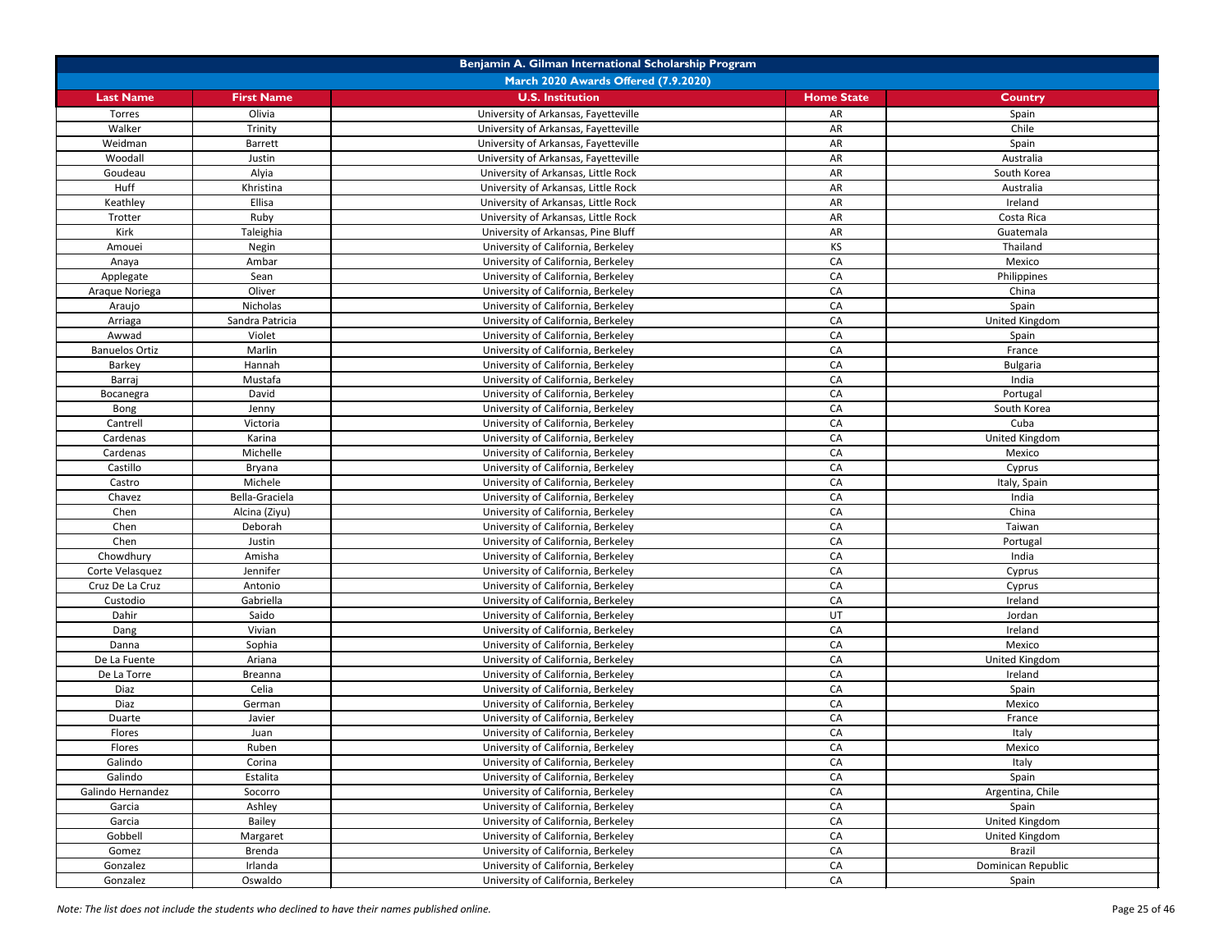| Benjamin A. Gilman International Scholarship Program |                          |                                                                          |                   |                       |
|------------------------------------------------------|--------------------------|--------------------------------------------------------------------------|-------------------|-----------------------|
|                                                      |                          | March 2020 Awards Offered (7.9.2020)                                     |                   |                       |
| <b>Last Name</b>                                     | <b>First Name</b>        | <b>U.S. Institution</b>                                                  | <b>Home State</b> | <b>Country</b>        |
| Torres                                               | Olivia                   | University of Arkansas, Fayetteville                                     | AR                | Spain                 |
| Walker                                               | Trinity                  | University of Arkansas, Fayetteville                                     | AR                | Chile                 |
| Weidman                                              | <b>Barrett</b>           | University of Arkansas, Fayetteville                                     | AR                | Spain                 |
| Woodall                                              | Justin                   | University of Arkansas, Fayetteville                                     | AR                | Australia             |
| Goudeau                                              | Alyia                    | University of Arkansas, Little Rock                                      | AR                | South Korea           |
| Huff                                                 | Khristina                | University of Arkansas, Little Rock                                      | AR                | Australia             |
| Keathley                                             | Ellisa                   | University of Arkansas, Little Rock                                      | AR                | Ireland               |
| Trotter                                              | Ruby                     | University of Arkansas, Little Rock                                      | AR                | Costa Rica            |
| Kirk                                                 | Taleighia                | University of Arkansas, Pine Bluff                                       | AR                | Guatemala             |
| Amouei                                               | Negin                    | University of California, Berkeley                                       | <b>KS</b>         | Thailand              |
| Anaya                                                | Ambar                    | University of California, Berkeley                                       | CA                | Mexico                |
| Applegate                                            | Sean                     | University of California, Berkeley                                       | CA                | Philippines           |
| Araque Noriega                                       | Oliver                   | University of California, Berkeley                                       | CA                | China                 |
| Araujo                                               | Nicholas                 | University of California, Berkeley                                       | CA                | Spain                 |
| Arriaga                                              | Sandra Patricia          | University of California, Berkeley                                       | CA                | United Kingdom        |
| Awwad                                                | Violet                   | University of California, Berkeley                                       | CA                | Spain                 |
| <b>Banuelos Ortiz</b>                                | Marlin                   | University of California, Berkeley                                       | CA                | France                |
| Barkey                                               | Hannah                   | University of California, Berkeley                                       | CA                | <b>Bulgaria</b>       |
| Barraj                                               | Mustafa                  | University of California, Berkeley                                       | CA                | India                 |
| Bocanegra                                            | David                    | University of California, Berkeley                                       | CA                | Portugal              |
| Bong                                                 | Jenny                    | University of California, Berkeley                                       | CA                | South Korea           |
| Cantrell                                             | Victoria                 | University of California, Berkeley                                       | CA                | Cuba                  |
| Cardenas                                             | Karina                   | University of California, Berkeley                                       | CA                | United Kingdom        |
| Cardenas                                             | Michelle                 | University of California, Berkeley                                       | CA                | Mexico                |
| Castillo                                             | <b>Bryana</b>            | University of California, Berkeley                                       | CA                |                       |
| Castro                                               | Michele                  | University of California, Berkeley                                       | CA                | Cyprus                |
| Chavez                                               | Bella-Graciela           | University of California, Berkeley                                       | CA                | Italy, Spain<br>India |
| Chen                                                 |                          | University of California, Berkeley                                       | CA                | China                 |
|                                                      | Alcina (Ziyu)<br>Deborah |                                                                          |                   |                       |
| Chen<br>Chen                                         | Justin                   | University of California, Berkeley                                       | CA<br>CA          | Taiwan                |
|                                                      | Amisha                   | University of California, Berkeley<br>University of California, Berkeley |                   | Portugal<br>India     |
| Chowdhury                                            |                          | University of California, Berkeley                                       | CA                |                       |
| Corte Velasquez                                      | Jennifer                 |                                                                          | CA                | Cyprus                |
| Cruz De La Cruz                                      | Antonio                  | University of California, Berkeley                                       | CA                | Cyprus                |
| Custodio                                             | Gabriella                | University of California, Berkeley                                       | CA                | Ireland               |
| Dahir                                                | Saido                    | University of California, Berkeley                                       | UT                | Jordan                |
| Dang                                                 | Vivian                   | University of California, Berkeley                                       | CA                | Ireland               |
| Danna                                                | Sophia                   | University of California, Berkeley                                       | CA                | Mexico                |
| De La Fuente                                         | Ariana                   | University of California, Berkeley                                       | CA                | United Kingdom        |
| De La Torre                                          | Breanna                  | University of California, Berkeley                                       | CA                | Ireland               |
| Diaz                                                 | Celia                    | University of California, Berkeley                                       | CA                | Spain                 |
| Diaz                                                 | German                   | University of California, Berkeley                                       | CA                | Mexico                |
| Duarte                                               | Javier                   | University of California, Berkeley                                       | CA                | France                |
| Flores                                               | Juan                     | University of California, Berkeley                                       | CA                | Italy                 |
| Flores                                               | Ruben                    | University of California, Berkeley                                       | CA                | Mexico                |
| Galindo                                              | Corina                   | University of California, Berkeley                                       | CA                | Italy                 |
| Galindo                                              | Estalita                 | University of California, Berkeley                                       | CA                | Spain                 |
| Galindo Hernandez                                    | Socorro                  | University of California, Berkeley                                       | CA                | Argentina, Chile      |
| Garcia                                               | Ashley                   | University of California, Berkeley                                       | CA                | Spain                 |
| Garcia                                               | Bailey                   | University of California, Berkeley                                       | CA                | United Kingdom        |
| Gobbell                                              | Margaret                 | University of California, Berkeley                                       | CA                | United Kingdom        |
| Gomez                                                | Brenda                   | University of California, Berkeley                                       | CA                | <b>Brazil</b>         |
| Gonzalez                                             | Irlanda                  | University of California, Berkeley                                       | CA                | Dominican Republic    |
| Gonzalez                                             | Oswaldo                  | University of California, Berkeley                                       | CA                | Spain                 |

*Note: The list does not include the students who declined to have their names published online.* Page 25 of 46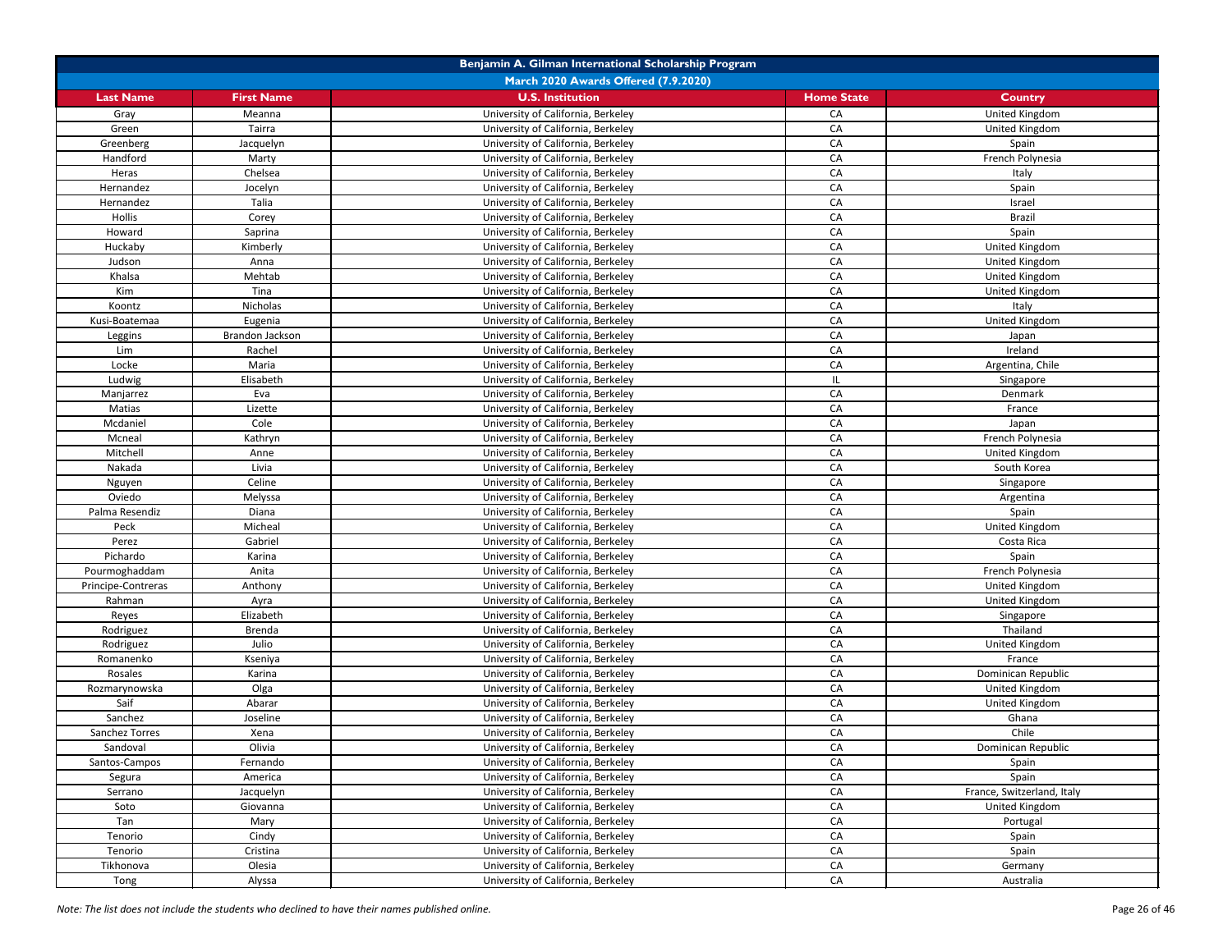|                    | Benjamin A. Gilman International Scholarship Program |                                      |                   |                            |  |
|--------------------|------------------------------------------------------|--------------------------------------|-------------------|----------------------------|--|
|                    |                                                      | March 2020 Awards Offered (7.9.2020) |                   |                            |  |
| <b>Last Name</b>   | <b>First Name</b>                                    | <b>U.S. Institution</b>              | <b>Home State</b> | <b>Country</b>             |  |
| Gray               | Meanna                                               | University of California, Berkeley   | CA                | United Kingdom             |  |
| Green              | Tairra                                               | University of California, Berkeley   | CA                | United Kingdom             |  |
| Greenberg          | Jacquelyn                                            | University of California, Berkeley   | CA                | Spain                      |  |
| Handford           | Marty                                                | University of California, Berkeley   | CA                | French Polynesia           |  |
| Heras              | Chelsea                                              | University of California, Berkeley   | CA                | Italy                      |  |
| Hernandez          | Jocelyn                                              | University of California, Berkeley   | CA                | Spain                      |  |
| Hernandez          | Talia                                                | University of California, Berkeley   | CA                | Israel                     |  |
| <b>Hollis</b>      | Corey                                                | University of California, Berkeley   | CA                | <b>Brazil</b>              |  |
| Howard             | Saprina                                              | University of California, Berkeley   | CA                | Spain                      |  |
| Huckaby            | Kimberly                                             | University of California, Berkeley   | CA                | United Kingdom             |  |
| Judson             | Anna                                                 | University of California, Berkeley   | CA                | United Kingdom             |  |
| Khalsa             | Mehtab                                               | University of California, Berkeley   | CA                | United Kingdom             |  |
| Kim                | Tina                                                 | University of California, Berkeley   | CA                |                            |  |
|                    |                                                      |                                      |                   | United Kingdom             |  |
| Koontz             | Nicholas                                             | University of California, Berkeley   | CA                | Italy                      |  |
| Kusi-Boatemaa      | Eugenia                                              | University of California, Berkeley   | CA                | United Kingdom             |  |
| Leggins            | Brandon Jackson                                      | University of California, Berkeley   | CA                | Japan                      |  |
| Lim                | Rachel                                               | University of California, Berkeley   | CA                | Ireland                    |  |
| Locke              | Maria                                                | University of California, Berkeley   | CA                | Argentina, Chile           |  |
| Ludwig             | Elisabeth                                            | University of California, Berkeley   | IL.               | Singapore                  |  |
| Manjarrez          | Eva                                                  | University of California, Berkeley   | CA                | Denmark                    |  |
| Matias             | Lizette                                              | University of California, Berkeley   | CA                | France                     |  |
| Mcdaniel           | Cole                                                 | University of California, Berkeley   | CA                | Japan                      |  |
| Mcneal             | Kathryn                                              | University of California, Berkeley   | CA                | French Polynesia           |  |
| Mitchell           | Anne                                                 | University of California, Berkeley   | CA                | United Kingdom             |  |
| Nakada             | Livia                                                | University of California, Berkeley   | CA                | South Korea                |  |
| Nguyen             | Celine                                               | University of California, Berkeley   | CA                | Singapore                  |  |
| Oviedo             | Melyssa                                              | University of California, Berkeley   | CA                | Argentina                  |  |
| Palma Resendiz     | Diana                                                | University of California, Berkeley   | CA                | Spain                      |  |
| Peck               | Micheal                                              | University of California, Berkeley   | CA                | United Kingdom             |  |
| Perez              | Gabriel                                              | University of California, Berkeley   | CA                | Costa Rica                 |  |
| Pichardo           | Karina                                               | University of California, Berkeley   | CA                | Spain                      |  |
| Pourmoghaddam      | Anita                                                | University of California, Berkeley   | CA                | French Polynesia           |  |
| Principe-Contreras | Anthony                                              | University of California, Berkeley   | CA                | United Kingdom             |  |
| Rahman             | Ayra                                                 | University of California, Berkeley   | CA                | United Kingdom             |  |
| Reyes              | Elizabeth                                            | University of California, Berkeley   | CA                | Singapore                  |  |
| Rodriguez          | <b>Brenda</b>                                        | University of California, Berkeley   | CA                | Thailand                   |  |
| Rodriguez          | Julio                                                | University of California, Berkeley   | CA                | United Kingdom             |  |
| Romanenko          | Kseniya                                              | University of California, Berkeley   | CA                | France                     |  |
| Rosales            | Karina                                               | University of California, Berkeley   | CA                | Dominican Republic         |  |
| Rozmarynowska      | Olga                                                 | University of California, Berkeley   | CA                | United Kingdom             |  |
| Saif               | Abarar                                               | University of California, Berkeley   | CA                | United Kingdom             |  |
| Sanchez            | Joseline                                             | University of California, Berkeley   | CA                | Ghana                      |  |
| Sanchez Torres     | Xena                                                 | University of California, Berkeley   | CA                | Chile                      |  |
| Sandoval           | Olivia                                               | University of California, Berkeley   | CA                | Dominican Republic         |  |
| Santos-Campos      | Fernando                                             | University of California, Berkeley   | CA                | Spain                      |  |
| Segura             | America                                              | University of California, Berkeley   | CA                | Spain                      |  |
| Serrano            | Jacquelyn                                            | University of California, Berkeley   | CA                | France, Switzerland, Italy |  |
| Soto               | Giovanna                                             | University of California, Berkeley   | CA                | United Kingdom             |  |
| Tan                | Mary                                                 | University of California, Berkeley   | CA                | Portugal                   |  |
|                    |                                                      | University of California, Berkeley   | CA                |                            |  |
| Tenorio            | Cindy                                                |                                      |                   | Spain                      |  |
| Tenorio            | Cristina                                             | University of California, Berkeley   | CA                | Spain                      |  |
| Tikhonova          | Olesia                                               | University of California, Berkeley   | CA                | Germany                    |  |
| Tong               | Alyssa                                               | University of California, Berkeley   | CA                | Australia                  |  |

*Note: The list does not include the students who declined to have their names published online.* Page 26 of 46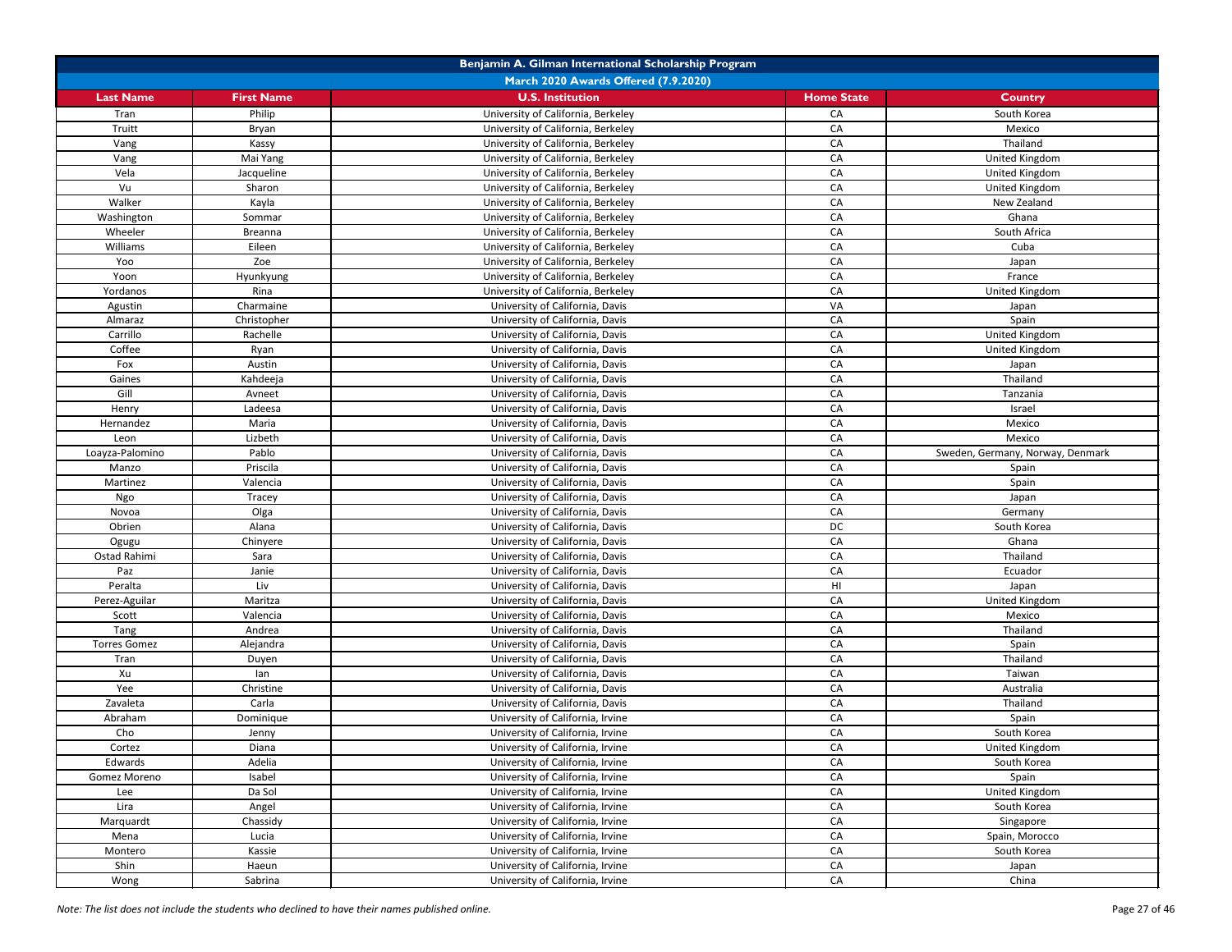| Benjamin A. Gilman International Scholarship Program |                   |                                      |                   |                                  |
|------------------------------------------------------|-------------------|--------------------------------------|-------------------|----------------------------------|
|                                                      |                   | March 2020 Awards Offered (7.9.2020) |                   |                                  |
| <b>Last Name</b>                                     | <b>First Name</b> | <b>U.S. Institution</b>              | <b>Home State</b> | <b>Country</b>                   |
| Tran                                                 | Philip            | University of California, Berkeley   | CA                | South Korea                      |
| Truitt                                               | Bryan             | University of California, Berkeley   | CA                | Mexico                           |
| Vang                                                 | Kassy             | University of California, Berkeley   | CA                | Thailand                         |
| Vang                                                 | Mai Yang          | University of California, Berkeley   | CA                | United Kingdom                   |
| Vela                                                 | Jacqueline        | University of California, Berkeley   | CA                | United Kingdom                   |
| Vu                                                   | Sharon            | University of California, Berkeley   | CA                | United Kingdom                   |
| Walker                                               | Kayla             | University of California, Berkeley   | CA                | New Zealand                      |
| Washington                                           | Sommar            | University of California, Berkeley   | CA                | Ghana                            |
| Wheeler                                              | Breanna           | University of California, Berkeley   | CA                | South Africa                     |
| Williams                                             | Eileen            | University of California, Berkeley   | CA                | Cuba                             |
| Yoo                                                  | Zoe               | University of California, Berkeley   | CA                | Japan                            |
| Yoon                                                 | Hyunkyung         | University of California, Berkeley   | CA                | France                           |
| Yordanos                                             | Rina              | University of California, Berkeley   | CA                | United Kingdom                   |
| Agustin                                              | Charmaine         | University of California, Davis      | VA                | Japan                            |
| Almaraz                                              | Christopher       | University of California, Davis      | CA                | Spain                            |
| Carrillo                                             | Rachelle          | University of California, Davis      | CA                | United Kingdom                   |
| Coffee                                               | Ryan              | University of California, Davis      | CA                | United Kingdom                   |
| Fox                                                  | Austin            | University of California, Davis      | CA                | Japan                            |
| Gaines                                               | Kahdeeja          | University of California, Davis      | CA                | Thailand                         |
| Gill                                                 | Avneet            | University of California, Davis      | CA                | Tanzania                         |
| Henry                                                | Ladeesa           | University of California, Davis      | CA                | Israel                           |
| Hernandez                                            | Maria             | University of California, Davis      | CA                | Mexico                           |
| Leon                                                 | Lizbeth           | University of California, Davis      | CA                | Mexico                           |
| Loayza-Palomino                                      | Pablo             | University of California, Davis      | CA                | Sweden, Germany, Norway, Denmark |
| Manzo                                                | Priscila          | University of California, Davis      | CA                | Spain                            |
| Martinez                                             | Valencia          | University of California, Davis      | CA                | Spain                            |
| Ngo                                                  | Tracey            | University of California, Davis      | CA                | Japan                            |
| Novoa                                                | Olga              | University of California, Davis      | CA                | Germany                          |
| Obrien                                               | Alana             | University of California, Davis      | DC                | South Korea                      |
| Ogugu                                                | Chinyere          | University of California, Davis      | CA                | Ghana                            |
| Ostad Rahimi                                         | Sara              | University of California, Davis      | CA                | Thailand                         |
| Paz                                                  | Janie             | University of California, Davis      | CA                | Ecuador                          |
| Peralta                                              | Liv               | University of California, Davis      | HI                | Japan                            |
| Perez-Aguilar                                        | Maritza           | University of California, Davis      | CA                | United Kingdom                   |
| Scott                                                | Valencia          | University of California, Davis      | CA                | Mexico                           |
| Tang                                                 | Andrea            | University of California, Davis      | CA                | Thailand                         |
| <b>Torres Gomez</b>                                  | Alejandra         | University of California, Davis      | CA                | Spain                            |
| Tran                                                 | Duyen             | University of California, Davis      | CA                | Thailand                         |
| Xu                                                   | lan               | University of California, Davis      | CA                | Taiwan                           |
| Yee                                                  | Christine         | University of California, Davis      | CA                | Australia                        |
| Zavaleta                                             | Carla             | University of California, Davis      | CA                | Thailand                         |
| Abraham                                              | Dominique         | University of California, Irvine     | CA                | Spain                            |
| Cho                                                  | Jenny             | University of California, Irvine     | CA                | South Korea                      |
| Cortez                                               | Diana             | University of California, Irvine     | CA                | United Kingdom                   |
| Edwards                                              | Adelia            | University of California, Irvine     | CA                | South Korea                      |
| Gomez Moreno                                         | Isabel            | University of California, Irvine     | CA                | Spain                            |
| Lee                                                  | Da Sol            | University of California, Irvine     | CA                | United Kingdom                   |
| Lira                                                 | Angel             | University of California, Irvine     | CA                | South Korea                      |
| Marquardt                                            | Chassidy          | University of California, Irvine     | CA                | Singapore                        |
| Mena                                                 | Lucia             | University of California, Irvine     | CA                | Spain, Morocco                   |
| Montero                                              | Kassie            | University of California, Irvine     | CA                | South Korea                      |
| Shin                                                 | Haeun             | University of California, Irvine     | CA                | Japan                            |
| Wong                                                 | Sabrina           | University of California, Irvine     | CA                | China                            |

*Note: The list does not include the students who declined to have their names published online.* Page 27 of 46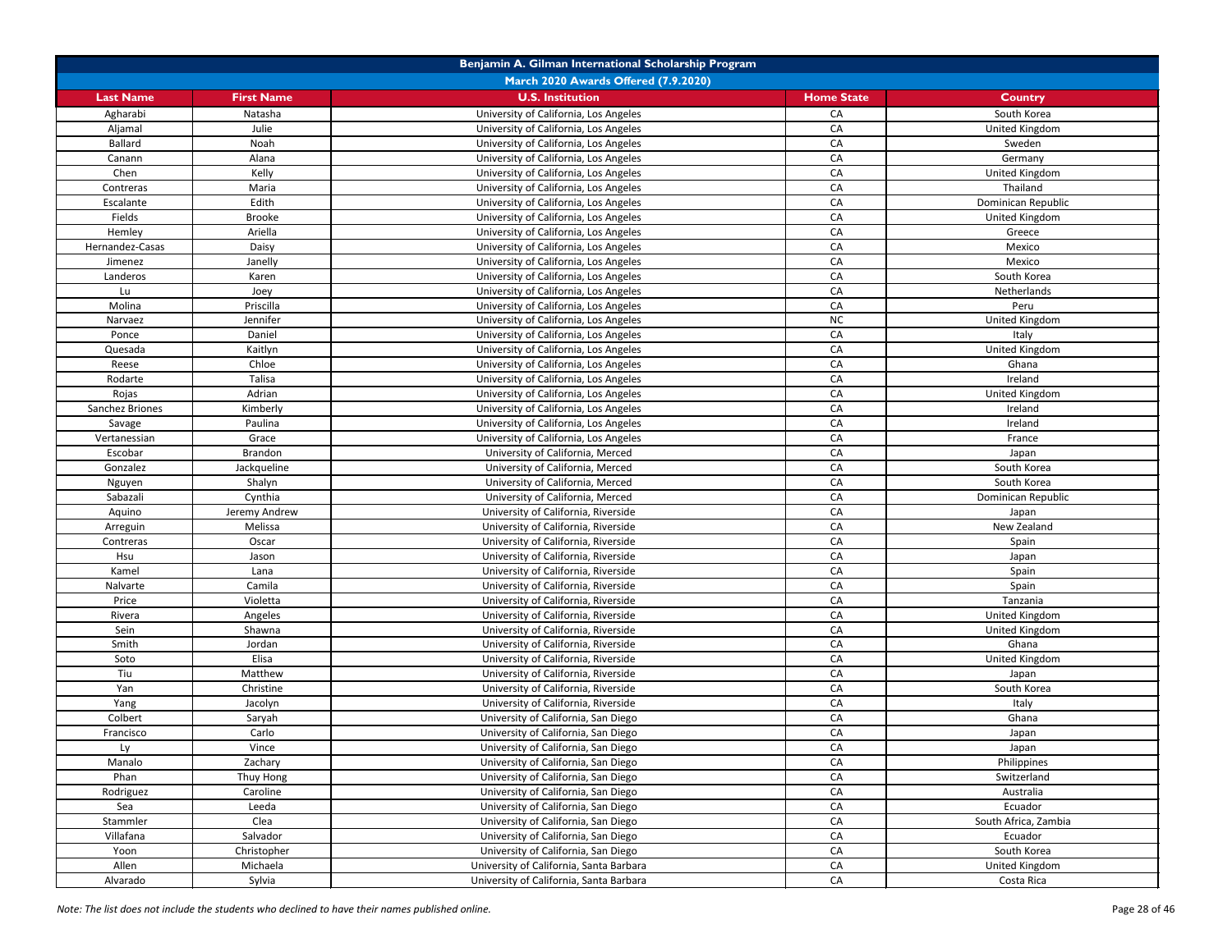| Benjamin A. Gilman International Scholarship Program |                   |                                         |                   |                      |
|------------------------------------------------------|-------------------|-----------------------------------------|-------------------|----------------------|
|                                                      |                   | March 2020 Awards Offered (7.9.2020)    |                   |                      |
| <b>Last Name</b>                                     | <b>First Name</b> | <b>U.S. Institution</b>                 | <b>Home State</b> | <b>Country</b>       |
| Agharabi                                             | Natasha           | University of California, Los Angeles   | CA                | South Korea          |
| Aljamal                                              | Julie             | University of California, Los Angeles   | CA                | United Kingdom       |
| <b>Ballard</b>                                       | Noah              | University of California, Los Angeles   | CA                | Sweden               |
| Canann                                               | Alana             | University of California, Los Angeles   | CA                | Germany              |
| Chen                                                 | Kelly             | University of California, Los Angeles   | CA                | United Kingdom       |
| Contreras                                            | Maria             | University of California, Los Angeles   | CA                | Thailand             |
| Escalante                                            | Edith             | University of California, Los Angeles   | CA                | Dominican Republic   |
| Fields                                               | <b>Brooke</b>     | University of California, Los Angeles   | CA                | United Kingdom       |
| Hemley                                               | Ariella           | University of California, Los Angeles   | CA                | Greece               |
| Hernandez-Casas                                      | Daisy             | University of California, Los Angeles   | CA                | Mexico               |
| Jimenez                                              | Janelly           | University of California, Los Angeles   | CA                | Mexico               |
| Landeros                                             | Karen             | University of California, Los Angeles   | CA                | South Korea          |
| Lu                                                   | Joey              | University of California, Los Angeles   | CA                | Netherlands          |
| Molina                                               | Priscilla         | University of California, Los Angeles   | CA                | Peru                 |
| Narvaez                                              | Jennifer          | University of California, Los Angeles   | <b>NC</b>         | United Kingdom       |
| Ponce                                                | Daniel            | University of California, Los Angeles   | CA                | Italy                |
| Quesada                                              | Kaitlyn           | University of California, Los Angeles   | CA                | United Kingdom       |
| Reese                                                | Chloe             | University of California, Los Angeles   | CA                | Ghana                |
| Rodarte                                              | Talisa            | University of California, Los Angeles   | CA                | Ireland              |
| Rojas                                                | Adrian            | University of California, Los Angeles   | CA                | United Kingdom       |
| Sanchez Briones                                      | Kimberly          | University of California, Los Angeles   | CA                | Ireland              |
| Savage                                               | Paulina           | University of California, Los Angeles   | CA                | Ireland              |
| Vertanessian                                         | Grace             | University of California, Los Angeles   | CA                | France               |
| Escobar                                              | Brandon           | University of California, Merced        | CA                | Japan                |
| Gonzalez                                             | Jackqueline       | University of California, Merced        | CA                | South Korea          |
| Nguyen                                               | Shalyn            | University of California, Merced        | CA                | South Korea          |
| Sabazali                                             | Cynthia           | University of California, Merced        | CA                | Dominican Republic   |
| Aquino                                               | Jeremy Andrew     | University of California, Riverside     | CA                | Japan                |
| Arreguin                                             | Melissa           | University of California, Riverside     | CA                | New Zealand          |
| Contreras                                            | Oscar             | University of California, Riverside     | CA                | Spain                |
| Hsu                                                  | Jason             | University of California, Riverside     | CA                | Japan                |
| Kamel                                                | Lana              | University of California, Riverside     | CA                | Spain                |
| Nalvarte                                             | Camila            | University of California, Riverside     | CA                | Spain                |
| Price                                                | Violetta          | University of California, Riverside     | CA                | Tanzania             |
| Rivera                                               | Angeles           | University of California, Riverside     | CA                | United Kingdom       |
| Sein                                                 | Shawna            | University of California, Riverside     | CA                | United Kingdom       |
| Smith                                                | Jordan            | University of California, Riverside     | CA                | Ghana                |
| Soto                                                 | Elisa             | University of California, Riverside     | CA                | United Kingdom       |
| Tiu                                                  | Matthew           | University of California, Riverside     | CA                | Japan                |
| Yan                                                  | Christine         | University of California, Riverside     | CA                | South Korea          |
| Yang                                                 | Jacolyn           | University of California, Riverside     | CA                | Italy                |
| Colbert                                              | Saryah            | University of California, San Diego     | CA                | Ghana                |
| Francisco                                            | Carlo             | University of California, San Diego     | CA                | Japan                |
| Ly                                                   | Vince             | University of California, San Diego     | CA                | Japan                |
| Manalo                                               | Zachary           | University of California, San Diego     | CA                | Philippines          |
| Phan                                                 | Thuy Hong         | University of California, San Diego     | CA                | Switzerland          |
| Rodriguez                                            | Caroline          | University of California, San Diego     | CA                | Australia            |
| Sea                                                  | Leeda             | University of California, San Diego     | CA                | Ecuador              |
| Stammler                                             | Clea              | University of California, San Diego     | CA                | South Africa, Zambia |
| Villafana                                            | Salvador          | University of California, San Diego     | CA                | Ecuador              |
| Yoon                                                 | Christopher       | University of California, San Diego     | CA                | South Korea          |
| Allen                                                | Michaela          | University of California, Santa Barbara | CA                | United Kingdom       |
| Alvarado                                             | Sylvia            | University of California, Santa Barbara | CA                | Costa Rica           |

*Note: The list does not include the students who declined to have their names published online.* Page 28 of 46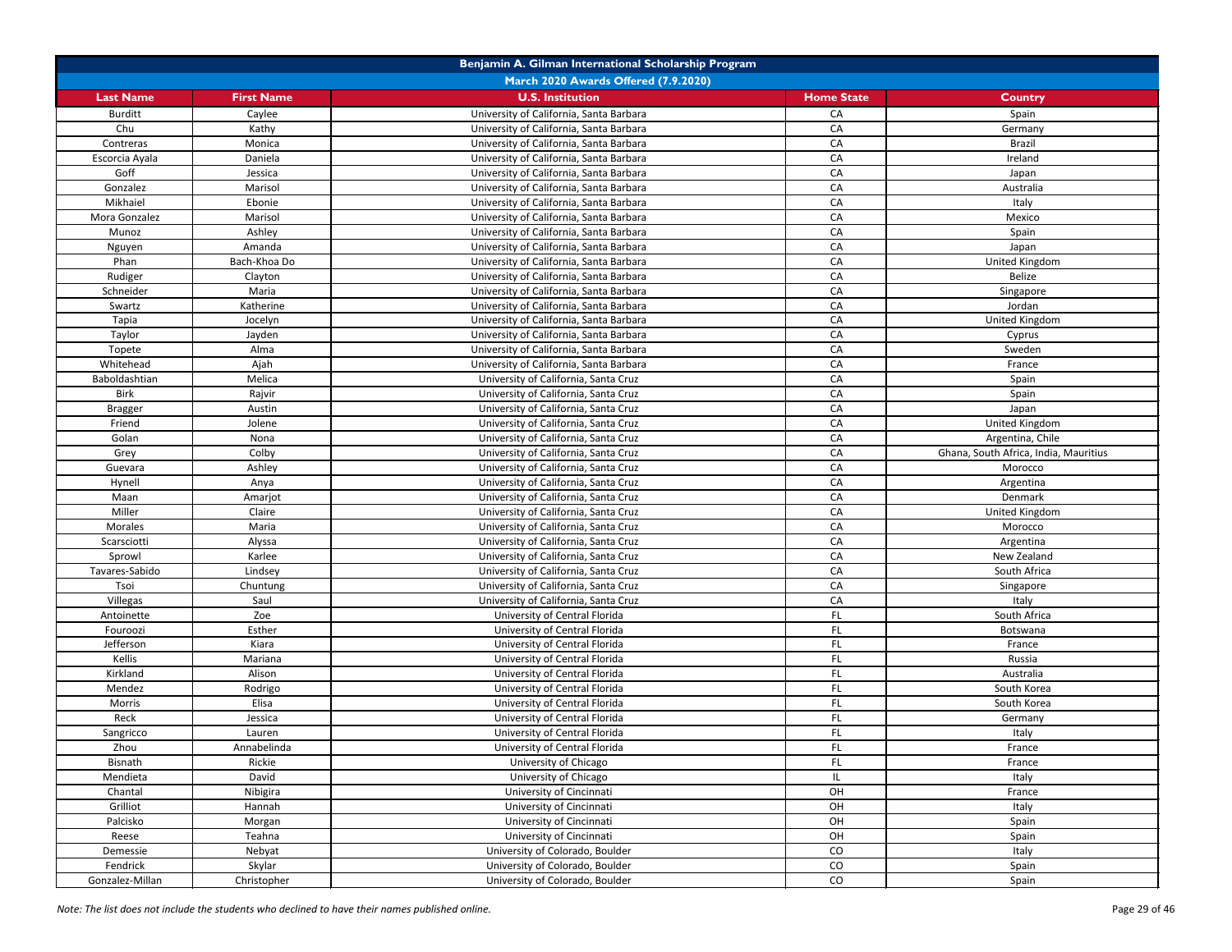| Benjamin A. Gilman International Scholarship Program |                   |                                         |                   |                                       |
|------------------------------------------------------|-------------------|-----------------------------------------|-------------------|---------------------------------------|
|                                                      |                   | March 2020 Awards Offered (7.9.2020)    |                   |                                       |
| <b>Last Name</b>                                     | <b>First Name</b> | <b>U.S. Institution</b>                 | <b>Home State</b> | <b>Country</b>                        |
| <b>Burditt</b>                                       | Caylee            | University of California, Santa Barbara | CA                | Spain                                 |
| Chu                                                  | Kathy             | University of California, Santa Barbara | CA                | Germany                               |
| Contreras                                            | Monica            | University of California, Santa Barbara | CA                | <b>Brazil</b>                         |
| Escorcia Ayala                                       | Daniela           | University of California, Santa Barbara | CA                | Ireland                               |
| Goff                                                 | Jessica           | University of California, Santa Barbara | CA                | Japan                                 |
| Gonzalez                                             | Marisol           | University of California, Santa Barbara | CA                | Australia                             |
| Mikhaiel                                             | Ebonie            | University of California, Santa Barbara | CA                | Italy                                 |
| Mora Gonzalez                                        | Marisol           | University of California, Santa Barbara | CA                | Mexico                                |
| Munoz                                                | Ashley            | University of California, Santa Barbara | CA                | Spain                                 |
| Nguyen                                               | Amanda            | University of California, Santa Barbara | CA                | Japan                                 |
| Phan                                                 | Bach-Khoa Do      | University of California, Santa Barbara | CA                | United Kingdom                        |
| Rudiger                                              | Clayton           | University of California, Santa Barbara | CA                | Belize                                |
| Schneider                                            | Maria             | University of California, Santa Barbara | CA                | Singapore                             |
| Swartz                                               | Katherine         | University of California, Santa Barbara | CA                | Jordan                                |
| Tapia                                                | Jocelyn           | University of California, Santa Barbara | CA                | United Kingdom                        |
| Taylor                                               | Jayden            | University of California, Santa Barbara | CA                | Cyprus                                |
| Topete                                               | Alma              | University of California, Santa Barbara | CA                | Sweden                                |
| Whitehead                                            | Ajah              | University of California, Santa Barbara | CA                | France                                |
| Baboldashtian                                        | Melica            | University of California, Santa Cruz    | CA                | Spain                                 |
| <b>Birk</b>                                          | Rajvir            | University of California, Santa Cruz    | CA                | Spain                                 |
| <b>Bragger</b>                                       | Austin            | University of California, Santa Cruz    | CA                | Japan                                 |
| Friend                                               | Jolene            | University of California, Santa Cruz    | CA                | United Kingdom                        |
| Golan                                                | Nona              | University of California, Santa Cruz    | CA                | Argentina, Chile                      |
| Grey                                                 | Colby             | University of California, Santa Cruz    | CA                | Ghana, South Africa, India, Mauritius |
| Guevara                                              | Ashley            | University of California, Santa Cruz    | CA                | Morocco                               |
| Hynell                                               | Anya              | University of California, Santa Cruz    | CA                | Argentina                             |
| Maan                                                 | Amarjot           | University of California, Santa Cruz    | CA                | Denmark                               |
| Miller                                               | Claire            | University of California, Santa Cruz    | CA                | United Kingdom                        |
| Morales                                              | Maria             | University of California, Santa Cruz    | CA                | Morocco                               |
| Scarsciotti                                          | Alyssa            | University of California, Santa Cruz    | CA                | Argentina                             |
| Sprowl                                               | Karlee            | University of California, Santa Cruz    | CA                | New Zealand                           |
| Tavares-Sabido                                       | Lindsey           | University of California, Santa Cruz    | CA                | South Africa                          |
| Tsoi                                                 | Chuntung          | University of California, Santa Cruz    | CA                | Singapore                             |
| Villegas                                             | Saul              | University of California, Santa Cruz    | CA                | Italy                                 |
| Antoinette                                           | Zoe               | University of Central Florida           | FL.               | South Africa                          |
| Fouroozi                                             | Esther            | University of Central Florida           | FL                | Botswana                              |
| Jefferson                                            | Kiara             | University of Central Florida           | FL                | France                                |
| Kellis                                               | Mariana           | University of Central Florida           | FL.               | Russia                                |
| Kirkland                                             | Alison            | University of Central Florida           | FL.               | Australia                             |
| Mendez                                               | Rodrigo           | University of Central Florida           | FL                | South Korea                           |
| Morris                                               | Elisa             | University of Central Florida           | <b>FL</b>         | South Korea                           |
| Reck                                                 | Jessica           | University of Central Florida           | FL                | Germany                               |
| Sangricco                                            | Lauren            | University of Central Florida           | FL                | Italy                                 |
| Zhou                                                 | Annabelinda       | University of Central Florida           | <b>FL</b>         | France                                |
| Bisnath                                              | Rickie            | University of Chicago                   | FL                | France                                |
| Mendieta                                             | David             | University of Chicago                   | IL.               | Italy                                 |
| Chantal                                              | Nibigira          | University of Cincinnati                | OH                | France                                |
| Grilliot                                             | Hannah            | University of Cincinnati                | OH                | Italy                                 |
| Palcisko                                             | Morgan            | University of Cincinnati                | OH                | Spain                                 |
| Reese                                                | Teahna            | University of Cincinnati                | OH                | Spain                                 |
| Demessie                                             | Nebyat            | University of Colorado, Boulder         | CO                | Italy                                 |
| Fendrick                                             | Skylar            | University of Colorado, Boulder         | CO                | Spain                                 |
| Gonzalez-Millan                                      | Christopher       | University of Colorado, Boulder         | CO                | Spain                                 |

*Note: The list does not include the students who declined to have their names published online.* Page 29 of 46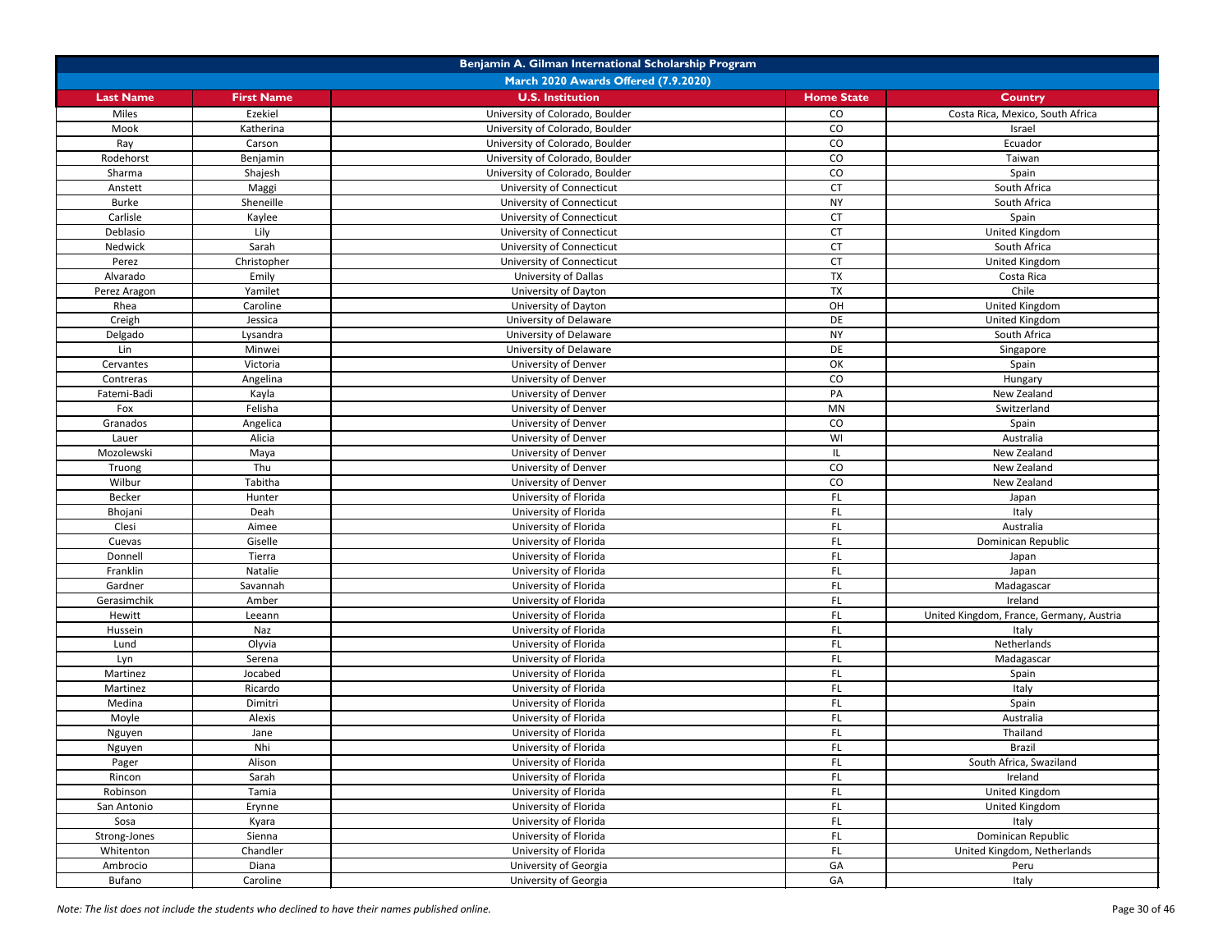| Benjamin A. Gilman International Scholarship Program |                   |                                                |                   |                                          |
|------------------------------------------------------|-------------------|------------------------------------------------|-------------------|------------------------------------------|
|                                                      |                   | March 2020 Awards Offered (7.9.2020)           |                   |                                          |
| <b>Last Name</b>                                     | <b>First Name</b> | <b>U.S. Institution</b>                        | <b>Home State</b> | <b>Country</b>                           |
| Miles                                                | Ezekiel           | University of Colorado, Boulder                | CO                | Costa Rica, Mexico, South Africa         |
| Mook                                                 | Katherina         | University of Colorado, Boulder                | CO                | Israel                                   |
| Ray                                                  | Carson            | University of Colorado, Boulder                | CO                | Ecuador                                  |
| Rodehorst                                            | Benjamin          | University of Colorado, Boulder                | CO                | Taiwan                                   |
| Sharma                                               | Shajesh           | University of Colorado, Boulder                | CO                | Spain                                    |
| Anstett                                              | Maggi             | University of Connecticut                      | <b>CT</b>         | South Africa                             |
| <b>Burke</b>                                         | Sheneille         | University of Connecticut                      | <b>NY</b>         | South Africa                             |
| Carlisle                                             | Kaylee            | University of Connecticut                      | CT                | Spain                                    |
| Deblasio                                             | Lily              | University of Connecticut                      | <b>CT</b>         | <b>United Kingdom</b>                    |
| Nedwick                                              | Sarah             | University of Connecticut                      | <b>CT</b>         | South Africa                             |
| Perez                                                | Christopher       | University of Connecticut                      | <b>CT</b>         | United Kingdom                           |
| Alvarado                                             | Emily             | University of Dallas                           | <b>TX</b>         | Costa Rica                               |
| Perez Aragon                                         | Yamilet           | University of Dayton                           | TX                | Chile                                    |
| Rhea                                                 | Caroline          | University of Dayton                           | OH                | United Kingdom                           |
| Creigh                                               | Jessica           | University of Delaware                         | DE                | United Kingdom                           |
| Delgado                                              | Lysandra          | University of Delaware                         | <b>NY</b>         | South Africa                             |
| Lin                                                  | Minwei            | University of Delaware                         | DE                | Singapore                                |
| Cervantes                                            | Victoria          | University of Denver                           | OK                | Spain                                    |
| Contreras                                            | Angelina          | University of Denver                           | CO                | Hungary                                  |
| Fatemi-Badi                                          | Kayla             | University of Denver                           | PA                | New Zealand                              |
| Fox                                                  | Felisha           | University of Denver                           | <b>MN</b>         | Switzerland                              |
| Granados                                             | Angelica          | University of Denver                           | CO                | Spain                                    |
| Lauer                                                | Alicia            | University of Denver                           | WI                | Australia                                |
| Mozolewski                                           | Maya              | University of Denver                           |                   | New Zealand                              |
| Truong                                               | Thu               | University of Denver                           | CO                | New Zealand                              |
| Wilbur                                               | Tabitha           | University of Denver                           | CO                | New Zealand                              |
| Becker                                               | Hunter            | University of Florida                          | FL.               |                                          |
| Bhojani                                              | Deah              | University of Florida                          | FL.               | Japan                                    |
| Clesi                                                | Aimee             | University of Florida                          | FL.               | Italy<br>Australia                       |
| Cuevas                                               | Giselle           | University of Florida                          | FL.               | Dominican Republic                       |
| Donnell                                              | Tierra            | University of Florida                          | FL.               |                                          |
| Franklin                                             | Natalie           | University of Florida                          | FL.               | Japan                                    |
| Gardner                                              | Savannah          | University of Florida                          | FL                | Japan<br>Madagascar                      |
| Gerasimchik                                          | Amber             | University of Florida                          | FL.               | Ireland                                  |
| Hewitt                                               |                   | University of Florida                          | FL.               |                                          |
|                                                      | Leeann            | University of Florida                          | FL.               | United Kingdom, France, Germany, Austria |
| Hussein<br>Lund                                      | Naz<br>Olyvia     | University of Florida                          | FL.               | Italy<br>Netherlands                     |
|                                                      | Serena            | University of Florida                          | FL.               |                                          |
| Lyn                                                  | Jocabed           | University of Florida                          |                   | Madagascar                               |
| Martinez                                             | Ricardo           |                                                | FL.<br>FL.        | Spain                                    |
| Martinez<br>Medina                                   | Dimitri           | University of Florida<br>University of Florida | FL.               | Italy<br>Spain                           |
|                                                      | Alexis            | University of Florida                          | FL.               | Australia                                |
| Moyle                                                |                   | University of Florida                          | FL.               | Thailand                                 |
| Nguyen                                               | Jane<br>Nhi       | University of Florida                          | FL.               | <b>Brazil</b>                            |
| Nguyen                                               | Alison            |                                                | FL.               | South Africa, Swaziland                  |
| Pager                                                | Sarah             | University of Florida                          | FL.               | Ireland                                  |
| Rincon                                               |                   | University of Florida                          |                   |                                          |
| Robinson                                             | Tamia             | University of Florida                          | FL.               | United Kingdom                           |
| San Antonio                                          | Erynne            | University of Florida                          | FL.               | United Kingdom                           |
| Sosa                                                 | Kyara             | University of Florida                          | FL                | Italy                                    |
| Strong-Jones                                         | Sienna            | University of Florida                          | FL.               | Dominican Republic                       |
| Whitenton                                            | Chandler          | University of Florida                          | FL.               | United Kingdom, Netherlands              |
| Ambrocio                                             | Diana             | University of Georgia                          | GA                | Peru                                     |
| Bufano                                               | Caroline          | University of Georgia                          | GA                | Italy                                    |

*Note: The list does not include the students who declined to have their names published online.* Page 30 of 46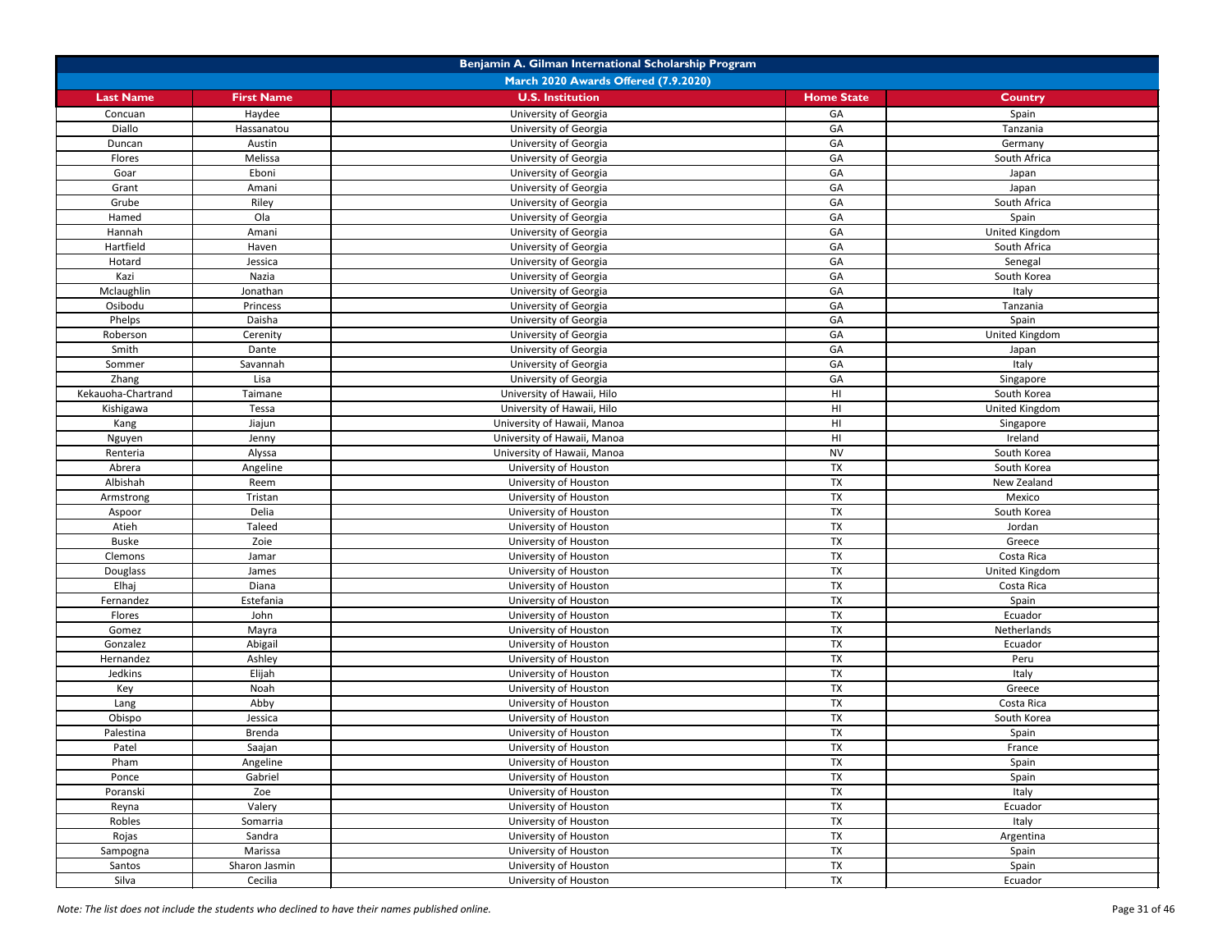| Benjamin A. Gilman International Scholarship Program |                   |                                      |                   |                |
|------------------------------------------------------|-------------------|--------------------------------------|-------------------|----------------|
|                                                      |                   | March 2020 Awards Offered (7.9.2020) |                   |                |
| <b>Last Name</b>                                     | <b>First Name</b> | <b>U.S. Institution</b>              | <b>Home State</b> | <b>Country</b> |
| Concuan                                              | Haydee            | University of Georgia                | GA                | Spain          |
| Diallo                                               | Hassanatou        | University of Georgia                | GA                | Tanzania       |
| Duncan                                               | Austin            | University of Georgia                | GA                | Germany        |
| Flores                                               | Melissa           | University of Georgia                | GA                | South Africa   |
| Goar                                                 | Eboni             | University of Georgia                | GA                | Japan          |
| Grant                                                | Amani             | University of Georgia                | GA                | Japan          |
| Grube                                                | Riley             | University of Georgia                | GA                | South Africa   |
| Hamed                                                | Ola               | University of Georgia                | GA                | Spain          |
| Hannah                                               | Amani             | University of Georgia                | GA                | United Kingdom |
| Hartfield                                            | Haven             | University of Georgia                | GA                | South Africa   |
| Hotard                                               | Jessica           | University of Georgia                | GA                | Senegal        |
| Kazi                                                 | Nazia             | University of Georgia                | GA                | South Korea    |
| Mclaughlin                                           | Jonathan          | University of Georgia                | GA                | Italy          |
| Osibodu                                              | Princess          | University of Georgia                | GA                | Tanzania       |
| Phelps                                               | Daisha            | University of Georgia                | GA                | Spain          |
| Roberson                                             | Cerenity          | University of Georgia                | GA                | United Kingdom |
| Smith                                                | Dante             | University of Georgia                | GA                | Japan          |
| Sommer                                               | Savannah          | University of Georgia                | GA                | Italy          |
| Zhang                                                | Lisa              | University of Georgia                | GA                | Singapore      |
| Kekauoha-Chartrand                                   | Taimane           | University of Hawaii, Hilo           | HI                | South Korea    |
| Kishigawa                                            | Tessa             | University of Hawaii, Hilo           | HI                | United Kingdom |
| Kang                                                 | Jiajun            | University of Hawaii, Manoa          | HI                | Singapore      |
| Nguyen                                               | Jenny             | University of Hawaii, Manoa          | HI                | Ireland        |
| Renteria                                             | Alyssa            | University of Hawaii, Manoa          | <b>NV</b>         | South Korea    |
| Abrera                                               | Angeline          | University of Houston                | TX                | South Korea    |
| Albishah                                             | Reem              | University of Houston                | <b>TX</b>         | New Zealand    |
| Armstrong                                            | Tristan           | University of Houston                | <b>TX</b>         | Mexico         |
| Aspoor                                               | Delia             | University of Houston                | <b>TX</b>         | South Korea    |
| Atieh                                                | Taleed            | University of Houston                | <b>TX</b>         | Jordan         |
| Buske                                                | Zoie              | University of Houston                | <b>TX</b>         | Greece         |
| Clemons                                              | Jamar             | University of Houston                | <b>TX</b>         | Costa Rica     |
| Douglass                                             | James             | University of Houston                | <b>TX</b>         | United Kingdom |
| Elhaj                                                | Diana             | University of Houston                | <b>TX</b>         | Costa Rica     |
| Fernandez                                            | Estefania         | University of Houston                | <b>TX</b>         | Spain          |
| Flores                                               | John              | University of Houston                | <b>TX</b>         | Ecuador        |
| Gomez                                                | Mayra             | University of Houston                | <b>TX</b>         | Netherlands    |
| Gonzalez                                             | Abigail           | University of Houston                | <b>TX</b>         | Ecuador        |
| Hernandez                                            | Ashley            | University of Houston                | <b>TX</b>         | Peru           |
| Jedkins                                              | Elijah            | University of Houston                | <b>TX</b>         | Italy          |
| Key                                                  | Noah              | University of Houston                | <b>TX</b>         | Greece         |
| Lang                                                 | Abby              | University of Houston                | <b>TX</b>         | Costa Rica     |
| Obispo                                               | Jessica           | University of Houston                | TX                | South Korea    |
| Palestina                                            | Brenda            | University of Houston                | <b>TX</b>         | Spain          |
| Patel                                                | Saajan            | University of Houston                | <b>TX</b>         | France         |
| Pham                                                 | Angeline          | University of Houston                | <b>TX</b>         | Spain          |
| Ponce                                                | Gabriel           | University of Houston                | <b>TX</b>         | Spain          |
| Poranski                                             | Zoe               | University of Houston                | <b>TX</b>         | Italy          |
| Reyna                                                | Valery            | University of Houston                | <b>TX</b>         | Ecuador        |
| Robles                                               | Somarria          | University of Houston                | <b>TX</b>         | Italy          |
| Rojas                                                | Sandra            | University of Houston                | <b>TX</b>         | Argentina      |
| Sampogna                                             | Marissa           | University of Houston                | <b>TX</b>         | Spain          |
| Santos                                               | Sharon Jasmin     | University of Houston                | <b>TX</b>         | Spain          |
| Silva                                                | Cecilia           | University of Houston                | <b>TX</b>         | Ecuador        |
|                                                      |                   |                                      |                   |                |

*Note: The list does not include the students who declined to have their names published online.* Page 31 of 46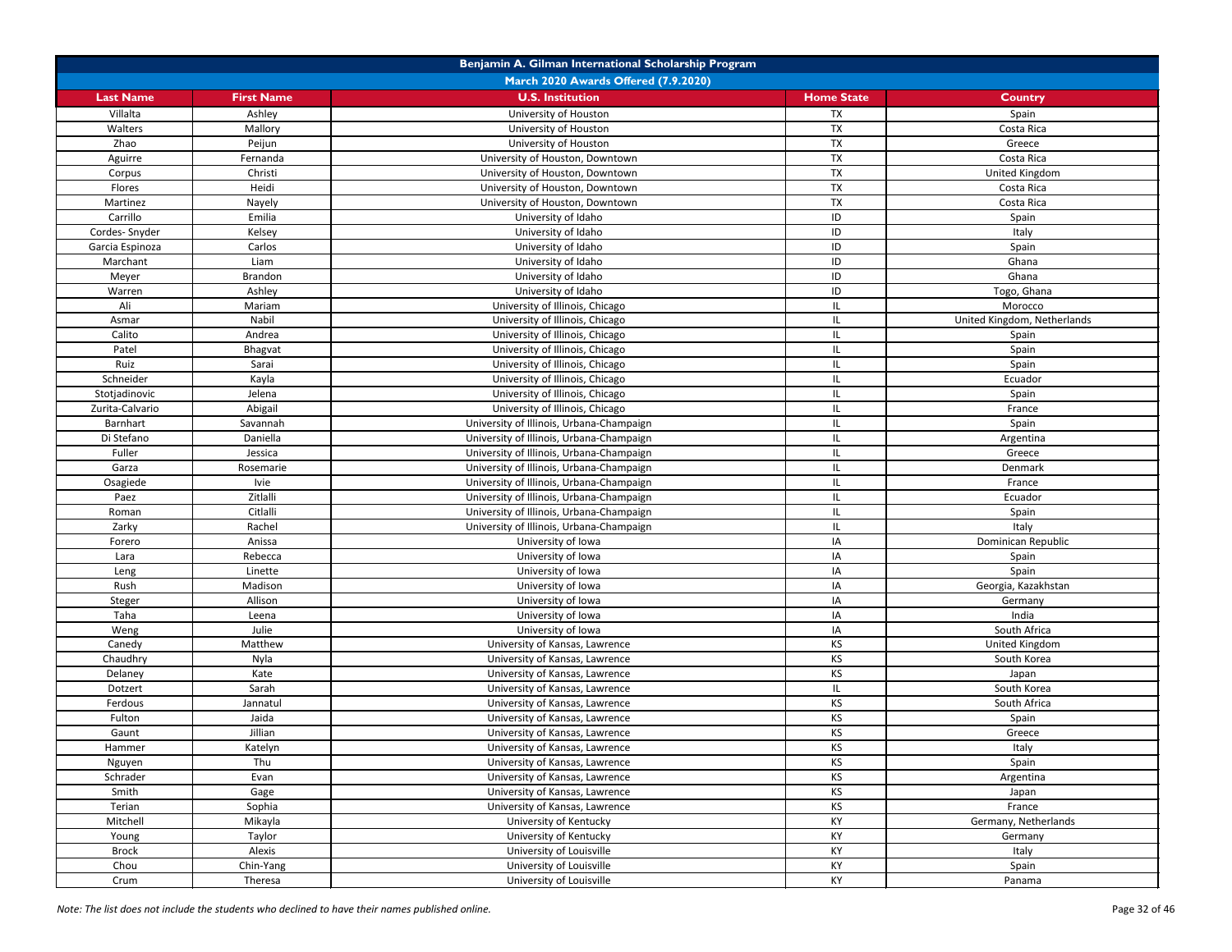| Benjamin A. Gilman International Scholarship Program |                   |                                          |                   |                             |
|------------------------------------------------------|-------------------|------------------------------------------|-------------------|-----------------------------|
|                                                      |                   | March 2020 Awards Offered (7.9.2020)     |                   |                             |
| <b>Last Name</b>                                     | <b>First Name</b> | <b>U.S. Institution</b>                  | <b>Home State</b> | <b>Country</b>              |
| Villalta                                             | Ashley            | University of Houston                    | <b>TX</b>         | Spain                       |
| Walters                                              | Mallory           | University of Houston                    | <b>TX</b>         | Costa Rica                  |
| Zhao                                                 | Peijun            | University of Houston                    | <b>TX</b>         | Greece                      |
| Aguirre                                              | Fernanda          | University of Houston, Downtown          | <b>TX</b>         | Costa Rica                  |
| Corpus                                               | Christi           | University of Houston, Downtown          | <b>TX</b>         | United Kingdom              |
| Flores                                               | Heidi             | University of Houston, Downtown          | <b>TX</b>         | Costa Rica                  |
| Martinez                                             | Nayely            | University of Houston, Downtown          | TX                | Costa Rica                  |
| Carrillo                                             | Emilia            | University of Idaho                      | ID                | Spain                       |
| Cordes-Snyder                                        | Kelsey            | University of Idaho                      | ID                | Italy                       |
| Garcia Espinoza                                      | Carlos            | University of Idaho                      | ID                | Spain                       |
| Marchant                                             | Liam              | University of Idaho                      | ID                | Ghana                       |
| Meyer                                                | Brandon           | University of Idaho                      | ID                | Ghana                       |
| Warren                                               | Ashley            | University of Idaho                      | ID                | Togo, Ghana                 |
| Ali                                                  | Mariam            | University of Illinois, Chicago          |                   | Morocco                     |
| Asmar                                                | Nabil             | University of Illinois, Chicago          |                   | United Kingdom, Netherlands |
| Calito                                               | Andrea            | University of Illinois, Chicago          |                   | Spain                       |
| Patel                                                | Bhagvat           | University of Illinois, Chicago          |                   | Spain                       |
| Ruiz                                                 | Sarai             | University of Illinois, Chicago          |                   | Spain                       |
| Schneider                                            | Kayla             | University of Illinois, Chicago          |                   | Ecuador                     |
| Stotjadinovic                                        | Jelena            | University of Illinois, Chicago          |                   | Spain                       |
| Zurita-Calvario                                      | Abigail           | University of Illinois, Chicago          |                   | France                      |
| <b>Barnhart</b>                                      | Savannah          | University of Illinois, Urbana-Champaign |                   | Spain                       |
| Di Stefano                                           | Daniella          | University of Illinois, Urbana-Champaign |                   | Argentina                   |
| Fuller                                               | Jessica           | University of Illinois, Urbana-Champaign |                   | Greece                      |
| Garza                                                | Rosemarie         | University of Illinois, Urbana-Champaign |                   | Denmark                     |
| Osagiede                                             | Ivie              | University of Illinois, Urbana-Champaign |                   | France                      |
| Paez                                                 | Zitlalli          | University of Illinois, Urbana-Champaign |                   | Ecuador                     |
| Roman                                                | Citlalli          | University of Illinois, Urbana-Champaign |                   | Spain                       |
| Zarky                                                | Rachel            | University of Illinois, Urbana-Champaign | IL                | Italy                       |
| Forero                                               | Anissa            | University of Iowa                       | IA                | Dominican Republic          |
| Lara                                                 | Rebecca           | University of Iowa                       | IA                | Spain                       |
| Leng                                                 | Linette           | University of Iowa                       | IA                | Spain                       |
| Rush                                                 | Madison           | University of Iowa                       | IA                | Georgia, Kazakhstan         |
| Steger                                               | Allison           | University of Iowa                       | IA                | Germany                     |
| Taha                                                 | Leena             | University of Iowa                       | IA                | India                       |
| Weng                                                 | Julie             | University of Iowa                       | IA                | South Africa                |
| Canedy                                               | Matthew           | University of Kansas, Lawrence           | <b>KS</b>         | United Kingdom              |
| Chaudhry                                             | Nyla              | University of Kansas, Lawrence           | <b>KS</b>         | South Korea                 |
| Delaney                                              | Kate              | University of Kansas, Lawrence           | KS                | Japan                       |
| Dotzert                                              | Sarah             | University of Kansas, Lawrence           |                   | South Korea                 |
| Ferdous                                              | Jannatul          | University of Kansas, Lawrence           | <b>KS</b>         | South Africa                |
| Fulton                                               | Jaida             | University of Kansas, Lawrence           | KS                | Spain                       |
| Gaunt                                                | Jillian           | University of Kansas, Lawrence           | <b>KS</b>         | Greece                      |
| Hammer                                               | Katelyn           | University of Kansas, Lawrence           | <b>KS</b>         | Italy                       |
| Nguyen                                               | Thu               | University of Kansas, Lawrence           | <b>KS</b>         | Spain                       |
| Schrader                                             | Evan              | University of Kansas, Lawrence           | <b>KS</b>         | Argentina                   |
| Smith                                                | Gage              | University of Kansas, Lawrence           | <b>KS</b>         | Japan                       |
| Terian                                               | Sophia            | University of Kansas, Lawrence           | <b>KS</b>         | France                      |
| Mitchell                                             | Mikayla           | University of Kentucky                   | KY                | Germany, Netherlands        |
| Young                                                | Taylor            | University of Kentucky                   | KY                | Germany                     |
| <b>Brock</b>                                         | Alexis            | University of Louisville                 | KY                | Italy                       |
| Chou                                                 | Chin-Yang         | University of Louisville                 | KY                | Spain                       |
| Crum                                                 | Theresa           | University of Louisville                 | KY                | Panama                      |
|                                                      |                   |                                          |                   |                             |

*Note: The list does not include the students who declined to have their names published online.* Page 32 of 46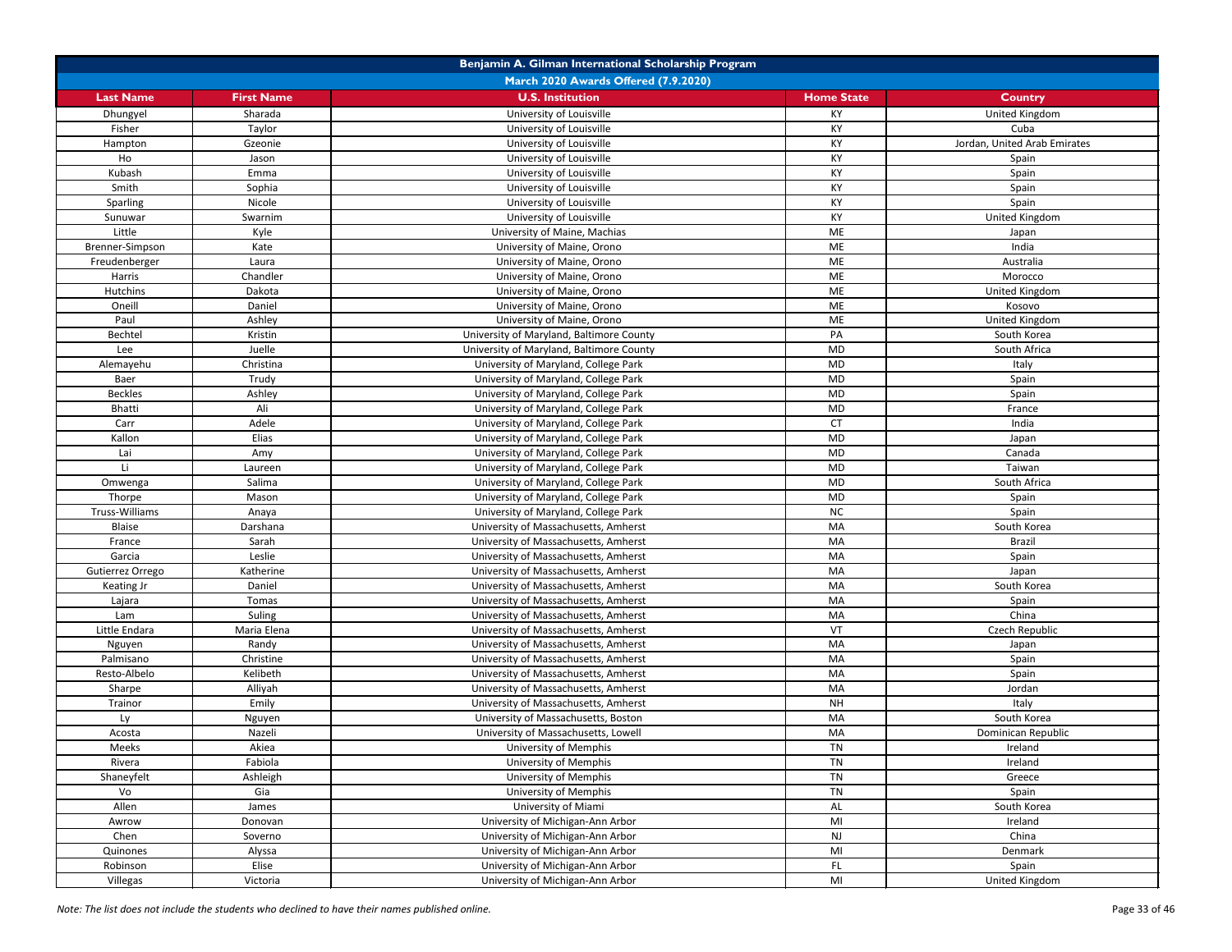| Benjamin A. Gilman International Scholarship Program |                   |                                          |                   |                              |
|------------------------------------------------------|-------------------|------------------------------------------|-------------------|------------------------------|
|                                                      |                   | March 2020 Awards Offered (7.9.2020)     |                   |                              |
| <b>Last Name</b>                                     | <b>First Name</b> | <b>U.S. Institution</b>                  | <b>Home State</b> | <b>Country</b>               |
| Dhungyel                                             | Sharada           | University of Louisville                 | ΚY                | United Kingdom               |
| Fisher                                               | Taylor            | University of Louisville                 | KY                | Cuba                         |
| Hampton                                              | Gzeonie           | University of Louisville                 | <b>KY</b>         | Jordan, United Arab Emirates |
| Ho                                                   | Jason             | University of Louisville                 | KY                | Spain                        |
| Kubash                                               | Emma              | University of Louisville                 | KY                | Spain                        |
| Smith                                                | Sophia            | University of Louisville                 | KY                | Spain                        |
| <b>Sparling</b>                                      | Nicole            | University of Louisville                 | KY                | Spain                        |
| Sunuwar                                              | Swarnim           | University of Louisville                 | KY                | United Kingdom               |
| Little                                               | Kyle              | University of Maine, Machias             | ME                | Japan                        |
| Brenner-Simpson                                      | Kate              | University of Maine, Orono               | ME                | India                        |
| Freudenberger                                        | Laura             | University of Maine, Orono               | ME                | Australia                    |
| Harris                                               | Chandler          | University of Maine, Orono               | ME                | Morocco                      |
| <b>Hutchins</b>                                      | Dakota            | University of Maine, Orono               | ME                | United Kingdom               |
| Oneill                                               | Daniel            | University of Maine, Orono               | ME                | Kosovo                       |
| Paul                                                 | Ashley            | University of Maine, Orono               | ME                | United Kingdom               |
| Bechtel                                              | Kristin           | University of Maryland, Baltimore County | PA                | South Korea                  |
| Lee                                                  | Juelle            | University of Maryland, Baltimore County | <b>MD</b>         | South Africa                 |
| Alemayehu                                            | Christina         | University of Maryland, College Park     | <b>MD</b>         | Italy                        |
| Baer                                                 | Trudy             | University of Maryland, College Park     | <b>MD</b>         | Spain                        |
| <b>Beckles</b>                                       | Ashley            | University of Maryland, College Park     | <b>MD</b>         | Spain                        |
| <b>Bhatti</b>                                        | Ali               | University of Maryland, College Park     | MD                | France                       |
| Carr                                                 | Adele             | University of Maryland, College Park     | <b>CT</b>         | India                        |
| Kallon                                               | Elias             | University of Maryland, College Park     | <b>MD</b>         | Japan                        |
| Lai                                                  | Amy               | University of Maryland, College Park     | <b>MD</b>         | Canada                       |
| Li.                                                  | Laureen           | University of Maryland, College Park     | <b>MD</b>         | Taiwan                       |
| Omwenga                                              | Salima            | University of Maryland, College Park     | <b>MD</b>         | South Africa                 |
| Thorpe                                               | Mason             | University of Maryland, College Park     | MD                | Spain                        |
| Truss-Williams                                       | Anaya             | University of Maryland, College Park     | <b>NC</b>         | Spain                        |
| Blaise                                               | Darshana          | University of Massachusetts, Amherst     | MA                | South Korea                  |
| France                                               | Sarah             | University of Massachusetts, Amherst     | MA                | <b>Brazil</b>                |
| Garcia                                               | Leslie            | University of Massachusetts, Amherst     | MA                | Spain                        |
| Gutierrez Orrego                                     | Katherine         | University of Massachusetts, Amherst     | MA                | Japan                        |
| <b>Keating Jr</b>                                    | Daniel            | University of Massachusetts, Amherst     | MA                | South Korea                  |
| Lajara                                               | Tomas             | University of Massachusetts, Amherst     | MA                | Spain                        |
| Lam                                                  | Suling            | University of Massachusetts, Amherst     | MA                | China                        |
| Little Endara                                        | Maria Elena       | University of Massachusetts, Amherst     | VT                | Czech Republic               |
| Nguyen                                               | Randy             | University of Massachusetts, Amherst     | MA                | Japan                        |
| Palmisano                                            | Christine         | University of Massachusetts, Amherst     | MA                | Spain                        |
| Resto-Albelo                                         | Kelibeth          | University of Massachusetts, Amherst     | MA                | Spain                        |
| Sharpe                                               | Alliyah           | University of Massachusetts, Amherst     | MA                | Jordan                       |
| Trainor                                              | Emily             | University of Massachusetts, Amherst     | <b>NH</b>         | Italy                        |
| Ly                                                   | Nguyen            | University of Massachusetts, Boston      | MA                | South Korea                  |
| Acosta                                               | Nazeli            | University of Massachusetts, Lowell      | MA                | Dominican Republic           |
| Meeks                                                | Akiea             | University of Memphis                    | TN                | Ireland                      |
| Rivera                                               | Fabiola           | University of Memphis                    | TN                | Ireland                      |
| Shaneyfelt                                           | Ashleigh          | University of Memphis                    | TN                | Greece                       |
| Vo                                                   | Gia               | University of Memphis                    | TN                | Spain                        |
| Allen                                                | James             | University of Miami                      | AL                | South Korea                  |
| Awrow                                                | Donovan           | University of Michigan-Ann Arbor         | MI                | Ireland                      |
| Chen                                                 | Soverno           | University of Michigan-Ann Arbor         | <b>NJ</b>         | China                        |
| Quinones                                             | Alyssa            | University of Michigan-Ann Arbor         | MI                | Denmark                      |
| Robinson                                             | Elise             | University of Michigan-Ann Arbor         | FL.               | Spain                        |
| Villegas                                             | Victoria          | University of Michigan-Ann Arbor         | MI                | United Kingdom               |

*Note: The list does not include the students who declined to have their names published online.* Page 33 of 46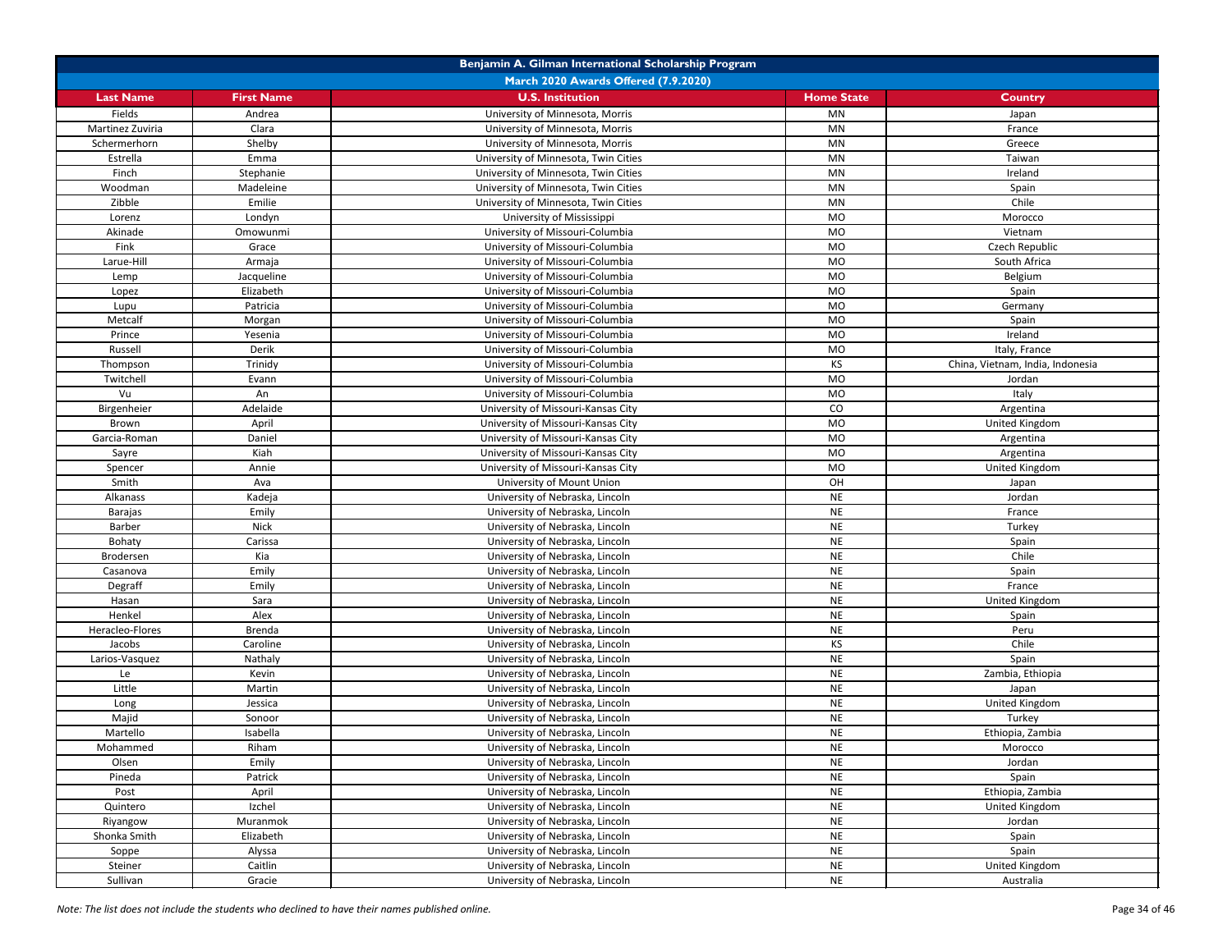| March 2020 Awards Offered (7.9.2020)<br><b>U.S. Institution</b><br><b>Last Name</b><br><b>First Name</b><br><b>Home State</b><br><b>Country</b><br>University of Minnesota, Morris<br>Fields<br>Andrea<br><b>MN</b><br>Japan<br>Martinez Zuviria<br>Clara<br>University of Minnesota, Morris<br><b>MN</b><br>France<br>University of Minnesota, Morris<br>Schermerhorn<br>Shelby<br>MN<br>Greece<br>Estrella<br>University of Minnesota, Twin Cities<br><b>MN</b><br>Emma<br>Taiwan<br>Finch<br>Stephanie<br>University of Minnesota, Twin Cities<br><b>MN</b><br>Ireland<br>Madeleine<br>University of Minnesota, Twin Cities<br>Woodman<br><b>MN</b><br>Spain<br>Zibble<br>Emilie<br>University of Minnesota, Twin Cities<br>Chile<br><b>MN</b><br>University of Mississippi<br><b>MO</b><br>Londyn<br>Morocco<br>Lorenz<br>University of Missouri-Columbia<br><b>MO</b><br>Akinade<br>Omowunmi<br>Vietnam<br>University of Missouri-Columbia<br>Czech Republic<br>Fink<br><b>MO</b><br>Grace<br>University of Missouri-Columbia<br><b>MO</b><br>Larue-Hill<br>South Africa<br>Armaja<br>Jacqueline<br>University of Missouri-Columbia<br><b>MO</b><br>Belgium<br>Lemp<br>Elizabeth<br>University of Missouri-Columbia<br><b>MO</b><br>Spain<br>Lopez<br>University of Missouri-Columbia<br><b>MO</b><br>Patricia<br>Lupu<br>Germany<br>University of Missouri-Columbia<br><b>MO</b><br>Metcalf<br>Morgan<br>Spain<br>University of Missouri-Columbia<br><b>MO</b><br>Prince<br>Yesenia<br>Ireland<br>University of Missouri-Columbia<br>Russell<br>Derik<br>MO<br>Italy, France<br>University of Missouri-Columbia<br>China, Vietnam, India, Indonesia<br>Trinidy<br><b>KS</b><br>Thompson<br>University of Missouri-Columbia<br><b>MO</b><br>Twitchell<br>Evann<br>Jordan<br>University of Missouri-Columbia<br><b>MO</b><br>Vu<br>An<br>Italy<br>Adelaide<br>University of Missouri-Kansas City<br>CO<br>Birgenheier<br>Argentina<br>University of Missouri-Kansas City<br><b>MO</b><br>United Kingdom<br>April<br>Brown<br>University of Missouri-Kansas City<br>Daniel<br><b>MO</b><br>Garcia-Roman<br>Argentina<br>University of Missouri-Kansas City<br>Kiah<br><b>MO</b><br>Sayre<br>Argentina<br>University of Missouri-Kansas City<br><b>MO</b><br>United Kingdom<br>Spencer<br>Annie<br>Smith<br>University of Mount Union<br>OH<br>Ava<br>Japan<br>Kadeja<br>University of Nebraska, Lincoln<br><b>NE</b><br>Alkanass<br>Jordan<br>University of Nebraska, Lincoln<br><b>NE</b><br>Emily<br>Barajas<br>France<br><b>Nick</b><br>Turkey<br>Barber<br>University of Nebraska, Lincoln<br><b>NE</b><br><b>NE</b><br>Carissa<br>Spain<br>Bohaty<br>University of Nebraska, Lincoln<br>Chile<br>University of Nebraska, Lincoln<br><b>NE</b><br>Brodersen<br>Kia<br>Emily<br><b>NE</b><br>University of Nebraska, Lincoln<br>Spain<br>Casanova<br>Degraff<br><b>NE</b><br>Emily<br>University of Nebraska, Lincoln<br>France<br><b>NE</b><br>Sara<br>University of Nebraska, Lincoln<br>United Kingdom<br>Hasan<br><b>NE</b><br>Alex<br>Henkel<br>University of Nebraska, Lincoln<br>Spain<br><b>NE</b><br>Heracleo-Flores<br><b>Brenda</b><br>University of Nebraska, Lincoln<br>Peru<br>Chile<br>University of Nebraska, Lincoln<br><b>KS</b><br>Caroline<br>Jacobs<br><b>NE</b><br>Nathaly<br>Spain<br>Larios-Vasquez<br>University of Nebraska, Lincoln<br><b>NE</b><br>Le<br>Kevin<br>University of Nebraska, Lincoln<br>Zambia, Ethiopia<br><b>NE</b><br>Little<br>Martin<br>University of Nebraska, Lincoln<br>Japan<br><b>NE</b><br>United Kingdom<br>Jessica<br>University of Nebraska, Lincoln<br>Long<br><b>NE</b><br>Turkey<br>Majid<br>Sonoor<br>University of Nebraska, Lincoln<br>Martello<br>Isabella<br>University of Nebraska, Lincoln<br><b>NE</b><br>Ethiopia, Zambia<br>Riham<br>Mohammed<br>University of Nebraska, Lincoln<br><b>NE</b><br>Morocco<br>Olsen<br>University of Nebraska, Lincoln<br><b>NE</b><br>Emily<br>Jordan<br><b>NE</b><br>Patrick<br>University of Nebraska, Lincoln<br>Pineda<br>Spain<br><b>NE</b><br>University of Nebraska, Lincoln<br>Ethiopia, Zambia<br>Post<br>April<br><b>NE</b><br>Izchel<br>University of Nebraska, Lincoln<br>United Kingdom<br>Quintero<br><b>NE</b><br>Muranmok<br>University of Nebraska, Lincoln<br>Jordan | Benjamin A. Gilman International Scholarship Program |  |  |  |  |
|-------------------------------------------------------------------------------------------------------------------------------------------------------------------------------------------------------------------------------------------------------------------------------------------------------------------------------------------------------------------------------------------------------------------------------------------------------------------------------------------------------------------------------------------------------------------------------------------------------------------------------------------------------------------------------------------------------------------------------------------------------------------------------------------------------------------------------------------------------------------------------------------------------------------------------------------------------------------------------------------------------------------------------------------------------------------------------------------------------------------------------------------------------------------------------------------------------------------------------------------------------------------------------------------------------------------------------------------------------------------------------------------------------------------------------------------------------------------------------------------------------------------------------------------------------------------------------------------------------------------------------------------------------------------------------------------------------------------------------------------------------------------------------------------------------------------------------------------------------------------------------------------------------------------------------------------------------------------------------------------------------------------------------------------------------------------------------------------------------------------------------------------------------------------------------------------------------------------------------------------------------------------------------------------------------------------------------------------------------------------------------------------------------------------------------------------------------------------------------------------------------------------------------------------------------------------------------------------------------------------------------------------------------------------------------------------------------------------------------------------------------------------------------------------------------------------------------------------------------------------------------------------------------------------------------------------------------------------------------------------------------------------------------------------------------------------------------------------------------------------------------------------------------------------------------------------------------------------------------------------------------------------------------------------------------------------------------------------------------------------------------------------------------------------------------------------------------------------------------------------------------------------------------------------------------------------------------------------------------------------------------------------------------------------------------------------------------------------------------------------------------------------------------------------------------------------------------------------------------------------------------------------------------------------------------------------------------------------------------------------------------------------------------------------------------------------------------------------------------------------------------------------------------------------------------------------------------------------------------------------------------------------------------------------------|------------------------------------------------------|--|--|--|--|
|                                                                                                                                                                                                                                                                                                                                                                                                                                                                                                                                                                                                                                                                                                                                                                                                                                                                                                                                                                                                                                                                                                                                                                                                                                                                                                                                                                                                                                                                                                                                                                                                                                                                                                                                                                                                                                                                                                                                                                                                                                                                                                                                                                                                                                                                                                                                                                                                                                                                                                                                                                                                                                                                                                                                                                                                                                                                                                                                                                                                                                                                                                                                                                                                                                                                                                                                                                                                                                                                                                                                                                                                                                                                                                                                                                                                                                                                                                                                                                                                                                                                                                                                                                                                                                                                                                 |                                                      |  |  |  |  |
|                                                                                                                                                                                                                                                                                                                                                                                                                                                                                                                                                                                                                                                                                                                                                                                                                                                                                                                                                                                                                                                                                                                                                                                                                                                                                                                                                                                                                                                                                                                                                                                                                                                                                                                                                                                                                                                                                                                                                                                                                                                                                                                                                                                                                                                                                                                                                                                                                                                                                                                                                                                                                                                                                                                                                                                                                                                                                                                                                                                                                                                                                                                                                                                                                                                                                                                                                                                                                                                                                                                                                                                                                                                                                                                                                                                                                                                                                                                                                                                                                                                                                                                                                                                                                                                                                                 |                                                      |  |  |  |  |
|                                                                                                                                                                                                                                                                                                                                                                                                                                                                                                                                                                                                                                                                                                                                                                                                                                                                                                                                                                                                                                                                                                                                                                                                                                                                                                                                                                                                                                                                                                                                                                                                                                                                                                                                                                                                                                                                                                                                                                                                                                                                                                                                                                                                                                                                                                                                                                                                                                                                                                                                                                                                                                                                                                                                                                                                                                                                                                                                                                                                                                                                                                                                                                                                                                                                                                                                                                                                                                                                                                                                                                                                                                                                                                                                                                                                                                                                                                                                                                                                                                                                                                                                                                                                                                                                                                 |                                                      |  |  |  |  |
|                                                                                                                                                                                                                                                                                                                                                                                                                                                                                                                                                                                                                                                                                                                                                                                                                                                                                                                                                                                                                                                                                                                                                                                                                                                                                                                                                                                                                                                                                                                                                                                                                                                                                                                                                                                                                                                                                                                                                                                                                                                                                                                                                                                                                                                                                                                                                                                                                                                                                                                                                                                                                                                                                                                                                                                                                                                                                                                                                                                                                                                                                                                                                                                                                                                                                                                                                                                                                                                                                                                                                                                                                                                                                                                                                                                                                                                                                                                                                                                                                                                                                                                                                                                                                                                                                                 |                                                      |  |  |  |  |
|                                                                                                                                                                                                                                                                                                                                                                                                                                                                                                                                                                                                                                                                                                                                                                                                                                                                                                                                                                                                                                                                                                                                                                                                                                                                                                                                                                                                                                                                                                                                                                                                                                                                                                                                                                                                                                                                                                                                                                                                                                                                                                                                                                                                                                                                                                                                                                                                                                                                                                                                                                                                                                                                                                                                                                                                                                                                                                                                                                                                                                                                                                                                                                                                                                                                                                                                                                                                                                                                                                                                                                                                                                                                                                                                                                                                                                                                                                                                                                                                                                                                                                                                                                                                                                                                                                 |                                                      |  |  |  |  |
|                                                                                                                                                                                                                                                                                                                                                                                                                                                                                                                                                                                                                                                                                                                                                                                                                                                                                                                                                                                                                                                                                                                                                                                                                                                                                                                                                                                                                                                                                                                                                                                                                                                                                                                                                                                                                                                                                                                                                                                                                                                                                                                                                                                                                                                                                                                                                                                                                                                                                                                                                                                                                                                                                                                                                                                                                                                                                                                                                                                                                                                                                                                                                                                                                                                                                                                                                                                                                                                                                                                                                                                                                                                                                                                                                                                                                                                                                                                                                                                                                                                                                                                                                                                                                                                                                                 |                                                      |  |  |  |  |
|                                                                                                                                                                                                                                                                                                                                                                                                                                                                                                                                                                                                                                                                                                                                                                                                                                                                                                                                                                                                                                                                                                                                                                                                                                                                                                                                                                                                                                                                                                                                                                                                                                                                                                                                                                                                                                                                                                                                                                                                                                                                                                                                                                                                                                                                                                                                                                                                                                                                                                                                                                                                                                                                                                                                                                                                                                                                                                                                                                                                                                                                                                                                                                                                                                                                                                                                                                                                                                                                                                                                                                                                                                                                                                                                                                                                                                                                                                                                                                                                                                                                                                                                                                                                                                                                                                 |                                                      |  |  |  |  |
|                                                                                                                                                                                                                                                                                                                                                                                                                                                                                                                                                                                                                                                                                                                                                                                                                                                                                                                                                                                                                                                                                                                                                                                                                                                                                                                                                                                                                                                                                                                                                                                                                                                                                                                                                                                                                                                                                                                                                                                                                                                                                                                                                                                                                                                                                                                                                                                                                                                                                                                                                                                                                                                                                                                                                                                                                                                                                                                                                                                                                                                                                                                                                                                                                                                                                                                                                                                                                                                                                                                                                                                                                                                                                                                                                                                                                                                                                                                                                                                                                                                                                                                                                                                                                                                                                                 |                                                      |  |  |  |  |
|                                                                                                                                                                                                                                                                                                                                                                                                                                                                                                                                                                                                                                                                                                                                                                                                                                                                                                                                                                                                                                                                                                                                                                                                                                                                                                                                                                                                                                                                                                                                                                                                                                                                                                                                                                                                                                                                                                                                                                                                                                                                                                                                                                                                                                                                                                                                                                                                                                                                                                                                                                                                                                                                                                                                                                                                                                                                                                                                                                                                                                                                                                                                                                                                                                                                                                                                                                                                                                                                                                                                                                                                                                                                                                                                                                                                                                                                                                                                                                                                                                                                                                                                                                                                                                                                                                 |                                                      |  |  |  |  |
|                                                                                                                                                                                                                                                                                                                                                                                                                                                                                                                                                                                                                                                                                                                                                                                                                                                                                                                                                                                                                                                                                                                                                                                                                                                                                                                                                                                                                                                                                                                                                                                                                                                                                                                                                                                                                                                                                                                                                                                                                                                                                                                                                                                                                                                                                                                                                                                                                                                                                                                                                                                                                                                                                                                                                                                                                                                                                                                                                                                                                                                                                                                                                                                                                                                                                                                                                                                                                                                                                                                                                                                                                                                                                                                                                                                                                                                                                                                                                                                                                                                                                                                                                                                                                                                                                                 |                                                      |  |  |  |  |
|                                                                                                                                                                                                                                                                                                                                                                                                                                                                                                                                                                                                                                                                                                                                                                                                                                                                                                                                                                                                                                                                                                                                                                                                                                                                                                                                                                                                                                                                                                                                                                                                                                                                                                                                                                                                                                                                                                                                                                                                                                                                                                                                                                                                                                                                                                                                                                                                                                                                                                                                                                                                                                                                                                                                                                                                                                                                                                                                                                                                                                                                                                                                                                                                                                                                                                                                                                                                                                                                                                                                                                                                                                                                                                                                                                                                                                                                                                                                                                                                                                                                                                                                                                                                                                                                                                 |                                                      |  |  |  |  |
|                                                                                                                                                                                                                                                                                                                                                                                                                                                                                                                                                                                                                                                                                                                                                                                                                                                                                                                                                                                                                                                                                                                                                                                                                                                                                                                                                                                                                                                                                                                                                                                                                                                                                                                                                                                                                                                                                                                                                                                                                                                                                                                                                                                                                                                                                                                                                                                                                                                                                                                                                                                                                                                                                                                                                                                                                                                                                                                                                                                                                                                                                                                                                                                                                                                                                                                                                                                                                                                                                                                                                                                                                                                                                                                                                                                                                                                                                                                                                                                                                                                                                                                                                                                                                                                                                                 |                                                      |  |  |  |  |
|                                                                                                                                                                                                                                                                                                                                                                                                                                                                                                                                                                                                                                                                                                                                                                                                                                                                                                                                                                                                                                                                                                                                                                                                                                                                                                                                                                                                                                                                                                                                                                                                                                                                                                                                                                                                                                                                                                                                                                                                                                                                                                                                                                                                                                                                                                                                                                                                                                                                                                                                                                                                                                                                                                                                                                                                                                                                                                                                                                                                                                                                                                                                                                                                                                                                                                                                                                                                                                                                                                                                                                                                                                                                                                                                                                                                                                                                                                                                                                                                                                                                                                                                                                                                                                                                                                 |                                                      |  |  |  |  |
|                                                                                                                                                                                                                                                                                                                                                                                                                                                                                                                                                                                                                                                                                                                                                                                                                                                                                                                                                                                                                                                                                                                                                                                                                                                                                                                                                                                                                                                                                                                                                                                                                                                                                                                                                                                                                                                                                                                                                                                                                                                                                                                                                                                                                                                                                                                                                                                                                                                                                                                                                                                                                                                                                                                                                                                                                                                                                                                                                                                                                                                                                                                                                                                                                                                                                                                                                                                                                                                                                                                                                                                                                                                                                                                                                                                                                                                                                                                                                                                                                                                                                                                                                                                                                                                                                                 |                                                      |  |  |  |  |
|                                                                                                                                                                                                                                                                                                                                                                                                                                                                                                                                                                                                                                                                                                                                                                                                                                                                                                                                                                                                                                                                                                                                                                                                                                                                                                                                                                                                                                                                                                                                                                                                                                                                                                                                                                                                                                                                                                                                                                                                                                                                                                                                                                                                                                                                                                                                                                                                                                                                                                                                                                                                                                                                                                                                                                                                                                                                                                                                                                                                                                                                                                                                                                                                                                                                                                                                                                                                                                                                                                                                                                                                                                                                                                                                                                                                                                                                                                                                                                                                                                                                                                                                                                                                                                                                                                 |                                                      |  |  |  |  |
|                                                                                                                                                                                                                                                                                                                                                                                                                                                                                                                                                                                                                                                                                                                                                                                                                                                                                                                                                                                                                                                                                                                                                                                                                                                                                                                                                                                                                                                                                                                                                                                                                                                                                                                                                                                                                                                                                                                                                                                                                                                                                                                                                                                                                                                                                                                                                                                                                                                                                                                                                                                                                                                                                                                                                                                                                                                                                                                                                                                                                                                                                                                                                                                                                                                                                                                                                                                                                                                                                                                                                                                                                                                                                                                                                                                                                                                                                                                                                                                                                                                                                                                                                                                                                                                                                                 |                                                      |  |  |  |  |
|                                                                                                                                                                                                                                                                                                                                                                                                                                                                                                                                                                                                                                                                                                                                                                                                                                                                                                                                                                                                                                                                                                                                                                                                                                                                                                                                                                                                                                                                                                                                                                                                                                                                                                                                                                                                                                                                                                                                                                                                                                                                                                                                                                                                                                                                                                                                                                                                                                                                                                                                                                                                                                                                                                                                                                                                                                                                                                                                                                                                                                                                                                                                                                                                                                                                                                                                                                                                                                                                                                                                                                                                                                                                                                                                                                                                                                                                                                                                                                                                                                                                                                                                                                                                                                                                                                 |                                                      |  |  |  |  |
|                                                                                                                                                                                                                                                                                                                                                                                                                                                                                                                                                                                                                                                                                                                                                                                                                                                                                                                                                                                                                                                                                                                                                                                                                                                                                                                                                                                                                                                                                                                                                                                                                                                                                                                                                                                                                                                                                                                                                                                                                                                                                                                                                                                                                                                                                                                                                                                                                                                                                                                                                                                                                                                                                                                                                                                                                                                                                                                                                                                                                                                                                                                                                                                                                                                                                                                                                                                                                                                                                                                                                                                                                                                                                                                                                                                                                                                                                                                                                                                                                                                                                                                                                                                                                                                                                                 |                                                      |  |  |  |  |
|                                                                                                                                                                                                                                                                                                                                                                                                                                                                                                                                                                                                                                                                                                                                                                                                                                                                                                                                                                                                                                                                                                                                                                                                                                                                                                                                                                                                                                                                                                                                                                                                                                                                                                                                                                                                                                                                                                                                                                                                                                                                                                                                                                                                                                                                                                                                                                                                                                                                                                                                                                                                                                                                                                                                                                                                                                                                                                                                                                                                                                                                                                                                                                                                                                                                                                                                                                                                                                                                                                                                                                                                                                                                                                                                                                                                                                                                                                                                                                                                                                                                                                                                                                                                                                                                                                 |                                                      |  |  |  |  |
|                                                                                                                                                                                                                                                                                                                                                                                                                                                                                                                                                                                                                                                                                                                                                                                                                                                                                                                                                                                                                                                                                                                                                                                                                                                                                                                                                                                                                                                                                                                                                                                                                                                                                                                                                                                                                                                                                                                                                                                                                                                                                                                                                                                                                                                                                                                                                                                                                                                                                                                                                                                                                                                                                                                                                                                                                                                                                                                                                                                                                                                                                                                                                                                                                                                                                                                                                                                                                                                                                                                                                                                                                                                                                                                                                                                                                                                                                                                                                                                                                                                                                                                                                                                                                                                                                                 |                                                      |  |  |  |  |
|                                                                                                                                                                                                                                                                                                                                                                                                                                                                                                                                                                                                                                                                                                                                                                                                                                                                                                                                                                                                                                                                                                                                                                                                                                                                                                                                                                                                                                                                                                                                                                                                                                                                                                                                                                                                                                                                                                                                                                                                                                                                                                                                                                                                                                                                                                                                                                                                                                                                                                                                                                                                                                                                                                                                                                                                                                                                                                                                                                                                                                                                                                                                                                                                                                                                                                                                                                                                                                                                                                                                                                                                                                                                                                                                                                                                                                                                                                                                                                                                                                                                                                                                                                                                                                                                                                 |                                                      |  |  |  |  |
|                                                                                                                                                                                                                                                                                                                                                                                                                                                                                                                                                                                                                                                                                                                                                                                                                                                                                                                                                                                                                                                                                                                                                                                                                                                                                                                                                                                                                                                                                                                                                                                                                                                                                                                                                                                                                                                                                                                                                                                                                                                                                                                                                                                                                                                                                                                                                                                                                                                                                                                                                                                                                                                                                                                                                                                                                                                                                                                                                                                                                                                                                                                                                                                                                                                                                                                                                                                                                                                                                                                                                                                                                                                                                                                                                                                                                                                                                                                                                                                                                                                                                                                                                                                                                                                                                                 |                                                      |  |  |  |  |
|                                                                                                                                                                                                                                                                                                                                                                                                                                                                                                                                                                                                                                                                                                                                                                                                                                                                                                                                                                                                                                                                                                                                                                                                                                                                                                                                                                                                                                                                                                                                                                                                                                                                                                                                                                                                                                                                                                                                                                                                                                                                                                                                                                                                                                                                                                                                                                                                                                                                                                                                                                                                                                                                                                                                                                                                                                                                                                                                                                                                                                                                                                                                                                                                                                                                                                                                                                                                                                                                                                                                                                                                                                                                                                                                                                                                                                                                                                                                                                                                                                                                                                                                                                                                                                                                                                 |                                                      |  |  |  |  |
|                                                                                                                                                                                                                                                                                                                                                                                                                                                                                                                                                                                                                                                                                                                                                                                                                                                                                                                                                                                                                                                                                                                                                                                                                                                                                                                                                                                                                                                                                                                                                                                                                                                                                                                                                                                                                                                                                                                                                                                                                                                                                                                                                                                                                                                                                                                                                                                                                                                                                                                                                                                                                                                                                                                                                                                                                                                                                                                                                                                                                                                                                                                                                                                                                                                                                                                                                                                                                                                                                                                                                                                                                                                                                                                                                                                                                                                                                                                                                                                                                                                                                                                                                                                                                                                                                                 |                                                      |  |  |  |  |
|                                                                                                                                                                                                                                                                                                                                                                                                                                                                                                                                                                                                                                                                                                                                                                                                                                                                                                                                                                                                                                                                                                                                                                                                                                                                                                                                                                                                                                                                                                                                                                                                                                                                                                                                                                                                                                                                                                                                                                                                                                                                                                                                                                                                                                                                                                                                                                                                                                                                                                                                                                                                                                                                                                                                                                                                                                                                                                                                                                                                                                                                                                                                                                                                                                                                                                                                                                                                                                                                                                                                                                                                                                                                                                                                                                                                                                                                                                                                                                                                                                                                                                                                                                                                                                                                                                 |                                                      |  |  |  |  |
|                                                                                                                                                                                                                                                                                                                                                                                                                                                                                                                                                                                                                                                                                                                                                                                                                                                                                                                                                                                                                                                                                                                                                                                                                                                                                                                                                                                                                                                                                                                                                                                                                                                                                                                                                                                                                                                                                                                                                                                                                                                                                                                                                                                                                                                                                                                                                                                                                                                                                                                                                                                                                                                                                                                                                                                                                                                                                                                                                                                                                                                                                                                                                                                                                                                                                                                                                                                                                                                                                                                                                                                                                                                                                                                                                                                                                                                                                                                                                                                                                                                                                                                                                                                                                                                                                                 |                                                      |  |  |  |  |
|                                                                                                                                                                                                                                                                                                                                                                                                                                                                                                                                                                                                                                                                                                                                                                                                                                                                                                                                                                                                                                                                                                                                                                                                                                                                                                                                                                                                                                                                                                                                                                                                                                                                                                                                                                                                                                                                                                                                                                                                                                                                                                                                                                                                                                                                                                                                                                                                                                                                                                                                                                                                                                                                                                                                                                                                                                                                                                                                                                                                                                                                                                                                                                                                                                                                                                                                                                                                                                                                                                                                                                                                                                                                                                                                                                                                                                                                                                                                                                                                                                                                                                                                                                                                                                                                                                 |                                                      |  |  |  |  |
|                                                                                                                                                                                                                                                                                                                                                                                                                                                                                                                                                                                                                                                                                                                                                                                                                                                                                                                                                                                                                                                                                                                                                                                                                                                                                                                                                                                                                                                                                                                                                                                                                                                                                                                                                                                                                                                                                                                                                                                                                                                                                                                                                                                                                                                                                                                                                                                                                                                                                                                                                                                                                                                                                                                                                                                                                                                                                                                                                                                                                                                                                                                                                                                                                                                                                                                                                                                                                                                                                                                                                                                                                                                                                                                                                                                                                                                                                                                                                                                                                                                                                                                                                                                                                                                                                                 |                                                      |  |  |  |  |
|                                                                                                                                                                                                                                                                                                                                                                                                                                                                                                                                                                                                                                                                                                                                                                                                                                                                                                                                                                                                                                                                                                                                                                                                                                                                                                                                                                                                                                                                                                                                                                                                                                                                                                                                                                                                                                                                                                                                                                                                                                                                                                                                                                                                                                                                                                                                                                                                                                                                                                                                                                                                                                                                                                                                                                                                                                                                                                                                                                                                                                                                                                                                                                                                                                                                                                                                                                                                                                                                                                                                                                                                                                                                                                                                                                                                                                                                                                                                                                                                                                                                                                                                                                                                                                                                                                 |                                                      |  |  |  |  |
|                                                                                                                                                                                                                                                                                                                                                                                                                                                                                                                                                                                                                                                                                                                                                                                                                                                                                                                                                                                                                                                                                                                                                                                                                                                                                                                                                                                                                                                                                                                                                                                                                                                                                                                                                                                                                                                                                                                                                                                                                                                                                                                                                                                                                                                                                                                                                                                                                                                                                                                                                                                                                                                                                                                                                                                                                                                                                                                                                                                                                                                                                                                                                                                                                                                                                                                                                                                                                                                                                                                                                                                                                                                                                                                                                                                                                                                                                                                                                                                                                                                                                                                                                                                                                                                                                                 |                                                      |  |  |  |  |
|                                                                                                                                                                                                                                                                                                                                                                                                                                                                                                                                                                                                                                                                                                                                                                                                                                                                                                                                                                                                                                                                                                                                                                                                                                                                                                                                                                                                                                                                                                                                                                                                                                                                                                                                                                                                                                                                                                                                                                                                                                                                                                                                                                                                                                                                                                                                                                                                                                                                                                                                                                                                                                                                                                                                                                                                                                                                                                                                                                                                                                                                                                                                                                                                                                                                                                                                                                                                                                                                                                                                                                                                                                                                                                                                                                                                                                                                                                                                                                                                                                                                                                                                                                                                                                                                                                 |                                                      |  |  |  |  |
|                                                                                                                                                                                                                                                                                                                                                                                                                                                                                                                                                                                                                                                                                                                                                                                                                                                                                                                                                                                                                                                                                                                                                                                                                                                                                                                                                                                                                                                                                                                                                                                                                                                                                                                                                                                                                                                                                                                                                                                                                                                                                                                                                                                                                                                                                                                                                                                                                                                                                                                                                                                                                                                                                                                                                                                                                                                                                                                                                                                                                                                                                                                                                                                                                                                                                                                                                                                                                                                                                                                                                                                                                                                                                                                                                                                                                                                                                                                                                                                                                                                                                                                                                                                                                                                                                                 |                                                      |  |  |  |  |
|                                                                                                                                                                                                                                                                                                                                                                                                                                                                                                                                                                                                                                                                                                                                                                                                                                                                                                                                                                                                                                                                                                                                                                                                                                                                                                                                                                                                                                                                                                                                                                                                                                                                                                                                                                                                                                                                                                                                                                                                                                                                                                                                                                                                                                                                                                                                                                                                                                                                                                                                                                                                                                                                                                                                                                                                                                                                                                                                                                                                                                                                                                                                                                                                                                                                                                                                                                                                                                                                                                                                                                                                                                                                                                                                                                                                                                                                                                                                                                                                                                                                                                                                                                                                                                                                                                 |                                                      |  |  |  |  |
|                                                                                                                                                                                                                                                                                                                                                                                                                                                                                                                                                                                                                                                                                                                                                                                                                                                                                                                                                                                                                                                                                                                                                                                                                                                                                                                                                                                                                                                                                                                                                                                                                                                                                                                                                                                                                                                                                                                                                                                                                                                                                                                                                                                                                                                                                                                                                                                                                                                                                                                                                                                                                                                                                                                                                                                                                                                                                                                                                                                                                                                                                                                                                                                                                                                                                                                                                                                                                                                                                                                                                                                                                                                                                                                                                                                                                                                                                                                                                                                                                                                                                                                                                                                                                                                                                                 |                                                      |  |  |  |  |
|                                                                                                                                                                                                                                                                                                                                                                                                                                                                                                                                                                                                                                                                                                                                                                                                                                                                                                                                                                                                                                                                                                                                                                                                                                                                                                                                                                                                                                                                                                                                                                                                                                                                                                                                                                                                                                                                                                                                                                                                                                                                                                                                                                                                                                                                                                                                                                                                                                                                                                                                                                                                                                                                                                                                                                                                                                                                                                                                                                                                                                                                                                                                                                                                                                                                                                                                                                                                                                                                                                                                                                                                                                                                                                                                                                                                                                                                                                                                                                                                                                                                                                                                                                                                                                                                                                 |                                                      |  |  |  |  |
|                                                                                                                                                                                                                                                                                                                                                                                                                                                                                                                                                                                                                                                                                                                                                                                                                                                                                                                                                                                                                                                                                                                                                                                                                                                                                                                                                                                                                                                                                                                                                                                                                                                                                                                                                                                                                                                                                                                                                                                                                                                                                                                                                                                                                                                                                                                                                                                                                                                                                                                                                                                                                                                                                                                                                                                                                                                                                                                                                                                                                                                                                                                                                                                                                                                                                                                                                                                                                                                                                                                                                                                                                                                                                                                                                                                                                                                                                                                                                                                                                                                                                                                                                                                                                                                                                                 |                                                      |  |  |  |  |
|                                                                                                                                                                                                                                                                                                                                                                                                                                                                                                                                                                                                                                                                                                                                                                                                                                                                                                                                                                                                                                                                                                                                                                                                                                                                                                                                                                                                                                                                                                                                                                                                                                                                                                                                                                                                                                                                                                                                                                                                                                                                                                                                                                                                                                                                                                                                                                                                                                                                                                                                                                                                                                                                                                                                                                                                                                                                                                                                                                                                                                                                                                                                                                                                                                                                                                                                                                                                                                                                                                                                                                                                                                                                                                                                                                                                                                                                                                                                                                                                                                                                                                                                                                                                                                                                                                 |                                                      |  |  |  |  |
|                                                                                                                                                                                                                                                                                                                                                                                                                                                                                                                                                                                                                                                                                                                                                                                                                                                                                                                                                                                                                                                                                                                                                                                                                                                                                                                                                                                                                                                                                                                                                                                                                                                                                                                                                                                                                                                                                                                                                                                                                                                                                                                                                                                                                                                                                                                                                                                                                                                                                                                                                                                                                                                                                                                                                                                                                                                                                                                                                                                                                                                                                                                                                                                                                                                                                                                                                                                                                                                                                                                                                                                                                                                                                                                                                                                                                                                                                                                                                                                                                                                                                                                                                                                                                                                                                                 |                                                      |  |  |  |  |
|                                                                                                                                                                                                                                                                                                                                                                                                                                                                                                                                                                                                                                                                                                                                                                                                                                                                                                                                                                                                                                                                                                                                                                                                                                                                                                                                                                                                                                                                                                                                                                                                                                                                                                                                                                                                                                                                                                                                                                                                                                                                                                                                                                                                                                                                                                                                                                                                                                                                                                                                                                                                                                                                                                                                                                                                                                                                                                                                                                                                                                                                                                                                                                                                                                                                                                                                                                                                                                                                                                                                                                                                                                                                                                                                                                                                                                                                                                                                                                                                                                                                                                                                                                                                                                                                                                 |                                                      |  |  |  |  |
|                                                                                                                                                                                                                                                                                                                                                                                                                                                                                                                                                                                                                                                                                                                                                                                                                                                                                                                                                                                                                                                                                                                                                                                                                                                                                                                                                                                                                                                                                                                                                                                                                                                                                                                                                                                                                                                                                                                                                                                                                                                                                                                                                                                                                                                                                                                                                                                                                                                                                                                                                                                                                                                                                                                                                                                                                                                                                                                                                                                                                                                                                                                                                                                                                                                                                                                                                                                                                                                                                                                                                                                                                                                                                                                                                                                                                                                                                                                                                                                                                                                                                                                                                                                                                                                                                                 |                                                      |  |  |  |  |
|                                                                                                                                                                                                                                                                                                                                                                                                                                                                                                                                                                                                                                                                                                                                                                                                                                                                                                                                                                                                                                                                                                                                                                                                                                                                                                                                                                                                                                                                                                                                                                                                                                                                                                                                                                                                                                                                                                                                                                                                                                                                                                                                                                                                                                                                                                                                                                                                                                                                                                                                                                                                                                                                                                                                                                                                                                                                                                                                                                                                                                                                                                                                                                                                                                                                                                                                                                                                                                                                                                                                                                                                                                                                                                                                                                                                                                                                                                                                                                                                                                                                                                                                                                                                                                                                                                 |                                                      |  |  |  |  |
|                                                                                                                                                                                                                                                                                                                                                                                                                                                                                                                                                                                                                                                                                                                                                                                                                                                                                                                                                                                                                                                                                                                                                                                                                                                                                                                                                                                                                                                                                                                                                                                                                                                                                                                                                                                                                                                                                                                                                                                                                                                                                                                                                                                                                                                                                                                                                                                                                                                                                                                                                                                                                                                                                                                                                                                                                                                                                                                                                                                                                                                                                                                                                                                                                                                                                                                                                                                                                                                                                                                                                                                                                                                                                                                                                                                                                                                                                                                                                                                                                                                                                                                                                                                                                                                                                                 |                                                      |  |  |  |  |
|                                                                                                                                                                                                                                                                                                                                                                                                                                                                                                                                                                                                                                                                                                                                                                                                                                                                                                                                                                                                                                                                                                                                                                                                                                                                                                                                                                                                                                                                                                                                                                                                                                                                                                                                                                                                                                                                                                                                                                                                                                                                                                                                                                                                                                                                                                                                                                                                                                                                                                                                                                                                                                                                                                                                                                                                                                                                                                                                                                                                                                                                                                                                                                                                                                                                                                                                                                                                                                                                                                                                                                                                                                                                                                                                                                                                                                                                                                                                                                                                                                                                                                                                                                                                                                                                                                 |                                                      |  |  |  |  |
|                                                                                                                                                                                                                                                                                                                                                                                                                                                                                                                                                                                                                                                                                                                                                                                                                                                                                                                                                                                                                                                                                                                                                                                                                                                                                                                                                                                                                                                                                                                                                                                                                                                                                                                                                                                                                                                                                                                                                                                                                                                                                                                                                                                                                                                                                                                                                                                                                                                                                                                                                                                                                                                                                                                                                                                                                                                                                                                                                                                                                                                                                                                                                                                                                                                                                                                                                                                                                                                                                                                                                                                                                                                                                                                                                                                                                                                                                                                                                                                                                                                                                                                                                                                                                                                                                                 |                                                      |  |  |  |  |
|                                                                                                                                                                                                                                                                                                                                                                                                                                                                                                                                                                                                                                                                                                                                                                                                                                                                                                                                                                                                                                                                                                                                                                                                                                                                                                                                                                                                                                                                                                                                                                                                                                                                                                                                                                                                                                                                                                                                                                                                                                                                                                                                                                                                                                                                                                                                                                                                                                                                                                                                                                                                                                                                                                                                                                                                                                                                                                                                                                                                                                                                                                                                                                                                                                                                                                                                                                                                                                                                                                                                                                                                                                                                                                                                                                                                                                                                                                                                                                                                                                                                                                                                                                                                                                                                                                 |                                                      |  |  |  |  |
|                                                                                                                                                                                                                                                                                                                                                                                                                                                                                                                                                                                                                                                                                                                                                                                                                                                                                                                                                                                                                                                                                                                                                                                                                                                                                                                                                                                                                                                                                                                                                                                                                                                                                                                                                                                                                                                                                                                                                                                                                                                                                                                                                                                                                                                                                                                                                                                                                                                                                                                                                                                                                                                                                                                                                                                                                                                                                                                                                                                                                                                                                                                                                                                                                                                                                                                                                                                                                                                                                                                                                                                                                                                                                                                                                                                                                                                                                                                                                                                                                                                                                                                                                                                                                                                                                                 |                                                      |  |  |  |  |
|                                                                                                                                                                                                                                                                                                                                                                                                                                                                                                                                                                                                                                                                                                                                                                                                                                                                                                                                                                                                                                                                                                                                                                                                                                                                                                                                                                                                                                                                                                                                                                                                                                                                                                                                                                                                                                                                                                                                                                                                                                                                                                                                                                                                                                                                                                                                                                                                                                                                                                                                                                                                                                                                                                                                                                                                                                                                                                                                                                                                                                                                                                                                                                                                                                                                                                                                                                                                                                                                                                                                                                                                                                                                                                                                                                                                                                                                                                                                                                                                                                                                                                                                                                                                                                                                                                 |                                                      |  |  |  |  |
|                                                                                                                                                                                                                                                                                                                                                                                                                                                                                                                                                                                                                                                                                                                                                                                                                                                                                                                                                                                                                                                                                                                                                                                                                                                                                                                                                                                                                                                                                                                                                                                                                                                                                                                                                                                                                                                                                                                                                                                                                                                                                                                                                                                                                                                                                                                                                                                                                                                                                                                                                                                                                                                                                                                                                                                                                                                                                                                                                                                                                                                                                                                                                                                                                                                                                                                                                                                                                                                                                                                                                                                                                                                                                                                                                                                                                                                                                                                                                                                                                                                                                                                                                                                                                                                                                                 |                                                      |  |  |  |  |
|                                                                                                                                                                                                                                                                                                                                                                                                                                                                                                                                                                                                                                                                                                                                                                                                                                                                                                                                                                                                                                                                                                                                                                                                                                                                                                                                                                                                                                                                                                                                                                                                                                                                                                                                                                                                                                                                                                                                                                                                                                                                                                                                                                                                                                                                                                                                                                                                                                                                                                                                                                                                                                                                                                                                                                                                                                                                                                                                                                                                                                                                                                                                                                                                                                                                                                                                                                                                                                                                                                                                                                                                                                                                                                                                                                                                                                                                                                                                                                                                                                                                                                                                                                                                                                                                                                 |                                                      |  |  |  |  |
|                                                                                                                                                                                                                                                                                                                                                                                                                                                                                                                                                                                                                                                                                                                                                                                                                                                                                                                                                                                                                                                                                                                                                                                                                                                                                                                                                                                                                                                                                                                                                                                                                                                                                                                                                                                                                                                                                                                                                                                                                                                                                                                                                                                                                                                                                                                                                                                                                                                                                                                                                                                                                                                                                                                                                                                                                                                                                                                                                                                                                                                                                                                                                                                                                                                                                                                                                                                                                                                                                                                                                                                                                                                                                                                                                                                                                                                                                                                                                                                                                                                                                                                                                                                                                                                                                                 |                                                      |  |  |  |  |
|                                                                                                                                                                                                                                                                                                                                                                                                                                                                                                                                                                                                                                                                                                                                                                                                                                                                                                                                                                                                                                                                                                                                                                                                                                                                                                                                                                                                                                                                                                                                                                                                                                                                                                                                                                                                                                                                                                                                                                                                                                                                                                                                                                                                                                                                                                                                                                                                                                                                                                                                                                                                                                                                                                                                                                                                                                                                                                                                                                                                                                                                                                                                                                                                                                                                                                                                                                                                                                                                                                                                                                                                                                                                                                                                                                                                                                                                                                                                                                                                                                                                                                                                                                                                                                                                                                 | Riyangow                                             |  |  |  |  |
| <b>NE</b><br>Shonka Smith<br>Elizabeth<br>University of Nebraska, Lincoln<br>Spain                                                                                                                                                                                                                                                                                                                                                                                                                                                                                                                                                                                                                                                                                                                                                                                                                                                                                                                                                                                                                                                                                                                                                                                                                                                                                                                                                                                                                                                                                                                                                                                                                                                                                                                                                                                                                                                                                                                                                                                                                                                                                                                                                                                                                                                                                                                                                                                                                                                                                                                                                                                                                                                                                                                                                                                                                                                                                                                                                                                                                                                                                                                                                                                                                                                                                                                                                                                                                                                                                                                                                                                                                                                                                                                                                                                                                                                                                                                                                                                                                                                                                                                                                                                                              |                                                      |  |  |  |  |
| University of Nebraska, Lincoln<br><b>NE</b><br>Alyssa<br>Spain<br>Soppe                                                                                                                                                                                                                                                                                                                                                                                                                                                                                                                                                                                                                                                                                                                                                                                                                                                                                                                                                                                                                                                                                                                                                                                                                                                                                                                                                                                                                                                                                                                                                                                                                                                                                                                                                                                                                                                                                                                                                                                                                                                                                                                                                                                                                                                                                                                                                                                                                                                                                                                                                                                                                                                                                                                                                                                                                                                                                                                                                                                                                                                                                                                                                                                                                                                                                                                                                                                                                                                                                                                                                                                                                                                                                                                                                                                                                                                                                                                                                                                                                                                                                                                                                                                                                        |                                                      |  |  |  |  |
| <b>NE</b><br>Caitlin<br>Steiner<br>University of Nebraska, Lincoln<br>United Kingdom                                                                                                                                                                                                                                                                                                                                                                                                                                                                                                                                                                                                                                                                                                                                                                                                                                                                                                                                                                                                                                                                                                                                                                                                                                                                                                                                                                                                                                                                                                                                                                                                                                                                                                                                                                                                                                                                                                                                                                                                                                                                                                                                                                                                                                                                                                                                                                                                                                                                                                                                                                                                                                                                                                                                                                                                                                                                                                                                                                                                                                                                                                                                                                                                                                                                                                                                                                                                                                                                                                                                                                                                                                                                                                                                                                                                                                                                                                                                                                                                                                                                                                                                                                                                            |                                                      |  |  |  |  |
| Sullivan<br>University of Nebraska, Lincoln<br><b>NE</b><br>Gracie<br>Australia                                                                                                                                                                                                                                                                                                                                                                                                                                                                                                                                                                                                                                                                                                                                                                                                                                                                                                                                                                                                                                                                                                                                                                                                                                                                                                                                                                                                                                                                                                                                                                                                                                                                                                                                                                                                                                                                                                                                                                                                                                                                                                                                                                                                                                                                                                                                                                                                                                                                                                                                                                                                                                                                                                                                                                                                                                                                                                                                                                                                                                                                                                                                                                                                                                                                                                                                                                                                                                                                                                                                                                                                                                                                                                                                                                                                                                                                                                                                                                                                                                                                                                                                                                                                                 |                                                      |  |  |  |  |

*Note: The list does not include the students who declined to have their names published online.* Page 34 of 46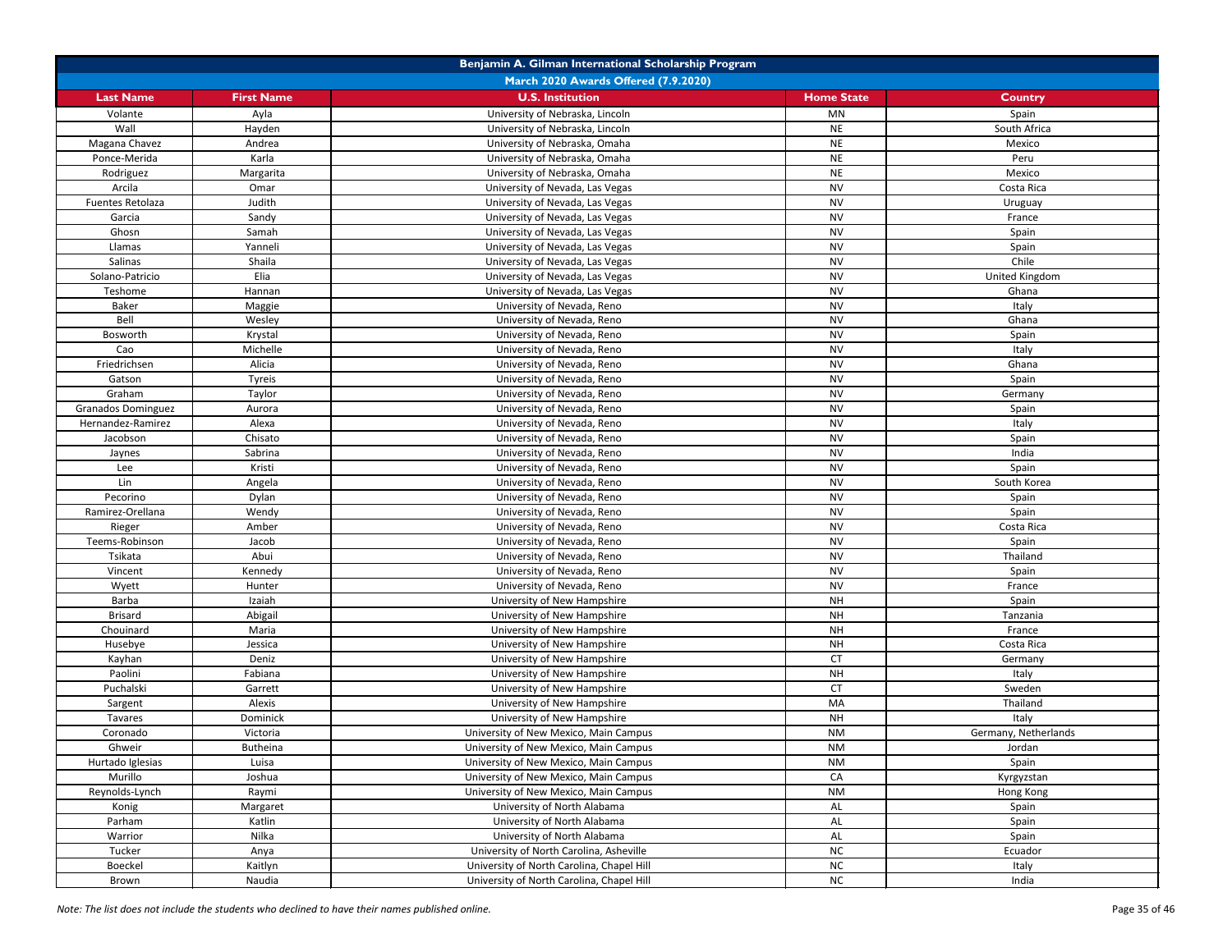| Benjamin A. Gilman International Scholarship Program |                   |                                           |                   |                      |
|------------------------------------------------------|-------------------|-------------------------------------------|-------------------|----------------------|
| <b>March 2020 Awards Offered (7.9.2020)</b>          |                   |                                           |                   |                      |
| <b>Last Name</b>                                     | <b>First Name</b> | <b>U.S. Institution</b>                   | <b>Home State</b> | <b>Country</b>       |
| Volante                                              | Ayla              | University of Nebraska, Lincoln           | <b>MN</b>         | Spain                |
| Wall                                                 | Hayden            | University of Nebraska, Lincoln           | <b>NE</b>         | South Africa         |
| Magana Chavez                                        | Andrea            | University of Nebraska, Omaha             | <b>NE</b>         | Mexico               |
| Ponce-Merida                                         | Karla             | University of Nebraska, Omaha             | <b>NE</b>         | Peru                 |
| Rodriguez                                            | Margarita         | University of Nebraska, Omaha             | <b>NE</b>         | Mexico               |
| Arcila                                               | Omar              | University of Nevada, Las Vegas           | <b>NV</b>         | Costa Rica           |
| Fuentes Retolaza                                     | Judith            | University of Nevada, Las Vegas           | <b>NV</b>         | Uruguay              |
| Garcia                                               | Sandy             | University of Nevada, Las Vegas           | <b>NV</b>         | France               |
| Ghosn                                                | Samah             | University of Nevada, Las Vegas           | <b>NV</b>         | Spain                |
| Llamas                                               | Yanneli           | University of Nevada, Las Vegas           | <b>NV</b>         | Spain                |
| Salinas                                              | Shaila            | University of Nevada, Las Vegas           | <b>NV</b>         | Chile                |
| Solano-Patricio                                      | Elia              | University of Nevada, Las Vegas           | <b>NV</b>         | United Kingdom       |
| Teshome                                              | Hannan            | University of Nevada, Las Vegas           | <b>NV</b>         | Ghana                |
| <b>Baker</b>                                         | Maggie            | University of Nevada, Reno                | <b>NV</b>         | Italy                |
| Bell                                                 | Wesley            | University of Nevada, Reno                | <b>NV</b>         | Ghana                |
| Bosworth                                             | Krystal           | University of Nevada, Reno                | <b>NV</b>         | Spain                |
| Cao                                                  | Michelle          | University of Nevada, Reno                | <b>NV</b>         | Italy                |
| Friedrichsen                                         | Alicia            | University of Nevada, Reno                | <b>NV</b>         | Ghana                |
| Gatson                                               | Tyreis            | University of Nevada, Reno                | <b>NV</b>         | Spain                |
| Graham                                               | Taylor            | University of Nevada, Reno                | <b>NV</b>         | Germany              |
| <b>Granados Dominguez</b>                            | Aurora            | University of Nevada, Reno                | <b>NV</b>         | Spain                |
| Hernandez-Ramirez                                    | Alexa             | University of Nevada, Reno                | <b>NV</b>         | Italy                |
| Jacobson                                             | Chisato           | University of Nevada, Reno                | <b>NV</b>         | Spain                |
| Jaynes                                               | Sabrina           | University of Nevada, Reno                | <b>NV</b>         | India                |
| Lee                                                  | Kristi            | University of Nevada, Reno                | <b>NV</b>         | Spain                |
| Lin                                                  | Angela            | University of Nevada, Reno                | <b>NV</b>         | South Korea          |
| Pecorino                                             | Dylan             | University of Nevada, Reno                | <b>NV</b>         | Spain                |
| Ramirez-Orellana                                     | Wendy             | University of Nevada, Reno                | <b>NV</b>         | Spain                |
| Rieger                                               | Amber             | University of Nevada, Reno                | <b>NV</b>         | Costa Rica           |
| Teems-Robinson                                       | Jacob             | University of Nevada, Reno                | <b>NV</b>         | Spain                |
| Tsikata                                              | Abui              | University of Nevada, Reno                | <b>NV</b>         | Thailand             |
| Vincent                                              | Kennedy           | University of Nevada, Reno                | <b>NV</b>         | Spain                |
| Wyett                                                | Hunter            | University of Nevada, Reno                | <b>NV</b>         | France               |
| Barba                                                | Izaiah            | University of New Hampshire               | <b>NH</b>         | Spain                |
| <b>Brisard</b>                                       | Abigail           | University of New Hampshire               | <b>NH</b>         | Tanzania             |
| Chouinard                                            | Maria             | University of New Hampshire               | <b>NH</b>         | France               |
| Husebye                                              | Jessica           | University of New Hampshire               | <b>NH</b>         | Costa Rica           |
| Kayhan                                               | Deniz             | University of New Hampshire               | <b>CT</b>         | Germany              |
| Paolini                                              | Fabiana           | University of New Hampshire               | <b>NH</b>         | Italy                |
| Puchalski                                            | Garrett           | University of New Hampshire               | <b>CT</b>         | Sweden               |
| Sargent                                              | Alexis            | University of New Hampshire               | MA                | Thailand             |
| Tavares                                              | Dominick          | University of New Hampshire               | <b>NH</b>         | Italy                |
| Coronado                                             | Victoria          | University of New Mexico, Main Campus     | <b>NM</b>         | Germany, Netherlands |
| Ghweir                                               | Butheina          | University of New Mexico, Main Campus     | <b>NM</b>         | Jordan               |
| Hurtado Iglesias                                     | Luisa             | University of New Mexico, Main Campus     | <b>NM</b>         | Spain                |
| Murillo                                              | Joshua            | University of New Mexico, Main Campus     | CA                | Kyrgyzstan           |
| Reynolds-Lynch                                       | Raymi             | University of New Mexico, Main Campus     | <b>NM</b>         | Hong Kong            |
| Konig                                                | Margaret          | University of North Alabama               | AL                | Spain                |
| Parham                                               | Katlin            | University of North Alabama               | AL                | Spain                |
| Warrior                                              | Nilka             | University of North Alabama               | AL                | Spain                |
| Tucker                                               | Anya              | University of North Carolina, Asheville   | NC                | Ecuador              |
| Boeckel                                              | Kaitlyn           | University of North Carolina, Chapel Hill | NC                | Italy                |
| Brown                                                | Naudia            | University of North Carolina, Chapel Hill | NC                | India                |
|                                                      |                   |                                           |                   |                      |

*Note: The list does not include the students who declined to have their names published online.* Page 35 of 46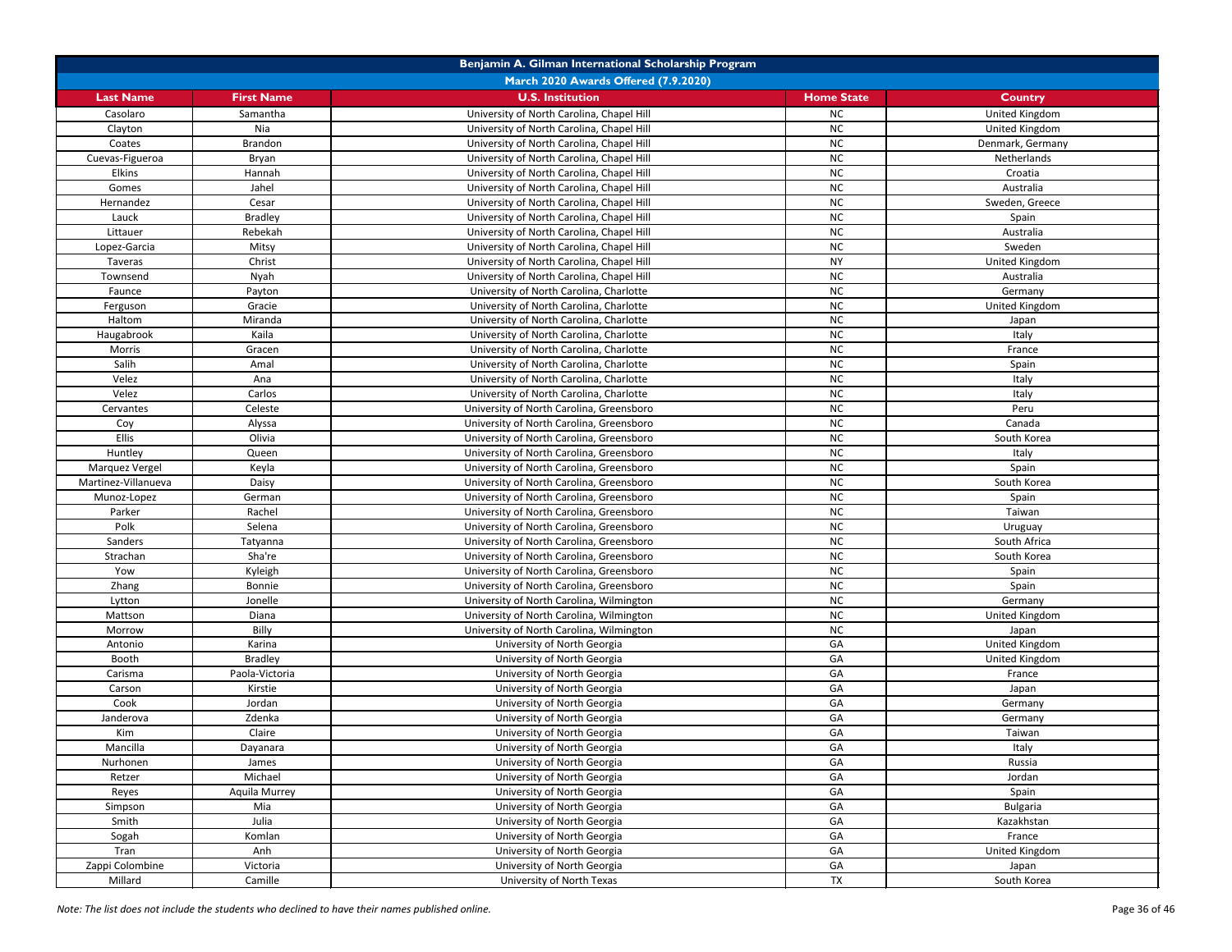| Benjamin A. Gilman International Scholarship Program |                   |                                           |                   |                  |
|------------------------------------------------------|-------------------|-------------------------------------------|-------------------|------------------|
|                                                      |                   | March 2020 Awards Offered (7.9.2020)      |                   |                  |
| <b>Last Name</b>                                     | <b>First Name</b> | <b>U.S. Institution</b>                   | <b>Home State</b> | <b>Country</b>   |
| Casolaro                                             | Samantha          | University of North Carolina, Chapel Hill | <b>NC</b>         | United Kingdom   |
| Clayton                                              | Nia               | University of North Carolina, Chapel Hill | <b>NC</b>         | United Kingdom   |
| Coates                                               | Brandon           | University of North Carolina, Chapel Hill | <b>NC</b>         | Denmark, Germany |
| Cuevas-Figueroa                                      | Bryan             | University of North Carolina, Chapel Hill | <b>NC</b>         | Netherlands      |
| <b>Elkins</b>                                        | Hannah            | University of North Carolina, Chapel Hill | <b>NC</b>         | Croatia          |
| Gomes                                                | Jahel             | University of North Carolina, Chapel Hill | <b>NC</b>         | Australia        |
| Hernandez                                            | Cesar             | University of North Carolina, Chapel Hill | <b>NC</b>         | Sweden, Greece   |
| Lauck                                                | <b>Bradley</b>    | University of North Carolina, Chapel Hill | <b>NC</b>         | Spain            |
| Littauer                                             | Rebekah           | University of North Carolina, Chapel Hill | <b>NC</b>         | Australia        |
| Lopez-Garcia                                         | Mitsy             | University of North Carolina, Chapel Hill | <b>NC</b>         | Sweden           |
| Taveras                                              | Christ            | University of North Carolina, Chapel Hill | <b>NY</b>         | United Kingdom   |
| Townsend                                             | Nyah              | University of North Carolina, Chapel Hill | <b>NC</b>         | Australia        |
| Faunce                                               | Payton            | University of North Carolina, Charlotte   | <b>NC</b>         | Germany          |
| Ferguson                                             | Gracie            | University of North Carolina, Charlotte   | <b>NC</b>         | United Kingdom   |
| Haltom                                               | Miranda           | University of North Carolina, Charlotte   | <b>NC</b>         | Japan            |
| Haugabrook                                           | Kaila             | University of North Carolina, Charlotte   | <b>NC</b>         | Italy            |
| Morris                                               | Gracen            | University of North Carolina, Charlotte   | <b>NC</b>         | France           |
| Salih                                                | Amal              | University of North Carolina, Charlotte   | <b>NC</b>         | Spain            |
| Velez                                                | Ana               | University of North Carolina, Charlotte   | <b>NC</b>         | Italy            |
| Velez                                                | Carlos            | University of North Carolina, Charlotte   | <b>NC</b>         | Italy            |
| Cervantes                                            | Celeste           | University of North Carolina, Greensboro  | <b>NC</b>         | Peru             |
| Coy                                                  | Alyssa            | University of North Carolina, Greensboro  | <b>NC</b>         | Canada           |
| <b>Ellis</b>                                         | Olivia            | University of North Carolina, Greensboro  | <b>NC</b>         | South Korea      |
| Huntley                                              | Queen             | University of North Carolina, Greensboro  | <b>NC</b>         | Italy            |
| Marquez Vergel                                       | Keyla             | University of North Carolina, Greensboro  | <b>NC</b>         | Spain            |
| Martinez-Villanueva                                  | Daisy             | University of North Carolina, Greensboro  | <b>NC</b>         | South Korea      |
| Munoz-Lopez                                          | German            | University of North Carolina, Greensboro  | <b>NC</b>         | Spain            |
| Parker                                               | Rachel            | University of North Carolina, Greensboro  | <b>NC</b>         | Taiwan           |
| Polk                                                 | Selena            | University of North Carolina, Greensboro  | <b>NC</b>         | Uruguay          |
| Sanders                                              | Tatyanna          | University of North Carolina, Greensboro  | <b>NC</b>         | South Africa     |
| Strachan                                             | Sha're            | University of North Carolina, Greensboro  | NC                | South Korea      |
| Yow                                                  | Kyleigh           | University of North Carolina, Greensboro  | NC                | Spain            |
| Zhang                                                | Bonnie            | University of North Carolina, Greensboro  | <b>NC</b>         | Spain            |
| Lytton                                               | Jonelle           | University of North Carolina, Wilmington  | <b>NC</b>         | Germany          |
| Mattson                                              | Diana             | University of North Carolina, Wilmington  | <b>NC</b>         | United Kingdom   |
| Morrow                                               | Billy             | University of North Carolina, Wilmington  | <b>NC</b>         | Japan            |
| Antonio                                              | Karina            | University of North Georgia               | GA                | United Kingdom   |
| Booth                                                | <b>Bradley</b>    | University of North Georgia               | GA                | United Kingdom   |
| Carisma                                              | Paola-Victoria    | University of North Georgia               | GA                | France           |
| Carson                                               | Kirstie           | University of North Georgia               | GA                | Japan            |
| Cook                                                 | Jordan            | University of North Georgia               | GA                | Germany          |
| Janderova                                            | Zdenka            | University of North Georgia               | GA                | Germany          |
| Kim                                                  | Claire            | University of North Georgia               | GA                | Taiwan           |
| Mancilla                                             | Dayanara          | University of North Georgia               | GA                | Italy            |
| Nurhonen                                             | James             | University of North Georgia               | GA                | Russia           |
| Retzer                                               | Michael           | University of North Georgia               | GA                | Jordan           |
| Reyes                                                | Aquila Murrey     | University of North Georgia               | GA                | Spain            |
| Simpson                                              | Mia               | University of North Georgia               | GA                | <b>Bulgaria</b>  |
| Smith                                                | Julia             | University of North Georgia               | GA                | Kazakhstan       |
| Sogah                                                | Komlan            | University of North Georgia               | GA                | France           |
| Tran                                                 | Anh               | University of North Georgia               | GA                | United Kingdom   |
| Zappi Colombine                                      | Victoria          | University of North Georgia               | GA                | Japan            |
| Millard                                              | Camille           | University of North Texas                 | <b>TX</b>         | South Korea      |

*Note: The list does not include the students who declined to have their names published online.* Page 36 of 46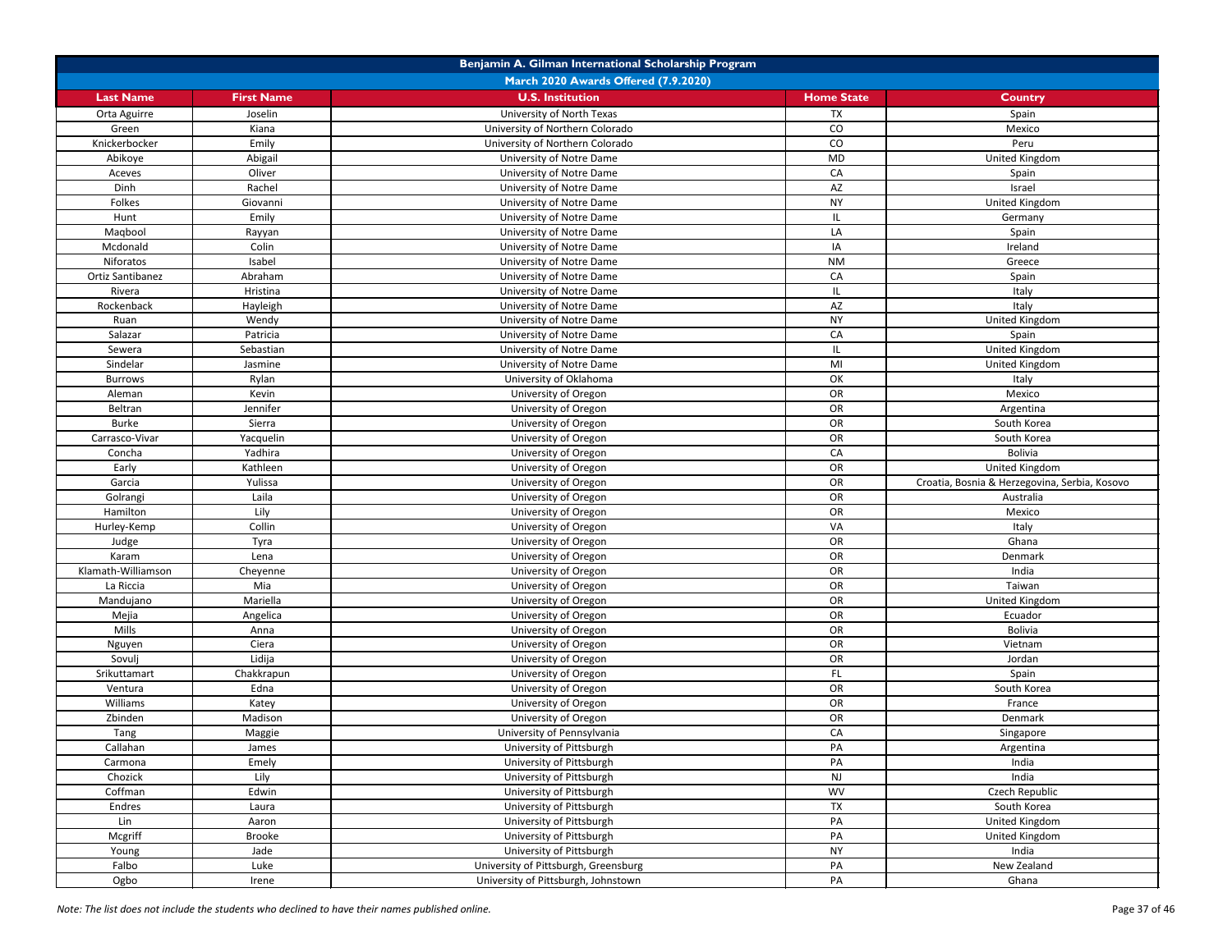| Benjamin A. Gilman International Scholarship Program |                                      |                                      |                        |                                               |  |  |
|------------------------------------------------------|--------------------------------------|--------------------------------------|------------------------|-----------------------------------------------|--|--|
|                                                      | March 2020 Awards Offered (7.9.2020) |                                      |                        |                                               |  |  |
| <b>Last Name</b>                                     | <b>First Name</b>                    | <b>U.S. Institution</b>              | <b>Home State</b>      | <b>Country</b>                                |  |  |
| Orta Aguirre                                         | Joselin                              | University of North Texas            | TX                     | Spain                                         |  |  |
| Green                                                | Kiana                                | University of Northern Colorado      | CO                     | Mexico                                        |  |  |
| Knickerbocker                                        | Emily                                | University of Northern Colorado      | CO                     | Peru                                          |  |  |
| Abikoye                                              | Abigail                              | University of Notre Dame             | <b>MD</b>              | United Kingdom                                |  |  |
| Aceves                                               | Oliver                               | University of Notre Dame             | CA                     | Spain                                         |  |  |
| Dinh                                                 | Rachel                               | University of Notre Dame             | $\mathsf{A}\mathsf{Z}$ | Israel                                        |  |  |
| Folkes                                               | Giovanni                             | University of Notre Dame             | <b>NY</b>              | United Kingdom                                |  |  |
| Hunt                                                 | Emily                                | University of Notre Dame             | IL.                    | Germany                                       |  |  |
| Maqbool                                              | Rayyan                               | University of Notre Dame             | LA                     | Spain                                         |  |  |
| Mcdonald                                             | Colin                                | University of Notre Dame             | IA                     | Ireland                                       |  |  |
| Niforatos                                            | Isabel                               | University of Notre Dame             | <b>NM</b>              | Greece                                        |  |  |
| Ortiz Santibanez                                     | Abraham                              | University of Notre Dame             | CA                     | Spain                                         |  |  |
| Rivera                                               | Hristina                             | University of Notre Dame             | IL.                    | Italy                                         |  |  |
| Rockenback                                           | Hayleigh                             | University of Notre Dame             | AZ                     | Italy                                         |  |  |
| Ruan                                                 | Wendy                                | University of Notre Dame             | <b>NY</b>              | United Kingdom                                |  |  |
| Salazar                                              | Patricia                             | University of Notre Dame             | CA                     | Spain                                         |  |  |
| Sewera                                               | Sebastian                            | University of Notre Dame             | IL.                    | United Kingdom                                |  |  |
| Sindelar                                             | Jasmine                              | University of Notre Dame             | MI                     | United Kingdom                                |  |  |
| <b>Burrows</b>                                       | Rylan                                | University of Oklahoma               | OK                     | Italy                                         |  |  |
| Aleman                                               | Kevin                                | University of Oregon                 | OR                     | Mexico                                        |  |  |
| Beltran                                              | Jennifer                             | University of Oregon                 | OR                     | Argentina                                     |  |  |
| <b>Burke</b>                                         | Sierra                               | University of Oregon                 | OR                     | South Korea                                   |  |  |
| Carrasco-Vivar                                       | Yacquelin                            | University of Oregon                 | OR                     | South Korea                                   |  |  |
| Concha                                               | Yadhira                              | University of Oregon                 | CA                     | <b>Bolivia</b>                                |  |  |
| Early                                                | Kathleen                             | University of Oregon                 | OR                     | United Kingdom                                |  |  |
| Garcia                                               | Yulissa                              | University of Oregon                 | OR                     | Croatia, Bosnia & Herzegovina, Serbia, Kosovo |  |  |
| Golrangi                                             | Laila                                | University of Oregon                 | OR                     | Australia                                     |  |  |
| Hamilton                                             | Lily                                 | University of Oregon                 | OR                     | Mexico                                        |  |  |
| Hurley-Kemp                                          | Collin                               | University of Oregon                 | VA                     | Italy                                         |  |  |
| Judge                                                | Tyra                                 | University of Oregon                 | OR                     | Ghana                                         |  |  |
| Karam                                                | Lena                                 | University of Oregon                 | OR                     | Denmark                                       |  |  |
| Klamath-Williamson                                   | Cheyenne                             | University of Oregon                 | OR                     | India                                         |  |  |
| La Riccia                                            | Mia                                  | University of Oregon                 | OR                     | Taiwan                                        |  |  |
| Mandujano                                            | Mariella                             | University of Oregon                 | OR                     | United Kingdom                                |  |  |
| Mejia                                                | Angelica                             | University of Oregon                 | OR                     | Ecuador                                       |  |  |
| Mills                                                | Anna                                 | University of Oregon                 | OR                     | <b>Bolivia</b>                                |  |  |
| Nguyen                                               | Ciera                                | University of Oregon                 | OR                     | Vietnam                                       |  |  |
| Sovulj                                               | Lidija                               | University of Oregon                 | OR                     | Jordan                                        |  |  |
| Srikuttamart                                         | Chakkrapun                           | University of Oregon                 | FL.                    | Spain                                         |  |  |
| Ventura                                              | Edna                                 | University of Oregon                 | OR                     | South Korea                                   |  |  |
| Williams                                             | Katey                                | University of Oregon                 | OR                     | France                                        |  |  |
| Zbinden                                              | Madison                              | University of Oregon                 | OR                     | Denmark                                       |  |  |
| Tang                                                 | Maggie                               | University of Pennsylvania           | CA                     | Singapore                                     |  |  |
| Callahan                                             | James                                | University of Pittsburgh             | PA                     | Argentina                                     |  |  |
| Carmona                                              | Emely                                | University of Pittsburgh             | PA                     | India                                         |  |  |
| Chozick                                              | Lily                                 | University of Pittsburgh             | <b>NJ</b>              | India                                         |  |  |
| Coffman                                              | Edwin                                | University of Pittsburgh             | <b>WV</b>              | Czech Republic                                |  |  |
| Endres                                               | Laura                                | University of Pittsburgh             | <b>TX</b>              | South Korea                                   |  |  |
| Lin                                                  | Aaron                                | University of Pittsburgh             | PA                     | United Kingdom                                |  |  |
| Mcgriff                                              | <b>Brooke</b>                        | University of Pittsburgh             | PA                     | United Kingdom                                |  |  |
| Young                                                | Jade                                 | University of Pittsburgh             | <b>NY</b>              | India                                         |  |  |
| Falbo                                                | Luke                                 | University of Pittsburgh, Greensburg | PA                     | New Zealand                                   |  |  |
| Ogbo                                                 | Irene                                | University of Pittsburgh, Johnstown  | PA                     | Ghana                                         |  |  |

*Note: The list does not include the students who declined to have their names published online.* Page 37 of 46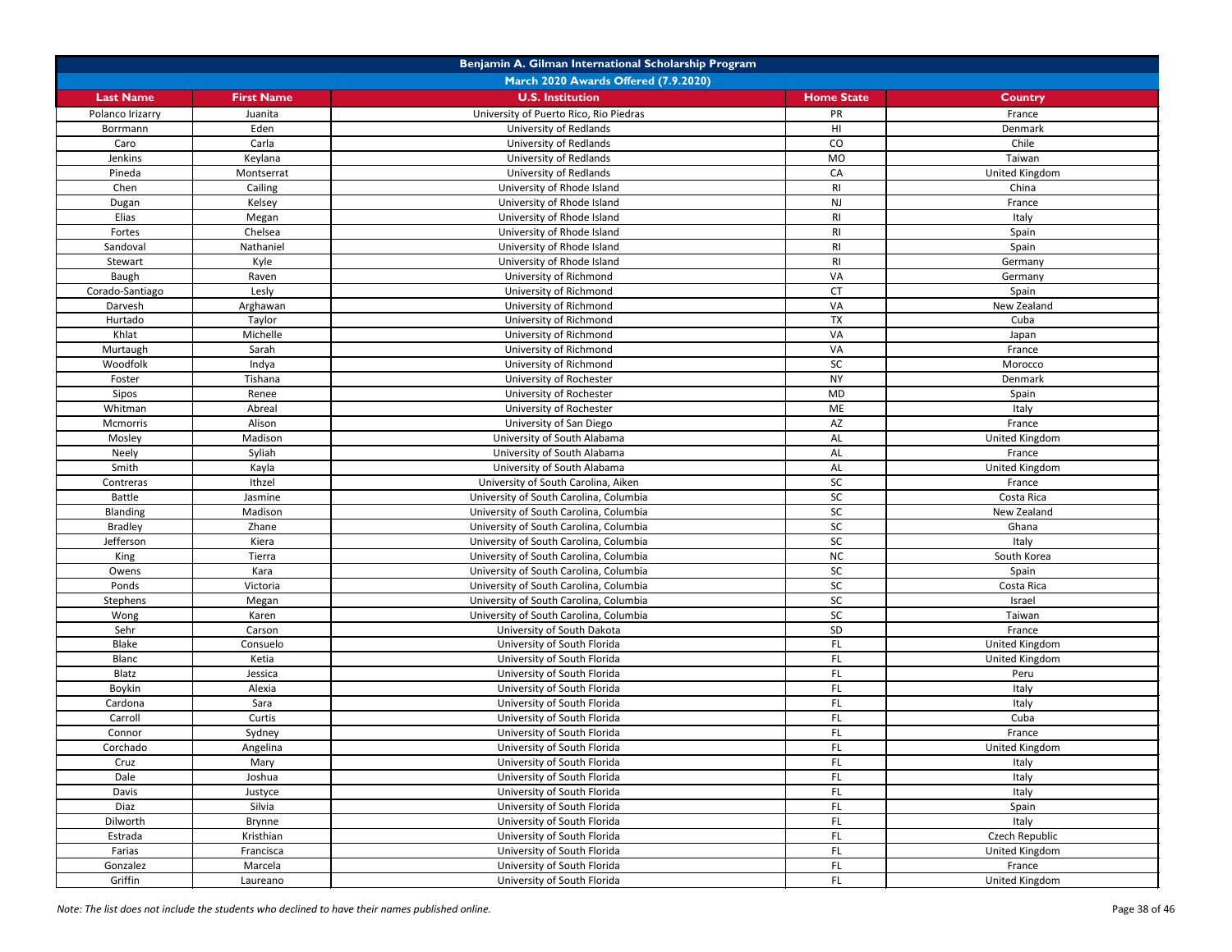| Benjamin A. Gilman International Scholarship Program |                      |                                                            |                   |                          |  |
|------------------------------------------------------|----------------------|------------------------------------------------------------|-------------------|--------------------------|--|
| March 2020 Awards Offered (7.9.2020)                 |                      |                                                            |                   |                          |  |
| <b>Last Name</b>                                     | <b>First Name</b>    | <b>U.S. Institution</b>                                    | <b>Home State</b> | <b>Country</b>           |  |
| Polanco Irizarry                                     | Juanita              | University of Puerto Rico, Rio Piedras                     | PR                | France                   |  |
| Borrmann                                             | Eden                 | <b>University of Redlands</b>                              | HI                | Denmark                  |  |
| Caro                                                 | Carla                | <b>University of Redlands</b>                              | CO                | Chile                    |  |
| Jenkins                                              | Keylana              | University of Redlands                                     | <b>MO</b>         | Taiwan                   |  |
| Pineda                                               | Montserrat           | <b>University of Redlands</b>                              | CA                | <b>United Kingdom</b>    |  |
| Chen                                                 | Cailing              | University of Rhode Island                                 | R <sub>l</sub>    | China                    |  |
| Dugan                                                | Kelsey               | University of Rhode Island                                 | <b>NJ</b>         | France                   |  |
| Elias                                                | Megan                | University of Rhode Island                                 | R <sub>l</sub>    | Italy                    |  |
| Fortes                                               | Chelsea              | University of Rhode Island                                 | RI                | Spain                    |  |
| Sandoval                                             | Nathaniel            | University of Rhode Island                                 | R <sub>l</sub>    | Spain                    |  |
| Stewart                                              | Kyle                 | University of Rhode Island                                 | <b>RI</b>         | Germany                  |  |
| <b>Baugh</b>                                         | Raven                | University of Richmond                                     | VA                | Germany                  |  |
| Corado-Santiago                                      | Lesly                | University of Richmond                                     | <b>CT</b>         | Spain                    |  |
| Darvesh                                              | Arghawan             | University of Richmond                                     | VA                | New Zealand              |  |
| Hurtado                                              | Taylor               | University of Richmond                                     | <b>TX</b>         | Cuba                     |  |
| Khlat                                                | Michelle             | University of Richmond                                     | VA                | Japan                    |  |
| Murtaugh                                             | Sarah                | University of Richmond                                     | VA                | France                   |  |
| Woodfolk                                             | Indya                | University of Richmond                                     | SC                | Morocco                  |  |
| Foster                                               | Tishana              | University of Rochester                                    | <b>NY</b>         | Denmark                  |  |
| Sipos                                                | Renee                | University of Rochester                                    | <b>MD</b>         | Spain                    |  |
| Whitman                                              | Abreal               | University of Rochester                                    | ME                | Italy                    |  |
| Mcmorris                                             | Alison               | University of San Diego                                    | AZ                | France                   |  |
| Mosley                                               | Madison              | University of South Alabama                                | AL                | United Kingdom           |  |
| Neely                                                | Syliah               | University of South Alabama                                | <b>AL</b>         | France                   |  |
| Smith                                                | Kayla                | University of South Alabama                                | AL                | United Kingdom           |  |
| Contreras                                            | Ithzel               | University of South Carolina, Aiken                        | SC                | France                   |  |
| <b>Battle</b>                                        | Jasmine              | University of South Carolina, Columbia                     | <b>SC</b>         | Costa Rica               |  |
| Blanding                                             | Madison              | University of South Carolina, Columbia                     | SC                | New Zealand              |  |
| <b>Bradley</b>                                       | Zhane                | University of South Carolina, Columbia                     | SC                | Ghana                    |  |
| Jefferson                                            | Kiera                | University of South Carolina, Columbia                     | SC                | Italy                    |  |
| King                                                 | Tierra               | University of South Carolina, Columbia                     | <b>NC</b>         | South Korea              |  |
| Owens                                                | Kara                 | University of South Carolina, Columbia                     | SC                | Spain                    |  |
| Ponds                                                | Victoria             | University of South Carolina, Columbia                     | SC                | Costa Rica               |  |
| Stephens                                             | Megan                | University of South Carolina, Columbia                     | SC                | Israel                   |  |
| Wong                                                 | Karen                | University of South Carolina, Columbia                     | SC                | Taiwan                   |  |
| Sehr                                                 | Carson               | University of South Dakota                                 | SD                | France                   |  |
| Blake                                                | Consuelo             | University of South Florida                                | FL.               | United Kingdom           |  |
| Blanc                                                | Ketia                | University of South Florida                                | FL.               | United Kingdom           |  |
| Blatz                                                | Jessica              | University of South Florida                                | FL.               | Peru                     |  |
| Boykin                                               | Alexia               | University of South Florida                                | FL.               | Italy                    |  |
| Cardona                                              | Sara                 | University of South Florida                                | FL.               | Italy                    |  |
| Carroll                                              | Curtis               | University of South Florida                                | FL.               | Cuba                     |  |
| Connor                                               | Sydney               | University of South Florida                                | FL.               | France                   |  |
| Corchado                                             | Angelina             | University of South Florida                                | FL.               | United Kingdom           |  |
| Cruz                                                 | Mary<br>Joshua       | University of South Florida                                | FL.<br>FL.        | Italy                    |  |
| Dale                                                 |                      | University of South Florida                                |                   | Italy                    |  |
| Davis                                                | Justyce<br>Silvia    | University of South Florida                                | FL.               | Italy                    |  |
| Diaz                                                 |                      | University of South Florida                                | FL.               | Spain                    |  |
| Dilworth                                             | <b>Brynne</b>        | University of South Florida                                | FL.               | Italy                    |  |
| Estrada                                              | Kristhian            | University of South Florida<br>University of South Florida | FL.<br>FL.        | Czech Republic           |  |
| Farias<br>Gonzalez                                   | Francisca<br>Marcela | University of South Florida                                | FL.               | United Kingdom<br>France |  |
|                                                      |                      |                                                            |                   |                          |  |
| Griffin                                              | Laureano             | University of South Florida                                | FL.               | United Kingdom           |  |

*Note: The list does not include the students who declined to have their names published online.* Page 38 of 46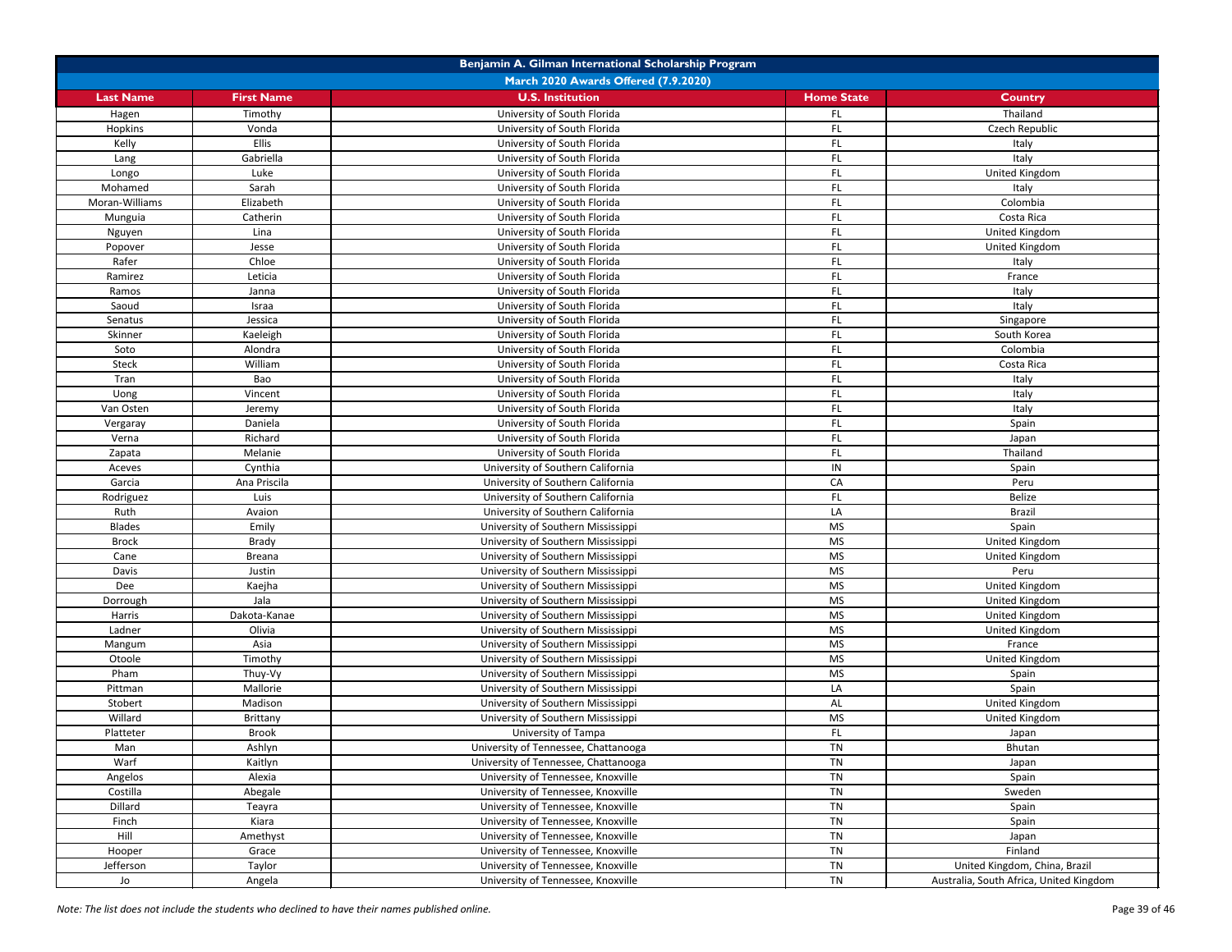| Benjamin A. Gilman International Scholarship Program |                                      |                                      |                   |                                         |  |  |
|------------------------------------------------------|--------------------------------------|--------------------------------------|-------------------|-----------------------------------------|--|--|
|                                                      | March 2020 Awards Offered (7.9.2020) |                                      |                   |                                         |  |  |
| <b>Last Name</b>                                     | <b>First Name</b>                    | <b>U.S. Institution</b>              | <b>Home State</b> | <b>Country</b>                          |  |  |
| Hagen                                                | Timothy                              | University of South Florida          | FL                | Thailand                                |  |  |
| Hopkins                                              | Vonda                                | University of South Florida          | FL.               | Czech Republic                          |  |  |
| Kelly                                                | <b>Ellis</b>                         | University of South Florida          | FL.               | Italy                                   |  |  |
| Lang                                                 | Gabriella                            | University of South Florida          | FL.               | Italy                                   |  |  |
| Longo                                                | Luke                                 | University of South Florida          | FL                | United Kingdom                          |  |  |
| Mohamed                                              | Sarah                                | University of South Florida          | FL                | Italy                                   |  |  |
| Moran-Williams                                       | Elizabeth                            | University of South Florida          | FL                | Colombia                                |  |  |
| Munguia                                              | Catherin                             | University of South Florida          | <b>FL</b>         | Costa Rica                              |  |  |
| Nguyen                                               | Lina                                 | University of South Florida          | FL                | United Kingdom                          |  |  |
| Popover                                              | Jesse                                | University of South Florida          | FL                | United Kingdom                          |  |  |
| Rafer                                                | Chloe                                | University of South Florida          | <b>FL</b>         | Italy                                   |  |  |
| Ramirez                                              | Leticia                              | University of South Florida          | FL                | France                                  |  |  |
| Ramos                                                | Janna                                | University of South Florida          | FL                | Italy                                   |  |  |
| Saoud                                                | Israa                                | University of South Florida          | FL.               | Italy                                   |  |  |
| Senatus                                              | Jessica                              | University of South Florida          | <b>FL</b>         | Singapore                               |  |  |
| Skinner                                              | Kaeleigh                             | University of South Florida          | FL.               | South Korea                             |  |  |
| Soto                                                 | Alondra                              | University of South Florida          | FL.               | Colombia                                |  |  |
| <b>Steck</b>                                         | William                              | University of South Florida          | FL.               | Costa Rica                              |  |  |
| Tran                                                 | Bao                                  | University of South Florida          | FL.               | Italy                                   |  |  |
| Uong                                                 | Vincent                              | University of South Florida          | FL                | Italy                                   |  |  |
| Van Osten                                            | Jeremy                               | University of South Florida          | <b>FL</b>         | Italy                                   |  |  |
| Vergaray                                             | Daniela                              | University of South Florida          | <b>FL</b>         | Spain                                   |  |  |
| Verna                                                | Richard                              | University of South Florida          | FL                | Japan                                   |  |  |
| Zapata                                               | Melanie                              | University of South Florida          | <b>FL</b>         | Thailand                                |  |  |
| Aceves                                               | Cynthia                              | University of Southern California    | IN                | Spain                                   |  |  |
| Garcia                                               | Ana Priscila                         | University of Southern California    | CA                | Peru                                    |  |  |
| Rodriguez                                            | Luis                                 | University of Southern California    | <b>FL</b>         | Belize                                  |  |  |
| Ruth                                                 | Avaion                               | University of Southern California    | LA                | <b>Brazil</b>                           |  |  |
| <b>Blades</b>                                        | Emily                                | University of Southern Mississippi   | <b>MS</b>         | Spain                                   |  |  |
| <b>Brock</b>                                         | <b>Brady</b>                         | University of Southern Mississippi   | <b>MS</b>         | United Kingdom                          |  |  |
| Cane                                                 | <b>Breana</b>                        | University of Southern Mississippi   | <b>MS</b>         | United Kingdom                          |  |  |
| Davis                                                | Justin                               | University of Southern Mississippi   | <b>MS</b>         | Peru                                    |  |  |
| Dee                                                  | Kaejha                               | University of Southern Mississippi   | <b>MS</b>         | United Kingdom                          |  |  |
| Dorrough                                             | Jala                                 | University of Southern Mississippi   | <b>MS</b>         | United Kingdom                          |  |  |
| Harris                                               | Dakota-Kanae                         | University of Southern Mississippi   | <b>MS</b>         | United Kingdom                          |  |  |
| Ladner                                               | Olivia                               | University of Southern Mississippi   | MS                | United Kingdom                          |  |  |
| Mangum                                               | Asia                                 | University of Southern Mississippi   | <b>MS</b>         | France                                  |  |  |
| Otoole                                               | Timothy                              | University of Southern Mississippi   | <b>MS</b>         | United Kingdom                          |  |  |
| Pham                                                 | Thuy-Vy                              | University of Southern Mississippi   | <b>MS</b>         | Spain                                   |  |  |
| Pittman                                              | Mallorie                             | University of Southern Mississippi   | LA                | Spain                                   |  |  |
| Stobert                                              | Madison                              | University of Southern Mississippi   | AL                | United Kingdom                          |  |  |
| Willard                                              | Brittany                             | University of Southern Mississippi   | <b>MS</b>         | United Kingdom                          |  |  |
| Platteter                                            | <b>Brook</b>                         | University of Tampa                  | FL.               | Japan                                   |  |  |
| Man                                                  | Ashlyn                               | University of Tennessee, Chattanooga | <b>TN</b>         | Bhutan                                  |  |  |
| Warf                                                 | Kaitlyn                              | University of Tennessee, Chattanooga | <b>TN</b>         | Japan                                   |  |  |
| Angelos                                              | Alexia                               | University of Tennessee, Knoxville   | <b>TN</b>         | Spain                                   |  |  |
| Costilla                                             | Abegale                              | University of Tennessee, Knoxville   | TN                | Sweden                                  |  |  |
| Dillard                                              | Teayra                               | University of Tennessee, Knoxville   | <b>TN</b>         | Spain                                   |  |  |
| Finch                                                | Kiara                                | University of Tennessee, Knoxville   | <b>TN</b>         | Spain                                   |  |  |
| Hill                                                 | Amethyst                             | University of Tennessee, Knoxville   | <b>TN</b>         | Japan                                   |  |  |
| Hooper                                               | Grace                                | University of Tennessee, Knoxville   | <b>TN</b>         | Finland                                 |  |  |
| Jefferson                                            | Taylor                               | University of Tennessee, Knoxville   | <b>TN</b>         | United Kingdom, China, Brazil           |  |  |
| Jo                                                   | Angela                               | University of Tennessee, Knoxville   | <b>TN</b>         | Australia, South Africa, United Kingdom |  |  |

*Note: The list does not include the students who declined to have their names published online.* Page 39 of 46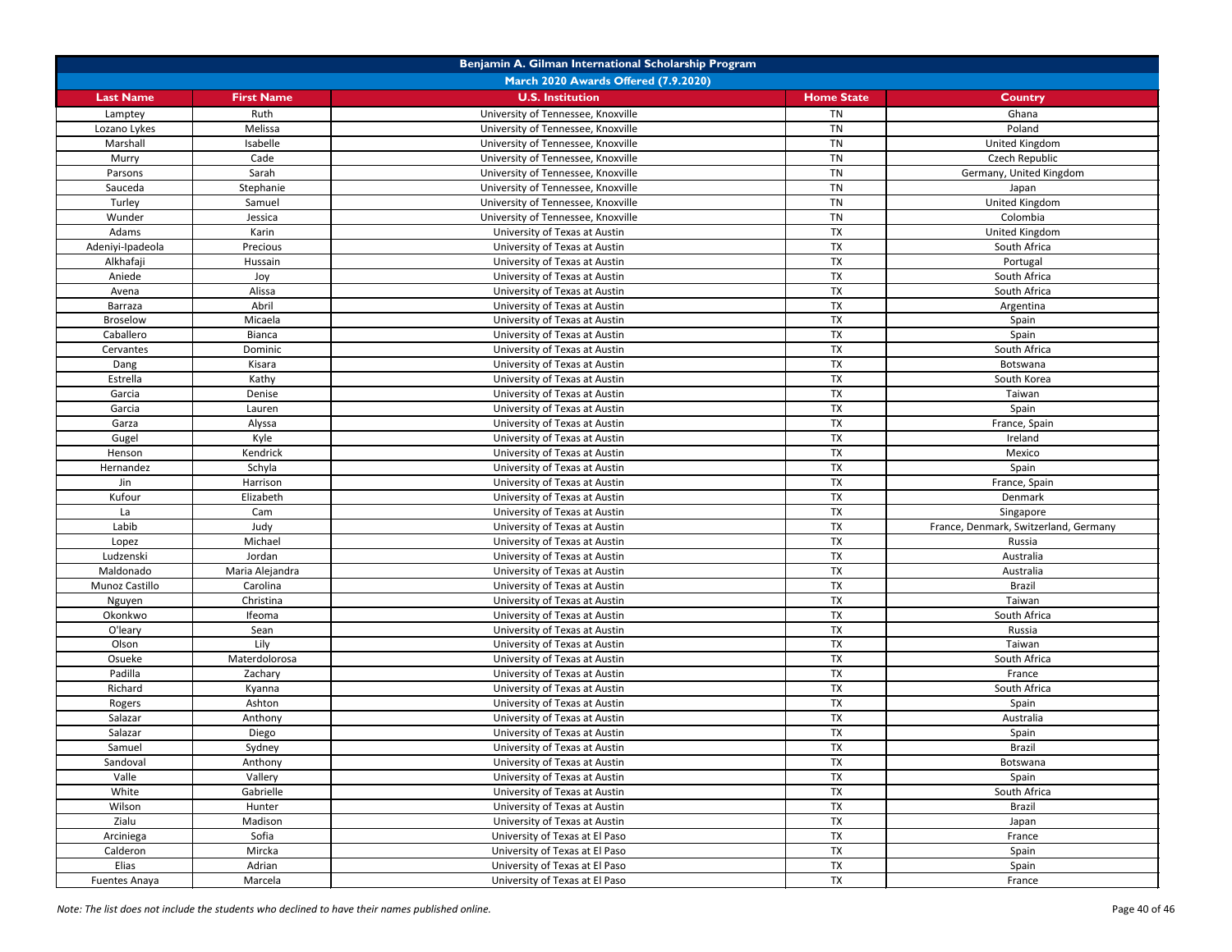| Benjamin A. Gilman International Scholarship Program |                   |                                    |                   |                                       |  |
|------------------------------------------------------|-------------------|------------------------------------|-------------------|---------------------------------------|--|
| March 2020 Awards Offered (7.9.2020)                 |                   |                                    |                   |                                       |  |
| <b>Last Name</b>                                     | <b>First Name</b> | <b>U.S. Institution</b>            | <b>Home State</b> | <b>Country</b>                        |  |
| Lamptey                                              | Ruth              | University of Tennessee, Knoxville | <b>TN</b>         | Ghana                                 |  |
| Lozano Lykes                                         | Melissa           | University of Tennessee, Knoxville | <b>TN</b>         | Poland                                |  |
| Marshall                                             | Isabelle          | University of Tennessee, Knoxville | TN                | United Kingdom                        |  |
| Murry                                                | Cade              | University of Tennessee, Knoxville | TN                | Czech Republic                        |  |
| Parsons                                              | Sarah             | University of Tennessee, Knoxville | TN                | Germany, United Kingdom               |  |
| Sauceda                                              | Stephanie         | University of Tennessee, Knoxville | <b>TN</b>         | Japan                                 |  |
| Turley                                               | Samuel            | University of Tennessee, Knoxville | TN                | United Kingdom                        |  |
| Wunder                                               | Jessica           | University of Tennessee, Knoxville | <b>TN</b>         | Colombia                              |  |
| Adams                                                | Karin             | University of Texas at Austin      | <b>TX</b>         | United Kingdom                        |  |
| Adeniyi-Ipadeola                                     | Precious          | University of Texas at Austin      | <b>TX</b>         | South Africa                          |  |
| Alkhafaji                                            | Hussain           | University of Texas at Austin      | <b>TX</b>         | Portugal                              |  |
| Aniede                                               | Joy               | University of Texas at Austin      | <b>TX</b>         | South Africa                          |  |
| Avena                                                | Alissa            | University of Texas at Austin      | <b>TX</b>         | South Africa                          |  |
| <b>Barraza</b>                                       | Abril             | University of Texas at Austin      | <b>TX</b>         | Argentina                             |  |
| <b>Broselow</b>                                      | Micaela           | University of Texas at Austin      | <b>TX</b>         | Spain                                 |  |
| Caballero                                            | <b>Bianca</b>     | University of Texas at Austin      | <b>TX</b>         | Spain                                 |  |
| Cervantes                                            | Dominic           | University of Texas at Austin      | <b>TX</b>         | South Africa                          |  |
| Dang                                                 | Kisara            | University of Texas at Austin      | <b>TX</b>         | Botswana                              |  |
| Estrella                                             | Kathy             | University of Texas at Austin      | <b>TX</b>         | South Korea                           |  |
| Garcia                                               | Denise            | University of Texas at Austin      | <b>TX</b>         | Taiwan                                |  |
| Garcia                                               | Lauren            | University of Texas at Austin      | <b>TX</b>         | Spain                                 |  |
| Garza                                                | Alyssa            | University of Texas at Austin      | TX                | France, Spain                         |  |
| Gugel                                                | Kyle              | University of Texas at Austin      | <b>TX</b>         | Ireland                               |  |
| Henson                                               | Kendrick          | University of Texas at Austin      | <b>TX</b>         | Mexico                                |  |
| Hernandez                                            | Schyla            | University of Texas at Austin      | <b>TX</b>         | Spain                                 |  |
| Jin                                                  | Harrison          | University of Texas at Austin      | <b>TX</b>         | France, Spain                         |  |
| Kufour                                               | Elizabeth         | University of Texas at Austin      | TX                | Denmark                               |  |
| La                                                   | Cam               | University of Texas at Austin      | <b>TX</b>         | Singapore                             |  |
| Labib                                                | Judy              | University of Texas at Austin      | <b>TX</b>         | France, Denmark, Switzerland, Germany |  |
| Lopez                                                | Michael           | University of Texas at Austin      | <b>TX</b>         | Russia                                |  |
| Ludzenski                                            | Jordan            | University of Texas at Austin      | <b>TX</b>         | Australia                             |  |
| Maldonado                                            | Maria Alejandra   | University of Texas at Austin      | <b>TX</b>         | Australia                             |  |
| Munoz Castillo                                       | Carolina          | University of Texas at Austin      | <b>TX</b>         | <b>Brazil</b>                         |  |
| Nguyen                                               | Christina         | University of Texas at Austin      | <b>TX</b>         | Taiwan                                |  |
| Okonkwo                                              | Ifeoma            | University of Texas at Austin      | <b>TX</b>         | South Africa                          |  |
| O'leary                                              | Sean              | University of Texas at Austin      | <b>TX</b>         | Russia                                |  |
| Olson                                                | Lily              | University of Texas at Austin      | <b>TX</b>         | Taiwan                                |  |
| Osueke                                               | Materdolorosa     | University of Texas at Austin      | <b>TX</b>         | South Africa                          |  |
| Padilla                                              | Zachary           | University of Texas at Austin      | <b>TX</b>         | France                                |  |
| Richard                                              | Kyanna            | University of Texas at Austin      | <b>TX</b>         | South Africa                          |  |
| Rogers                                               | Ashton            | University of Texas at Austin      | <b>TX</b>         | Spain                                 |  |
| Salazar                                              | Anthony           | University of Texas at Austin      | <b>TX</b>         | Australia                             |  |
| Salazar                                              | Diego             | University of Texas at Austin      | <b>TX</b>         | Spain                                 |  |
| Samuel                                               | Sydney            | University of Texas at Austin      | <b>TX</b>         | <b>Brazil</b>                         |  |
| Sandoval                                             | Anthony           | University of Texas at Austin      | <b>TX</b>         | Botswana                              |  |
| Valle                                                | Vallery           | University of Texas at Austin      | <b>TX</b>         | Spain                                 |  |
| White                                                | Gabrielle         | University of Texas at Austin      | <b>TX</b>         | South Africa                          |  |
| Wilson                                               | Hunter            | University of Texas at Austin      | <b>TX</b>         | <b>Brazil</b>                         |  |
| Zialu                                                | Madison           | University of Texas at Austin      | <b>TX</b>         | Japan                                 |  |
| Arciniega                                            | Sofia             | University of Texas at El Paso     | <b>TX</b>         | France                                |  |
| Calderon                                             | Mircka            | University of Texas at El Paso     | <b>TX</b>         | Spain                                 |  |
| Elias                                                | Adrian            | University of Texas at El Paso     | <b>TX</b>         | Spain                                 |  |
| <b>Fuentes Anaya</b>                                 | Marcela           | University of Texas at El Paso     | <b>TX</b>         | France                                |  |

*Note: The list does not include the students who declined to have their names published online.* Page 40 of 46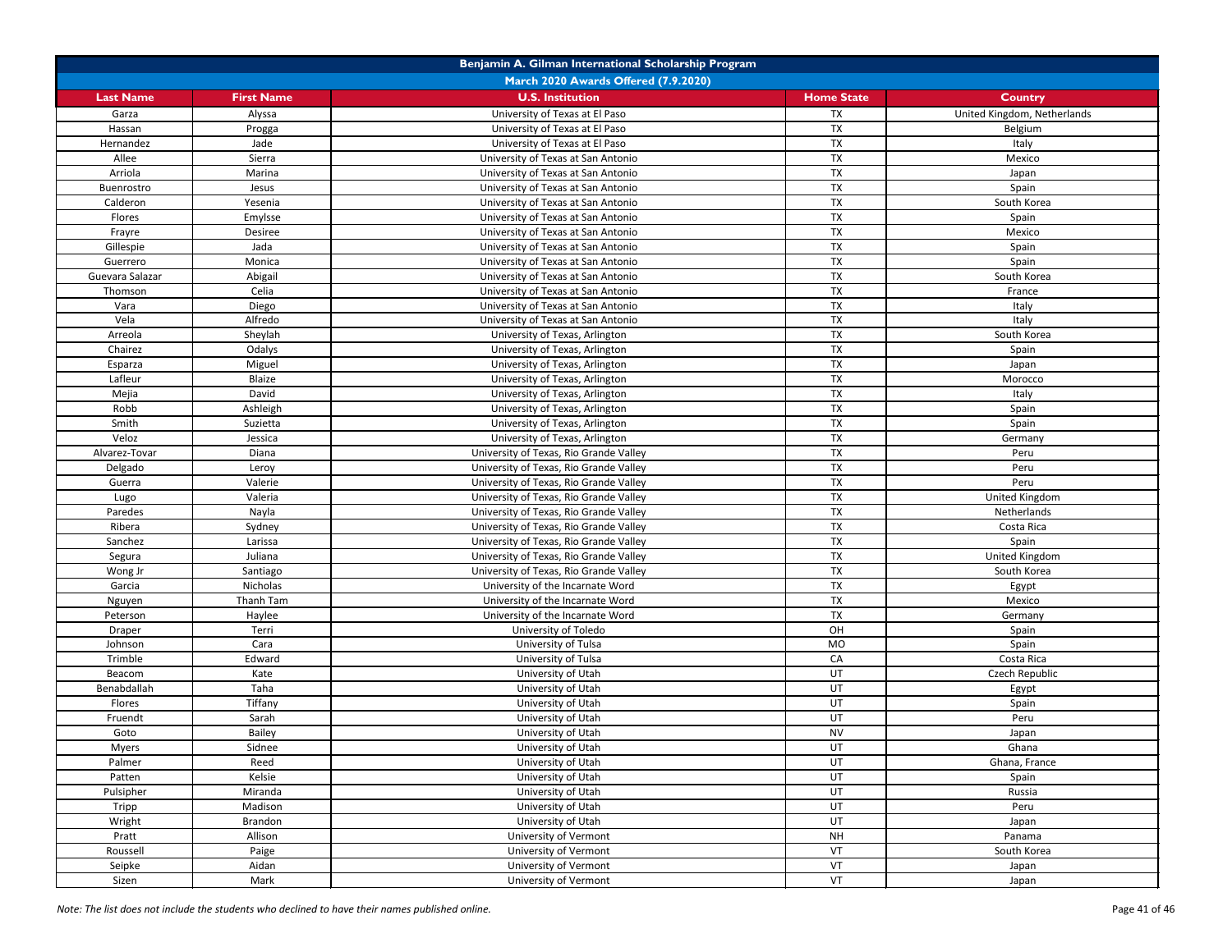| Benjamin A. Gilman International Scholarship Program |                                             |                                        |                   |                             |  |  |
|------------------------------------------------------|---------------------------------------------|----------------------------------------|-------------------|-----------------------------|--|--|
|                                                      | <b>March 2020 Awards Offered (7.9.2020)</b> |                                        |                   |                             |  |  |
| <b>Last Name</b>                                     | <b>First Name</b>                           | <b>U.S. Institution</b>                | <b>Home State</b> | <b>Country</b>              |  |  |
| Garza                                                | Alyssa                                      | University of Texas at El Paso         | <b>TX</b>         | United Kingdom, Netherlands |  |  |
| Hassan                                               | Progga                                      | University of Texas at El Paso         | <b>TX</b>         | Belgium                     |  |  |
| Hernandez                                            | Jade                                        | University of Texas at El Paso         | <b>TX</b>         | Italy                       |  |  |
| Allee                                                | Sierra                                      | University of Texas at San Antonio     | <b>TX</b>         | Mexico                      |  |  |
| Arriola                                              | Marina                                      | University of Texas at San Antonio     | TX                | Japan                       |  |  |
| Buenrostro                                           | Jesus                                       | University of Texas at San Antonio     | <b>TX</b>         | Spain                       |  |  |
| Calderon                                             | Yesenia                                     | University of Texas at San Antonio     | <b>TX</b>         | South Korea                 |  |  |
| Flores                                               | Emylsse                                     | University of Texas at San Antonio     | <b>TX</b>         | Spain                       |  |  |
| Frayre                                               | Desiree                                     | University of Texas at San Antonio     | <b>TX</b>         | Mexico                      |  |  |
| Gillespie                                            | Jada                                        | University of Texas at San Antonio     | <b>TX</b>         | Spain                       |  |  |
| Guerrero                                             | Monica                                      | University of Texas at San Antonio     | <b>TX</b>         | Spain                       |  |  |
| Guevara Salazar                                      | Abigail                                     | University of Texas at San Antonio     | <b>TX</b>         | South Korea                 |  |  |
| Thomson                                              | Celia                                       | University of Texas at San Antonio     | <b>TX</b>         | France                      |  |  |
| Vara                                                 | Diego                                       | University of Texas at San Antonio     | <b>TX</b>         | Italy                       |  |  |
| Vela                                                 | Alfredo                                     | University of Texas at San Antonio     | <b>TX</b>         | Italy                       |  |  |
| Arreola                                              | Sheylah                                     | University of Texas, Arlington         | <b>TX</b>         | South Korea                 |  |  |
| Chairez                                              | Odalys                                      | University of Texas, Arlington         | <b>TX</b>         | Spain                       |  |  |
| Esparza                                              | Miguel                                      | University of Texas, Arlington         | <b>TX</b>         | Japan                       |  |  |
| Lafleur                                              | Blaize                                      | University of Texas, Arlington         | <b>TX</b>         | Morocco                     |  |  |
| Mejia                                                | David                                       | University of Texas, Arlington         | <b>TX</b>         | Italy                       |  |  |
| Robb                                                 | Ashleigh                                    | University of Texas, Arlington         | TX                | Spain                       |  |  |
| Smith                                                | Suzietta                                    | University of Texas, Arlington         | <b>TX</b>         | Spain                       |  |  |
| Veloz                                                | Jessica                                     | University of Texas, Arlington         | <b>TX</b>         | Germany                     |  |  |
| Alvarez-Tovar                                        | Diana                                       | University of Texas, Rio Grande Valley | <b>TX</b>         | Peru                        |  |  |
| Delgado                                              | Leroy                                       | University of Texas, Rio Grande Valley | <b>TX</b>         | Peru                        |  |  |
| Guerra                                               | Valerie                                     | University of Texas, Rio Grande Valley | <b>TX</b>         | Peru                        |  |  |
| Lugo                                                 | Valeria                                     | University of Texas, Rio Grande Valley | <b>TX</b>         | United Kingdom              |  |  |
| Paredes                                              | Nayla                                       | University of Texas, Rio Grande Valley | <b>TX</b>         | Netherlands                 |  |  |
| Ribera                                               | Sydney                                      | University of Texas, Rio Grande Valley | <b>TX</b>         | Costa Rica                  |  |  |
| Sanchez                                              | Larissa                                     | University of Texas, Rio Grande Valley | <b>TX</b>         | Spain                       |  |  |
| Segura                                               | Juliana                                     | University of Texas, Rio Grande Valley | <b>TX</b>         | United Kingdom              |  |  |
| Wong Jr                                              | Santiago                                    | University of Texas, Rio Grande Valley | <b>TX</b>         | South Korea                 |  |  |
| Garcia                                               | Nicholas                                    | University of the Incarnate Word       | <b>TX</b>         | Egypt                       |  |  |
| Nguyen                                               | Thanh Tam                                   | University of the Incarnate Word       | <b>TX</b>         | Mexico                      |  |  |
| Peterson                                             | Haylee                                      | University of the Incarnate Word       | <b>TX</b>         | Germany                     |  |  |
| Draper                                               | Terri                                       | University of Toledo                   | OH                | Spain                       |  |  |
| Johnson                                              | Cara                                        | University of Tulsa                    | MO                | Spain                       |  |  |
| Trimble                                              | Edward                                      | University of Tulsa                    | CA                | Costa Rica                  |  |  |
| Beacom                                               | Kate                                        | University of Utah                     | UT                | Czech Republic              |  |  |
| Benabdallah                                          | Taha                                        | University of Utah                     | <b>UT</b>         | Egypt                       |  |  |
| Flores                                               | Tiffany                                     | University of Utah                     | UT                | Spain                       |  |  |
| Fruendt                                              | Sarah                                       | University of Utah                     | UT                | Peru                        |  |  |
| Goto                                                 | Bailey                                      | University of Utah                     | <b>NV</b>         | Japan                       |  |  |
| <b>Myers</b>                                         | Sidnee                                      | University of Utah                     | UT                | Ghana                       |  |  |
| Palmer                                               | Reed                                        | University of Utah                     | UT                | Ghana, France               |  |  |
| Patten                                               | Kelsie                                      | University of Utah                     | UT                | Spain                       |  |  |
| Pulsipher                                            | Miranda                                     | University of Utah                     | UT                | Russia                      |  |  |
| Tripp                                                | Madison                                     | University of Utah                     | UT                | Peru                        |  |  |
| Wright                                               | Brandon                                     | University of Utah                     | UT                | Japan                       |  |  |
| Pratt                                                | Allison                                     | University of Vermont                  | <b>NH</b>         | Panama                      |  |  |
| Roussell                                             | Paige                                       | University of Vermont                  | VT                | South Korea                 |  |  |
| Seipke                                               | Aidan                                       | University of Vermont                  | VT                | Japan                       |  |  |
| Sizen                                                | Mark                                        | University of Vermont                  | VT                | Japan                       |  |  |

*Note: The list does not include the students who declined to have their names published online.* Page 41 of 46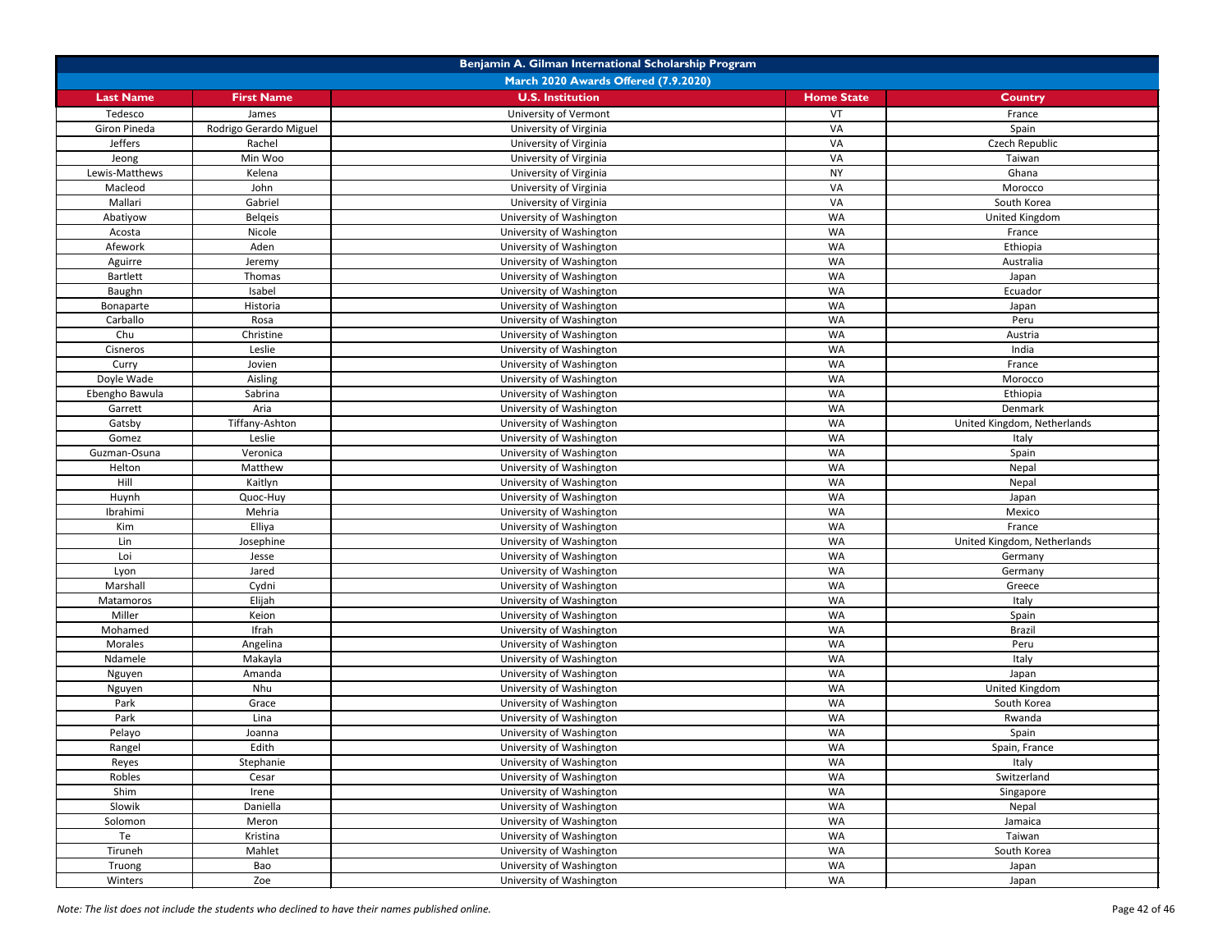| Benjamin A. Gilman International Scholarship Program |                        |                          |                   |                             |  |
|------------------------------------------------------|------------------------|--------------------------|-------------------|-----------------------------|--|
| March 2020 Awards Offered (7.9.2020)                 |                        |                          |                   |                             |  |
| <b>Last Name</b>                                     | <b>First Name</b>      | <b>U.S. Institution</b>  | <b>Home State</b> | <b>Country</b>              |  |
| Tedesco                                              | James                  | University of Vermont    | VT                | France                      |  |
| Giron Pineda                                         | Rodrigo Gerardo Miguel | University of Virginia   | VA                | Spain                       |  |
| Jeffers                                              | Rachel                 | University of Virginia   | VA                | Czech Republic              |  |
| Jeong                                                | Min Woo                | University of Virginia   | VA                | Taiwan                      |  |
| Lewis-Matthews                                       | Kelena                 | University of Virginia   | <b>NY</b>         | Ghana                       |  |
| Macleod                                              | John                   | University of Virginia   | VA                | Morocco                     |  |
| Mallari                                              | Gabriel                | University of Virginia   | VA                | South Korea                 |  |
| Abatiyow                                             | <b>Belgeis</b>         | University of Washington | WA                | United Kingdom              |  |
| Acosta                                               | Nicole                 | University of Washington | <b>WA</b>         | France                      |  |
| Afework                                              | Aden                   | University of Washington | <b>WA</b>         | Ethiopia                    |  |
| Aguirre                                              | Jeremy                 | University of Washington | <b>WA</b>         | Australia                   |  |
| <b>Bartlett</b>                                      | Thomas                 | University of Washington | <b>WA</b>         | Japan                       |  |
| Baughn                                               | Isabel                 | University of Washington | <b>WA</b>         | Ecuador                     |  |
| Bonaparte                                            | Historia               | University of Washington | WA                | Japan                       |  |
| Carballo                                             | Rosa                   | University of Washington | <b>WA</b>         | Peru                        |  |
| Chu                                                  | Christine              | University of Washington | <b>WA</b>         | Austria                     |  |
| Cisneros                                             | Leslie                 | University of Washington | <b>WA</b>         | India                       |  |
| Curry                                                | Jovien                 | University of Washington | WA                | France                      |  |
| Doyle Wade                                           | Aisling                | University of Washington | <b>WA</b>         | Morocco                     |  |
| Ebengho Bawula                                       | Sabrina                | University of Washington | <b>WA</b>         | Ethiopia                    |  |
| Garrett                                              | Aria                   | University of Washington | <b>WA</b>         | Denmark                     |  |
| Gatsby                                               | Tiffany-Ashton         | University of Washington | WA                | United Kingdom, Netherlands |  |
| Gomez                                                | Leslie                 | University of Washington | <b>WA</b>         | Italy                       |  |
| Guzman-Osuna                                         | Veronica               | University of Washington | WA                | Spain                       |  |
| Helton                                               | Matthew                | University of Washington | WA                | Nepal                       |  |
| Hill                                                 | Kaitlyn                | University of Washington | <b>WA</b>         | Nepal                       |  |
| Huynh                                                | Quoc-Huy               | University of Washington | <b>WA</b>         | Japan                       |  |
| Ibrahimi                                             | Mehria                 | University of Washington | <b>WA</b>         | Mexico                      |  |
| Kim                                                  | Elliya                 | University of Washington | WA                | France                      |  |
| Lin                                                  | Josephine              | University of Washington | WA                | United Kingdom, Netherlands |  |
| Loi                                                  | Jesse                  | University of Washington | WA                | Germany                     |  |
| Lyon                                                 | Jared                  | University of Washington | <b>WA</b>         | Germany                     |  |
| Marshall                                             | Cydni                  | University of Washington | WA                | Greece                      |  |
| Matamoros                                            | Elijah                 | University of Washington | WA                | Italy                       |  |
| Miller                                               | Keion                  | University of Washington | WA                | Spain                       |  |
| Mohamed                                              | Ifrah                  | University of Washington | WA                | <b>Brazil</b>               |  |
| Morales                                              | Angelina               | University of Washington | WA                | Peru                        |  |
| Ndamele                                              | Makayla                | University of Washington | WA                | Italy                       |  |
| Nguyen                                               | Amanda                 | University of Washington | WA                | Japan                       |  |
| Nguyen                                               | Nhu                    | University of Washington | <b>WA</b>         | United Kingdom              |  |
| Park                                                 | Grace                  | University of Washington | WA                | South Korea                 |  |
| Park                                                 | Lina                   | University of Washington | WA                | Rwanda                      |  |
| Pelayo                                               | Joanna                 | University of Washington | WA                | Spain                       |  |
| Rangel                                               | Edith                  | University of Washington | WA                | Spain, France               |  |
| Reyes                                                | Stephanie              | University of Washington | WA                | Italy                       |  |
| Robles                                               | Cesar                  | University of Washington | <b>WA</b>         | Switzerland                 |  |
| Shim                                                 | Irene                  | University of Washington | WA                | Singapore                   |  |
| Slowik                                               | Daniella               | University of Washington | WA                | Nepal                       |  |
| Solomon                                              | Meron                  | University of Washington | WA                | Jamaica                     |  |
| Te                                                   | Kristina               | University of Washington | WA                | Taiwan                      |  |
| Tiruneh                                              | Mahlet                 | University of Washington | WA                | South Korea                 |  |
| Truong                                               | Bao                    | University of Washington | WA                | Japan                       |  |
| Winters                                              | Zoe                    | University of Washington | WA                | Japan                       |  |

*Note: The list does not include the students who declined to have their names published online.* Page 42 of 46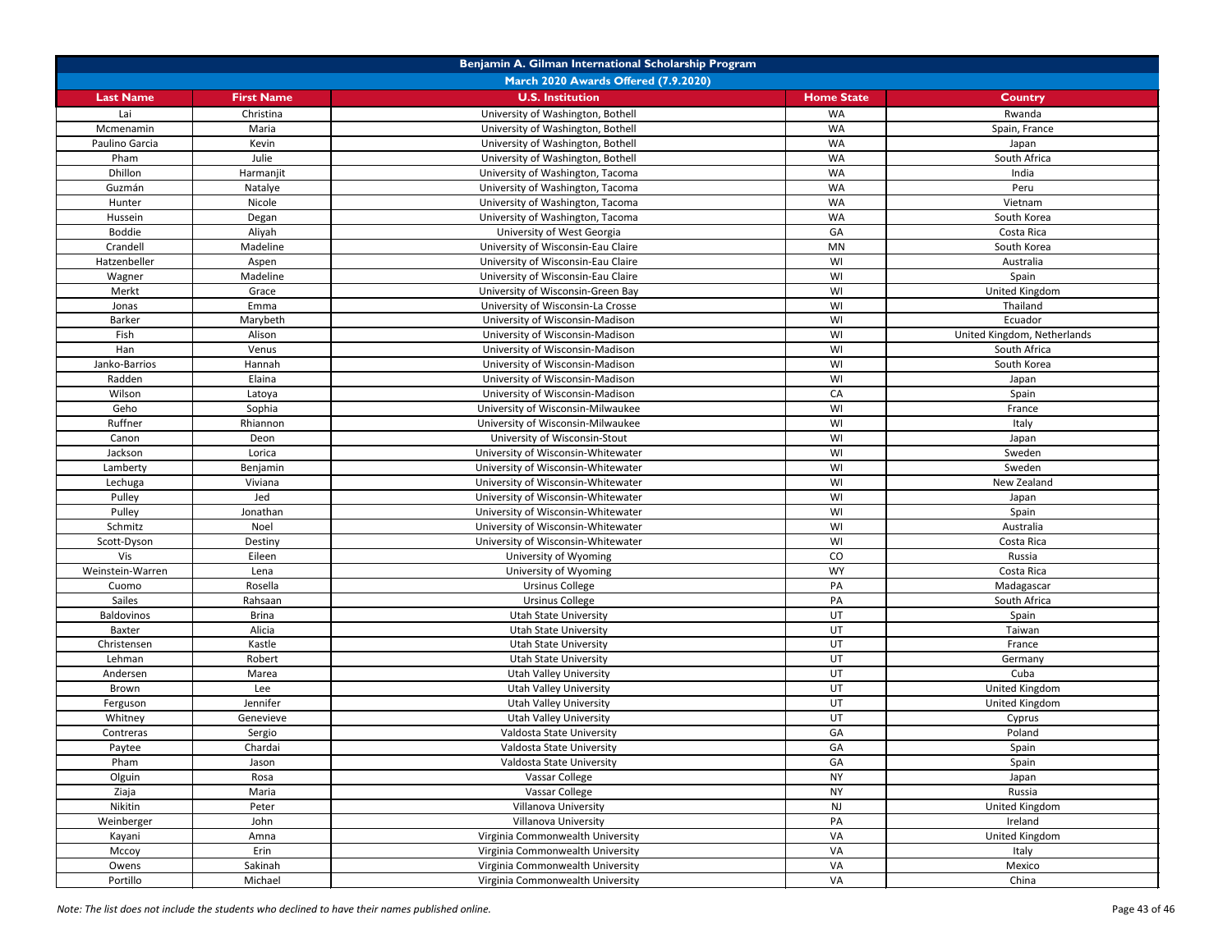| Benjamin A. Gilman International Scholarship Program |                   |                                    |                   |                             |  |
|------------------------------------------------------|-------------------|------------------------------------|-------------------|-----------------------------|--|
| <b>March 2020 Awards Offered (7.9.2020)</b>          |                   |                                    |                   |                             |  |
| <b>Last Name</b>                                     | <b>First Name</b> | <b>U.S. Institution</b>            | <b>Home State</b> | <b>Country</b>              |  |
| Lai                                                  | Christina         | University of Washington, Bothell  | WA                | Rwanda                      |  |
| Mcmenamin                                            | Maria             | University of Washington, Bothell  | <b>WA</b>         | Spain, France               |  |
| Paulino Garcia                                       | Kevin             | University of Washington, Bothell  | WA                | Japan                       |  |
| Pham                                                 | Julie             | University of Washington, Bothell  | WA                | South Africa                |  |
| Dhillon                                              | Harmanjit         | University of Washington, Tacoma   | WA                | India                       |  |
| Guzmán                                               | Natalye           | University of Washington, Tacoma   | WA                | Peru                        |  |
| Hunter                                               | Nicole            | University of Washington, Tacoma   | WA                | Vietnam                     |  |
| Hussein                                              | Degan             | University of Washington, Tacoma   | WA                | South Korea                 |  |
| <b>Boddie</b>                                        | Aliyah            | University of West Georgia         | GA                | Costa Rica                  |  |
| Crandell                                             | Madeline          | University of Wisconsin-Eau Claire | <b>MN</b>         | South Korea                 |  |
| Hatzenbeller                                         | Aspen             | University of Wisconsin-Eau Claire | WI                | Australia                   |  |
| Wagner                                               | Madeline          | University of Wisconsin-Eau Claire | WI                | Spain                       |  |
| Merkt                                                | Grace             | University of Wisconsin-Green Bay  | WI                | United Kingdom              |  |
| Jonas                                                | Emma              | University of Wisconsin-La Crosse  | WI                | Thailand                    |  |
| <b>Barker</b>                                        | Marybeth          | University of Wisconsin-Madison    | WI                | Ecuador                     |  |
| Fish                                                 | Alison            | University of Wisconsin-Madison    | WI                | United Kingdom, Netherlands |  |
| Han                                                  | Venus             | University of Wisconsin-Madison    | WI                | South Africa                |  |
| Janko-Barrios                                        | Hannah            | University of Wisconsin-Madison    | WI                | South Korea                 |  |
| Radden                                               | Elaina            | University of Wisconsin-Madison    | WI                | Japan                       |  |
| Wilson                                               | Latoya            | University of Wisconsin-Madison    | CA                | Spain                       |  |
| Geho                                                 | Sophia            | University of Wisconsin-Milwaukee  | WI                | France                      |  |
| Ruffner                                              | Rhiannon          | University of Wisconsin-Milwaukee  | WI                | Italy                       |  |
| Canon                                                |                   | University of Wisconsin-Stout      | WI                |                             |  |
|                                                      | Deon              |                                    |                   | Japan                       |  |
| Jackson                                              | Lorica            | University of Wisconsin-Whitewater | WI                | Sweden                      |  |
| Lamberty                                             | Benjamin          | University of Wisconsin-Whitewater | WI                | Sweden                      |  |
| Lechuga                                              | Viviana           | University of Wisconsin-Whitewater | WI                | New Zealand                 |  |
| Pulley                                               | Jed               | University of Wisconsin-Whitewater | WI                | Japan                       |  |
| Pulley                                               | Jonathan          | University of Wisconsin-Whitewater | WI                | Spain                       |  |
| Schmitz                                              | Noel              | University of Wisconsin-Whitewater | WI                | Australia                   |  |
| Scott-Dyson                                          | Destiny           | University of Wisconsin-Whitewater | WI                | Costa Rica                  |  |
| Vis                                                  | Eileen            | University of Wyoming              | CO                | Russia                      |  |
| Weinstein-Warren                                     | Lena              | University of Wyoming              | <b>WY</b>         | Costa Rica                  |  |
| Cuomo                                                | Rosella           | <b>Ursinus College</b>             | PA                | Madagascar                  |  |
| <b>Sailes</b>                                        | Rahsaan           | <b>Ursinus College</b>             | PA                | South Africa                |  |
| Baldovinos                                           | <b>Brina</b>      | <b>Utah State University</b>       | UT                | Spain                       |  |
| Baxter                                               | Alicia            | <b>Utah State University</b>       | UT                | Taiwan                      |  |
| Christensen                                          | Kastle            | <b>Utah State University</b>       | UT                | France                      |  |
| Lehman                                               | Robert            | <b>Utah State University</b>       | UT                | Germany                     |  |
| Andersen                                             | Marea             | <b>Utah Valley University</b>      | UT                | Cuba                        |  |
| Brown                                                | Lee               | <b>Utah Valley University</b>      | <b>UT</b>         | United Kingdom              |  |
| Ferguson                                             | Jennifer          | <b>Utah Valley University</b>      | UT                | United Kingdom              |  |
| Whitney                                              | Genevieve         | <b>Utah Valley University</b>      | UT                | Cyprus                      |  |
| Contreras                                            | Sergio            | Valdosta State University          | GA                | Poland                      |  |
| Paytee                                               | Chardai           | Valdosta State University          | GA                | Spain                       |  |
| Pham                                                 | Jason             | Valdosta State University          | GA                | Spain                       |  |
| Olguin                                               | Rosa              | Vassar College                     | <b>NY</b>         | Japan                       |  |
| Ziaja                                                | Maria             | Vassar College                     | <b>NY</b>         | Russia                      |  |
| Nikitin                                              | Peter             | <b>Villanova University</b>        | <b>NJ</b>         | United Kingdom              |  |
| Weinberger                                           | John              | <b>Villanova University</b>        | PA                | Ireland                     |  |
| Kayani                                               | Amna              | Virginia Commonwealth University   | VA                | United Kingdom              |  |
| Mccoy                                                | Erin              | Virginia Commonwealth University   | VA                | Italy                       |  |
| Owens                                                | Sakinah           | Virginia Commonwealth University   | VA                | Mexico                      |  |
| Portillo                                             | Michael           | Virginia Commonwealth University   | VA                | China                       |  |
|                                                      |                   |                                    |                   |                             |  |

*Note: The list does not include the students who declined to have their names published online.* Page 43 of 46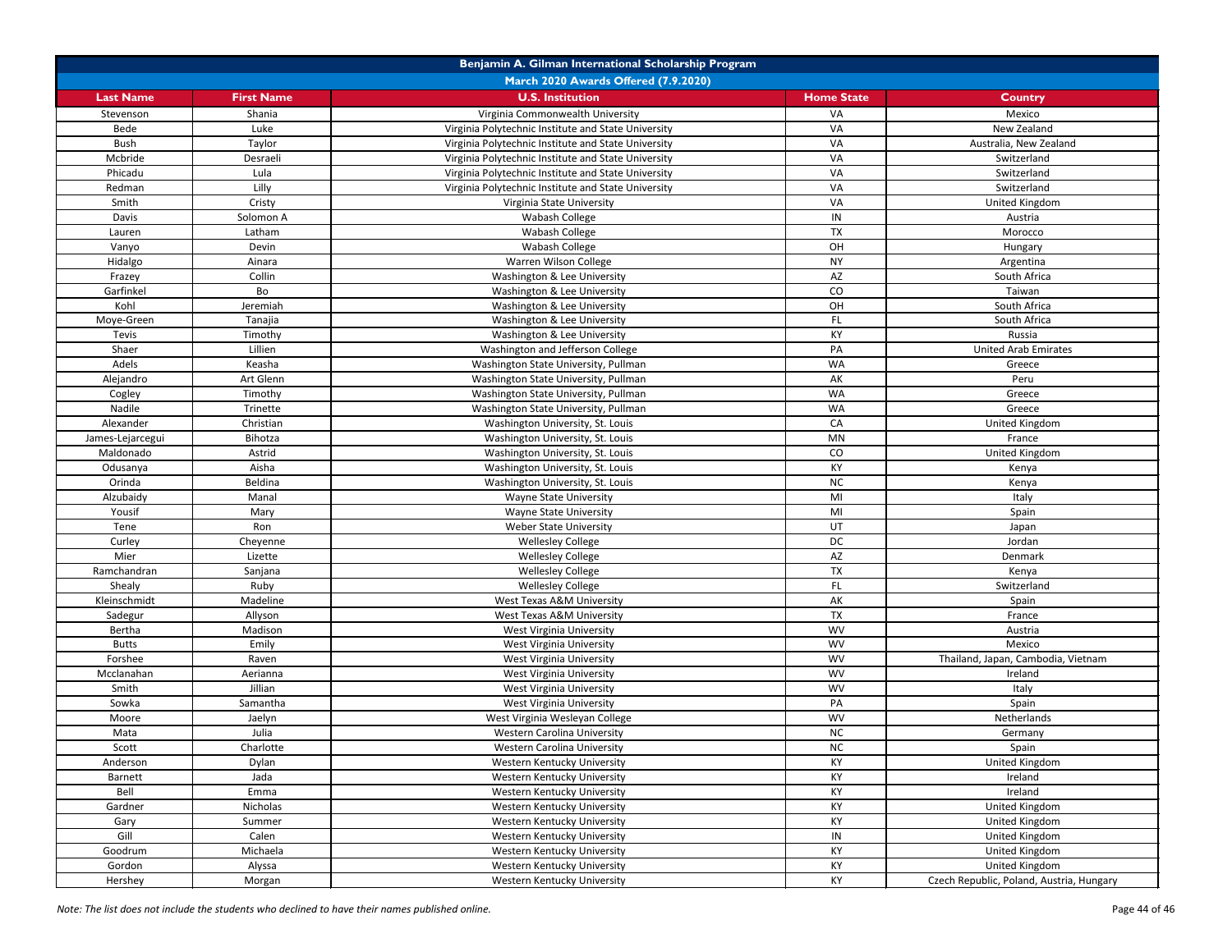| Benjamin A. Gilman International Scholarship Program |                   |                                                     |                   |                                          |  |
|------------------------------------------------------|-------------------|-----------------------------------------------------|-------------------|------------------------------------------|--|
| March 2020 Awards Offered (7.9.2020)                 |                   |                                                     |                   |                                          |  |
| <b>Last Name</b>                                     | <b>First Name</b> | <b>U.S. Institution</b>                             | <b>Home State</b> | <b>Country</b>                           |  |
| Stevenson                                            | Shania            | Virginia Commonwealth University                    | VA                | Mexico                                   |  |
| Bede                                                 | Luke              | Virginia Polytechnic Institute and State University | VA                | New Zealand                              |  |
| Bush                                                 | Taylor            | Virginia Polytechnic Institute and State University | VA                | Australia, New Zealand                   |  |
| Mcbride                                              | Desraeli          | Virginia Polytechnic Institute and State University | VA                | Switzerland                              |  |
| Phicadu                                              | Lula              | Virginia Polytechnic Institute and State University | VA                | Switzerland                              |  |
| Redman                                               | Lilly             | Virginia Polytechnic Institute and State University | VA                | Switzerland                              |  |
| Smith                                                | Cristy            | Virginia State University                           | VA                | United Kingdom                           |  |
| Davis                                                | Solomon A         | Wabash College                                      | IN                | Austria                                  |  |
| Lauren                                               | Latham            | Wabash College                                      | <b>TX</b>         | Morocco                                  |  |
| Vanyo                                                | Devin             | Wabash College                                      | OH                | Hungary                                  |  |
| Hidalgo                                              | Ainara            | Warren Wilson College                               | <b>NY</b>         | Argentina                                |  |
| Frazey                                               | Collin            | Washington & Lee University                         | AZ                | South Africa                             |  |
| Garfinkel                                            | Bo                | Washington & Lee University                         | CO                | Taiwan                                   |  |
| Kohl                                                 | Jeremiah          | Washington & Lee University                         | OH                | South Africa                             |  |
| Moye-Green                                           | Tanajia           | Washington & Lee University                         | FL.               | South Africa                             |  |
| Tevis                                                | Timothy           | Washington & Lee University                         | KY                | Russia                                   |  |
| Shaer                                                | Lillien           | Washington and Jefferson College                    | PA                | <b>United Arab Emirates</b>              |  |
| Adels                                                | Keasha            | Washington State University, Pullman                | <b>WA</b>         | Greece                                   |  |
| Alejandro                                            | Art Glenn         | Washington State University, Pullman                | AK                | Peru                                     |  |
| Cogley                                               | Timothy           | Washington State University, Pullman                | <b>WA</b>         | Greece                                   |  |
| Nadile                                               | Trinette          | Washington State University, Pullman                | <b>WA</b>         | Greece                                   |  |
| Alexander                                            | Christian         | Washington University, St. Louis                    | CA                | United Kingdom                           |  |
| James-Lejarcegui                                     | Bihotza           | Washington University, St. Louis                    | <b>MN</b>         | France                                   |  |
| Maldonado                                            | Astrid            | Washington University, St. Louis                    | CO                | United Kingdom                           |  |
| Odusanya                                             | Aisha             | Washington University, St. Louis                    | KY                | Kenya                                    |  |
| Orinda                                               | Beldina           | Washington University, St. Louis                    | NC                | Kenya                                    |  |
| Alzubaidy                                            | Manal             | <b>Wayne State University</b>                       | MI                | Italy                                    |  |
| Yousif                                               | Mary              | <b>Wayne State University</b>                       | MI                | Spain                                    |  |
| Tene                                                 | Ron               | <b>Weber State University</b>                       | UT                | Japan                                    |  |
| Curley                                               | Cheyenne          | <b>Wellesley College</b>                            | <b>DC</b>         | Jordan                                   |  |
| Mier                                                 | Lizette           | <b>Wellesley College</b>                            | AZ                | Denmark                                  |  |
| Ramchandran                                          | Sanjana           | <b>Wellesley College</b>                            | <b>TX</b>         | Kenya                                    |  |
| Shealy                                               | Ruby              | <b>Wellesley College</b>                            | FL.               | Switzerland                              |  |
| Kleinschmidt                                         | Madeline          | West Texas A&M University                           | AK                | Spain                                    |  |
| Sadegur                                              | Allyson           | West Texas A&M University                           | <b>TX</b>         | France                                   |  |
| Bertha                                               | Madison           | West Virginia University                            | <b>WV</b>         | Austria                                  |  |
| <b>Butts</b>                                         | Emily             | <b>West Virginia University</b>                     | <b>WV</b>         | Mexico                                   |  |
| Forshee                                              | Raven             | <b>West Virginia University</b>                     | <b>WV</b>         | Thailand, Japan, Cambodia, Vietnam       |  |
| Mcclanahan                                           | Aerianna          | <b>West Virginia University</b>                     | <b>WV</b>         | Ireland                                  |  |
| Smith                                                | Jillian           | <b>West Virginia University</b>                     | <b>WV</b>         | Italy                                    |  |
| Sowka                                                | Samantha          | <b>West Virginia University</b>                     | PA                | Spain                                    |  |
| Moore                                                | Jaelyn            | West Virginia Wesleyan College                      | <b>WV</b>         | Netherlands                              |  |
| Mata                                                 | Julia             | <b>Western Carolina University</b>                  | <b>NC</b>         | Germany                                  |  |
| Scott                                                | Charlotte         | <b>Western Carolina University</b>                  | NC                | Spain                                    |  |
| Anderson                                             | Dylan             | Western Kentucky University                         | KY                | United Kingdom                           |  |
| Barnett                                              | Jada              | Western Kentucky University                         | KY                | Ireland                                  |  |
| Bell                                                 | Emma              | Western Kentucky University                         | KY                | Ireland                                  |  |
| Gardner                                              | Nicholas          | Western Kentucky University                         | KY                | United Kingdom                           |  |
| Gary                                                 | Summer            | Western Kentucky University                         | KY                | United Kingdom                           |  |
| Gill                                                 | Calen             | Western Kentucky University                         | IN                | United Kingdom                           |  |
| Goodrum                                              | Michaela          | Western Kentucky University                         | KY                | United Kingdom                           |  |
| Gordon                                               | Alyssa            | Western Kentucky University                         | KY                | United Kingdom                           |  |
| Hershey                                              | Morgan            | Western Kentucky University                         | KY                | Czech Republic, Poland, Austria, Hungary |  |

*Note: The list does not include the students who declined to have their names published online.* Page 44 of 46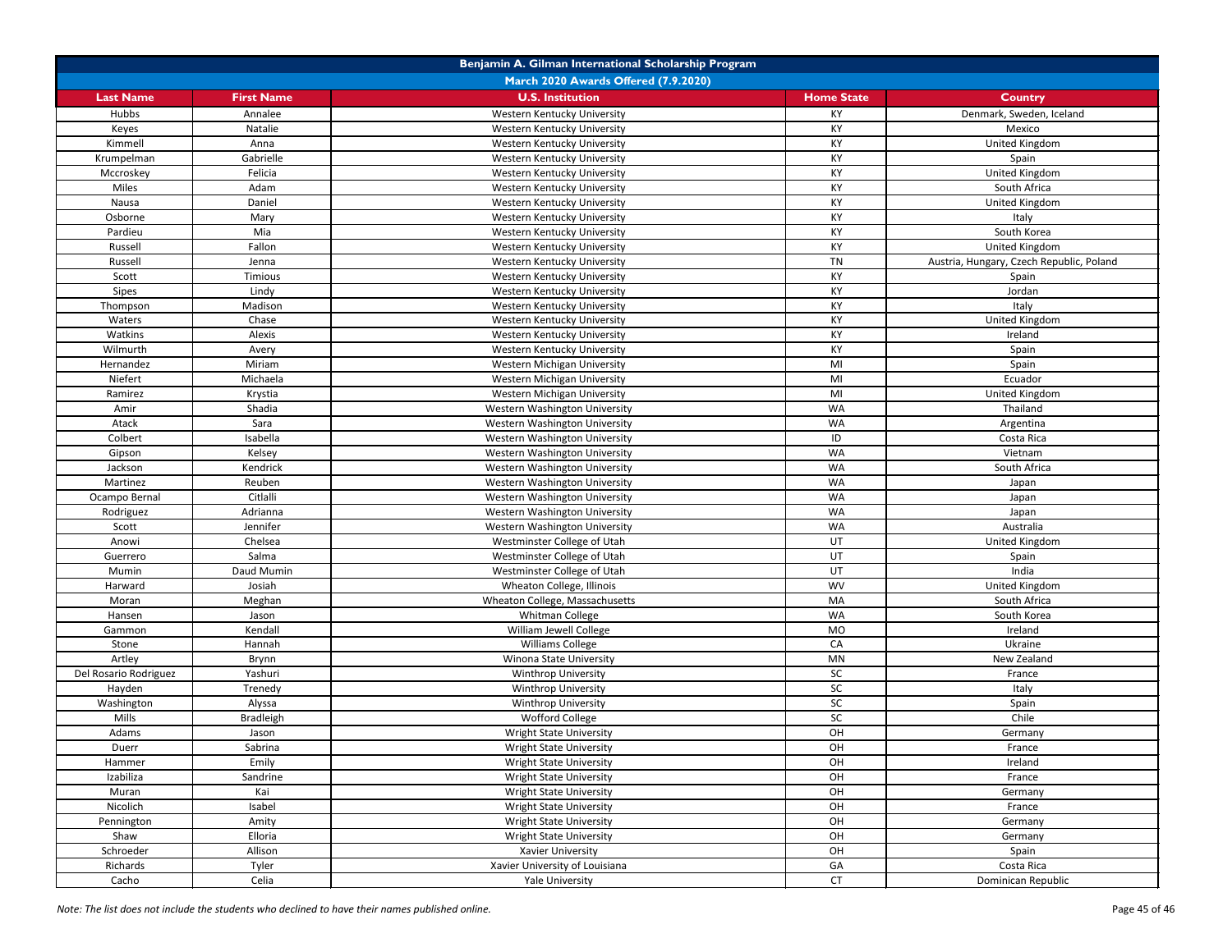| Benjamin A. Gilman International Scholarship Program |                   |                                      |                   |                                          |  |
|------------------------------------------------------|-------------------|--------------------------------------|-------------------|------------------------------------------|--|
| March 2020 Awards Offered (7.9.2020)                 |                   |                                      |                   |                                          |  |
| <b>Last Name</b>                                     | <b>First Name</b> | <b>U.S. Institution</b>              | <b>Home State</b> | <b>Country</b>                           |  |
| Hubbs                                                | Annalee           | Western Kentucky University          | KY                | Denmark, Sweden, Iceland                 |  |
| Keyes                                                | Natalie           | Western Kentucky University          | KY                | Mexico                                   |  |
| Kimmell                                              | Anna              | Western Kentucky University          | KY                | United Kingdom                           |  |
| Krumpelman                                           | Gabrielle         | Western Kentucky University          | KY                | Spain                                    |  |
| Mccroskey                                            | Felicia           | Western Kentucky University          | KY                | United Kingdom                           |  |
| Miles                                                | Adam              | Western Kentucky University          | KY                | South Africa                             |  |
| Nausa                                                | Daniel            | Western Kentucky University          | KY                | United Kingdom                           |  |
| Osborne                                              | Mary              | Western Kentucky University          | KY                | Italy                                    |  |
| Pardieu                                              | Mia               | Western Kentucky University          | KY                | South Korea                              |  |
| Russell                                              | Fallon            | Western Kentucky University          | KY                | United Kingdom                           |  |
| Russell                                              | Jenna             | Western Kentucky University          | <b>TN</b>         | Austria, Hungary, Czech Republic, Poland |  |
| Scott                                                | Timious           | Western Kentucky University          | KY                | Spain                                    |  |
| <b>Sipes</b>                                         | Lindy             | Western Kentucky University          | KY                | Jordan                                   |  |
| Thompson                                             | Madison           | Western Kentucky University          | KY                | Italy                                    |  |
| Waters                                               | Chase             | Western Kentucky University          | KY                | United Kingdom                           |  |
| Watkins                                              | Alexis            | Western Kentucky University          | KY                | Ireland                                  |  |
| Wilmurth                                             | Avery             | Western Kentucky University          | KY                | Spain                                    |  |
| Hernandez                                            | Miriam            | Western Michigan University          | MI                | Spain                                    |  |
| Niefert                                              | Michaela          | Western Michigan University          | MI                | Ecuador                                  |  |
| Ramirez                                              | Krystia           | Western Michigan University          | MI                | United Kingdom                           |  |
| Amir                                                 | Shadia            | Western Washington University        | <b>WA</b>         | Thailand                                 |  |
| Atack                                                | Sara              | Western Washington University        | <b>WA</b>         | Argentina                                |  |
| Colbert                                              | Isabella          | <b>Western Washington University</b> | ID                | Costa Rica                               |  |
| Gipson                                               | Kelsey            | Western Washington University        | <b>WA</b>         | Vietnam                                  |  |
| Jackson                                              | Kendrick          | Western Washington University        | <b>WA</b>         | South Africa                             |  |
| Martinez                                             | Reuben            | Western Washington University        | <b>WA</b>         | Japan                                    |  |
| Ocampo Bernal                                        | Citlalli          | Western Washington University        | <b>WA</b>         | Japan                                    |  |
| Rodriguez                                            | Adrianna          | Western Washington University        | <b>WA</b>         | Japan                                    |  |
| Scott                                                | Jennifer          | Western Washington University        | WA                | Australia                                |  |
| Anowi                                                | Chelsea           | Westminster College of Utah          | UT                | United Kingdom                           |  |
| Guerrero                                             | Salma             | Westminster College of Utah          | UT                | Spain                                    |  |
| Mumin                                                | Daud Mumin        | Westminster College of Utah          | UT                | India                                    |  |
| Harward                                              | Josiah            | Wheaton College, Illinois            | <b>WV</b>         | United Kingdom                           |  |
| Moran                                                | Meghan            | Wheaton College, Massachusetts       | MA                | South Africa                             |  |
| Hansen                                               | Jason             | Whitman College                      | <b>WA</b>         | South Korea                              |  |
| Gammon                                               | Kendall           | William Jewell College               | MO                | Ireland                                  |  |
| Stone                                                | Hannah            | <b>Williams College</b>              | CA                | Ukraine                                  |  |
| Artley                                               | Brynn             | Winona State University              | MN                | New Zealand                              |  |
| Del Rosario Rodriguez                                | Yashuri           | <b>Winthrop University</b>           | SC                | France                                   |  |
| Hayden                                               | Trenedy           | <b>Winthrop University</b>           | SC                | Italy                                    |  |
| Washington                                           | Alyssa            | <b>Winthrop University</b>           | SC                | Spain                                    |  |
| Mills                                                | <b>Bradleigh</b>  | Wofford College                      | SC                | Chile                                    |  |
| Adams                                                | Jason             | <b>Wright State University</b>       | OH                | Germany                                  |  |
| Duerr                                                | Sabrina           | <b>Wright State University</b>       | OH                | France                                   |  |
| Hammer                                               | Emily             | <b>Wright State University</b>       | OH                | Ireland                                  |  |
| Izabiliza                                            | Sandrine          | <b>Wright State University</b>       | OH                | France                                   |  |
| Muran                                                | Kai               | <b>Wright State University</b>       | OH                | Germany                                  |  |
| Nicolich                                             | Isabel            | <b>Wright State University</b>       | OH                | France                                   |  |
| Pennington                                           | Amity             | <b>Wright State University</b>       | OH                | Germany                                  |  |
| Shaw                                                 | Elloria           | <b>Wright State University</b>       | OH                | Germany                                  |  |
| Schroeder                                            | Allison           | Xavier University                    | OH                | Spain                                    |  |
| Richards                                             | Tyler             | Xavier University of Louisiana       | GA                | Costa Rica                               |  |
| Cacho                                                | Celia             | Yale University                      | <b>CT</b>         | Dominican Republic                       |  |

*Note: The list does not include the students who declined to have their names published online.* Page 45 of 46